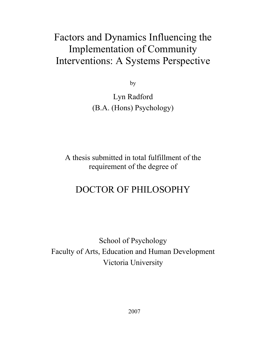# Factors and Dynamics Influencing the Implementation of Community Interventions: A Systems Perspective

by

Lyn Radford (B.A. (Hons) Psychology)

A thesis submitted in total fulfillment of the requirement of the degree of

# DOCTOR OF PHILOSOPHY

School of Psychology Faculty of Arts, Education and Human Development Victoria University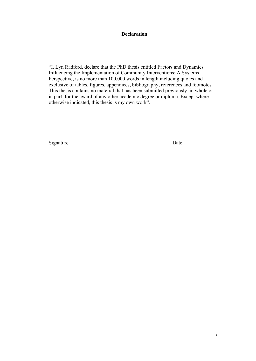## **Declaration**

"I, Lyn Radford, declare that the PhD thesis entitled Factors and Dynamics Influencing the Implementation of Community Interventions: A Systems Perspective, is no more than 100,000 words in length including quotes and exclusive of tables, figures, appendices, bibliography, references and footnotes. This thesis contains no material that has been submitted previously, in whole or in part, for the award of any other academic degree or diploma. Except where otherwise indicated, this thesis is my own work".

Signature Date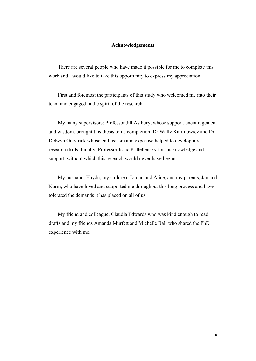#### **Acknowledgements**

There are several people who have made it possible for me to complete this work and I would like to take this opportunity to express my appreciation.

First and foremost the participants of this study who welcomed me into their team and engaged in the spirit of the research.

My many supervisors: Professor Jill Astbury, whose support, encouragement and wisdom, brought this thesis to its completion. Dr Wally Karnilowicz and Dr Delwyn Goodrick whose enthusiasm and expertise helped to develop my research skills. Finally, Professor Isaac Prilleltensky for his knowledge and support, without which this research would never have begun.

My husband, Haydn, my children, Jordan and Alice, and my parents, Jan and Norm, who have loved and supported me throughout this long process and have tolerated the demands it has placed on all of us.

My friend and colleague, Claudia Edwards who was kind enough to read drafts and my friends Amanda Murfett and Michelle Ball who shared the PhD experience with me.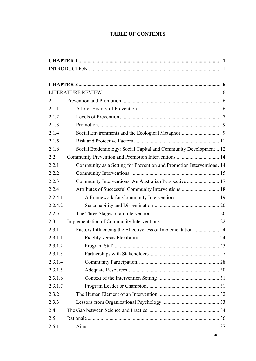# **TABLE OF CONTENTS**

| 2.1     |                                                                       |  |
|---------|-----------------------------------------------------------------------|--|
| 2.1.1   |                                                                       |  |
| 2.1.2   |                                                                       |  |
| 2.1.3   |                                                                       |  |
| 2.1.4   |                                                                       |  |
| 2.1.5   |                                                                       |  |
| 2.1.6   | Social Epidemiology: Social Capital and Community Development 12      |  |
| 2.2     | Community Prevention and Promotion Interventions  14                  |  |
| 2.2.1   | Community as a Setting for Prevention and Promotion Interventions. 14 |  |
| 2.2.2   |                                                                       |  |
| 2.2.3   | Community Interventions: An Australian Perspective  17                |  |
| 2.2.4   | Attributes of Successful Community Interventions 18                   |  |
| 2.2.4.1 |                                                                       |  |
| 2.2.4.2 |                                                                       |  |
| 2.2.5   |                                                                       |  |
| 2.3     |                                                                       |  |
| 2.3.1   |                                                                       |  |
| 2.3.1.1 |                                                                       |  |
| 2.3.1.2 |                                                                       |  |
| 2.3.1.3 |                                                                       |  |
| 2.3.1.4 |                                                                       |  |
| 2.3.1.5 |                                                                       |  |
| 2.3.1.6 |                                                                       |  |
| 2.3.1.7 |                                                                       |  |
| 2.3.2   |                                                                       |  |
| 2.3.3   |                                                                       |  |
| 2.4     |                                                                       |  |
| 2.5     |                                                                       |  |
| 2.5.1   |                                                                       |  |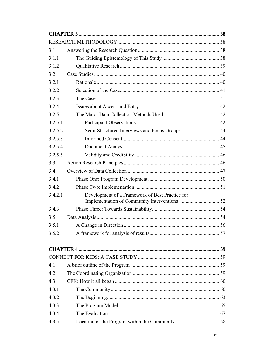| 3.1     |                                                 |  |
|---------|-------------------------------------------------|--|
| 3.1.1   |                                                 |  |
| 3.1.2   |                                                 |  |
| 3.2     |                                                 |  |
| 3.2.1   |                                                 |  |
| 3.2.2   |                                                 |  |
| 3.2.3   |                                                 |  |
| 3.2.4   |                                                 |  |
| 3.2.5   |                                                 |  |
| 3.2.5.1 |                                                 |  |
| 3.2.5.2 |                                                 |  |
| 3.2.5.3 |                                                 |  |
| 3.2.5.4 |                                                 |  |
| 3.2.5.5 |                                                 |  |
| 3.3     |                                                 |  |
| 3.4     |                                                 |  |
| 3.4.1   |                                                 |  |
| 3.4.2   |                                                 |  |
| 3.4.2.1 | Development of a Framework of Best Practice for |  |
| 3.4.3   |                                                 |  |
| 3.5     |                                                 |  |
| 3.5.1   |                                                 |  |
| 3.5.2   |                                                 |  |
|         |                                                 |  |
|         |                                                 |  |
| 4.1     |                                                 |  |
| 4.2     |                                                 |  |
| 4.3     |                                                 |  |
| 4.3.1   |                                                 |  |
| 4.3.2   |                                                 |  |
| 4.3.3   |                                                 |  |
| 4.3.4   |                                                 |  |
| 4.3.5   |                                                 |  |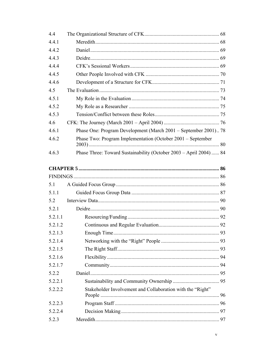| 4.4     |                                                                    |  |
|---------|--------------------------------------------------------------------|--|
| 4.4.1   |                                                                    |  |
| 4.4.2   |                                                                    |  |
| 4.4.3   |                                                                    |  |
| 4.4.4   |                                                                    |  |
| 4.4.5   |                                                                    |  |
| 4.4.6   |                                                                    |  |
| 4.5     |                                                                    |  |
| 4.5.1   |                                                                    |  |
| 4.5.2   |                                                                    |  |
| 4.5.3   |                                                                    |  |
| 4.6     |                                                                    |  |
| 4.6.1   | Phase One: Program Development (March 2001 – September 2001) 78    |  |
| 4.6.2   | Phase Two: Program Implementation (October 2001 – September        |  |
| 4.6.3   | Phase Three: Toward Sustainability (October 2003 - April 2004)  84 |  |
|         |                                                                    |  |
|         |                                                                    |  |
| 5.1     |                                                                    |  |
| 5.1.1   |                                                                    |  |
| 5.2     |                                                                    |  |
| 5.2.1   |                                                                    |  |
| 5.2.1.1 |                                                                    |  |
| 5.2.1.2 |                                                                    |  |
| 5.2.1.3 |                                                                    |  |
| 5.2.1.4 |                                                                    |  |
| 5.2.1.5 |                                                                    |  |
| 5.2.1.6 |                                                                    |  |
| 5.2.1.7 |                                                                    |  |
| 5.2.2   |                                                                    |  |
| 5.2.2.1 |                                                                    |  |
| 5.2.2.2 | Stakeholder Involvement and Collaboration with the "Right"         |  |
| 5.2.2.3 |                                                                    |  |
| 5.2.2.4 |                                                                    |  |
| 5.2.3   |                                                                    |  |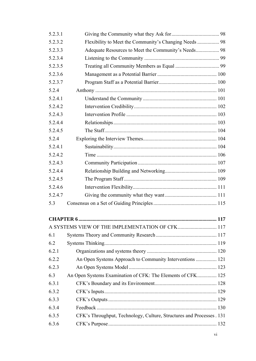| 5.2.3.1 |                                                                      |  |
|---------|----------------------------------------------------------------------|--|
| 5.2.3.2 | Flexibility to Meet the Community's Changing Needs  98               |  |
| 5.2.3.3 |                                                                      |  |
| 5.2.3.4 |                                                                      |  |
| 5.2.3.5 |                                                                      |  |
| 5.2.3.6 |                                                                      |  |
| 5.2.3.7 |                                                                      |  |
| 5.2.4   |                                                                      |  |
| 5.2.4.1 |                                                                      |  |
| 5.2.4.2 |                                                                      |  |
| 5.2.4.3 |                                                                      |  |
| 5.2.4.4 |                                                                      |  |
| 5.2.4.5 |                                                                      |  |
| 5.2.4   |                                                                      |  |
| 5.2.4.1 |                                                                      |  |
| 5.2.4.2 |                                                                      |  |
| 5.2.4.3 |                                                                      |  |
| 5.2.4.4 |                                                                      |  |
| 5.2.4.5 |                                                                      |  |
| 5.2.4.6 |                                                                      |  |
| 5.2.4.7 |                                                                      |  |
| 5.3     |                                                                      |  |
|         |                                                                      |  |
|         | A SYSTEMS VIEW OF THE IMPLEMENTATION OF CFK 117                      |  |
| 6.1     |                                                                      |  |
| 6.2     |                                                                      |  |
| 6.2.1   |                                                                      |  |
| 6.2.2   | An Open Systems Approach to Community Interventions  121             |  |
| 6.2.3   |                                                                      |  |
| 6.3     | An Open Systems Examination of CFK: The Elements of CFK 125          |  |
| 6.3.1   |                                                                      |  |
| 6.3.2   |                                                                      |  |
| 6.3.3   |                                                                      |  |
| 6.3.4   |                                                                      |  |
| 6.3.5   | CFK's Throughput, Technology, Culture, Structures and Processes. 131 |  |
| 6.3.6   |                                                                      |  |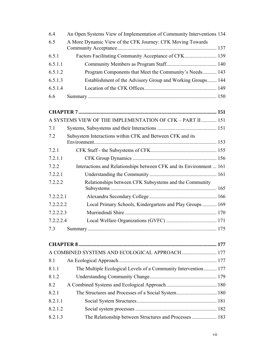| 6.4       | An Open Systems View of Implementation of Community Interventions 134 |  |
|-----------|-----------------------------------------------------------------------|--|
| 6.5       | A More Dynamic View of the CFK Journey: CFK Moving Towards            |  |
| 6.5.1     |                                                                       |  |
| 6.5.1.1   |                                                                       |  |
| 6.5.1.2   | Program Components that Meet the Community's Needs 143                |  |
| 6.5.1.3   | Establishment of the Advisory Group and Working Groups 144            |  |
| 6.5.1.4   |                                                                       |  |
| 6.6       |                                                                       |  |
|           |                                                                       |  |
|           |                                                                       |  |
|           | A SYSTEMS VIEW OF THE IMPLEMENTATION OF CFK - PART II  151            |  |
| 7.1       |                                                                       |  |
| 7.2       | Subsystem Interactions within CFK and Between CFK and its             |  |
|           |                                                                       |  |
| 7.2.1     |                                                                       |  |
| 7.2.1.1   |                                                                       |  |
| 7.2.2     | Interactions and Relationships between CFK and its Environment  161   |  |
| 7.2.2.1   |                                                                       |  |
| 7.2.2.2   | Relationships between CFK Subsystems and the Community                |  |
| 7.2.2.2.1 |                                                                       |  |
| 7.2.2.2.2 | Local Primary Schools, Kindergartens and Play Groups  169             |  |
| 7.2.2.2.3 |                                                                       |  |
| 7.2.2.2.4 |                                                                       |  |
| 7.3       |                                                                       |  |

| 8.1     |                                                                |  |
|---------|----------------------------------------------------------------|--|
| 8.1.1   | The Multiple Ecological Levels of a Community Intervention 177 |  |
| 8.1.2   |                                                                |  |
| 8.2     |                                                                |  |
| 8.2.1   |                                                                |  |
| 8.2.1.1 |                                                                |  |
| 8.2.1.2 |                                                                |  |
| 8.2.1.3 | The Relationship between Structures and Processes  183         |  |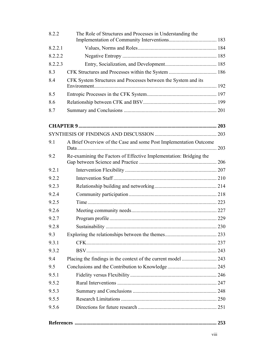| 8.2.2   | The Role of Structures and Processes in Understanding the          |  |
|---------|--------------------------------------------------------------------|--|
| 8.2.2.1 |                                                                    |  |
| 8.2.2.2 |                                                                    |  |
| 8.2.2.3 |                                                                    |  |
| 8.3     |                                                                    |  |
| 8.4     | CFK System Structures and Processes between the System and its     |  |
| 8.5     |                                                                    |  |
| 8.6     |                                                                    |  |
| 8.7     |                                                                    |  |
|         |                                                                    |  |
|         |                                                                    |  |
|         |                                                                    |  |
| 9.1     | A Brief Overview of the Case and some Post Implementation Outcome  |  |
| 9.2     | Re-examining the Factors of Effective Implementation: Bridging the |  |
| 9.2.1   |                                                                    |  |
| 9.2.2   |                                                                    |  |
| 9.2.3   |                                                                    |  |
| 9.2.4   |                                                                    |  |
| 9.2.5   |                                                                    |  |
| 9.2.6   |                                                                    |  |
| 9.2.7   |                                                                    |  |
| 9.2.8   |                                                                    |  |
| 9.3     |                                                                    |  |
| 9.3.1   |                                                                    |  |
| 9.3.2   |                                                                    |  |
| 9.4     |                                                                    |  |
| 9.5     |                                                                    |  |
| 9.5.1   |                                                                    |  |
| 9.5.2   |                                                                    |  |
| 9.5.3   |                                                                    |  |
| 9.5.5   |                                                                    |  |
| 9.5.6   |                                                                    |  |
|         |                                                                    |  |
|         |                                                                    |  |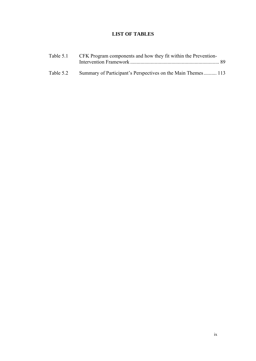# **LIST OF TABLES**

|           | Table 5.1 CFK Program components and how they fit within the Prevention- |  |
|-----------|--------------------------------------------------------------------------|--|
| Table 5.2 | Summary of Participant's Perspectives on the Main Themes 113             |  |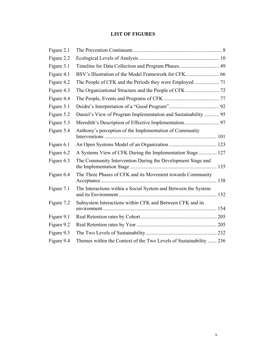# **LIST OF FIGURES**

| Figure 2.1 |                                                                    |  |
|------------|--------------------------------------------------------------------|--|
| Figure 2.2 |                                                                    |  |
| Figure 3.1 | Timeline for Data Collection and Program Phases 49                 |  |
| Figure 4.1 |                                                                    |  |
| Figure 4.2 |                                                                    |  |
| Figure 4.3 |                                                                    |  |
| Figure 4.4 |                                                                    |  |
| Figure 5.1 |                                                                    |  |
| Figure 5.2 | Daniel's View of Program Implementation and Sustainability 95      |  |
| Figure 5.3 |                                                                    |  |
| Figure 5.4 | Anthony's perception of the Implementation of Community            |  |
| Figure 6.1 |                                                                    |  |
| Figure 6.2 | A Systems View of CFK During the Implementation Stage 127          |  |
| Figure 6.3 | The Community Intervention During the Development Stage and        |  |
| Figure 6.4 | The Three Phases of CFK and its Movement towards Community         |  |
| Figure 7.1 | The Interactions within a Social System and Between the System     |  |
| Figure 7.2 | Subsystem Interactions within CFK and Between CFK and its          |  |
| Figure 9.1 |                                                                    |  |
| Figure 9.2 |                                                                    |  |
| Figure 9.3 |                                                                    |  |
| Figure 9.4 | Themes within the Context of the Two Levels of Sustainability  236 |  |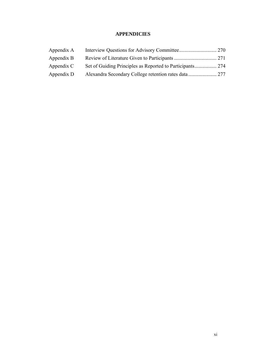# **APPENDICIES**

| Appendix A |  |
|------------|--|
| Appendix B |  |
| Appendix C |  |
| Appendix D |  |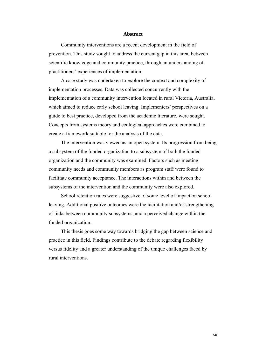#### **Abstract**

Community interventions are a recent development in the field of prevention. This study sought to address the current gap in this area, between scientific knowledge and community practice, through an understanding of practitioners' experiences of implementation.

A case study was undertaken to explore the context and complexity of implementation processes. Data was collected concurrently with the implementation of a community intervention located in rural Victoria, Australia, which aimed to reduce early school leaving. Implementers' perspectives on a guide to best practice, developed from the academic literature, were sought. Concepts from systems theory and ecological approaches were combined to create a framework suitable for the analysis of the data.

The intervention was viewed as an open system. Its progression from being a subsystem of the funded organization to a subsystem of both the funded organization and the community was examined. Factors such as meeting community needs and community members as program staff were found to facilitate community acceptance. The interactions within and between the subsystems of the intervention and the community were also explored.

School retention rates were suggestive of some level of impact on school leaving. Additional positive outcomes were the facilitation and/or strengthening of links between community subsystems, and a perceived change within the funded organization.

This thesis goes some way towards bridging the gap between science and practice in this field. Findings contribute to the debate regarding flexibility versus fidelity and a greater understanding of the unique challenges faced by rural interventions.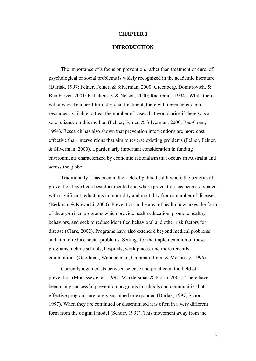#### **CHAPTER 1**

#### **INTRODUCTION**

The importance of a focus on prevention, rather than treatment or cure, of psychological or social problems is widely recognized in the academic literature (Durlak, 1997; Felner, Felner, & Silverman, 2000; Greenberg, Domitrovich, & Bumbarger, 2001; Prilleltensky & Nelson, 2000; Rae-Grant, 1994). While there will always be a need for individual treatment, there will never be enough resources available to treat the number of cases that would arise if there was a sole reliance on this method (Felner, Felner, & Silverman, 2000; Rae-Grant, 1994). Research has also shown that prevention interventions are more cost effective than interventions that aim to reverse existing problems (Felner, Felner, & Silverman, 2000), a particularly important consideration in funding environments characterized by economic rationalism that occurs in Australia and across the globe.

Traditionally it has been in the field of public health where the benefits of prevention have been best documented and where prevention has been associated with significant reductions in morbidity and mortality from a number of diseases (Berkman & Kawachi, 2000). Prevention in the area of health now takes the form of theory-driven programs which provide health education, promote healthy behaviors, and seek to reduce identified behavioral and other risk factors for disease (Clark, 2002). Programs have also extended beyond medical problems and aim to reduce social problems. Settings for the implementation of these programs include schools, hospitals, work places, and more recently communities (Goodman, Wandersman, Chinman, Imm, & Morrissey, 1996).

Currently a gap exists between science and practice in the field of prevention (Morrissey et al., 1997; Wandersman & Florin, 2003). There have been many successful prevention programs in schools and communities but effective programs are rarely sustained or expanded (Durlak, 1997; Schorr, 1997). When they are continued or disseminated it is often in a very different form from the original model (Schorr, 1997). This movement away from the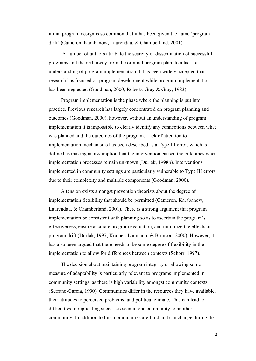initial program design is so common that it has been given the name 'program drift' (Cameron, Karabanow, Laurendau, & Chamberland, 2001).

 A number of authors attribute the scarcity of dissemination of successful programs and the drift away from the original program plan, to a lack of understanding of program implementation. It has been widely accepted that research has focused on program development while program implementation has been neglected (Goodman, 2000; Roberts-Gray & Gray, 1983).

Program implementation is the phase where the planning is put into practice. Previous research has largely concentrated on program planning and outcomes (Goodman, 2000), however, without an understanding of program implementation it is impossible to clearly identify any connections between what was planned and the outcomes of the program. Lack of attention to implementation mechanisms has been described as a Type III error, which is defined as making an assumption that the intervention caused the outcomes when implementation processes remain unknown (Durlak, 1998b). Interventions implemented in community settings are particularly vulnerable to Type III errors, due to their complexity and multiple components (Goodman, 2000).

A tension exists amongst prevention theorists about the degree of implementation flexibility that should be permitted (Cameron, Karabanow, Laurendau, & Chamberland, 2001). There is a strong argument that program implementation be consistent with planning so as to ascertain the program's effectiveness, ensure accurate program evaluation, and minimize the effects of program drift (Durlak, 1997; Kramer, Laumann, & Brunson, 2000). However, it has also been argued that there needs to be some degree of flexibility in the implementation to allow for differences between contexts (Schorr, 1997).

The decision about maintaining program integrity or allowing some measure of adaptability is particularly relevant to programs implemented in community settings, as there is high variability amongst community contexts (Serrano-Garcia, 1990). Communities differ in the resources they have available; their attitudes to perceived problems; and political climate. This can lead to difficulties in replicating successes seen in one community to another community. In addition to this, communities are fluid and can change during the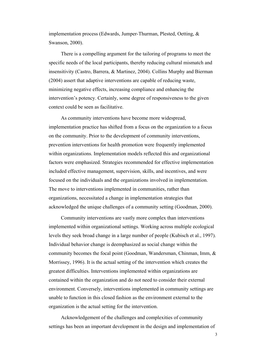implementation process (Edwards, Jumper-Thurman, Plested, Oetting, & Swanson, 2000).

There is a compelling argument for the tailoring of programs to meet the specific needs of the local participants, thereby reducing cultural mismatch and insensitivity (Castro, Barrera, & Martinez, 2004). Collins Murphy and Bierman (2004) assert that adaptive interventions are capable of reducing waste, minimizing negative effects, increasing compliance and enhancing the intervention's potency. Certainly, some degree of responsiveness to the given context could be seen as facilitative.

As community interventions have become more widespread, implementation practice has shifted from a focus on the organization to a focus on the community. Prior to the development of community interventions, prevention interventions for health promotion were frequently implemented within organizations. Implementation models reflected this and organizational factors were emphasized. Strategies recommended for effective implementation included effective management, supervision, skills, and incentives, and were focused on the individuals and the organizations involved in implementation. The move to interventions implemented in communities, rather than organizations, necessitated a change in implementation strategies that acknowledged the unique challenges of a community setting (Goodman, 2000).

Community interventions are vastly more complex than interventions implemented within organizational settings. Working across multiple ecological levels they seek broad change in a large number of people (Kubisch et al., 1997). Individual behavior change is deemphasized as social change within the community becomes the focal point (Goodman, Wandersman, Chinman, Imm, & Morrissey, 1996). It is the actual setting of the intervention which creates the greatest difficulties. Interventions implemented within organizations are contained within the organization and do not need to consider their external environment. Conversely, interventions implemented in community settings are unable to function in this closed fashion as the environment external to the organization is the actual setting for the intervention.

Acknowledgement of the challenges and complexities of community settings has been an important development in the design and implementation of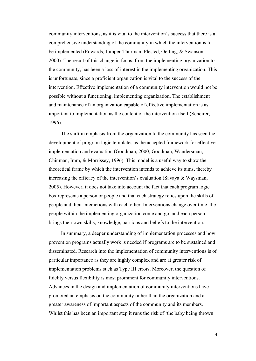community interventions, as it is vital to the intervention's success that there is a comprehensive understanding of the community in which the intervention is to be implemented (Edwards, Jumper-Thurman, Plested, Oetting, & Swanson, 2000). The result of this change in focus, from the implementing organization to the community, has been a loss of interest in the implementing organization. This is unfortunate, since a proficient organization is vital to the success of the intervention. Effective implementation of a community intervention would not be possible without a functioning, implementing organization. The establishment and maintenance of an organization capable of effective implementation is as important to implementation as the content of the intervention itself (Scheirer, 1996).

The shift in emphasis from the organization to the community has seen the development of program logic templates as the accepted framework for effective implementation and evaluation (Goodman, 2000; Goodman, Wandersman, Chinman, Imm, & Morrissey, 1996). This model is a useful way to show the theoretical frame by which the intervention intends to achieve its aims, thereby increasing the efficacy of the intervention's evaluation (Savaya & Waysman, 2005). However, it does not take into account the fact that each program logic box represents a person or people and that each strategy relies upon the skills of people and their interactions with each other. Interventions change over time, the people within the implementing organization come and go, and each person brings their own skills, knowledge, passions and beliefs to the intervention.

In summary, a deeper understanding of implementation processes and how prevention programs actually work is needed if programs are to be sustained and disseminated. Research into the implementation of community interventions is of particular importance as they are highly complex and are at greater risk of implementation problems such as Type III errors. Moreover, the question of fidelity versus flexibility is most prominent for community interventions. Advances in the design and implementation of community interventions have promoted an emphasis on the community rather than the organization and a greater awareness of important aspects of the community and its members. Whilst this has been an important step it runs the risk of 'the baby being thrown

4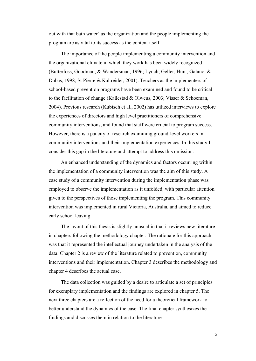out with that bath water' as the organization and the people implementing the program are as vital to its success as the content itself.

The importance of the people implementing a community intervention and the organizational climate in which they work has been widely recognized (Butterfoss, Goodman, & Wandersman, 1996; Lynch, Geller, Hunt, Galano, & Dubas, 1998; St Pierre & Kaltreider, 2001). Teachers as the implementers of school-based prevention programs have been examined and found to be critical to the facilitation of change (Kallestad & Olweus, 2003; Visser & Schoeman, 2004). Previous research (Kubisch et al., 2002) has utilized interviews to explore the experiences of directors and high level practitioners of comprehensive community interventions, and found that staff were crucial to program success. However, there is a paucity of research examining ground-level workers in community interventions and their implementation experiences. In this study I consider this gap in the literature and attempt to address this omission.

An enhanced understanding of the dynamics and factors occurring within the implementation of a community intervention was the aim of this study. A case study of a community intervention during the implementation phase was employed to observe the implementation as it unfolded, with particular attention given to the perspectives of those implementing the program. This community intervention was implemented in rural Victoria, Australia, and aimed to reduce early school leaving.

The layout of this thesis is slightly unusual in that it reviews new literature in chapters following the methodology chapter. The rationale for this approach was that it represented the intellectual journey undertaken in the analysis of the data. Chapter 2 is a review of the literature related to prevention, community interventions and their implementation. Chapter 3 describes the methodology and chapter 4 describes the actual case.

The data collection was guided by a desire to articulate a set of principles for exemplary implementation and the findings are explored in chapter 5. The next three chapters are a reflection of the need for a theoretical framework to better understand the dynamics of the case. The final chapter synthesizes the findings and discusses them in relation to the literature.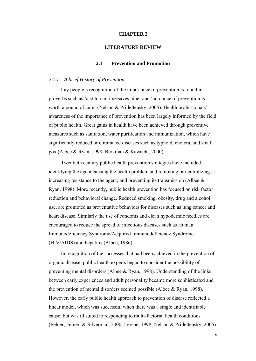#### **CHAPTER 2**

#### **LITERATURE REVIEW**

## **2.1 Prevention and Promotion**

#### *2.1.1 A brief History of Prevention*

Lay people's recognition of the importance of prevention is found in proverbs such as 'a stitch in time saves nine' and 'an ounce of prevention is worth a pound of cure' (Nelson & Prilleltensky, 2005). Health professionals' awareness of the importance of prevention has been largely informed by the field of public health. Great gains in health have been achieved through preventive measures such as sanitation, water purification and immunization, which have significantly reduced or eliminated diseases such as typhoid, cholera, and small pox (Albee & Ryan, 1998; Berkman & Kawachi, 2000).

Twentieth century public health prevention strategies have included identifying the agent causing the health problem and removing or neutralizing it; increasing resistance to the agent; and preventing its transmission (Albee  $\&$ Ryan, 1998). More recently, public health prevention has focused on risk factor reduction and behavioral change. Reduced smoking, obesity, drug and alcohol use, are promoted as preventative behaviors for diseases such as lung cancer and heart disease. Similarly the use of condoms and clean hypodermic needles are encouraged to reduce the spread of infectious diseases such as Human Immunodeficiency Syndrome/Acquired Immunodeficiency Syndrome (HIV/AIDS) and hepatitis (Albee, 1986).

In recognition of the successes that had been achieved in the prevention of organic disease, public health experts began to consider the possibility of preventing mental disorders (Albee & Ryan, 1998). Understanding of the links between early experiences and adult personality became more sophisticated and the prevention of mental disorders seemed possible (Albee & Ryan, 1998). However, the early public health approach to prevention of disease reflected a linear model, which was successful when there was a single and identifiable cause, but was ill suited to responding to multi-factorial health conditions (Felner, Felner, & Silverman, 2000; Levine, 1998; Nelson & Prilleltensky, 2005).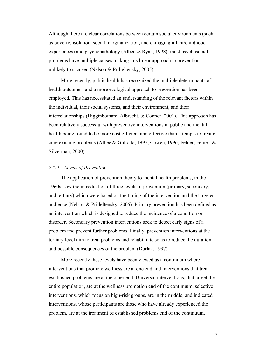Although there are clear correlations between certain social environments (such as poverty, isolation, social marginalization, and damaging infant/childhood experiences) and psychopathology (Albee & Ryan, 1998), most psychosocial problems have multiple causes making this linear approach to prevention unlikely to succeed (Nelson & Prilleltensky, 2005).

More recently, public health has recognized the multiple determinants of health outcomes, and a more ecological approach to prevention has been employed. This has necessitated an understanding of the relevant factors within the individual, their social systems, and their environment, and their interrelationships (Higginbotham, Albrecht, & Connor, 2001). This approach has been relatively successful with preventive interventions in public and mental health being found to be more cost efficient and effective than attempts to treat or cure existing problems (Albee & Gullotta, 1997; Cowen, 1996; Felner, Felner, & Silverman, 2000).

## *2.1.2 Levels of Prevention*

The application of prevention theory to mental health problems, in the 1960s, saw the introduction of three levels of prevention (primary, secondary, and tertiary) which were based on the timing of the intervention and the targeted audience (Nelson & Prilleltensky, 2005). Primary prevention has been defined as an intervention which is designed to reduce the incidence of a condition or disorder. Secondary prevention interventions seek to detect early signs of a problem and prevent further problems. Finally, prevention interventions at the tertiary level aim to treat problems and rehabilitate so as to reduce the duration and possible consequences of the problem (Durlak, 1997).

More recently these levels have been viewed as a continuum where interventions that promote wellness are at one end and interventions that treat established problems are at the other end. Universal interventions, that target the entire population, are at the wellness promotion end of the continuum, selective interventions, which focus on high-risk groups, are in the middle, and indicated interventions, whose participants are those who have already experienced the problem, are at the treatment of established problems end of the continuum.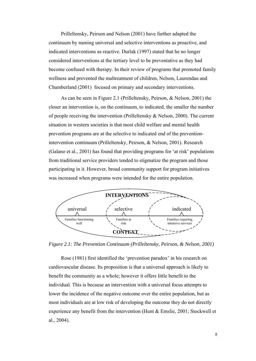Prilleltensky, Peirson and Nelson (2001) have further adapted the continuum by naming universal and selective interventions as proactive, and indicated interventions as reactive. Durlak (1997) stated that he no longer considered interventions at the tertiary level to be preventative as they had become confused with therapy. In their review of programs that promoted family wellness and prevented the maltreatment of children, Nelson, Laurendau and Chamberland (2001) focused on primary and secondary interventions.

As can be seen in Figure 2.1 (Prilleltensky, Peirson, & Nelson, 2001) the closer an intervention is, on the continuum, to indicated, the smaller the number of people receiving the intervention (Prilleltensky & Nelson, 2000). The current situation in western societies is that most child welfare and mental health prevention programs are at the selective to indicated end of the preventionintervention continuum (Prilleltensky, Peirson, & Nelson, 2001). Research (Galano et al., 2001) has found that providing programs for 'at risk' populations from traditional service providers tended to stigmatize the program and those participating in it. However, broad community support for program initiatives was increased when programs were intended for the entire population.



*Figure 2.1: The Prevention Continuum (Prilleltensky, Peirson, & Nelson, 2001)* 

Rose (1981) first identified the 'prevention paradox' in his research on cardiovascular disease. Its proposition is that a universal approach is likely to benefit the community as a whole; however it offers little benefit to the individual. This is because an intervention with a universal focus attempts to lower the incidence of the negative outcome over the entire population, but as most individuals are at low risk of developing the outcome they do not directly experience any benefit from the intervention (Hunt & Emslie, 2001; Stockwell et al., 2004).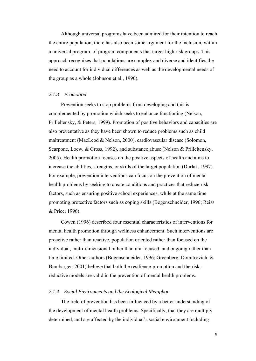Although universal programs have been admired for their intention to reach the entire population, there has also been some argument for the inclusion, within a universal program, of program components that target high risk groups. This approach recognizes that populations are complex and diverse and identifies the need to account for individual differences as well as the developmental needs of the group as a whole (Johnson et al., 1990).

## *2.1.3 Promotion*

Prevention seeks to stop problems from developing and this is complemented by promotion which seeks to enhance functioning (Nelson, Prilleltensky, & Peters, 1999). Promotion of positive behaviors and capacities are also preventative as they have been shown to reduce problems such as child maltreatment (MacLeod & Nelson, 2000), cardiovascular disease (Solomon, Scarpone, Loew, & Gross, 1992), and substance abuse (Nelson & Prilleltensky, 2005). Health promotion focuses on the positive aspects of health and aims to increase the abilities, strengths, or skills of the target population (Durlak, 1997). For example, prevention interventions can focus on the prevention of mental health problems by seeking to create conditions and practices that reduce risk factors, such as ensuring positive school experiences, while at the same time promoting protective factors such as coping skills (Bogenschneider, 1996; Reiss & Price, 1996).

Cowen (1996) described four essential characteristics of interventions for mental health promotion through wellness enhancement. Such interventions are proactive rather than reactive, population oriented rather than focused on the individual, multi-dimensional rather than uni-focused, and ongoing rather than time limited. Other authors (Bogenschneider, 1996; Greenberg, Domitrovich, & Bumbarger, 2001) believe that both the resilience-promotion and the riskreductive models are valid in the prevention of mental health problems.

## *2.1.4 Social Environments and the Ecological Metaphor*

The field of prevention has been influenced by a better understanding of the development of mental health problems. Specifically, that they are multiply determined, and are affected by the individual's social environment including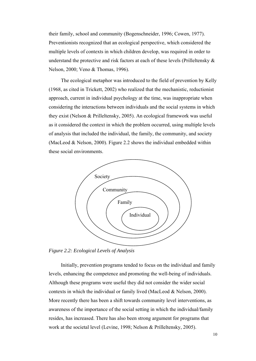their family, school and community (Bogenschneider, 1996; Cowen, 1977). Preventionists recognized that an ecological perspective, which considered the multiple levels of contexts in which children develop, was required in order to understand the protective and risk factors at each of these levels (Prilleltensky & Nelson, 2000; Veno & Thomas, 1996).

The ecological metaphor was introduced to the field of prevention by Kelly (1968, as cited in Trickett, 2002) who realized that the mechanistic, reductionist approach, current in individual psychology at the time, was inappropriate when considering the interactions between individuals and the social systems in which they exist (Nelson & Prilleltensky, 2005). An ecological framework was useful as it considered the context in which the problem occurred, using multiple levels of analysis that included the individual, the family, the community, and society (MacLeod & Nelson, 2000). Figure 2.2 shows the individual embedded within these social environments.



*Figure 2.2: Ecological Levels of Analysis* 

Initially, prevention programs tended to focus on the individual and family levels, enhancing the competence and promoting the well-being of individuals. Although these programs were useful they did not consider the wider social contexts in which the individual or family lived (MacLeod & Nelson, 2000). More recently there has been a shift towards community level interventions, as awareness of the importance of the social setting in which the individual/family resides, has increased. There has also been strong argument for programs that work at the societal level (Levine, 1998; Nelson & Prilleltensky, 2005).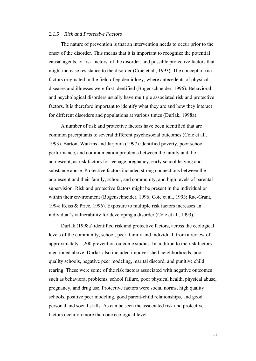#### *2.1.5 Risk and Protective Factors*

The nature of prevention is that an intervention needs to occur prior to the onset of the disorder. This means that it is important to recognize the potential causal agents, or risk factors, of the disorder, and possible protective factors that might increase resistance to the disorder (Coie et al., 1993). The concept of risk factors originated in the field of epidemiology, where antecedents of physical diseases and illnesses were first identified (Bogenschneider, 1996). Behavioral and psychological disorders usually have multiple associated risk and protective factors. It is therefore important to identify what they are and how they interact for different disorders and populations at various times (Durlak, 1998a).

A number of risk and protective factors have been identified that are common precipitants to several different psychosocial outcomes (Coie et al., 1993). Barton, Watkins and Jarjoura (1997) identified poverty, poor school performance, and communication problems between the family and the adolescent, as risk factors for teenage pregnancy, early school leaving and substance abuse. Protective factors included strong connections between the adolescent and their family, school, and community, and high levels of parental supervision. Risk and protective factors might be present in the individual or within their environment (Bogenschneider, 1996; Coie et al., 1993; Rae-Grant, 1994; Reiss & Price, 1996). Exposure to multiple risk factors increases an individual's vulnerability for developing a disorder (Coie et al., 1993).

Durlak (1998a) identified risk and protective factors, across the ecological levels of the community, school, peer, family and individual, from a review of approximately 1,200 prevention outcome studies. In addition to the risk factors mentioned above, Durlak also included impoverished neighborhoods, poor quality schools, negative peer modeling, marital discord, and punitive child rearing. These were some of the risk factors associated with negative outcomes such as behavioral problems, school failure, poor physical health, physical abuse, pregnancy, and drug use. Protective factors were social norms, high quality schools, positive peer modeling, good parent-child relationships, and good personal and social skills. As can be seen the associated risk and protective factors occur on more than one ecological level.

11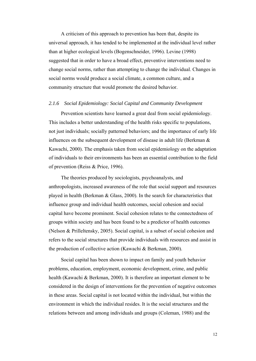A criticism of this approach to prevention has been that, despite its universal approach, it has tended to be implemented at the individual level rather than at higher ecological levels (Bogenschneider, 1996). Levine (1998) suggested that in order to have a broad effect, preventive interventions need to change social norms, rather than attempting to change the individual. Changes in social norms would produce a social climate, a common culture, and a community structure that would promote the desired behavior.

## *2.1.6 Social Epidemiology: Social Capital and Community Development*

Prevention scientists have learned a great deal from social epidemiology. This includes a better understanding of the health risks specific to populations, not just individuals; socially patterned behaviors; and the importance of early life influences on the subsequent development of disease in adult life (Berkman & Kawachi, 2000). The emphasis taken from social epidemiology on the adaptation of individuals to their environments has been an essential contribution to the field of prevention (Reiss & Price, 1996).

The theories produced by sociologists, psychoanalysts, and anthropologists, increased awareness of the role that social support and resources played in health (Berkman & Glass, 2000). In the search for characteristics that influence group and individual health outcomes, social cohesion and social capital have become prominent. Social cohesion relates to the connectedness of groups within society and has been found to be a predictor of health outcomes (Nelson & Prilleltensky, 2005). Social capital, is a subset of social cohesion and refers to the social structures that provide individuals with resources and assist in the production of collective action (Kawachi & Berkman, 2000).

Social capital has been shown to impact on family and youth behavior problems, education, employment, economic development, crime, and public health (Kawachi & Berkman, 2000). It is therefore an important element to be considered in the design of interventions for the prevention of negative outcomes in these areas. Social capital is not located within the individual, but within the environment in which the individual resides. It is the social structures and the relations between and among individuals and groups (Coleman, 1988) and the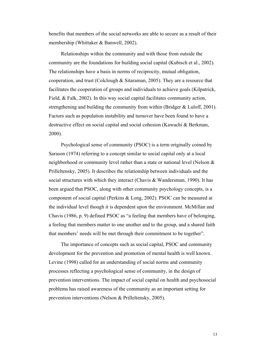benefits that members of the social networks are able to secure as a result of their membership (Whittaker & Banwell, 2002).

Relationships within the community and with those from outside the community are the foundations for building social capital (Kubisch et al., 2002). The relationships have a basis in norms of reciprocity, mutual obligation, cooperation, and trust (Colclough & Sitaraman, 2005). They are a resource that facilitates the cooperation of groups and individuals to achieve goals (Kilpatrick, Field, & Falk, 2002). In this way social capital facilitates community action, strengthening and building the community from within (Bridger & Luloff, 2001). Factors such as population instability and turnover have been found to have a destructive effect on social capital and social cohesion (Kawachi & Berkman, 2000).

Psychological sense of community (PSOC) is a term originally coined by Sarason (1974) referring to a concept similar to social capital only at a local neighborhood or community level rather than a state or national level (Nelson & Prilleltensky, 2005). It describes the relationship between individuals and the social structures with which they interact (Chavis & Wandersman, 1990). It has been argued that PSOC, along with other community psychology concepts, is a component of social capital (Perkins & Long, 2002). PSOC can be measured at the individual level though it is dependent upon the environment. McMillan and Chavis (1986, p. 9) defined PSOC as "a feeling that members have of belonging, a feeling that members matter to one another and to the group, and a shared faith that members' needs will be met through their commitment to be together".

The importance of concepts such as social capital, PSOC and community development for the prevention and promotion of mental health is well known. Levine (1998) called for an understanding of social norms and community processes reflecting a psychological sense of community, in the design of prevention interventions. The impact of social capital on health and psychosocial problems has raised awareness of the community as an important setting for prevention interventions (Nelson & Prilleltensky, 2005).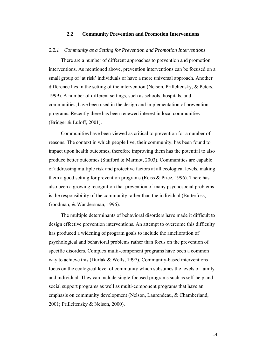## **2.2 Community Prevention and Promotion Interventions**

#### *2.2.1 Community as a Setting for Prevention and Promotion Interventions*

There are a number of different approaches to prevention and promotion interventions. As mentioned above, prevention interventions can be focused on a small group of 'at risk' individuals or have a more universal approach. Another difference lies in the setting of the intervention (Nelson, Prilleltensky, & Peters, 1999). A number of different settings, such as schools, hospitals, and communities, have been used in the design and implementation of prevention programs. Recently there has been renewed interest in local communities (Bridger & Luloff, 2001).

Communities have been viewed as critical to prevention for a number of reasons. The context in which people live, their community, has been found to impact upon health outcomes, therefore improving them has the potential to also produce better outcomes (Stafford & Marmot, 2003). Communities are capable of addressing multiple risk and protective factors at all ecological levels, making them a good setting for prevention programs (Reiss & Price, 1996). There has also been a growing recognition that prevention of many psychosocial problems is the responsibility of the community rather than the individual (Butterfoss, Goodman, & Wandersman, 1996).

The multiple determinants of behavioral disorders have made it difficult to design effective prevention interventions. An attempt to overcome this difficulty has produced a widening of program goals to include the amelioration of psychological and behavioral problems rather than focus on the prevention of specific disorders. Complex multi-component programs have been a common way to achieve this (Durlak & Wells, 1997). Community-based interventions focus on the ecological level of community which subsumes the levels of family and individual. They can include single-focused programs such as self-help and social support programs as well as multi-component programs that have an emphasis on community development (Nelson, Laurendeau, & Chamberland, 2001; Prilleltensky & Nelson, 2000).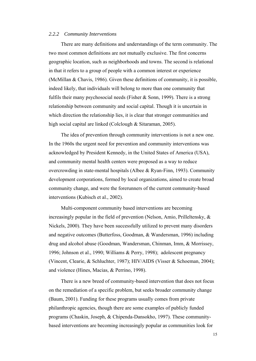#### *2.2.2 Community Interventions*

There are many definitions and understandings of the term community. The two most common definitions are not mutually exclusive. The first concerns geographic location, such as neighborhoods and towns. The second is relational in that it refers to a group of people with a common interest or experience (McMillan & Chavis, 1986). Given these definitions of community, it is possible, indeed likely, that individuals will belong to more than one community that fulfils their many psychosocial needs (Fisher & Sonn, 1999). There is a strong relationship between community and social capital. Though it is uncertain in which direction the relationship lies, it is clear that stronger communities and high social capital are linked (Colclough & Sitaraman, 2005).

The idea of prevention through community interventions is not a new one. In the 1960s the urgent need for prevention and community interventions was acknowledged by President Kennedy, in the United States of America (USA), and community mental health centers were proposed as a way to reduce overcrowding in state-mental hospitals (Albee & Ryan-Finn, 1993). Community development corporations, formed by local organizations, aimed to create broad community change, and were the forerunners of the current community-based interventions (Kubisch et al., 2002).

Multi-component community based interventions are becoming increasingly popular in the field of prevention (Nelson, Amio, Prilleltensky, & Nickels, 2000). They have been successfully utilized to prevent many disorders and negative outcomes (Butterfoss, Goodman, & Wandersman, 1996) including drug and alcohol abuse (Goodman, Wandersman, Chinman, Imm, & Morrissey, 1996; Johnson et al., 1990; Williams & Perry, 1998); adolescent pregnancy (Vincent, Clearie, & Schluchter, 1987); HIV/AIDS (Visser & Schoeman, 2004); and violence (Hines, Macias, & Perrino, 1998).

There is a new breed of community-based intervention that does not focus on the remediation of a specific problem, but seeks broader community change (Baum, 2001). Funding for these programs usually comes from private philanthropic agencies, though there are some examples of publicly funded programs (Chaskin, Joseph, & Chipenda-Dansokho, 1997). These communitybased interventions are becoming increasingly popular as communities look for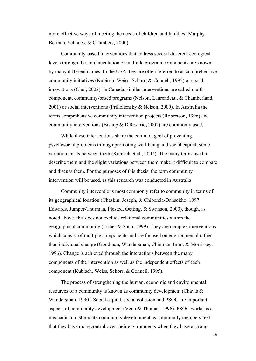more effective ways of meeting the needs of children and families (Murphy-Berman, Schnoes, & Chambers, 2000).

Community-based interventions that address several different ecological levels through the implementation of multiple program components are known by many different names. In the USA they are often referred to as comprehensive community initiatives (Kubisch, Weiss, Schorr, & Connell, 1995) or social innovations (Choi, 2003). In Canada, similar interventions are called multicomponent, community-based programs (Nelson, Laurendeau, & Chamberland, 2001) or social interventions (Prilleltensky & Nelson, 2000). In Australia the terms comprehensive community intervention projects (Robertson, 1996) and community interventions (Bishop & D'Rozario, 2002) are commonly used.

While these interventions share the common goal of preventing psychosocial problems through promoting well-being and social capital, some variation exists between them (Kubisch et al., 2002). The many terms used to describe them and the slight variations between them make it difficult to compare and discuss them. For the purposes of this thesis, the term community intervention will be used, as this research was conducted in Australia.

Community interventions most commonly refer to community in terms of its geographical location (Chaskin, Joseph, & Chipenda-Dansokho, 1997; Edwards, Jumper-Thurman, Plested, Oetting, & Swanson, 2000), though, as noted above, this does not exclude relational communities within the geographical community (Fisher  $&$  Sonn, 1999). They are complex interventions which consist of multiple components and are focused on environmental rather than individual change (Goodman, Wandersman, Chinman, Imm, & Morrissey, 1996). Change is achieved through the interactions between the many components of the intervention as well as the independent effects of each component (Kubisch, Weiss, Schorr, & Connell, 1995).

The process of strengthening the human, economic and environmental resources of a community is known as community development (Chavis & Wandersman, 1990). Social capital, social cohesion and PSOC are important aspects of community development (Veno & Thomas, 1996). PSOC works as a mechanism to stimulate community development as community members feel that they have more control over their environments when they have a strong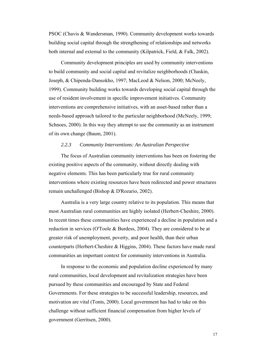PSOC (Chavis & Wandersman, 1990). Community development works towards building social capital through the strengthening of relationships and networks both internal and external to the community (Kilpatrick, Field, & Falk, 2002).

Community development principles are used by community interventions to build community and social capital and revitalize neighborhoods (Chaskin, Joseph, & Chipenda-Dansokho, 1997; MacLeod & Nelson, 2000; McNeely, 1999). Community building works towards developing social capital through the use of resident involvement in specific improvement initiatives. Community interventions are comprehensive initiatives, with an asset-based rather than a needs-based approach tailored to the particular neighborhood (McNeely, 1999; Schnoes, 2000). In this way they attempt to use the community as an instrument of its own change (Baum, 2001).

## *2.2.3 Community Interventions: An Australian Perspective*

The focus of Australian community interventions has been on fostering the existing positive aspects of the community, without directly dealing with negative elements. This has been particularly true for rural community interventions where existing resources have been redirected and power structures remain unchallenged (Bishop & D'Rozario, 2002).

Australia is a very large country relative to its population. This means that most Australian rural communities are highly isolated (Herbert-Cheshire, 2000). In recent times these communities have experienced a decline in population and a reduction in services (O'Toole & Burdess, 2004). They are considered to be at greater risk of unemployment, poverty, and poor health, than their urban counterparts (Herbert-Cheshire & Higgins, 2004). These factors have made rural communities an important context for community interventions in Australia.

In response to the economic and population decline experienced by many rural communities, local development and revitalization strategies have been pursued by these communities and encouraged by State and Federal Governments. For these strategies to be successful leadership, resources, and motivation are vital (Tonts, 2000). Local government has had to take on this challenge without sufficient financial compensation from higher levels of government (Gerritsen, 2000).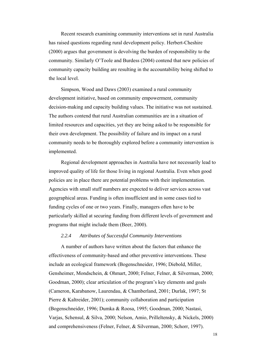Recent research examining community interventions set in rural Australia has raised questions regarding rural development policy. Herbert-Cheshire (2000) argues that government is devolving the burden of responsibility to the community. Similarly O'Toole and Burdess (2004) contend that new policies of community capacity building are resulting in the accountability being shifted to the local level.

Simpson, Wood and Daws (2003) examined a rural community development initiative, based on community empowerment, community decision-making and capacity building values. The initiative was not sustained. The authors contend that rural Australian communities are in a situation of limited resources and capacities, yet they are being asked to be responsible for their own development. The possibility of failure and its impact on a rural community needs to be thoroughly explored before a community intervention is implemented.

Regional development approaches in Australia have not necessarily lead to improved quality of life for those living in regional Australia. Even when good policies are in place there are potential problems with their implementation. Agencies with small stuff numbers are expected to deliver services across vast geographical areas. Funding is often insufficient and in some cases tied to funding cycles of one or two years. Finally, managers often have to be particularly skilled at securing funding from different levels of government and programs that might include them (Beer, 2000).

# *2.2.4 Attributes of Successful Community Interventions*

A number of authors have written about the factors that enhance the effectiveness of community-based and other preventive interventions. These include an ecological framework (Bogenschneider, 1996; Diebold, Miller, Gensheimer, Mondschein, & Ohmart, 2000; Felner, Felner, & Silverman, 2000; Goodman, 2000); clear articulation of the program's key elements and goals (Cameron, Karabanow, Laurendau, & Chamberland, 2001; Durlak, 1997; St Pierre & Kaltreider, 2001); community collaboration and participation (Bogenschneider, 1996; Dumka & Roosa, 1995; Goodman, 2000; Nastasi, Varjas, Schensul, & Silva, 2000; Nelson, Amio, Prilleltensky, & Nickels, 2000) and comprehensiveness (Felner, Felner, & Silverman, 2000; Schorr, 1997).

18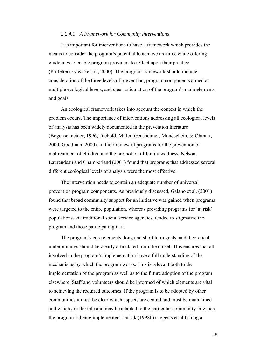#### *2.2.4.1 A Framework for Community Interventions*

It is important for interventions to have a framework which provides the means to consider the program's potential to achieve its aims, while offering guidelines to enable program providers to reflect upon their practice (Prilleltensky & Nelson, 2000). The program framework should include consideration of the three levels of prevention, program components aimed at multiple ecological levels, and clear articulation of the program's main elements and goals.

An ecological framework takes into account the context in which the problem occurs. The importance of interventions addressing all ecological levels of analysis has been widely documented in the prevention literature (Bogenschneider, 1996; Diebold, Miller, Gensheimer, Mondschein, & Ohmart, 2000; Goodman, 2000). In their review of programs for the prevention of maltreatment of children and the promotion of family wellness, Nelson, Laurendeau and Chamberland (2001) found that programs that addressed several different ecological levels of analysis were the most effective.

The intervention needs to contain an adequate number of universal prevention program components. As previously discussed, Galano et al. (2001) found that broad community support for an initiative was gained when programs were targeted to the entire population, whereas providing programs for 'at risk' populations, via traditional social service agencies, tended to stigmatize the program and those participating in it.

The program's core elements, long and short term goals, and theoretical underpinnings should be clearly articulated from the outset. This ensures that all involved in the program's implementation have a full understanding of the mechanisms by which the program works. This is relevant both to the implementation of the program as well as to the future adoption of the program elsewhere. Staff and volunteers should be informed of which elements are vital to achieving the required outcomes. If the program is to be adopted by other communities it must be clear which aspects are central and must be maintained and which are flexible and may be adapted to the particular community in which the program is being implemented. Durlak (1998b) suggests establishing a

19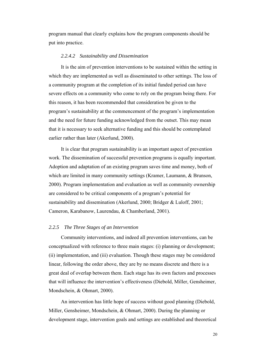program manual that clearly explains how the program components should be put into practice.

#### *2.2.4.2 Sustainability and Dissemination*

It is the aim of prevention interventions to be sustained within the setting in which they are implemented as well as disseminated to other settings. The loss of a community program at the completion of its initial funded period can have severe effects on a community who come to rely on the program being there. For this reason, it has been recommended that consideration be given to the program's sustainability at the commencement of the program's implementation and the need for future funding acknowledged from the outset. This may mean that it is necessary to seek alternative funding and this should be contemplated earlier rather than later (Akerlund, 2000).

It is clear that program sustainability is an important aspect of prevention work. The dissemination of successful prevention programs is equally important. Adoption and adaptation of an existing program saves time and money, both of which are limited in many community settings (Kramer, Laumann, & Brunson, 2000). Program implementation and evaluation as well as community ownership are considered to be critical components of a program's potential for sustainability and dissemination (Akerlund, 2000; Bridger & Luloff, 2001; Cameron, Karabanow, Laurendau, & Chamberland, 2001).

#### *2.2.5 The Three Stages of an Intervention*

Community interventions, and indeed all prevention interventions, can be conceptualized with reference to three main stages: (i) planning or development; (ii) implementation, and (iii) evaluation. Though these stages may be considered linear, following the order above, they are by no means discrete and there is a great deal of overlap between them. Each stage has its own factors and processes that will influence the intervention's effectiveness (Diebold, Miller, Gensheimer, Mondschein, & Ohmart, 2000).

An intervention has little hope of success without good planning (Diebold, Miller, Gensheimer, Mondschein, & Ohmart, 2000). During the planning or development stage, intervention goals and settings are established and theoretical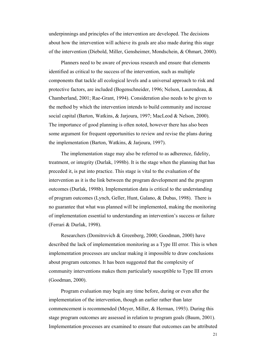underpinnings and principles of the intervention are developed. The decisions about how the intervention will achieve its goals are also made during this stage of the intervention (Diebold, Miller, Gensheimer, Mondschein, & Ohmart, 2000).

Planners need to be aware of previous research and ensure that elements identified as critical to the success of the intervention, such as multiple components that tackle all ecological levels and a universal approach to risk and protective factors, are included (Bogenschneider, 1996; Nelson, Laurendeau, & Chamberland, 2001; Rae-Grant, 1994). Consideration also needs to be given to the method by which the intervention intends to build community and increase social capital (Barton, Watkins, & Jarjoura, 1997; MacLeod & Nelson, 2000). The importance of good planning is often noted, however there has also been some argument for frequent opportunities to review and revise the plans during the implementation (Barton, Watkins, & Jarjoura, 1997).

The implementation stage may also be referred to as adherence, fidelity, treatment, or integrity (Durlak, 1998b). It is the stage when the planning that has preceded it, is put into practice. This stage is vital to the evaluation of the intervention as it is the link between the program development and the program outcomes (Durlak, 1998b). Implementation data is critical to the understanding of program outcomes (Lynch, Geller, Hunt, Galano, & Dubas, 1998). There is no guarantee that what was planned will be implemented, making the monitoring of implementation essential to understanding an intervention's success or failure (Ferrari & Durlak, 1998).

Researchers (Domitrovich & Greenberg, 2000; Goodman, 2000) have described the lack of implementation monitoring as a Type III error. This is when implementation processes are unclear making it impossible to draw conclusions about program outcomes. It has been suggested that the complexity of community interventions makes them particularly susceptible to Type III errors (Goodman, 2000).

Program evaluation may begin any time before, during or even after the implementation of the intervention, though an earlier rather than later commencement is recommended (Meyer, Miller, & Herman, 1993). During this stage program outcomes are assessed in relation to program goals (Baum, 2001). Implementation processes are examined to ensure that outcomes can be attributed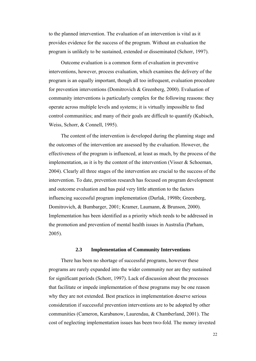to the planned intervention. The evaluation of an intervention is vital as it provides evidence for the success of the program. Without an evaluation the program is unlikely to be sustained, extended or disseminated (Schorr, 1997).

Outcome evaluation is a common form of evaluation in preventive interventions, however, process evaluation, which examines the delivery of the program is an equally important, though all too infrequent, evaluation procedure for prevention interventions (Domitrovich & Greenberg, 2000). Evaluation of community interventions is particularly complex for the following reasons: they operate across multiple levels and systems; it is virtually impossible to find control communities; and many of their goals are difficult to quantify (Kubisch, Weiss, Schorr, & Connell, 1995).

The content of the intervention is developed during the planning stage and the outcomes of the intervention are assessed by the evaluation. However, the effectiveness of the program is influenced, at least as much, by the process of the implementation, as it is by the content of the intervention (Visser  $\&$  Schoeman, 2004). Clearly all three stages of the intervention are crucial to the success of the intervention. To date, prevention research has focused on program development and outcome evaluation and has paid very little attention to the factors influencing successful program implementation (Durlak, 1998b; Greenberg, Domitrovich, & Bumbarger, 2001; Kramer, Laumann, & Brunson, 2000). Implementation has been identified as a priority which needs to be addressed in the promotion and prevention of mental health issues in Australia (Parham, 2005).

## **2.3 Implementation of Community Interventions**

There has been no shortage of successful programs, however these programs are rarely expanded into the wider community nor are they sustained for significant periods (Schorr, 1997). Lack of discussion about the processes that facilitate or impede implementation of these programs may be one reason why they are not extended. Best practices in implementation deserve serious consideration if successful prevention interventions are to be adopted by other communities (Cameron, Karabanow, Laurendau, & Chamberland, 2001). The cost of neglecting implementation issues has been two-fold. The money invested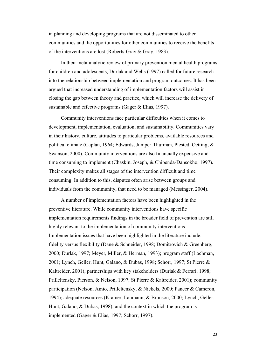in planning and developing programs that are not disseminated to other communities and the opportunities for other communities to receive the benefits of the interventions are lost (Roberts-Gray & Gray, 1983).

In their meta-analytic review of primary prevention mental health programs for children and adolescents, Durlak and Wells (1997) called for future research into the relationship between implementation and program outcomes. It has been argued that increased understanding of implementation factors will assist in closing the gap between theory and practice, which will increase the delivery of sustainable and effective programs (Gager & Elias, 1997).

Community interventions face particular difficulties when it comes to development, implementation, evaluation, and sustainability. Communities vary in their history, culture, attitudes to particular problems, available resources and political climate (Caplan, 1964; Edwards, Jumper-Thurman, Plested, Oetting, & Swanson, 2000). Community interventions are also financially expensive and time consuming to implement (Chaskin, Joseph, & Chipenda-Dansokho, 1997). Their complexity makes all stages of the intervention difficult and time consuming. In addition to this, disputes often arise between groups and individuals from the community, that need to be managed (Messinger, 2004).

A number of implementation factors have been highlighted in the preventive literature. While community interventions have specific implementation requirements findings in the broader field of prevention are still highly relevant to the implementation of community interventions. Implementation issues that have been highlighted in the literature include: fidelity versus flexibility (Dane & Schneider, 1998; Domitrovich & Greenberg, 2000; Durlak, 1997; Meyer, Miller, & Herman, 1993); program staff (Lochman, 2001; Lynch, Geller, Hunt, Galano, & Dubas, 1998; Schorr, 1997; St Pierre & Kaltreider, 2001); partnerships with key stakeholders (Durlak & Ferrari, 1998; Prilleltensky, Pierson, & Nelson, 1997; St Pierre & Kaltreider, 2001); community participation (Nelson, Amio, Prilleltensky, & Nickels, 2000; Pancer & Cameron, 1994); adequate resources (Kramer, Laumann, & Brunson, 2000; Lynch, Geller, Hunt, Galano, & Dubas, 1998); and the context in which the program is implemented (Gager & Elias, 1997; Schorr, 1997).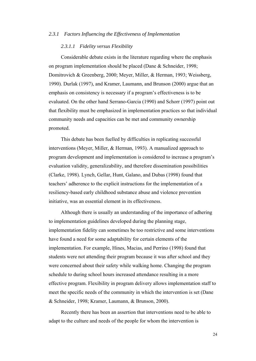#### *2.3.1 Factors Influencing the Effectiveness of Implementation*

# *2.3.1.1 Fidelity versus Flexibility*

Considerable debate exists in the literature regarding where the emphasis on program implementation should be placed (Dane & Schneider, 1998; Domitrovich & Greenberg, 2000; Meyer, Miller, & Herman, 1993; Weissberg, 1990). Durlak (1997), and Kramer, Laumann, and Brunson (2000) argue that an emphasis on consistency is necessary if a program's effectiveness is to be evaluated. On the other hand Serrano-Garcia (1990) and Schorr (1997) point out that flexibility must be emphasized in implementation practices so that individual community needs and capacities can be met and community ownership promoted.

This debate has been fuelled by difficulties in replicating successful interventions (Meyer, Miller, & Herman, 1993). A manualized approach to program development and implementation is considered to increase a program's evaluation validity, generalizability, and therefore dissemination possibilities (Clarke, 1998). Lynch, Gellar, Hunt, Galano, and Dubas (1998) found that teachers' adherence to the explicit instructions for the implementation of a resiliency-based early childhood substance abuse and violence prevention initiative, was an essential element in its effectiveness.

Although there is usually an understanding of the importance of adhering to implementation guidelines developed during the planning stage, implementation fidelity can sometimes be too restrictive and some interventions have found a need for some adaptability for certain elements of the implementation. For example, Hines, Macias, and Perrino (1998) found that students were not attending their program because it was after school and they were concerned about their safety while walking home. Changing the program schedule to during school hours increased attendance resulting in a more effective program. Flexibility in program delivery allows implementation staff to meet the specific needs of the community in which the intervention is set (Dane & Schneider, 1998; Kramer, Laumann, & Brunson, 2000).

Recently there has been an assertion that interventions need to be able to adapt to the culture and needs of the people for whom the intervention is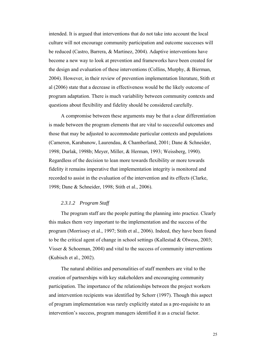intended. It is argued that interventions that do not take into account the local culture will not encourage community participation and outcome successes will be reduced (Castro, Barrera, & Martinez, 2004). Adaptive interventions have become a new way to look at prevention and frameworks have been created for the design and evaluation of these interventions (Collins, Murphy, & Bierman, 2004). However, in their review of prevention implementation literature, Stith et al (2006) state that a decrease in effectiveness would be the likely outcome of program adaptation. There is much variability between community contexts and questions about flexibility and fidelity should be considered carefully.

A compromise between these arguments may be that a clear differentiation is made between the program elements that are vital to successful outcomes and those that may be adjusted to accommodate particular contexts and populations (Cameron, Karabanow, Laurendau, & Chamberland, 2001; Dane & Schneider, 1998; Durlak, 1998b; Meyer, Miller, & Herman, 1993; Weissberg, 1990). Regardless of the decision to lean more towards flexibility or more towards fidelity it remains imperative that implementation integrity is monitored and recorded to assist in the evaluation of the intervention and its effects (Clarke, 1998; Dane & Schneider, 1998; Stith et al., 2006).

## *2.3.1.2 Program Staff*

The program staff are the people putting the planning into practice. Clearly this makes them very important to the implementation and the success of the program (Morrissey et al., 1997; Stith et al., 2006). Indeed, they have been found to be the critical agent of change in school settings (Kallestad & Olweus, 2003; Visser & Schoeman, 2004) and vital to the success of community interventions (Kubisch et al., 2002).

The natural abilities and personalities of staff members are vital to the creation of partnerships with key stakeholders and encouraging community participation. The importance of the relationships between the project workers and intervention recipients was identified by Schorr (1997). Though this aspect of program implementation was rarely explicitly stated as a pre-requisite to an intervention's success, program managers identified it as a crucial factor.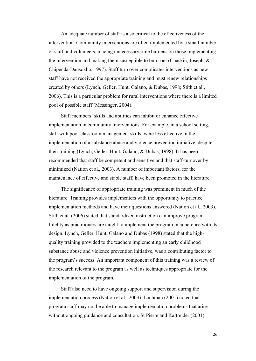An adequate number of staff is also critical to the effectiveness of the intervention. Community interventions are often implemented by a small number of staff and volunteers, placing unnecessary time burdens on those implementing the intervention and making them susceptible to burn-out (Chaskin, Joseph, & Chipenda-Dansokho, 1997). Staff turn over complicates interventions as new staff have not received the appropriate training and must renew relationships created by others (Lynch, Geller, Hunt, Galano, & Dubas, 1998; Stith et al., 2006). This is a particular problem for rural interventions where there is a limited pool of possible staff (Messinger, 2004).

Staff members' skills and abilities can inhibit or enhance effective implementation in community interventions. For example, in a school setting, staff with poor classroom management skills, were less effective in the implementation of a substance abuse and violence prevention initiative, despite their training (Lynch, Geller, Hunt, Galano, & Dubas, 1998). It has been recommended that staff be competent and sensitive and that staff-turnover by minimized (Nation et al., 2003). A number of important factors, for the maintenance of effective and stable staff, have been promoted in the literature.

The significance of appropriate training was prominent in much of the literature. Training provides implementers with the opportunity to practice implementation methods and have their questions answered (Nation et al., 2003). Stith et al. (2006) stated that standardized instruction can improve program fidelity as practitioners are taught to implement the program in adherence with its design. Lynch, Geller, Hunt, Galano and Dubas (1998) stated that the highquality training provided to the teachers implementing an early childhood substance abuse and violence prevention initiative, was a contributing factor to the program's success. An important component of this training was a review of the research relevant to the program as well as techniques appropriate for the implementation of the program.

Staff also need to have ongoing support and supervision during the implementation process (Nation et al., 2003). Lochman (2001) noted that program staff may not be able to manage implementation problems that arise without ongoing guidance and consultation. St Pierre and Kaltreider (2001)

26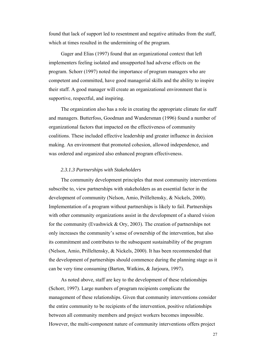found that lack of support led to resentment and negative attitudes from the staff, which at times resulted in the undermining of the program.

Gager and Elias (1997) found that an organizational context that left implementers feeling isolated and unsupported had adverse effects on the program. Schorr (1997) noted the importance of program managers who are competent and committed, have good managerial skills and the ability to inspire their staff. A good manager will create an organizational environment that is supportive, respectful, and inspiring.

The organization also has a role in creating the appropriate climate for staff and managers. Butterfoss, Goodman and Wandersman (1996) found a number of organizational factors that impacted on the effectiveness of community coalitions. These included effective leadership and greater influence in decision making. An environment that promoted cohesion, allowed independence, and was ordered and organized also enhanced program effectiveness.

## *2.3.1.3 Partnerships with Stakeholders*

The community development principles that most community interventions subscribe to, view partnerships with stakeholders as an essential factor in the development of community (Nelson, Amio, Prilleltensky, & Nickels, 2000). Implementation of a program without partnerships is likely to fail. Partnerships with other community organizations assist in the development of a shared vision for the community (Evashwick & Ory, 2003). The creation of partnerships not only increases the community's sense of ownership of the intervention, but also its commitment and contributes to the subsequent sustainability of the program (Nelson, Amio, Prilleltensky, & Nickels, 2000). It has been recommended that the development of partnerships should commence during the planning stage as it can be very time consuming (Barton, Watkins, & Jarjoura, 1997).

As noted above, staff are key to the development of these relationships (Schorr, 1997). Large numbers of program recipients complicate the management of these relationships. Given that community interventions consider the entire community to be recipients of the intervention, positive relationships between all community members and project workers becomes impossible. However, the multi-component nature of community interventions offers project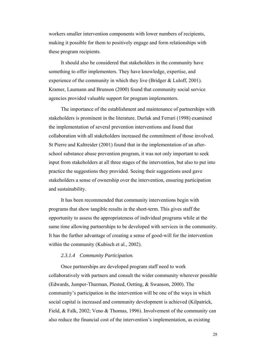workers smaller intervention components with lower numbers of recipients, making it possible for them to positively engage and form relationships with these program recipients.

It should also be considered that stakeholders in the community have something to offer implementers. They have knowledge, expertise, and experience of the community in which they live (Bridger & Luloff, 2001). Kramer, Laumann and Brunson (2000) found that community social service agencies provided valuable support for program implementers.

The importance of the establishment and maintenance of partnerships with stakeholders is prominent in the literature. Durlak and Ferrari (1998) examined the implementation of several prevention interventions and found that collaboration with all stakeholders increased the commitment of those involved. St Pierre and Kaltreider (2001) found that in the implementation of an afterschool substance abuse prevention program, it was not only important to seek input from stakeholders at all three stages of the intervention, but also to put into practice the suggestions they provided. Seeing their suggestions used gave stakeholders a sense of ownership over the intervention, ensuring participation and sustainability.

It has been recommended that community interventions begin with programs that show tangible results in the short-term. This gives staff the opportunity to assess the appropriateness of individual programs while at the same time allowing partnerships to be developed with services in the community. It has the further advantage of creating a sense of good-will for the intervention within the community (Kubisch et al., 2002).

# *2.3.1.4 Community Participation.*

Once partnerships are developed program staff need to work collaboratively with partners and consult the wider community wherever possible (Edwards, Jumper-Thurman, Plested, Oetting, & Swanson, 2000). The community's participation in the intervention will be one of the ways in which social capital is increased and community development is achieved (Kilpatrick, Field, & Falk, 2002; Veno & Thomas, 1996). Involvement of the community can also reduce the financial cost of the intervention's implementation, as existing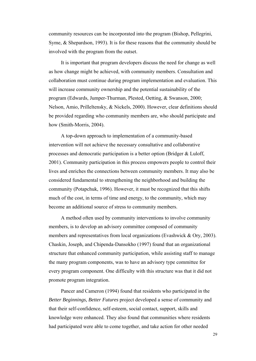community resources can be incorporated into the program (Bishop, Pellegrini, Syme, & Shepardson, 1993). It is for these reasons that the community should be involved with the program from the outset.

It is important that program developers discuss the need for change as well as how change might be achieved, with community members. Consultation and collaboration must continue during program implementation and evaluation. This will increase community ownership and the potential sustainability of the program (Edwards, Jumper-Thurman, Plested, Oetting, & Swanson, 2000; Nelson, Amio, Prilleltensky, & Nickels, 2000). However, clear definitions should be provided regarding who community members are, who should participate and how (Smith-Morris, 2004).

A top-down approach to implementation of a community-based intervention will not achieve the necessary consultative and collaborative processes and democratic participation is a better option (Bridger & Luloff, 2001). Community participation in this process empowers people to control their lives and enriches the connections between community members. It may also be considered fundamental to strengthening the neighborhood and building the community (Potapchuk, 1996). However, it must be recognized that this shifts much of the cost, in terms of time and energy, to the community, which may become an additional source of stress to community members.

A method often used by community interventions to involve community members, is to develop an advisory committee composed of community members and representatives from local organizations (Evashwick & Ory, 2003). Chaskin, Joseph, and Chipenda-Dansokho (1997) found that an organizational structure that enhanced community participation, while assisting staff to manage the many program components, was to have an advisory type committee for every program component. One difficulty with this structure was that it did not promote program integration.

Pancer and Cameron (1994) found that residents who participated in the *Better Beginnings, Better Futures* project developed a sense of community and that their self-confidence, self-esteem, social contact, support, skills and knowledge were enhanced. They also found that communities where residents had participated were able to come together, and take action for other needed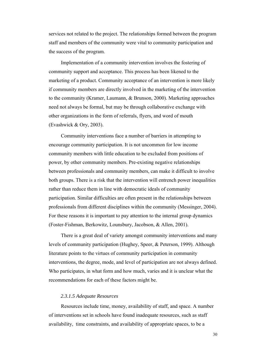services not related to the project. The relationships formed between the program staff and members of the community were vital to community participation and the success of the program.

Implementation of a community intervention involves the fostering of community support and acceptance. This process has been likened to the marketing of a product. Community acceptance of an intervention is more likely if community members are directly involved in the marketing of the intervention to the community (Kramer, Laumann, & Brunson, 2000). Marketing approaches need not always be formal, but may be through collaborative exchange with other organizations in the form of referrals, flyers, and word of mouth (Evashwick & Ory, 2003).

Community interventions face a number of barriers in attempting to encourage community participation. It is not uncommon for low income community members with little education to be excluded from positions of power, by other community members. Pre-existing negative relationships between professionals and community members, can make it difficult to involve both groups. There is a risk that the intervention will entrench power inequalities rather than reduce them in line with democratic ideals of community participation. Similar difficulties are often present in the relationships between professionals from different disciplines within the community (Messinger, 2004). For these reasons it is important to pay attention to the internal group dynamics (Foster-Fishman, Berkowitz, Lounsbury, Jacobson, & Allen, 2001).

There is a great deal of variety amongst community interventions and many levels of community participation (Hughey, Speer, & Peterson, 1999). Although literature points to the virtues of community participation in community interventions, the degree, mode, and level of participation are not always defined. Who participates, in what form and how much, varies and it is unclear what the recommendations for each of these factors might be.

# *2.3.1.5 Adequate Resources*

Resources include time, money, availability of staff, and space. A number of interventions set in schools have found inadequate resources, such as staff availability, time constraints, and availability of appropriate spaces, to be a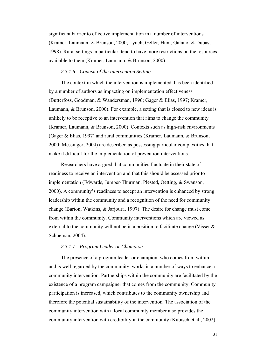significant barrier to effective implementation in a number of interventions (Kramer, Laumann, & Brunson, 2000; Lynch, Geller, Hunt, Galano, & Dubas, 1998). Rural settings in particular, tend to have more restrictions on the resources available to them (Kramer, Laumann, & Brunson, 2000).

# *2.3.1.6 Context of the Intervention Setting*

The context in which the intervention is implemented, has been identified by a number of authors as impacting on implementation effectiveness (Butterfoss, Goodman, & Wandersman, 1996; Gager & Elias, 1997; Kramer, Laumann, & Brunson, 2000). For example, a setting that is closed to new ideas is unlikely to be receptive to an intervention that aims to change the community (Kramer, Laumann, & Brunson, 2000). Contexts such as high-risk environments (Gager & Elias, 1997) and rural communities (Kramer, Laumann, & Brunson, 2000; Messinger, 2004) are described as possessing particular complexities that make it difficult for the implementation of prevention interventions.

Researchers have argued that communities fluctuate in their state of readiness to receive an intervention and that this should be assessed prior to implementation (Edwards, Jumper-Thurman, Plested, Oetting, & Swanson, 2000). A community's readiness to accept an intervention is enhanced by strong leadership within the community and a recognition of the need for community change (Barton, Watkins, & Jarjoura, 1997). The desire for change must come from within the community. Community interventions which are viewed as external to the community will not be in a position to facilitate change (Visser & Schoeman, 2004).

# *2.3.1.7 Program Leader or Champion*

The presence of a program leader or champion, who comes from within and is well regarded by the community, works in a number of ways to enhance a community intervention. Partnerships within the community are facilitated by the existence of a program campaigner that comes from the community. Community participation is increased, which contributes to the community ownership and therefore the potential sustainability of the intervention. The association of the community intervention with a local community member also provides the community intervention with credibility in the community (Kubisch et al., 2002).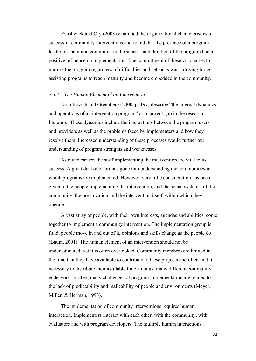Evashwick and Ory (2003) examined the organizational characteristics of successful community interventions and found that the presence of a program leader or champion committed to the success and duration of the program had a positive influence on implementation. The commitment of these visionaries to nurture the program regardless of difficulties and setbacks was a driving force assisting programs to reach maturity and become embedded in the community.

#### *2.3.2 The Human Element of an Intervention*

Domitrovich and Greenberg (2000, p. 197) describe "the internal dynamics and operations of an intervention program" as a current gap in the research literature. These dynamics include the interactions between the program users and providers as well as the problems faced by implementers and how they resolve them. Increased understanding of these processes would further our understanding of program strengths and weaknesses.

As noted earlier, the staff implementing the intervention are vital to its success. A great deal of effort has gone into understanding the communities in which programs are implemented. However, very little consideration has been given to the people implementing the intervention, and the social systems, of the community, the organization and the intervention itself, within which they operate.

A vast array of people, with their own interests, agendas and abilities, come together to implement a community intervention. The implementation group is fluid, people move in and out of it, opinions and skills change as the people do (Baum, 2001). The human element of an intervention should not be underestimated, yet it is often overlooked. Community members are limited in the time that they have available to contribute to these projects and often find it necessary to distribute their available time amongst many different community endeavors. Further, many challenges of program implementation are related to the lack of predictability and malleability of people and environments (Meyer, Miller, & Herman, 1993).

The implementation of community interventions requires human interaction. Implementers interact with each other, with the community, with evaluators and with program developers. The multiple human interactions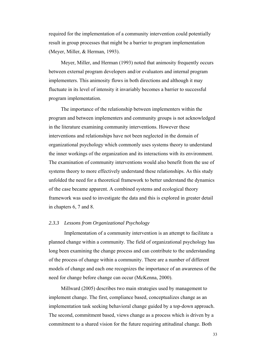required for the implementation of a community intervention could potentially result in group processes that might be a barrier to program implementation (Meyer, Miller, & Herman, 1993).

Meyer, Miller, and Herman (1993) noted that animosity frequently occurs between external program developers and/or evaluators and internal program implementers. This animosity flows in both directions and although it may fluctuate in its level of intensity it invariably becomes a barrier to successful program implementation.

The importance of the relationship between implementers within the program and between implementers and community groups is not acknowledged in the literature examining community interventions. However these interventions and relationships have not been neglected in the domain of organizational psychology which commonly uses systems theory to understand the inner workings of the organization and its interactions with its environment. The examination of community interventions would also benefit from the use of systems theory to more effectively understand these relationships. As this study unfolded the need for a theoretical framework to better understand the dynamics of the case became apparent. A combined systems and ecological theory framework was used to investigate the data and this is explored in greater detail in chapters 6, 7 and 8.

# *2.3.3 Lessons from Organizational Psychology*

 Implementation of a community intervention is an attempt to facilitate a planned change within a community. The field of organizational psychology has long been examining the change process and can contribute to the understanding of the process of change within a community. There are a number of different models of change and each one recognizes the importance of an awareness of the need for change before change can occur (McKenna, 2000).

Millward (2005) describes two main strategies used by management to implement change. The first, compliance based, conceptualizes change as an implementation task seeking behavioral change guided by a top-down approach. The second, commitment based, views change as a process which is driven by a commitment to a shared vision for the future requiring attitudinal change. Both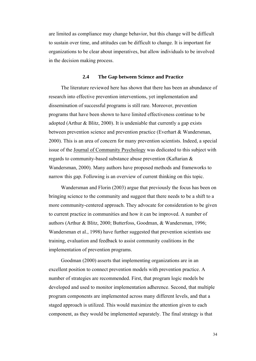are limited as compliance may change behavior, but this change will be difficult to sustain over time, and attitudes can be difficult to change. It is important for organizations to be clear about imperatives, but allow individuals to be involved in the decision making process.

#### **2.4 The Gap between Science and Practice**

The literature reviewed here has shown that there has been an abundance of research into effective prevention interventions, yet implementation and dissemination of successful programs is still rare. Moreover, prevention programs that have been shown to have limited effectiveness continue to be adopted (Arthur & Blitz, 2000). It is undeniable that currently a gap exists between prevention science and prevention practice (Everhart & Wandersman, 2000). This is an area of concern for many prevention scientists. Indeed, a special issue of the Journal of Community Psychology was dedicated to this subject with regards to community-based substance abuse prevention (Kaftarian & Wandersman, 2000). Many authors have proposed methods and frameworks to narrow this gap. Following is an overview of current thinking on this topic.

Wandersman and Florin (2003) argue that previously the focus has been on bringing science to the community and suggest that there needs to be a shift to a more community-centered approach. They advocate for consideration to be given to current practice in communities and how it can be improved. A number of authors (Arthur & Blitz, 2000; Butterfoss, Goodman, & Wandersman, 1996; Wandersman et al., 1998) have further suggested that prevention scientists use training, evaluation and feedback to assist community coalitions in the implementation of prevention programs.

Goodman (2000) asserts that implementing organizations are in an excellent position to connect prevention models with prevention practice. A number of strategies are recommended. First, that program logic models be developed and used to monitor implementation adherence. Second, that multiple program components are implemented across many different levels, and that a staged approach is utilized. This would maximize the attention given to each component, as they would be implemented separately. The final strategy is that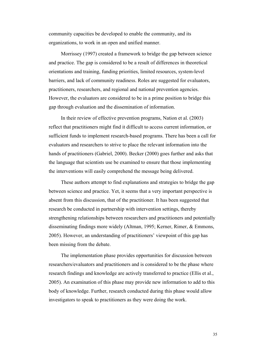community capacities be developed to enable the community, and its organizations, to work in an open and unified manner.

Morrissey (1997) created a framework to bridge the gap between science and practice. The gap is considered to be a result of differences in theoretical orientations and training, funding priorities, limited resources, system-level barriers, and lack of community readiness. Roles are suggested for evaluators, practitioners, researchers, and regional and national prevention agencies. However, the evaluators are considered to be in a prime position to bridge this gap through evaluation and the dissemination of information.

In their review of effective prevention programs, Nation et al. (2003) reflect that practitioners might find it difficult to access current information, or sufficient funds to implement research-based programs. There has been a call for evaluators and researchers to strive to place the relevant information into the hands of practitioners (Gabriel, 2000). Becker (2000) goes further and asks that the language that scientists use be examined to ensure that those implementing the interventions will easily comprehend the message being delivered.

These authors attempt to find explanations and strategies to bridge the gap between science and practice. Yet, it seems that a very important perspective is absent from this discussion, that of the practitioner. It has been suggested that research be conducted in partnership with intervention settings, thereby strengthening relationships between researchers and practitioners and potentially disseminating findings more widely (Altman, 1995; Kerner, Rimer, & Emmons, 2005). However, an understanding of practitioners' viewpoint of this gap has been missing from the debate.

The implementation phase provides opportunities for discussion between researchers/evaluators and practitioners and is considered to be the phase where research findings and knowledge are actively transferred to practice (Ellis et al., 2005). An examination of this phase may provide new information to add to this body of knowledge. Further, research conducted during this phase would allow investigators to speak to practitioners as they were doing the work.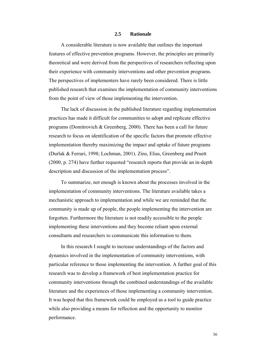#### **2.5 Rationale**

A considerable literature is now available that outlines the important features of effective prevention programs. However, the principles are primarily theoretical and were derived from the perspectives of researchers reflecting upon their experience with community interventions and other prevention programs. The perspectives of implementers have rarely been considered. There is little published research that examines the implementation of community interventions from the point of view of those implementing the intervention.

The lack of discussion in the published literature regarding implementation practices has made it difficult for communities to adopt and replicate effective programs (Domitrovich  $&$  Greenberg, 2000). There has been a call for future research to focus on identification of the specific factors that promote effective implementation thereby maximizing the impact and uptake of future programs (Durlak & Ferrari, 1998; Lochman, 2001). Zins, Elias, Greenberg and Pruett (2000, p. 274) have further requested "research reports that provide an in-depth description and discussion of the implementation process".

To summarize, not enough is known about the processes involved in the implementation of community interventions. The literature available takes a mechanistic approach to implementation and while we are reminded that the community is made up of people, the people implementing the intervention are forgotten. Furthermore the literature is not readily accessible to the people implementing these interventions and they become reliant upon external consultants and researchers to communicate this information to them.

In this research I sought to increase understandings of the factors and dynamics involved in the implementation of community interventions, with particular reference to those implementing the intervention. A further goal of this research was to develop a framework of best implementation practice for community interventions through the combined understandings of the available literature and the experiences of those implementing a community intervention. It was hoped that this framework could be employed as a tool to guide practice while also providing a means for reflection and the opportunity to monitor performance.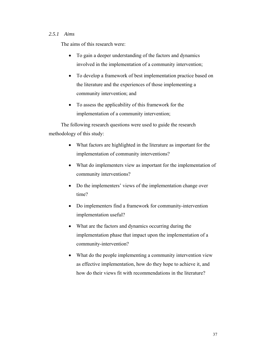# *2.5.1 Aims*

The aims of this research were:

- To gain a deeper understanding of the factors and dynamics involved in the implementation of a community intervention;
- To develop a framework of best implementation practice based on the literature and the experiences of those implementing a community intervention; and
- To assess the applicability of this framework for the implementation of a community intervention;

The following research questions were used to guide the research methodology of this study:

- What factors are highlighted in the literature as important for the implementation of community interventions?
- What do implementers view as important for the implementation of community interventions?
- Do the implementers' views of the implementation change over time?
- Do implementers find a framework for community-intervention implementation useful?
- What are the factors and dynamics occurring during the implementation phase that impact upon the implementation of a community-intervention?
- What do the people implementing a community intervention view as effective implementation, how do they hope to achieve it, and how do their views fit with recommendations in the literature?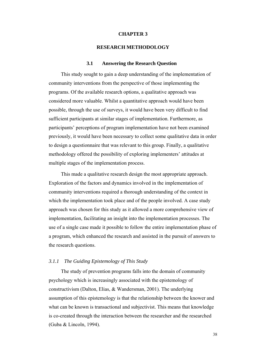# **CHAPTER 3**

#### **RESEARCH METHODOLOGY**

#### **3.1 Answering the Research Question**

This study sought to gain a deep understanding of the implementation of community interventions from the perspective of those implementing the programs. Of the available research options, a qualitative approach was considered more valuable. Whilst a quantitative approach would have been possible, through the use of surveys, it would have been very difficult to find sufficient participants at similar stages of implementation. Furthermore, as participants' perceptions of program implementation have not been examined previously, it would have been necessary to collect some qualitative data in order to design a questionnaire that was relevant to this group. Finally, a qualitative methodology offered the possibility of exploring implementers' attitudes at multiple stages of the implementation process.

This made a qualitative research design the most appropriate approach. Exploration of the factors and dynamics involved in the implementation of community interventions required a thorough understanding of the context in which the implementation took place and of the people involved. A case study approach was chosen for this study as it allowed a more comprehensive view of implementation, facilitating an insight into the implementation processes. The use of a single case made it possible to follow the entire implementation phase of a program, which enhanced the research and assisted in the pursuit of answers to the research questions.

#### *3.1.1 The Guiding Epistemology of This Study*

The study of prevention programs falls into the domain of community psychology which is increasingly associated with the epistemology of constructivism (Dalton, Elias, & Wandersman, 2001). The underlying assumption of this epistemology is that the relationship between the knower and what can be known is transactional and subjectivist. This means that knowledge is co-created through the interaction between the researcher and the researched (Guba & Lincoln, 1994).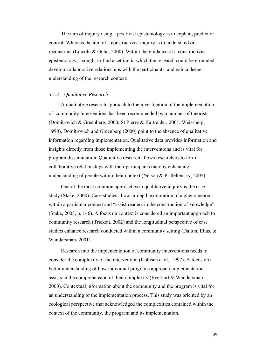The aim of inquiry using a positivist epistemology is to explain, predict or control. Whereas the aim of a constructivist inquiry is to understand or reconstruct (Lincoln & Guba, 2000). Within the guidance of a constructivist epistemology, I sought to find a setting in which the research could be grounded, develop collaborative relationships with the participants, and gain a deeper understanding of the research context.

# *3.1.2 Qualitative Research*

A qualitative research approach to the investigation of the implementation of community interventions has been recommended by a number of theorists (Domitrovich & Greenberg, 2000; St Pierre & Kaltreider, 2001; Weissberg, 1990). Domitrovich and Greenberg (2000) point to the absence of qualitative information regarding implementation. Qualitative data provides information and insights directly from those implementing the interventions and is vital for program dissemination. Qualitative research allows researchers to form collaborative relationships with their participants thereby enhancing understanding of people within their context (Nelson & Prilleltensky, 2005).

One of the most common approaches to qualitative inquiry is the case study (Stake, 2000). Case studies allow in-depth exploration of a phenomenon within a particular context and "assist readers in the construction of knowledge" (Stake, 2003, p. 146). A focus on context is considered an important approach to community research (Trickett, 2002) and the longitudinal perspective of case studies enhance research conducted within a community setting (Dalton, Elias, & Wandersman, 2001).

Research into the implementation of community interventions needs to consider the complexity of the intervention (Kubisch et al., 1997). A focus on a better understanding of how individual programs approach implementation assists in the comprehension of their complexity (Everhart & Wandersman, 2000). Contextual information about the community and the program is vital for an understanding of the implementation process. This study was oriented by an ecological perspective that acknowledged the complexities contained within the context of the community, the program and its implementation.

39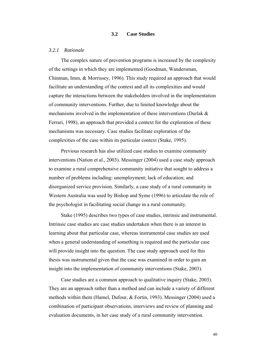## **3.2 Case Studies**

## *3.2.1 Rationale*

The complex nature of prevention programs is increased by the complexity of the settings in which they are implemented (Goodman, Wandersman, Chinman, Imm, & Morrissey, 1996). This study required an approach that would facilitate an understanding of the context and all its complexities and would capture the interactions between the stakeholders involved in the implementation of community interventions. Further, due to limited knowledge about the mechanisms involved in the implementation of these interventions (Durlak & Ferrari, 1998), an approach that provided a context for the exploration of these mechanisms was necessary. Case studies facilitate exploration of the complexities of the case within its particular context (Stake, 1995).

Previous research has also utilized case studies to examine community interventions (Nation et al., 2003). Messinger (2004) used a case study approach to examine a rural comprehensive community initiative that sought to address a number of problems including: unemployment; lack of education; and disorganized service provision. Similarly, a case study of a rural community in Western Australia was used by Bishop and Syme (1996) to articulate the role of the psychologist in facilitating social change in a rural community.

Stake (1995) describes two types of case studies, intrinsic and instrumental. Intrinsic case studies are case studies undertaken when there is an interest in learning about that particular case, whereas instrumental case studies are used when a general understanding of something is required and the particular case will provide insight into the question. The case study approach used for this thesis was instrumental given that the case was examined in order to gain an insight into the implementation of community interventions (Stake, 2003).

Case studies are a common approach to qualitative inquiry (Stake, 2003). They are an approach rather than a method and can include a variety of different methods within them (Hamel, Dufour, & Fortin, 1993). Messinger (2004) used a combination of participant observations, interviews and review of planning and evaluation documents, in her case study of a rural community intervention.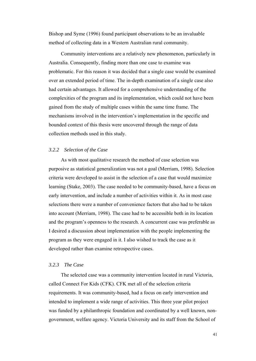Bishop and Syme (1996) found participant observations to be an invaluable method of collecting data in a Western Australian rural community.

Community interventions are a relatively new phenomenon, particularly in Australia. Consequently, finding more than one case to examine was problematic. For this reason it was decided that a single case would be examined over an extended period of time. The in-depth examination of a single case also had certain advantages. It allowed for a comprehensive understanding of the complexities of the program and its implementation, which could not have been gained from the study of multiple cases within the same time frame. The mechanisms involved in the intervention's implementation in the specific and bounded context of this thesis were uncovered through the range of data collection methods used in this study.

# *3.2.2 Selection of the Case*

As with most qualitative research the method of case selection was purposive as statistical generalization was not a goal (Merriam, 1998). Selection criteria were developed to assist in the selection of a case that would maximize learning (Stake, 2003). The case needed to be community-based, have a focus on early intervention, and include a number of activities within it. As in most case selections there were a number of convenience factors that also had to be taken into account (Merriam, 1998). The case had to be accessible both in its location and the program's openness to the research. A concurrent case was preferable as I desired a discussion about implementation with the people implementing the program as they were engaged in it. I also wished to track the case as it developed rather than examine retrospective cases.

# *3.2.3 The Case*

The selected case was a community intervention located in rural Victoria, called Connect For Kids (CFK). CFK met all of the selection criteria requirements. It was community-based, had a focus on early intervention and intended to implement a wide range of activities. This three year pilot project was funded by a philanthropic foundation and coordinated by a well known, nongovernment, welfare agency. Victoria University and its staff from the School of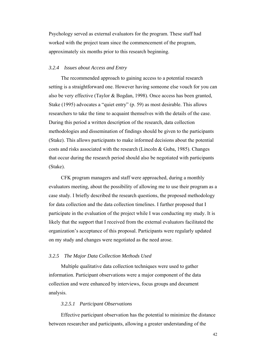Psychology served as external evaluators for the program. These staff had worked with the project team since the commencement of the program, approximately six months prior to this research beginning.

# *3.2.4 Issues about Access and Entry*

The recommended approach to gaining access to a potential research setting is a straightforward one. However having someone else vouch for you can also be very effective (Taylor & Bogdan, 1998). Once access has been granted, Stake (1995) advocates a "quiet entry" (p. 59) as most desirable. This allows researchers to take the time to acquaint themselves with the details of the case. During this period a written description of the research, data collection methodologies and dissemination of findings should be given to the participants (Stake). This allows participants to make informed decisions about the potential costs and risks associated with the research (Lincoln  $\&$  Guba, 1985). Changes that occur during the research period should also be negotiated with participants (Stake).

CFK program managers and staff were approached, during a monthly evaluators meeting, about the possibility of allowing me to use their program as a case study. I briefly described the research questions, the proposed methodology for data collection and the data collection timelines. I further proposed that I participate in the evaluation of the project while I was conducting my study. It is likely that the support that I received from the external evaluators facilitated the organization's acceptance of this proposal. Participants were regularly updated on my study and changes were negotiated as the need arose.

# *3.2.5 The Major Data Collection Methods Used*

Multiple qualitative data collection techniques were used to gather information. Participant observations were a major component of the data collection and were enhanced by interviews, focus groups and document analysis.

## *3.2.5.1 Participant Observations*

Effective participant observation has the potential to minimize the distance between researcher and participants, allowing a greater understanding of the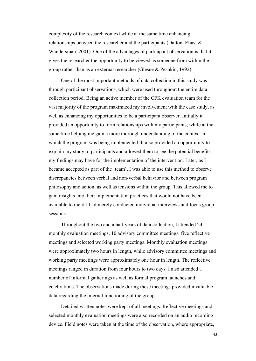complexity of the research context while at the same time enhancing relationships between the researcher and the participants (Dalton, Elias, & Wandersman, 2001). One of the advantages of participant observation is that it gives the researcher the opportunity to be viewed as someone from within the group rather than as an external researcher (Glesne & Peshkin, 1992).

One of the most important methods of data collection in this study was through participant observations, which were used throughout the entire data collection period. Being an active member of the CFK evaluation team for the vast majority of the program maximized my involvement with the case study, as well as enhancing my opportunities to be a participant observer. Initially it provided an opportunity to form relationships with my participants, while at the same time helping me gain a more thorough understanding of the context in which the program was being implemented. It also provided an opportunity to explain my study to participants and allowed them to see the potential benefits my findings may have for the implementation of the intervention. Later, as I became accepted as part of the 'team', I was able to use this method to observe discrepancies between verbal and non-verbal behavior and between program philosophy and action, as well as tensions within the group. This allowed me to gain insights into their implementation practices that would not have been available to me if I had merely conducted individual interviews and focus group sessions.

Throughout the two and a half years of data collection, I attended 24 monthly evaluation meetings, 10 advisory committee meetings, five reflective meetings and selected working party meetings. Monthly evaluation meetings were approximately two hours in length, while advisory committee meetings and working party meetings were approximately one hour in length. The reflective meetings ranged in duration from four hours to two days. I also attended a number of informal gatherings as well as formal program launches and celebrations. The observations made during these meetings provided invaluable data regarding the internal functioning of the group.

Detailed written notes were kept of all meetings. Reflective meetings and selected monthly evaluation meetings were also recorded on an audio recording device. Field notes were taken at the time of the observation, where appropriate,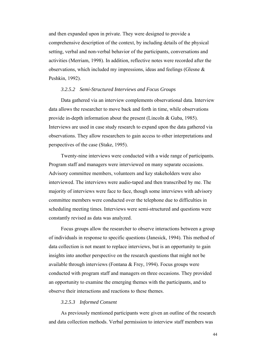and then expanded upon in private. They were designed to provide a comprehensive description of the context, by including details of the physical setting, verbal and non-verbal behavior of the participants, conversations and activities (Merriam, 1998). In addition, reflective notes were recorded after the observations, which included my impressions, ideas and feelings (Glesne & Peshkin, 1992).

# *3.2.5.2 Semi-Structured Interviews and Focus Groups*

Data gathered via an interview complements observational data. Interview data allows the researcher to move back and forth in time, while observations provide in-depth information about the present (Lincoln & Guba, 1985). Interviews are used in case study research to expand upon the data gathered via observations. They allow researchers to gain access to other interpretations and perspectives of the case (Stake, 1995).

Twenty-nine interviews were conducted with a wide range of participants. Program staff and managers were interviewed on many separate occasions. Advisory committee members, volunteers and key stakeholders were also interviewed. The interviews were audio-taped and then transcribed by me. The majority of interviews were face to face, though some interviews with advisory committee members were conducted over the telephone due to difficulties in scheduling meeting times. Interviews were semi-structured and questions were constantly revised as data was analyzed.

Focus groups allow the researcher to observe interactions between a group of individuals in response to specific questions (Janesick, 1994). This method of data collection is not meant to replace interviews, but is an opportunity to gain insights into another perspective on the research questions that might not be available through interviews (Fontana & Frey, 1994). Focus groups were conducted with program staff and managers on three occasions. They provided an opportunity to examine the emerging themes with the participants, and to observe their interactions and reactions to these themes.

# *3.2.5.3 Informed Consent*

As previously mentioned participants were given an outline of the research and data collection methods. Verbal permission to interview staff members was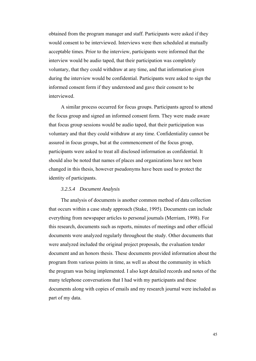obtained from the program manager and staff. Participants were asked if they would consent to be interviewed. Interviews were then scheduled at mutually acceptable times. Prior to the interview, participants were informed that the interview would be audio taped, that their participation was completely voluntary, that they could withdraw at any time, and that information given during the interview would be confidential. Participants were asked to sign the informed consent form if they understood and gave their consent to be interviewed.

A similar process occurred for focus groups. Participants agreed to attend the focus group and signed an informed consent form. They were made aware that focus group sessions would be audio taped, that their participation was voluntary and that they could withdraw at any time. Confidentiality cannot be assured in focus groups, but at the commencement of the focus group, participants were asked to treat all disclosed information as confidential. It should also be noted that names of places and organizations have not been changed in this thesis, however pseudonyms have been used to protect the identity of participants.

## *3.2.5.4 Document Analysis*

The analysis of documents is another common method of data collection that occurs within a case study approach (Stake, 1995). Documents can include everything from newspaper articles to personal journals (Merriam, 1998). For this research, documents such as reports, minutes of meetings and other official documents were analyzed regularly throughout the study. Other documents that were analyzed included the original project proposals, the evaluation tender document and an honors thesis. These documents provided information about the program from various points in time, as well as about the community in which the program was being implemented. I also kept detailed records and notes of the many telephone conversations that I had with my participants and these documents along with copies of emails and my research journal were included as part of my data.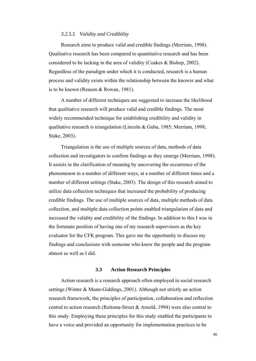### *3.2.5.5 Validity and Credibility*

Research aims to produce valid and credible findings (Merriam, 1998). Qualitative research has been compared to quantitative research and has been considered to be lacking in the area of validity (Coakes & Bishop, 2002). Regardless of the paradigm under which it is conducted, research is a human process and validity exists within the relationship between the knower and what is to be known (Reason & Rowan, 1981).

A number of different techniques are suggested to increase the likelihood that qualitative research will produce valid and credible findings. The most widely recommended technique for establishing credibility and validity in qualitative research is triangulation (Lincoln & Guba, 1985; Merriam, 1998; Stake, 2003).

Triangulation is the use of multiple sources of data, methods of data collection and investigators to confirm findings as they emerge (Merriam, 1998). It assists in the clarification of meaning by uncovering the occurrence of the phenomenon in a number of different ways, at a number of different times and a number of different settings (Stake, 2003). The design of this research aimed to utilize data collection techniques that increased the probability of producing credible findings. The use of multiple sources of data, multiple methods of data collection, and multiple data collection points enabled triangulation of data and increased the validity and credibility of the findings. In addition to this I was in the fortunate position of having one of my research supervisors as the key evaluator for the CFK program. This gave me the opportunity to discuss my findings and conclusions with someone who knew the people and the program almost as well as I did.

# **3.3 Action Research Principles**

Action research is a research approach often employed in social research settings (Winter & Munn-Giddings, 2001). Although not strictly an action research framework, the principles of participation, collaboration and reflection central to action research (Reitsma-Street & Arnold, 1994) were also central to this study. Employing these principles for this study enabled the participants to have a voice and provided an opportunity for implementation practices to be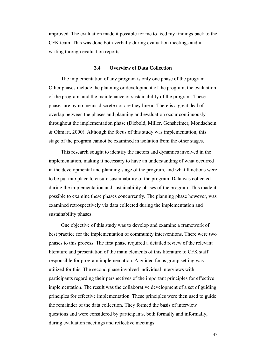improved. The evaluation made it possible for me to feed my findings back to the CFK team. This was done both verbally during evaluation meetings and in writing through evaluation reports.

#### **3.4 Overview of Data Collection**

The implementation of any program is only one phase of the program. Other phases include the planning or development of the program, the evaluation of the program, and the maintenance or sustainability of the program. These phases are by no means discrete nor are they linear. There is a great deal of overlap between the phases and planning and evaluation occur continuously throughout the implementation phase (Diebold, Miller, Gensheimer, Mondschein & Ohmart, 2000). Although the focus of this study was implementation, this stage of the program cannot be examined in isolation from the other stages.

This research sought to identify the factors and dynamics involved in the implementation, making it necessary to have an understanding of what occurred in the developmental and planning stage of the program, and what functions were to be put into place to ensure sustainability of the program. Data was collected during the implementation and sustainability phases of the program. This made it possible to examine these phases concurrently. The planning phase however, was examined retrospectively via data collected during the implementation and sustainability phases.

One objective of this study was to develop and examine a framework of best practice for the implementation of community interventions. There were two phases to this process. The first phase required a detailed review of the relevant literature and presentation of the main elements of this literature to CFK staff responsible for program implementation. A guided focus group setting was utilized for this. The second phase involved individual interviews with participants regarding their perspectives of the important principles for effective implementation. The result was the collaborative development of a set of guiding principles for effective implementation. These principles were then used to guide the remainder of the data collection. They formed the basis of interview questions and were considered by participants, both formally and informally, during evaluation meetings and reflective meetings.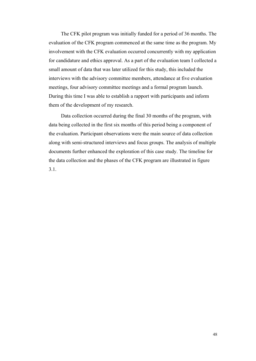The CFK pilot program was initially funded for a period of 36 months. The evaluation of the CFK program commenced at the same time as the program. My involvement with the CFK evaluation occurred concurrently with my application for candidature and ethics approval. As a part of the evaluation team I collected a small amount of data that was later utilized for this study, this included the interviews with the advisory committee members, attendance at five evaluation meetings, four advisory committee meetings and a formal program launch. During this time I was able to establish a rapport with participants and inform them of the development of my research.

Data collection occurred during the final 30 months of the program, with data being collected in the first six months of this period being a component of the evaluation. Participant observations were the main source of data collection along with semi-structured interviews and focus groups. The analysis of multiple documents further enhanced the exploration of this case study. The timeline for the data collection and the phases of the CFK program are illustrated in figure 3.1.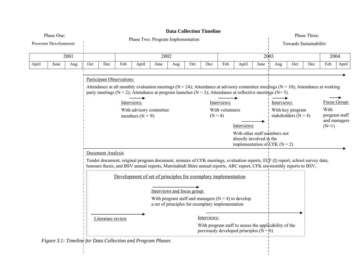| Phase One:<br>Program Develonment |      |     | <b>Data Collection Timeline</b><br>Phase Two: Program Implementation                                                                   |                   |                           |                                                               |      |     |     |     |                                             |                                                                                                                                                                                                                                                        |      | Phase Three:<br><b>Towards Sustainability</b> |     |     |                 |                               |
|-----------------------------------|------|-----|----------------------------------------------------------------------------------------------------------------------------------------|-------------------|---------------------------|---------------------------------------------------------------|------|-----|-----|-----|---------------------------------------------|--------------------------------------------------------------------------------------------------------------------------------------------------------------------------------------------------------------------------------------------------------|------|-----------------------------------------------|-----|-----|-----------------|-------------------------------|
| 2001                              |      |     |                                                                                                                                        |                   |                           |                                                               | 2002 |     |     |     |                                             |                                                                                                                                                                                                                                                        |      | 2003                                          |     |     | 2004            |                               |
| April                             | June | Aug | Oct                                                                                                                                    | Dec               | Feb                       | April                                                         | June | Aug | Oct | Dec | Feb                                         | April                                                                                                                                                                                                                                                  | June | Aug                                           | Oct | Dec | Feb             | April                         |
|                                   |      |     |                                                                                                                                        |                   | Participant Observations: |                                                               |      |     |     |     |                                             | Attendance at all monthly evaluation meetings ( $N = 24$ ); Attendance at advisory committee meetings ( $N = 10$ ); Attendance at working<br>party meetings (N = 2); Attendance at program launches (N = 2); Attendance at reflective meetings (N= 5). |      |                                               |     |     |                 |                               |
|                                   |      |     | Interviews:                                                                                                                            |                   |                           |                                                               |      |     |     |     | Interviews:                                 |                                                                                                                                                                                                                                                        |      | Interviews:                                   |     |     |                 | Focus Group:                  |
|                                   |      |     | With advisory committee<br>members ( $N = 9$ )                                                                                         |                   |                           |                                                               |      |     |     |     | With volunteers<br>$(N = 4)$<br>Interviews: |                                                                                                                                                                                                                                                        |      | With key program<br>stakeholders $(N = 4)$    |     |     | With<br>$(N=1)$ | program staff<br>and managers |
|                                   |      |     | With other staff members not<br>directly involved in the<br>implementation of CFK ( $N = 2$ )                                          |                   |                           |                                                               |      |     |     |     |                                             |                                                                                                                                                                                                                                                        |      |                                               |     |     |                 |                               |
|                                   |      |     |                                                                                                                                        | Document Analysis |                           |                                                               |      |     |     |     |                                             |                                                                                                                                                                                                                                                        |      |                                               |     |     |                 |                               |
|                                   |      |     |                                                                                                                                        |                   |                           |                                                               |      |     |     |     |                                             | Tender document, original program document, minutes of CFK meetings, evaluation reports, ELF (I) report, school survey data,<br>honours thesis, and BSV annual reports, Murrindindi Shire annual reports, ARC report, CFK six-monthly reports to BSV,  |      |                                               |     |     |                 |                               |
|                                   |      |     |                                                                                                                                        |                   |                           | Development of set of principles for exemplary implementation |      |     |     |     |                                             |                                                                                                                                                                                                                                                        |      |                                               |     |     |                 |                               |
|                                   |      |     | Interviews and focus group:                                                                                                            |                   |                           |                                                               |      |     |     |     |                                             |                                                                                                                                                                                                                                                        |      |                                               |     |     |                 |                               |
|                                   |      |     | With program staff and managers $(N = 4)$ to develop<br>a set of principles for exemplary implementation                               |                   |                           |                                                               |      |     |     |     |                                             |                                                                                                                                                                                                                                                        |      |                                               |     |     |                 |                               |
|                                   |      |     | Interviews:<br>Literature review<br>With program staff to assess the applicability of the<br>previously developed principles $(N = 6)$ |                   |                           |                                                               |      |     |     |     |                                             |                                                                                                                                                                                                                                                        |      |                                               |     |     |                 |                               |
|                                   |      |     |                                                                                                                                        |                   |                           |                                                               |      |     |     |     |                                             |                                                                                                                                                                                                                                                        |      |                                               |     |     |                 |                               |

*Figure 3.1: Timeline for Data Collection and Program Phases*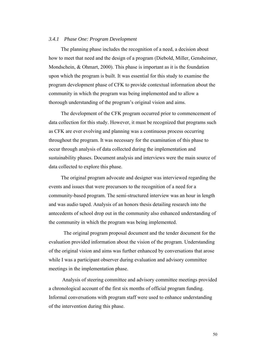## *3.4.1 Phase One: Program Development*

The planning phase includes the recognition of a need, a decision about how to meet that need and the design of a program (Diebold, Miller, Gensheimer, Mondschein, & Ohmart, 2000). This phase is important as it is the foundation upon which the program is built. It was essential for this study to examine the program development phase of CFK to provide contextual information about the community in which the program was being implemented and to allow a thorough understanding of the program's original vision and aims.

The development of the CFK program occurred prior to commencement of data collection for this study. However, it must be recognized that programs such as CFK are ever evolving and planning was a continuous process occurring throughout the program. It was necessary for the examination of this phase to occur through analysis of data collected during the implementation and sustainability phases. Document analysis and interviews were the main source of data collected to explore this phase.

The original program advocate and designer was interviewed regarding the events and issues that were precursors to the recognition of a need for a community-based program. The semi-structured interview was an hour in length and was audio taped. Analysis of an honors thesis detailing research into the antecedents of school drop out in the community also enhanced understanding of the community in which the program was being implemented.

 The original program proposal document and the tender document for the evaluation provided information about the vision of the program. Understanding of the original vision and aims was further enhanced by conversations that arose while I was a participant observer during evaluation and advisory committee meetings in the implementation phase.

 Analysis of steering committee and advisory committee meetings provided a chronological account of the first six months of official program funding. Informal conversations with program staff were used to enhance understanding of the intervention during this phase.

50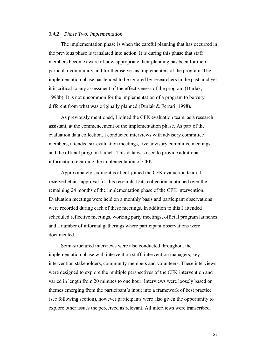#### *3.4.2 Phase Two: Implementation*

The implementation phase is when the careful planning that has occurred in the previous phase is translated into action. It is during this phase that staff members become aware of how appropriate their planning has been for their particular community and for themselves as implementers of the program. The implementation phase has tended to be ignored by researchers in the past, and yet it is critical to any assessment of the effectiveness of the program (Durlak, 1998b). It is not uncommon for the implementation of a program to be very different from what was originally planned (Durlak & Ferrari, 1998).

As previously mentioned, I joined the CFK evaluation team, as a research assistant, at the commencement of the implementation phase. As part of the evaluation data collection, I conducted interviews with advisory committee members, attended six evaluation meetings, five advisory committee meetings and the official program launch. This data was used to provide additional information regarding the implementation of CFK.

Approximately six months after I joined the CFK evaluation team, I received ethics approval for this research. Data collection continued over the remaining 24 months of the implementation phase of the CFK intervention. Evaluation meetings were held on a monthly basis and participant observations were recorded during each of these meetings. In addition to this I attended scheduled reflective meetings, working party meetings, official program launches and a number of informal gatherings where participant observations were documented.

Semi-structured interviews were also conducted throughout the implementation phase with intervention staff, intervention managers, key intervention stakeholders, community members and volunteers. These interviews were designed to explore the multiple perspectives of the CFK intervention and varied in length from 20 minutes to one hour. Interviews were loosely based on themes emerging from the participant's input into a framework of best practice (see following section), however participants were also given the opportunity to explore other issues the perceived as relevant. All interviews were transcribed.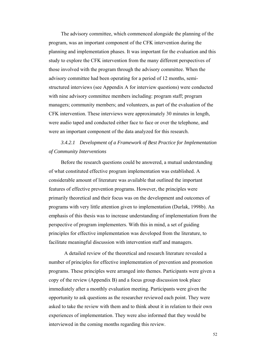The advisory committee, which commenced alongside the planning of the program, was an important component of the CFK intervention during the planning and implementation phases. It was important for the evaluation and this study to explore the CFK intervention from the many different perspectives of those involved with the program through the advisory committee. When the advisory committee had been operating for a period of 12 months, semistructured interviews (see Appendix A for interview questions) were conducted with nine advisory committee members including: program staff; program managers; community members; and volunteers, as part of the evaluation of the CFK intervention. These interviews were approximately 30 minutes in length, were audio taped and conducted either face to face or over the telephone, and were an important component of the data analyzed for this research.

# *3.4.2.1 Development of a Framework of Best Practice for Implementation of Community Interventions*

Before the research questions could be answered, a mutual understanding of what constituted effective program implementation was established. A considerable amount of literature was available that outlined the important features of effective prevention programs. However, the principles were primarily theoretical and their focus was on the development and outcomes of programs with very little attention given to implementation (Durlak, 1998b). An emphasis of this thesis was to increase understanding of implementation from the perspective of program implementers. With this in mind, a set of guiding principles for effective implementation was developed from the literature, to facilitate meaningful discussion with intervention staff and managers.

 A detailed review of the theoretical and research literature revealed a number of principles for effective implementation of prevention and promotion programs. These principles were arranged into themes. Participants were given a copy of the review (Appendix B) and a focus group discussion took place immediately after a monthly evaluation meeting. Participants were given the opportunity to ask questions as the researcher reviewed each point. They were asked to take the review with them and to think about it in relation to their own experiences of implementation. They were also informed that they would be interviewed in the coming months regarding this review.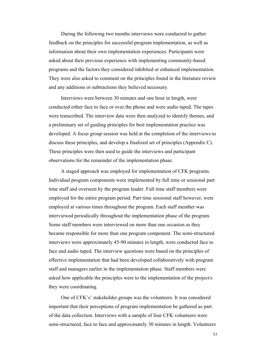During the following two months interviews were conducted to gather feedback on the principles for successful program implementation, as well as information about their own implementation experiences. Participants were asked about their previous experience with implementing community-based programs and the factors they considered inhibited or enhanced implementation. They were also asked to comment on the principles found in the literature review and any additions or subtractions they believed necessary.

Interviews were between 30 minutes and one hour in length, were conducted either face to face or over the phone and were audio taped. The tapes were transcribed. The interview data were then analyzed to identify themes, and a preliminary set of guiding principles for best implementation practice was developed. A focus group session was held at the completion of the interviews to discuss these principles, and develop a finalized set of principles (Appendix C). These principles were then used to guide the interviews and participant observations for the remainder of the implementation phase.

A staged approach was employed for implementation of CFK programs. Individual program components were implemented by full time or sessional part time staff and overseen by the program leader. Full time staff members were employed for the entire program period. Part time sessional staff however, were employed at various times throughout the program. Each staff member was interviewed periodically throughout the implementation phase of the program. Some staff members were interviewed on more than one occasion as they became responsible for more than one program component. The semi-structured interviews were approximately 45-90 minutes in length, were conducted face to face and audio taped. The interview questions were based on the principles of effective implementation that had been developed collaboratively with program staff and managers earlier in the implementation phase. Staff members were asked how applicable the principles were to the implementation of the project/s they were coordinating.

One of CFK's' stakeholder groups was the volunteers. It was considered important that their perceptions of program implementation be gathered as part of the data collection. Interviews with a sample of four CFK volunteers were semi-structured, face to face and approximately 30 minutes in length. Volunteers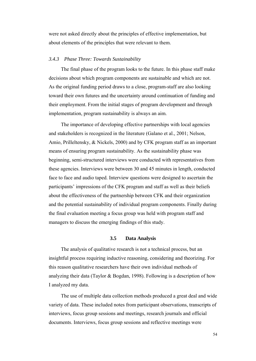were not asked directly about the principles of effective implementation, but about elements of the principles that were relevant to them.

## *3.4.3 Phase Three: Towards Sustainability*

The final phase of the program looks to the future. In this phase staff make decisions about which program components are sustainable and which are not. As the original funding period draws to a close, program-staff are also looking toward their own futures and the uncertainty around continuation of funding and their employment. From the initial stages of program development and through implementation, program sustainability is always an aim.

The importance of developing effective partnerships with local agencies and stakeholders is recognized in the literature (Galano et al., 2001; Nelson, Amio, Prilleltensky, & Nickels, 2000) and by CFK program staff as an important means of ensuring program sustainability. As the sustainability phase was beginning, semi-structured interviews were conducted with representatives from these agencies. Interviews were between 30 and 45 minutes in length, conducted face to face and audio taped. Interview questions were designed to ascertain the participants' impressions of the CFK program and staff as well as their beliefs about the effectiveness of the partnership between CFK and their organization and the potential sustainability of individual program components. Finally during the final evaluation meeting a focus group was held with program staff and managers to discuss the emerging findings of this study.

# **3.5 Data Analysis**

The analysis of qualitative research is not a technical process, but an insightful process requiring inductive reasoning, considering and theorizing. For this reason qualitative researchers have their own individual methods of analyzing their data (Taylor & Bogdan, 1998). Following is a description of how I analyzed my data.

The use of multiple data collection methods produced a great deal and wide variety of data. These included notes from participant observations, transcripts of interviews, focus group sessions and meetings, research journals and official documents. Interviews, focus group sessions and reflective meetings were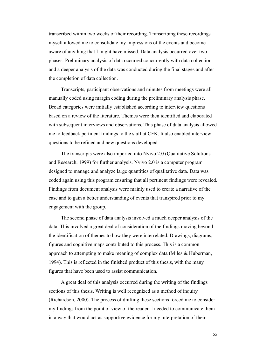transcribed within two weeks of their recording. Transcribing these recordings myself allowed me to consolidate my impressions of the events and become aware of anything that I might have missed. Data analysis occurred over two phases. Preliminary analysis of data occurred concurrently with data collection and a deeper analysis of the data was conducted during the final stages and after the completion of data collection.

Transcripts, participant observations and minutes from meetings were all manually coded using margin coding during the preliminary analysis phase. Broad categories were initially established according to interview questions based on a review of the literature. Themes were then identified and elaborated with subsequent interviews and observations. This phase of data analysis allowed me to feedback pertinent findings to the staff at CFK. It also enabled interview questions to be refined and new questions developed.

The transcripts were also imported into Nvivo 2.0 (Qualitative Solutions and Research, 1999) for further analysis. Nvivo 2.0 is a computer program designed to manage and analyze large quantities of qualitative data. Data was coded again using this program ensuring that all pertinent findings were revealed. Findings from document analysis were mainly used to create a narrative of the case and to gain a better understanding of events that transpired prior to my engagement with the group.

The second phase of data analysis involved a much deeper analysis of the data. This involved a great deal of consideration of the findings moving beyond the identification of themes to how they were interrelated. Drawings, diagrams, figures and cognitive maps contributed to this process. This is a common approach to attempting to make meaning of complex data (Miles & Huberman, 1994). This is reflected in the finished product of this thesis, with the many figures that have been used to assist communication.

A great deal of this analysis occurred during the writing of the findings sections of this thesis. Writing is well recognized as a method of inquiry (Richardson, 2000). The process of drafting these sections forced me to consider my findings from the point of view of the reader. I needed to communicate them in a way that would act as supportive evidence for my interpretation of their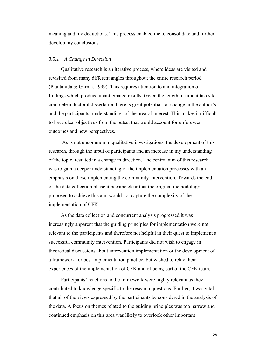meaning and my deductions. This process enabled me to consolidate and further develop my conclusions.

#### *3.5.1 A Change in Direction*

Qualitative research is an iterative process, where ideas are visited and revisited from many different angles throughout the entire research period (Piantanida & Garma, 1999). This requires attention to and integration of findings which produce unanticipated results. Given the length of time it takes to complete a doctoral dissertation there is great potential for change in the author's and the participants' understandings of the area of interest. This makes it difficult to have clear objectives from the outset that would account for unforeseen outcomes and new perspectives.

 As is not uncommon in qualitative investigations, the development of this research, through the input of participants and an increase in my understanding of the topic, resulted in a change in direction. The central aim of this research was to gain a deeper understanding of the implementation processes with an emphasis on those implementing the community intervention. Towards the end of the data collection phase it became clear that the original methodology proposed to achieve this aim would not capture the complexity of the implementation of CFK.

As the data collection and concurrent analysis progressed it was increasingly apparent that the guiding principles for implementation were not relevant to the participants and therefore not helpful in their quest to implement a successful community intervention. Participants did not wish to engage in theoretical discussions about intervention implementation or the development of a framework for best implementation practice, but wished to relay their experiences of the implementation of CFK and of being part of the CFK team.

Participants' reactions to the framework were highly relevant as they contributed to knowledge specific to the research questions. Further, it was vital that all of the views expressed by the participants be considered in the analysis of the data. A focus on themes related to the guiding principles was too narrow and continued emphasis on this area was likely to overlook other important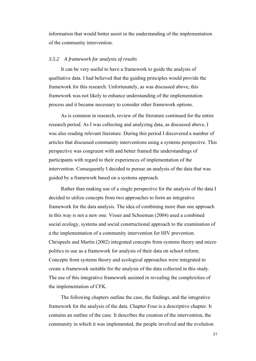information that would better assist in the understanding of the implementation of the community intervention.

#### *3.5.2 A framework for analysis of results*

It can be very useful to have a framework to guide the analysis of qualitative data. I had believed that the guiding principles would provide the framework for this research. Unfortunately, as was discussed above, this framework was not likely to enhance understanding of the implementation process and it became necessary to consider other framework options.

As is common in research, review of the literature continued for the entire research period. As I was collecting and analyzing data, as discussed above, I was also reading relevant literature. During this period I discovered a number of articles that discussed community interventions using a systems perspective. This perspective was congruent with and better framed the understandings of participants with regard to their experiences of implementation of the intervention. Consequently I decided to pursue an analysis of the data that was guided by a framework based on a systems approach.

Rather than making use of a single perspective for the analysis of the data I decided to utilize concepts from two approaches to form an integrative framework for the data analysis. The idea of combining more than one approach in this way is not a new one. Visser and Schoeman (2004) used a combined social ecology, systems and social constructional approach to the examination of a the implementation of a community intervention for HIV prevention. Chrispeels and Martin (2002) integrated concepts from systems theory and micro politics to use as a framework for analysis of their data on school reform. Concepts from systems theory and ecological approaches were integrated to create a framework suitable for the analysis of the data collected in this study. The use of this integrative framework assisted in revealing the complexities of the implementation of CFK.

The following chapters outline the case, the findings, and the integrative framework for the analysis of the data. Chapter Four is a descriptive chapter. It contains an outline of the case. It describes the creation of the intervention, the community in which it was implemented, the people involved and the evolution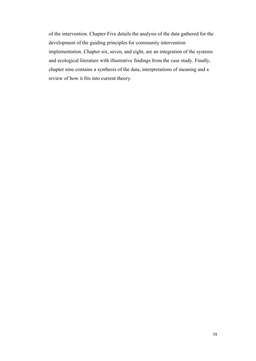of the intervention. Chapter Five details the analysis of the data gathered for the development of the guiding principles for community intervention implementation. Chapter six, seven, and eight, are an integration of the systems and ecological literature with illustrative findings from the case study. Finally, chapter nine contains a synthesis of the data, interpretations of meaning and a review of how it fits into current theory.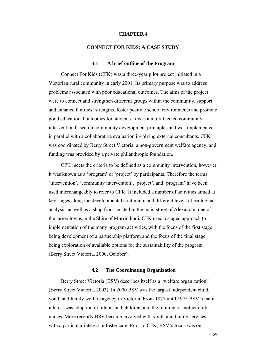#### **CHAPTER 4**

# **CONNECT FOR KIDS: A CASE STUDY**

#### **4.1 A brief outline of the Program**

Connect For Kids (CFK) was a three-year pilot project initiated in a Victorian rural community in early 2001. Its primary purpose was to address problems associated with poor educational outcomes. The aims of the project were to connect and strengthen different groups within the community, support and enhance families' strengths, foster positive school environments and promote good educational outcomes for students. It was a multi faceted community intervention based on community development principles and was implemented in parallel with a collaborative evaluation involving external consultants. CFK was coordinated by Berry Street Victoria, a non-government welfare agency, and funding was provided by a private philanthropic foundation.

CFK meets the criteria to be defined as a community intervention, however it was known as a 'program' or 'project' by participants. Therefore the terms 'intervention', 'community intervention', 'project', and 'program' have been used interchangeably to refer to CFK. It included a number of activities aimed at key stages along the developmental continuum and different levels of ecological analysis, as well as a shop front located in the main street of Alexandra, one of the larger towns in the Shire of Murrindindi. CFK used a staged approach to implementation of the many program activities, with the focus of the first stage being development of a partnership platform and the focus of the final stage being exploration of available options for the sustainability of the program (Berry Street Victoria, 2000, October).

# **4.2 The Coordinating Organization**

Berry Street Victoria (BSV) describes itself as a "welfare organization" (Berry Street Victoria, 2003). In 2000 BSV was the largest independent child, youth and family welfare agency in Victoria. From 1877 until 1975 BSV's main interest was adoption of infants and children, and the training of mother craft nurses. More recently BSV became involved with youth and family services, with a particular interest in foster care. Prior to CFK, BSV's focus was on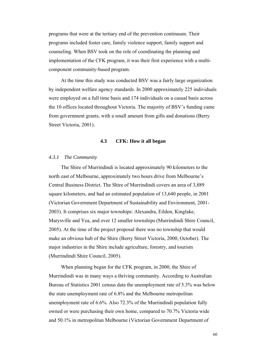programs that were at the tertiary end of the prevention continuum. Their programs included foster care, family violence support, family support and counseling. When BSV took on the role of coordinating the planning and implementation of the CFK program, it was their first experience with a multicomponent community-based program.

At the time this study was conducted BSV was a fairly large organization by independent welfare agency standards. In 2000 approximately 225 individuals were employed on a full time basis and 174 individuals on a casual basis across the 10 offices located throughout Victoria. The majority of BSV's funding came from government grants, with a small amount from gifts and donations (Berry Street Victoria, 2001).

### **4.3 CFK: How it all began**

## *4.3.1 The Community*

The Shire of Murrindindi is located approximately 90 kilometers to the north east of Melbourne, approximately two hours drive from Melbourne's Central Business District. The Shire of Murrindindi covers an area of 3,889 square kilometers, and had an estimated population of 13,640 people, in 2001 (Victorian Government Department of Sustainability and Environment, 2001- 2003). It comprises six major townships: Alexandra, Eildon, Kinglake, Marysville and Yea, and over 12 smaller townships (Murrindindi Shire Council, 2005). At the time of the project proposal there was no township that would make an obvious hub of the Shire (Berry Street Victoria, 2000, October). The major industries in the Shire include agriculture, forestry, and tourism (Murrindindi Shire Council, 2005).

When planning began for the CFK program, in 2000, the Shire of Murrindindi was in many ways a thriving community. According to Australian Bureau of Statistics 2001 census data the unemployment rate of 5.3% was below the state unemployment rate of 6.8% and the Melbourne metropolitan unemployment rate of 6.6%. Also 72.3% of the Murrindindi population fully owned or were purchasing their own home, compared to 70.7% Victoria wide and 50.1% in metropolitan Melbourne (Victorian Government Department of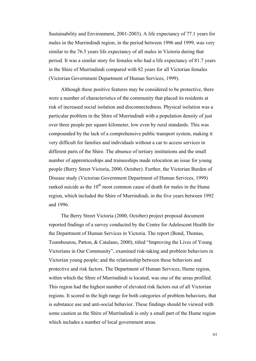Sustainability and Environment, 2001-2003). A life expectancy of 77.1 years for males in the Murrindindi region, in the period between 1996 and 1999, was very similar to the 76.5 years life expectancy of all males in Victoria during that period. It was a similar story for females who had a life expectancy of 81.7 years in the Shire of Murrindindi compared with 82 years for all Victorian females (Victorian Government Department of Human Services, 1999).

Although these positive features may be considered to be protective, there were a number of characteristics of the community that placed its residents at risk of increased social isolation and disconnectedness. Physical isolation was a particular problem in the Shire of Murrindindi with a population density of just over three people per square kilometer, low even by rural standards. This was compounded by the lack of a comprehensive public transport system, making it very difficult for families and individuals without a car to access services in different parts of the Shire. The absence of tertiary institutions and the small number of apprenticeships and traineeships made relocation an issue for young people (Berry Street Victoria, 2000, October). Further, the Victorian Burden of Disease study (Victorian Government Department of Human Services, 1999) ranked suicide as the  $10<sup>th</sup>$  most common cause of death for males in the Hume region, which included the Shire of Murrindindi, in the five years between 1992 and 1996.

The Berry Street Victoria (2000, October) project proposal document reported findings of a survey conducted by the Centre for Adolescent Health for the Department of Human Services in Victoria. The report (Bond, Thomas, Toumbourou, Patton, & Catalano, 2000), titled "Improving the Lives of Young Victorians in Our Community", examined risk-taking and problem behaviors in Victorian young people; and the relationship between these behaviors and protective and risk factors. The Department of Human Services, Hume region, within which the Shire of Murrindindi is located, was one of the areas profiled. This region had the highest number of elevated risk factors out of all Victorian regions. It scored in the high range for both categories of problem behaviors, that is substance use and anti-social behavior. These findings should be viewed with some caution as the Shire of Murrindindi is only a small part of the Hume region which includes a number of local government areas.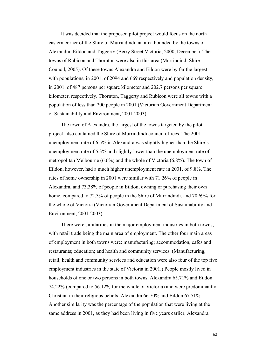It was decided that the proposed pilot project would focus on the north eastern corner of the Shire of Murrindindi, an area bounded by the towns of Alexandra, Eildon and Taggerty (Berry Street Victoria, 2000, December). The towns of Rubicon and Thornton were also in this area (Murrindindi Shire Council, 2005). Of these towns Alexandra and Eildon were by far the largest with populations, in 2001, of 2094 and 669 respectively and population density, in 2001, of 487 persons per square kilometer and 202.7 persons per square kilometer, respectively. Thornton, Taggerty and Rubicon were all towns with a population of less than 200 people in 2001 (Victorian Government Department of Sustainability and Environment, 2001-2003).

The town of Alexandra, the largest of the towns targeted by the pilot project, also contained the Shire of Murrindindi council offices. The 2001 unemployment rate of 6.5% in Alexandra was slightly higher than the Shire's unemployment rate of 5.3% and slightly lower than the unemployment rate of metropolitan Melbourne (6.6%) and the whole of Victoria (6.8%). The town of Eildon, however, had a much higher unemployment rate in 2001, of 9.8%. The rates of home ownership in 2001 were similar with 71.26% of people in Alexandra, and 73.38% of people in Eildon, owning or purchasing their own home, compared to 72.3% of people in the Shire of Murrindindi, and 70.69% for the whole of Victoria (Victorian Government Department of Sustainability and Environment, 2001-2003).

There were similarities in the major employment industries in both towns, with retail trade being the main area of employment. The other four main areas of employment in both towns were: manufacturing; accommodation, cafes and restaurants; education; and health and community services. (Manufacturing, retail, health and community services and education were also four of the top five employment industries in the state of Victoria in 2001.) People mostly lived in households of one or two persons in both towns, Alexandra 65.71% and Eildon 74.22% (compared to 56.12% for the whole of Victoria) and were predominantly Christian in their religious beliefs, Alexandra 66.70% and Eildon 67.51%. Another similarity was the percentage of the population that were living at the same address in 2001, as they had been living in five years earlier, Alexandra

62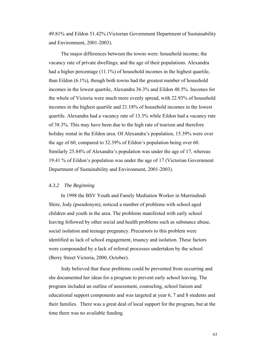49.81% and Eildon 51.42% (Victorian Government Department of Sustainability and Environment, 2001-2003).

The major differences between the towns were: household income; the vacancy rate of private dwellings; and the age of their populations. Alexandra had a higher percentage (11.1%) of household incomes in the highest quartile, than Eildon (6.1%), though both towns had the greatest number of household incomes in the lowest quartile, Alexandra 36.3% and Eildon 48.5%. Incomes for the whole of Victoria were much more evenly spread, with 22.93% of household incomes in the highest quartile and 21.18% of household incomes in the lowest quartile. Alexandra had a vacancy rate of 13.3% while Eildon had a vacancy rate of 38.3%. This may have been due to the high rate of tourism and therefore holiday rental in the Eildon area. Of Alexandra's population, 15.39% were over the age of 60, compared to 32.39% of Eildon's population being over 60. Similarly 25.84% of Alexandra's population was under the age of 17, whereas 19.41 % of Eildon's population was under the age of 17 (Victorian Government Department of Sustainability and Environment, 2001-2003).

# *4.3.2 The Beginning*

In 1998 the BSV Youth and Family Mediation Worker in Murrindindi Shire, Jody (pseudonym), noticed a number of problems with school aged children and youth in the area. The problems manifested with early school leaving followed by other social and health problems such as substance abuse, social isolation and teenage pregnancy. Precursors to this problem were identified as lack of school engagement, truancy and isolation. These factors were compounded by a lack of referral processes undertaken by the school (Berry Street Victoria, 2000, October).

Jody believed that these problems could be prevented from occurring and she documented her ideas for a program to prevent early school leaving. The program included an outline of assessment, counseling, school liaison and educational support components and was targeted at year 6, 7 and 8 students and their families. There was a great deal of local support for the program, but at the time there was no available funding.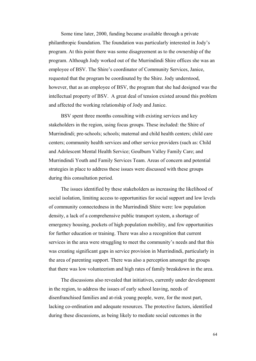Some time later, 2000, funding became available through a private philanthropic foundation. The foundation was particularly interested in Jody's program. At this point there was some disagreement as to the ownership of the program. Although Jody worked out of the Murrindindi Shire offices she was an employee of BSV. The Shire's coordinator of Community Services, Janice, requested that the program be coordinated by the Shire. Jody understood, however, that as an employee of BSV, the program that she had designed was the intellectual property of BSV. A great deal of tension existed around this problem and affected the working relationship of Jody and Janice.

BSV spent three months consulting with existing services and key stakeholders in the region, using focus groups. These included: the Shire of Murrindindi; pre-schools; schools; maternal and child health centers; child care centers; community health services and other service providers (such as: Child and Adolescent Mental Health Service; Goulburn Valley Family Care; and Murrindindi Youth and Family Services Team. Areas of concern and potential strategies in place to address these issues were discussed with these groups during this consultation period.

The issues identified by these stakeholders as increasing the likelihood of social isolation, limiting access to opportunities for social support and low levels of community connectedness in the Murrindindi Shire were: low population density, a lack of a comprehensive public transport system, a shortage of emergency housing, pockets of high population mobility, and few opportunities for further education or training. There was also a recognition that current services in the area were struggling to meet the community's needs and that this was creating significant gaps in service provision in Murrindindi, particularly in the area of parenting support. There was also a perception amongst the groups that there was low volunteerism and high rates of family breakdown in the area.

The discussions also revealed that initiatives, currently under development in the region, to address the issues of early school leaving, needs of disenfranchised families and at-risk young people, were, for the most part, lacking co-ordination and adequate resources. The protective factors, identified during these discussions, as being likely to mediate social outcomes in the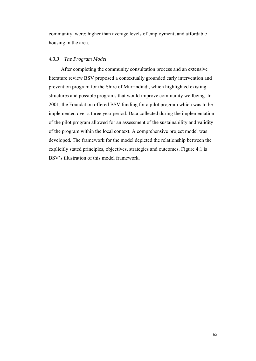community, were: higher than average levels of employment; and affordable housing in the area.

# *4.3.3 The Program Model*

After completing the community consultation process and an extensive literature review BSV proposed a contextually grounded early intervention and prevention program for the Shire of Murrindindi, which highlighted existing structures and possible programs that would improve community wellbeing. In 2001, the Foundation offered BSV funding for a pilot program which was to be implemented over a three year period. Data collected during the implementation of the pilot program allowed for an assessment of the sustainability and validity of the program within the local context. A comprehensive project model was developed. The framework for the model depicted the relationship between the explicitly stated principles, objectives, strategies and outcomes. Figure 4.1 is BSV's illustration of this model framework.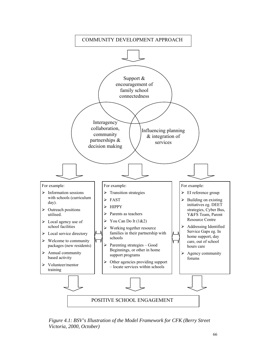

*Figure 4.1: BSV's Illustration of the Model Framework for CFK (Berry Street Victoria, 2000, October)*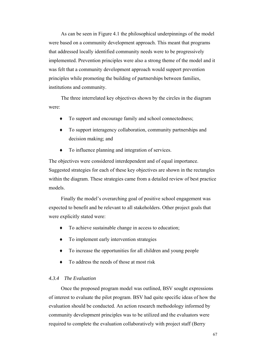As can be seen in Figure 4.1 the philosophical underpinnings of the model were based on a community development approach. This meant that programs that addressed locally identified community needs were to be progressively implemented. Prevention principles were also a strong theme of the model and it was felt that a community development approach would support prevention principles while promoting the building of partnerships between families, institutions and community.

The three interrelated key objectives shown by the circles in the diagram were:

- ♦ To support and encourage family and school connectedness;
- ♦ To support interagency collaboration, community partnerships and decision making; and
- ♦ To influence planning and integration of services.

The objectives were considered interdependent and of equal importance. Suggested strategies for each of these key objectives are shown in the rectangles within the diagram. These strategies came from a detailed review of best practice models.

Finally the model's overarching goal of positive school engagement was expected to benefit and be relevant to all stakeholders. Other project goals that were explicitly stated were:

- ♦ To achieve sustainable change in access to education;
- ♦ To implement early intervention strategies
- ♦ To increase the opportunities for all children and young people
- ♦ To address the needs of those at most risk

## *4.3.4 The Evaluation*

Once the proposed program model was outlined, BSV sought expressions of interest to evaluate the pilot program. BSV had quite specific ideas of how the evaluation should be conducted. An action research methodology informed by community development principles was to be utilized and the evaluators were required to complete the evaluation collaboratively with project staff (Berry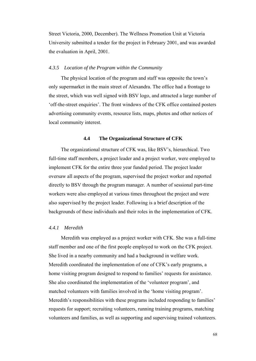Street Victoria, 2000, December). The Wellness Promotion Unit at Victoria University submitted a tender for the project in February 2001, and was awarded the evaluation in April, 2001.

### *4.3.5 Location of the Program within the Community*

The physical location of the program and staff was opposite the town's only supermarket in the main street of Alexandra. The office had a frontage to the street, which was well signed with BSV logo, and attracted a large number of 'off-the-street enquiries'. The front windows of the CFK office contained posters advertising community events, resource lists, maps, photos and other notices of local community interest.

# **4.4 The Organizational Structure of CFK**

The organizational structure of CFK was, like BSV's, hierarchical. Two full-time staff members, a project leader and a project worker, were employed to implement CFK for the entire three year funded period. The project leader oversaw all aspects of the program, supervised the project worker and reported directly to BSV through the program manager. A number of sessional part-time workers were also employed at various times throughout the project and were also supervised by the project leader. Following is a brief description of the backgrounds of these individuals and their roles in the implementation of CFK.

# *4.4.1 Meredith*

Meredith was employed as a project worker with CFK. She was a full-time staff member and one of the first people employed to work on the CFK project. She lived in a nearby community and had a background in welfare work. Meredith coordinated the implementation of one of CFK's early programs, a home visiting program designed to respond to families' requests for assistance. She also coordinated the implementation of the 'volunteer program', and matched volunteers with families involved in the 'home visiting program'. Meredith's responsibilities with these programs included responding to families' requests for support; recruiting volunteers, running training programs, matching volunteers and families, as well as supporting and supervising trained volunteers.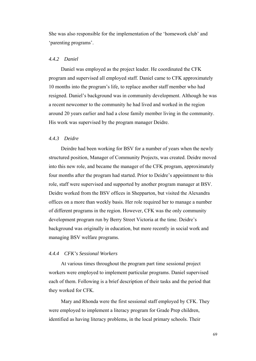She was also responsible for the implementation of the 'homework club' and 'parenting programs'.

## *4.4.2 Daniel*

Daniel was employed as the project leader. He coordinated the CFK program and supervised all employed staff. Daniel came to CFK approximately 10 months into the program's life, to replace another staff member who had resigned. Daniel's background was in community development. Although he was a recent newcomer to the community he had lived and worked in the region around 20 years earlier and had a close family member living in the community. His work was supervised by the program manager Deidre.

#### *4.4.3 Deidre*

Deirdre had been working for BSV for a number of years when the newly structured position, Manager of Community Projects, was created. Deidre moved into this new role, and became the manager of the CFK program, approximately four months after the program had started. Prior to Deidre's appointment to this role, staff were supervised and supported by another program manager at BSV. Deidre worked from the BSV offices in Shepparton, but visited the Alexandra offices on a more than weekly basis. Her role required her to manage a number of different programs in the region. However, CFK was the only community development program run by Berry Street Victoria at the time. Deidre's background was originally in education, but more recently in social work and managing BSV welfare programs.

## *4.4.4 CFK's Sessional Workers*

At various times throughout the program part time sessional project workers were employed to implement particular programs. Daniel supervised each of them. Following is a brief description of their tasks and the period that they worked for CFK.

Mary and Rhonda were the first sessional staff employed by CFK. They were employed to implement a literacy program for Grade Prep children, identified as having literacy problems, in the local primary schools. Their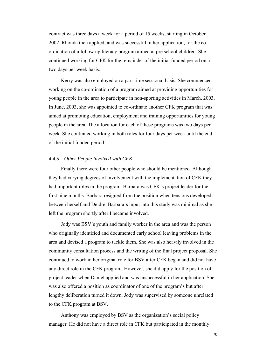contract was three days a week for a period of 15 weeks, starting in October 2002. Rhonda then applied, and was successful in her application, for the coordination of a follow up literacy program aimed at pre school children. She continued working for CFK for the remainder of the initial funded period on a two days per week basis.

Kerry was also employed on a part-time sessional basis. She commenced working on the co-ordination of a program aimed at providing opportunities for young people in the area to participate in non-sporting activities in March, 2003. In June, 2003, she was appointed to co-ordinate another CFK program that was aimed at promoting education, employment and training opportunities for young people in the area. The allocation for each of these programs was two days per week. She continued working in both roles for four days per week until the end of the initial funded period.

### *4.4.5 Other People Involved with CFK*

Finally there were four other people who should be mentioned. Although they had varying degrees of involvement with the implementation of CFK they had important roles in the program. Barbara was CFK's project leader for the first nine months. Barbara resigned from the position when tensions developed between herself and Deidre. Barbara's input into this study was minimal as she left the program shortly after I became involved.

Jody was BSV's youth and family worker in the area and was the person who originally identified and documented early school leaving problems in the area and devised a program to tackle them. She was also heavily involved in the community consultation process and the writing of the final project proposal. She continued to work in her original role for BSV after CFK began and did not have any direct role in the CFK program. However, she did apply for the position of project leader when Daniel applied and was unsuccessful in her application. She was also offered a position as coordinator of one of the program's but after lengthy deliberation turned it down. Jody was supervised by someone unrelated to the CFK program at BSV.

Anthony was employed by BSV as the organization's social policy manager. He did not have a direct role in CFK but participated in the monthly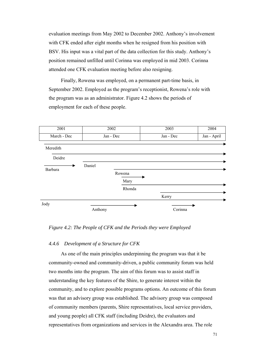evaluation meetings from May 2002 to December 2002. Anthony's involvement with CFK ended after eight months when he resigned from his position with BSV. His input was a vital part of the data collection for this study. Anthony's position remained unfilled until Corinna was employed in mid 2003. Corinna attended one CFK evaluation meeting before also resigning.

Finally, Rowena was employed, on a permanent part-time basis, in September 2002. Employed as the program's receptionist, Rowena's role with the program was as an administrator. Figure 4.2 shows the periods of employment for each of these people.



# *Figure 4.2: The People of CFK and the Periods they were Employed*

## *4.4.6 Development of a Structure for CFK*

As one of the main principles underpinning the program was that it be community-owned and community-driven, a public community forum was held two months into the program. The aim of this forum was to assist staff in understanding the key features of the Shire, to generate interest within the community, and to explore possible programs options. An outcome of this forum was that an advisory group was established. The advisory group was composed of community members (parents, Shire representatives, local service providers, and young people) all CFK staff (including Deidre), the evaluators and representatives from organizations and services in the Alexandra area. The role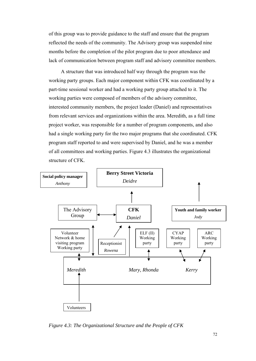of this group was to provide guidance to the staff and ensure that the program reflected the needs of the community. The Advisory group was suspended nine months before the completion of the pilot program due to poor attendance and lack of communication between program staff and advisory committee members.

A structure that was introduced half way through the program was the working party groups. Each major component within CFK was coordinated by a part-time sessional worker and had a working party group attached to it. The working parties were composed of members of the advisory committee, interested community members, the project leader (Daniel) and representatives from relevant services and organizations within the area. Meredith, as a full time project worker, was responsible for a number of program components, and also had a single working party for the two major programs that she coordinated. CFK program staff reported to and were supervised by Daniel, and he was a member of all committees and working parties. Figure 4.3 illustrates the organizational structure of CFK.



*Figure 4.3: The Organizational Structure and the People of CFK*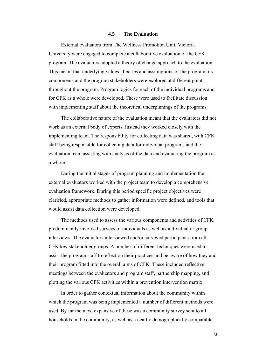#### **4.5 The Evaluation**

External evaluators from The Wellness Promotion Unit, Victoria University were engaged to complete a collaborative evaluation of the CFK program. The evaluators adopted a theory of change approach to the evaluation. This meant that underlying values, theories and assumptions of the program, its components and the program stakeholders were explored at different points throughout the program. Program logics for each of the individual programs and for CFK as a whole were developed. These were used to facilitate discussion with implementing staff about the theoretical underpinnings of the programs.

The collaborative nature of the evaluation meant that the evaluators did not work as an external body of experts. Instead they worked closely with the implementing team. The responsibility for collecting data was shared, with CFK staff being responsible for collecting data for individual programs and the evaluation team assisting with analysis of the data and evaluating the program as a whole.

During the initial stages of program planning and implementation the external evaluators worked with the project team to develop a comprehensive evaluation framework. During this period specific project objectives were clarified, appropriate methods to gather information were defined, and tools that would assist data collection were developed.

The methods used to assess the various components and activities of CFK predominantly involved surveys of individuals as well as individual or group interviews. The evaluators interviewed and/or surveyed participants from all CFK key stakeholder groups. A number of different techniques were used to assist the program staff to reflect on their practices and be aware of how they and their program fitted into the overall aims of CFK. These included reflective meetings between the evaluators and program staff, partnership mapping, and plotting the various CFK activities within a prevention intervention matrix.

In order to gather contextual information about the community within which the program was being implemented a number of different methods were used. By far the most expansive of these was a community survey sent to all households in the community, as well as a nearby demographically comparable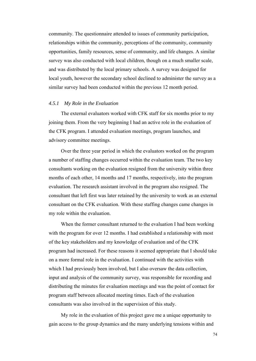community. The questionnaire attended to issues of community participation, relationships within the community, perceptions of the community, community opportunities, family resources, sense of community, and life changes. A similar survey was also conducted with local children, though on a much smaller scale, and was distributed by the local primary schools. A survey was designed for local youth, however the secondary school declined to administer the survey as a similar survey had been conducted within the previous 12 month period.

#### *4.5.1 My Role in the Evaluation*

The external evaluators worked with CFK staff for six months prior to my joining them. From the very beginning I had an active role in the evaluation of the CFK program. I attended evaluation meetings, program launches, and advisory committee meetings.

Over the three year period in which the evaluators worked on the program a number of staffing changes occurred within the evaluation team. The two key consultants working on the evaluation resigned from the university within three months of each other, 14 months and 17 months, respectively, into the program evaluation. The research assistant involved in the program also resigned. The consultant that left first was later retained by the university to work as an external consultant on the CFK evaluation. With these staffing changes came changes in my role within the evaluation.

When the former consultant returned to the evaluation I had been working with the program for over 12 months. I had established a relationship with most of the key stakeholders and my knowledge of evaluation and of the CFK program had increased. For these reasons it seemed appropriate that I should take on a more formal role in the evaluation. I continued with the activities with which I had previously been involved, but I also oversaw the data collection, input and analysis of the community survey, was responsible for recording and distributing the minutes for evaluation meetings and was the point of contact for program staff between allocated meeting times. Each of the evaluation consultants was also involved in the supervision of this study.

My role in the evaluation of this project gave me a unique opportunity to gain access to the group dynamics and the many underlying tensions within and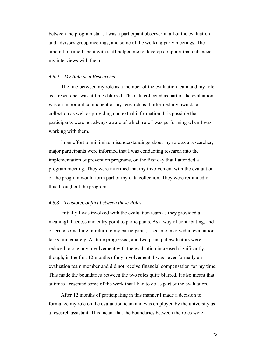between the program staff. I was a participant observer in all of the evaluation and advisory group meetings, and some of the working party meetings. The amount of time I spent with staff helped me to develop a rapport that enhanced my interviews with them.

#### *4.5.2 My Role as a Researcher*

The line between my role as a member of the evaluation team and my role as a researcher was at times blurred. The data collected as part of the evaluation was an important component of my research as it informed my own data collection as well as providing contextual information. It is possible that participants were not always aware of which role I was performing when I was working with them.

In an effort to minimize misunderstandings about my role as a researcher, major participants were informed that I was conducting research into the implementation of prevention programs, on the first day that I attended a program meeting. They were informed that my involvement with the evaluation of the program would form part of my data collection. They were reminded of this throughout the program.

#### *4.5.3 Tension/Conflict between these Roles*

Initially I was involved with the evaluation team as they provided a meaningful access and entry point to participants. As a way of contributing, and offering something in return to my participants, I became involved in evaluation tasks immediately. As time progressed, and two principal evaluators were reduced to one, my involvement with the evaluation increased significantly, though, in the first 12 months of my involvement, I was never formally an evaluation team member and did not receive financial compensation for my time. This made the boundaries between the two roles quite blurred. It also meant that at times I resented some of the work that I had to do as part of the evaluation.

After 12 months of participating in this manner I made a decision to formalize my role on the evaluation team and was employed by the university as a research assistant. This meant that the boundaries between the roles were a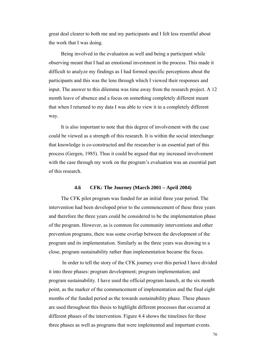great deal clearer to both me and my participants and I felt less resentful about the work that I was doing.

Being involved in the evaluation as well and being a participant while observing meant that I had an emotional investment in the process. This made it difficult to analyze my findings as I had formed specific perceptions about the participants and this was the lens through which I viewed their responses and input. The answer to this dilemma was time away from the research project. A 12 month leave of absence and a focus on something completely different meant that when I returned to my data I was able to view it in a completely different way.

It is also important to note that this degree of involvement with the case could be viewed as a strength of this research. It is within the social interchange that knowledge is co-constructed and the researcher is an essential part of this process (Gergen, 1985). Thus it could be argued that my increased involvement with the case through my work on the program's evaluation was an essential part of this research.

#### **4.6 CFK: The Journey (March 2001 – April 2004)**

The CFK pilot program was funded for an initial three year period. The intervention had been developed prior to the commencement of these three years and therefore the three years could be considered to be the implementation phase of the program. However, as is common for community interventions and other prevention programs, there was some overlap between the development of the program and its implementation. Similarly as the three years was drawing to a close, program sustainability rather than implementation became the focus.

 In order to tell the story of the CFK journey over this period I have divided it into three phases: program development; program implementation; and program sustainability. I have used the official program launch, at the six month point, as the marker of the commencement of implementation and the final eight months of the funded period as the towards sustainability phase. These phases are used throughout this thesis to highlight different processes that occurred at different phases of the intervention. Figure 4.4 shows the timelines for these three phases as well as programs that were implemented and important events.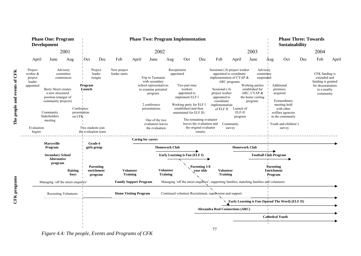| <b>Phase One: Program</b><br><b>Development</b><br>2001                                                                                                                                                                                                                                       |                   |                                                                                                                               | <b>Phase Two: Program Implementation</b>  |                                                  |                                     |                                                                                                                                                                                                                                                                                                                                                                                                                                                                  |                                     |                                                       |                                                                                                                                                                                                                                                                                                                                                                                            |                                     |                                                          |                                                                                                                                                             | <b>Phase Three: Towards</b><br><b>Sustainability</b> |                        |                                                                                                       |     |       |
|-----------------------------------------------------------------------------------------------------------------------------------------------------------------------------------------------------------------------------------------------------------------------------------------------|-------------------|-------------------------------------------------------------------------------------------------------------------------------|-------------------------------------------|--------------------------------------------------|-------------------------------------|------------------------------------------------------------------------------------------------------------------------------------------------------------------------------------------------------------------------------------------------------------------------------------------------------------------------------------------------------------------------------------------------------------------------------------------------------------------|-------------------------------------|-------------------------------------------------------|--------------------------------------------------------------------------------------------------------------------------------------------------------------------------------------------------------------------------------------------------------------------------------------------------------------------------------------------------------------------------------------------|-------------------------------------|----------------------------------------------------------|-------------------------------------------------------------------------------------------------------------------------------------------------------------|------------------------------------------------------|------------------------|-------------------------------------------------------------------------------------------------------|-----|-------|
|                                                                                                                                                                                                                                                                                               |                   |                                                                                                                               |                                           | 2002                                             |                                     |                                                                                                                                                                                                                                                                                                                                                                                                                                                                  |                                     |                                                       |                                                                                                                                                                                                                                                                                                                                                                                            |                                     |                                                          |                                                                                                                                                             | 2003                                                 | 2004                   |                                                                                                       |     |       |
| April                                                                                                                                                                                                                                                                                         | June              | Aug                                                                                                                           | $\cdot$ Oct                               | Dec                                              | Feb                                 | April                                                                                                                                                                                                                                                                                                                                                                                                                                                            | June                                | Aug                                                   | Oct                                                                                                                                                                                                                                                                                                                                                                                        | Dec                                 | Feb                                                      | April                                                                                                                                                       | June                                                 | Oct<br>Aug             | Dec                                                                                                   | Feb | April |
| Project<br>Advisory<br>worker &<br>committee<br>project<br>commences<br>leader<br>appointed<br>Berry Street creates<br>a new structured<br>position (manger of<br>community projects)<br>Conference<br>Community<br>presentation<br>Stakeholders<br>on CFK<br>meeting<br>Evaluation<br>begins |                   | Project<br>New project<br>leader<br>leader starts<br>resigns<br>Program<br>Launch<br>Two students join<br>the evaluation team |                                           |                                                  |                                     | Receptionist<br>appointed<br>Trip to Tasmania<br>with secondary<br>Two part time<br>school representatives<br>workers<br>to examine potential<br>appointed to<br>program<br>implement ELF I<br>2 conference<br>Working party for ELF I<br>established (and then<br>presentations<br>maintained for ELF II)<br>The remaining evaluator<br>One of the two<br>leaves the evaluation and<br>evaluators leaves<br>the original evaluator<br>the evaluation<br>returns |                                     |                                                       | Sessional (.8) project worker<br>Advisory<br>appointed to coordinate<br>committee<br>implementation of CYAP &<br>suspended<br>ARC programs<br>Working parties<br>Sessional (.4)<br>established for<br>project worker<br>ARC, CYAP &<br>appointed to<br>the home visiting<br>coordinate<br>program.<br>implementation<br>Launch of<br>of ELF II<br>ELF-II<br>program<br>Community<br>survey |                                     |                                                          | Additional<br>premises<br>acquired<br>Extraordinary<br>meeting held<br>with other<br>welfare agencies<br>in the community<br>Youth and children's<br>survey |                                                      |                        | CFK funding is<br>extended and<br>funding is granted<br>for dissemination<br>to a nearby<br>community |     |       |
|                                                                                                                                                                                                                                                                                               | <b>Marysville</b> |                                                                                                                               | Grade 6                                   |                                                  |                                     | <b>Caring for carers</b>                                                                                                                                                                                                                                                                                                                                                                                                                                         |                                     |                                                       |                                                                                                                                                                                                                                                                                                                                                                                            |                                     |                                                          |                                                                                                                                                             |                                                      |                        |                                                                                                       |     |       |
| Program<br><b>Secondary School</b>                                                                                                                                                                                                                                                            |                   |                                                                                                                               | girls group                               |                                                  |                                     |                                                                                                                                                                                                                                                                                                                                                                                                                                                                  |                                     | <b>Homework Club</b><br>Early Learning is Fun (ELF I) |                                                                                                                                                                                                                                                                                                                                                                                            |                                     | <b>Homework Club</b>                                     |                                                                                                                                                             | <b>Football Club Program</b>                         |                        |                                                                                                       |     |       |
| <b>Alternative</b><br>program<br>Raising<br>boys<br>Managing 'off the street enquirles'                                                                                                                                                                                                       |                   |                                                                                                                               | <b>Parenting</b><br>enrichment<br>program |                                                  | <b>Volunteer</b><br><b>Training</b> |                                                                                                                                                                                                                                                                                                                                                                                                                                                                  | <b>Volunteer</b><br><b>Training</b> |                                                       | Parenting 3-8<br>year olds                                                                                                                                                                                                                                                                                                                                                                 | <b>Volunteer</b><br><b>Training</b> |                                                          |                                                                                                                                                             | <b>Parenting</b><br><b>Enrichment</b><br>Program     |                        |                                                                                                       |     |       |
|                                                                                                                                                                                                                                                                                               |                   |                                                                                                                               |                                           |                                                  | <b>Family Support Program</b>       |                                                                                                                                                                                                                                                                                                                                                                                                                                                                  |                                     |                                                       |                                                                                                                                                                                                                                                                                                                                                                                            |                                     |                                                          | Managing 'off the street enquiries', supporting families, matching families and volunteers                                                                  |                                                      |                        |                                                                                                       |     |       |
| <b>Recruiting Volunteers</b>                                                                                                                                                                                                                                                                  |                   |                                                                                                                               |                                           |                                                  |                                     | <b>Home Visiting Program</b>                                                                                                                                                                                                                                                                                                                                                                                                                                     |                                     |                                                       |                                                                                                                                                                                                                                                                                                                                                                                            |                                     | Continued volunteer Recruitment, supervision and support |                                                                                                                                                             |                                                      |                        |                                                                                                       |     |       |
|                                                                                                                                                                                                                                                                                               |                   |                                                                                                                               |                                           | Early Learning is Fun (Spread The Word) (ELF II) |                                     |                                                                                                                                                                                                                                                                                                                                                                                                                                                                  |                                     |                                                       |                                                                                                                                                                                                                                                                                                                                                                                            |                                     |                                                          |                                                                                                                                                             |                                                      |                        |                                                                                                       |     |       |
|                                                                                                                                                                                                                                                                                               |                   |                                                                                                                               | <b>Alexandra Real Connections (ARC)</b>   |                                                  |                                     |                                                                                                                                                                                                                                                                                                                                                                                                                                                                  |                                     |                                                       |                                                                                                                                                                                                                                                                                                                                                                                            |                                     |                                                          |                                                                                                                                                             |                                                      |                        |                                                                                                       |     |       |
|                                                                                                                                                                                                                                                                                               |                   |                                                                                                                               |                                           |                                                  |                                     |                                                                                                                                                                                                                                                                                                                                                                                                                                                                  |                                     |                                                       |                                                                                                                                                                                                                                                                                                                                                                                            |                                     |                                                          |                                                                                                                                                             |                                                      | <b>Cathedral Youth</b> |                                                                                                       |     |       |
|                                                                                                                                                                                                                                                                                               |                   |                                                                                                                               |                                           |                                                  |                                     |                                                                                                                                                                                                                                                                                                                                                                                                                                                                  |                                     |                                                       |                                                                                                                                                                                                                                                                                                                                                                                            |                                     | די                                                       |                                                                                                                                                             |                                                      |                        |                                                                                                       |     |       |

77

*Figure 4.4: The people, Events and Programs of CFK* 

 $\overline{\phantom{a}}$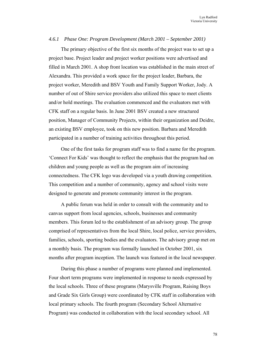#### *4.6.1 Phase One: Program Development (March 2001 – September 2001)*

The primary objective of the first six months of the project was to set up a project base. Project leader and project worker positions were advertised and filled in March 2001. A shop front location was established in the main street of Alexandra. This provided a work space for the project leader, Barbara, the project worker, Meredith and BSV Youth and Family Support Worker, Jody. A number of out of Shire service providers also utilized this space to meet clients and/or hold meetings. The evaluation commenced and the evaluators met with CFK staff on a regular basis. In June 2001 BSV created a new structured position, Manager of Community Projects, within their organization and Deidre, an existing BSV employee, took on this new position. Barbara and Meredith participated in a number of training activities throughout this period.

One of the first tasks for program staff was to find a name for the program. 'Connect For Kids' was thought to reflect the emphasis that the program had on children and young people as well as the program aim of increasing connectedness. The CFK logo was developed via a youth drawing competition. This competition and a number of community, agency and school visits were designed to generate and promote community interest in the program.

A public forum was held in order to consult with the community and to canvas support from local agencies, schools, businesses and community members. This forum led to the establishment of an advisory group. The group comprised of representatives from the local Shire, local police, service providers, families, schools, sporting bodies and the evaluators. The advisory group met on a monthly basis. The program was formally launched in October 2001, six months after program inception. The launch was featured in the local newspaper.

During this phase a number of programs were planned and implemented. Four short term programs were implemented in response to needs expressed by the local schools. Three of these programs (Marysville Program, Raising Boys and Grade Six Girls Group) were coordinated by CFK staff in collaboration with local primary schools. The fourth program (Secondary School Alternative Program) was conducted in collaboration with the local secondary school. All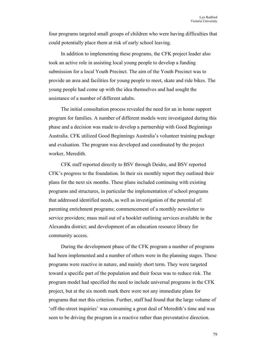four programs targeted small groups of children who were having difficulties that could potentially place them at risk of early school leaving.

In addition to implementing these programs, the CFK project leader also took an active role in assisting local young people to develop a funding submission for a local Youth Precinct. The aim of the Youth Precinct was to provide an area and facilities for young people to meet, skate and ride bikes. The young people had come up with the idea themselves and had sought the assistance of a number of different adults.

The initial consultation process revealed the need for an in home support program for families. A number of different models were investigated during this phase and a decision was made to develop a partnership with Good Beginnings Australia. CFK utilized Good Beginnings Australia's volunteer training package and evaluation. The program was developed and coordinated by the project worker, Meredith.

CFK staff reported directly to BSV through Deidre, and BSV reported CFK's progress to the foundation. In their six monthly report they outlined their plans for the next six months. These plans included continuing with existing programs and structures, in particular the implementation of school programs that addressed identified needs, as well as investigation of the potential of: parenting enrichment programs; commencement of a monthly newsletter to service providers; mass mail out of a booklet outlining services available in the Alexandra district; and development of an education resource library for community access.

During the development phase of the CFK program a number of programs had been implemented and a number of others were in the planning stages. These programs were reactive in nature, and mainly short term. They were targeted toward a specific part of the population and their focus was to reduce risk. The program model had specified the need to include universal programs in the CFK project, but at the six month mark there were not any immediate plans for programs that met this criterion. Further, staff had found that the large volume of 'off-the-street inquiries' was consuming a great deal of Meredith's time and was seen to be driving the program in a reactive rather than preventative direction.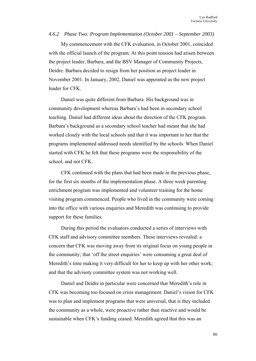#### *4.6.2 Phase Two: Program Implementation (October 2001 – September 2003)*

My commencement with the CFK evaluation, in October 2001, coincided with the official launch of the program. At this point tension had arisen between the project leader, Barbara, and the BSV Manager of Community Projects, Deidre. Barbara decided to resign from her position as project leader in November 2001. In January, 2002, Daniel was appointed as the new project leader for CFK.

Daniel was quite different from Barbara. His background was in community development whereas Barbara's had been in secondary school teaching. Daniel had different ideas about the direction of the CFK program. Barbara's background as a secondary school teacher had meant that she had worked closely with the local schools and that it was important to her that the programs implemented addressed needs identified by the schools. When Daniel started with CFK he felt that these programs were the responsibility of the school, and not CFK.

CFK continued with the plans that had been made in the previous phase, for the first six months of the implementation phase. A three week parenting enrichment program was implemented and volunteer training for the home visiting program commenced. People who lived in the community were coming into the office with various enquiries and Meredith was continuing to provide support for these families.

During this period the evaluators conducted a series of interviews with CFK staff and advisory committee members. These interviews revealed: a concern that CFK was moving away from its original focus on young people in the community; that 'off the street enquiries' were consuming a great deal of Meredith's time making it very difficult for her to keep up with her other work; and that the advisory committee system was not working well.

Daniel and Deidre in particular were concerned that Meredith's role in CFK was becoming too focused on crisis management. Daniel's vision for CFK was to plan and implement programs that were universal, that is they included the community as a whole, were proactive rather than reactive and would be sustainable when CFK's funding ceased. Meredith agreed that this was an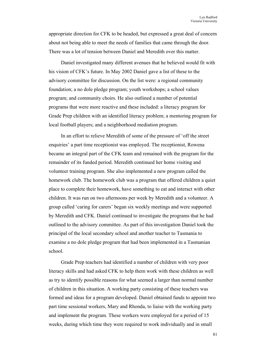appropriate direction for CFK to be headed, but expressed a great deal of concern about not being able to meet the needs of families that came through the door. There was a lot of tension between Daniel and Meredith over this matter.

Daniel investigated many different avenues that he believed would fit with his vision of CFK's future. In May 2002 Daniel gave a list of these to the advisory committee for discussion. On the list were: a regional community foundation; a no dole pledge program; youth workshops; a school values program; and community choirs. He also outlined a number of potential programs that were more reactive and these included: a literacy program for Grade Prep children with an identified literacy problem; a mentoring program for local football players; and a neighborhood mediation program.

In an effort to relieve Meredith of some of the pressure of 'off the street enquiries' a part time receptionist was employed. The receptionist, Rowena became an integral part of the CFK team and remained with the program for the remainder of its funded period. Meredith continued her home visiting and volunteer training program. She also implemented a new program called the homework club. The homework club was a program that offered children a quiet place to complete their homework, have something to eat and interact with other children. It was run on two afternoons per week by Meredith and a volunteer. A group called 'caring for carers' began six weekly meetings and were supported by Meredith and CFK. Daniel continued to investigate the programs that he had outlined to the advisory committee. As part of this investigation Daniel took the principal of the local secondary school and another teacher to Tasmania to examine a no dole pledge program that had been implemented in a Tasmanian school.

Grade Prep teachers had identified a number of children with very poor literacy skills and had asked CFK to help them work with these children as well as try to identify possible reasons for what seemed a larger than normal number of children in this situation. A working party consisting of these teachers was formed and ideas for a program developed. Daniel obtained funds to appoint two part time sessional workers, Mary and Rhonda, to liaise with the working party and implement the program. These workers were employed for a period of 15 weeks, during which time they were required to work individually and in small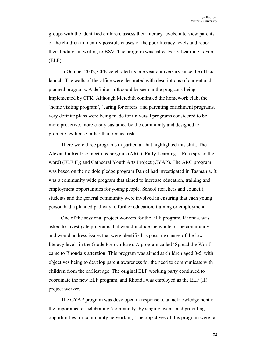groups with the identified children, assess their literacy levels, interview parents of the children to identify possible causes of the poor literacy levels and report their findings in writing to BSV. The program was called Early Learning is Fun (ELF).

In October 2002, CFK celebrated its one year anniversary since the official launch. The walls of the office were decorated with descriptions of current and planned programs. A definite shift could be seen in the programs being implemented by CFK. Although Meredith continued the homework club, the 'home visiting program', 'caring for carers' and parenting enrichment programs, very definite plans were being made for universal programs considered to be more proactive, more easily sustained by the community and designed to promote resilience rather than reduce risk.

There were three programs in particular that highlighted this shift. The Alexandra Real Connections program (ARC); Early Learning is Fun (spread the word) (ELF II); and Cathedral Youth Arts Project (CYAP). The ARC program was based on the no dole pledge program Daniel had investigated in Tasmania. It was a community wide program that aimed to increase education, training and employment opportunities for young people. School (teachers and council), students and the general community were involved in ensuring that each young person had a planned pathway to further education, training or employment.

One of the sessional project workers for the ELF program, Rhonda, was asked to investigate programs that would include the whole of the community and would address issues that were identified as possible causes of the low literacy levels in the Grade Prep children. A program called 'Spread the Word' came to Rhonda's attention. This program was aimed at children aged 0-5, with objectives being to develop parent awareness for the need to communicate with children from the earliest age. The original ELF working party continued to coordinate the new ELF program, and Rhonda was employed as the ELF (II) project worker.

The CYAP program was developed in response to an acknowledgement of the importance of celebrating 'community' by staging events and providing opportunities for community networking. The objectives of this program were to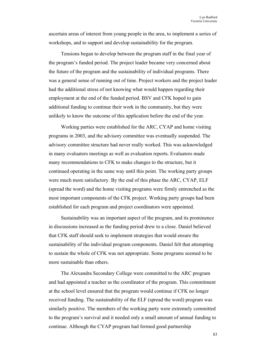ascertain areas of interest from young people in the area, to implement a series of workshops, and to support and develop sustainability for the program.

Tensions began to develop between the program staff in the final year of the program's funded period. The project leader became very concerned about the future of the program and the sustainability of individual programs. There was a general sense of running out of time. Project workers and the project leader had the additional stress of not knowing what would happen regarding their employment at the end of the funded period. BSV and CFK hoped to gain additional funding to continue their work in the community, but they were unlikely to know the outcome of this application before the end of the year.

Working parties were established for the ARC, CYAP and home visiting programs in 2003, and the advisory committee was eventually suspended. The advisory committee structure had never really worked. This was acknowledged in many evaluators meetings as well as evaluation reports. Evaluators made many recommendations to CFK to make changes to the structure, but it continued operating in the same way until this point. The working party groups were much more satisfactory. By the end of this phase the ARC, CYAP, ELF (spread the word) and the home visiting programs were firmly entrenched as the most important components of the CFK project. Working party groups had been established for each program and project coordinators were appointed.

Sustainability was an important aspect of the program, and its prominence in discussions increased as the funding period drew to a close. Daniel believed that CFK staff should seek to implement strategies that would ensure the sustainability of the individual program components. Daniel felt that attempting to sustain the whole of CFK was not appropriate. Some programs seemed to be more sustainable than others.

The Alexandra Secondary College were committed to the ARC program and had appointed a teacher as the coordinator of the program. This commitment at the school level ensured that the program would continue if CFK no longer received funding. The sustainability of the ELF (spread the word) program was similarly positive. The members of the working party were extremely committed to the program's survival and it needed only a small amount of annual funding to continue. Although the CYAP program had formed good partnership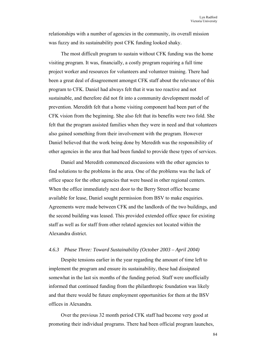relationships with a number of agencies in the community, its overall mission was fuzzy and its sustainability post CFK funding looked shaky.

The most difficult program to sustain without CFK funding was the home visiting program. It was, financially, a costly program requiring a full time project worker and resources for volunteers and volunteer training. There had been a great deal of disagreement amongst CFK staff about the relevance of this program to CFK. Daniel had always felt that it was too reactive and not sustainable, and therefore did not fit into a community development model of prevention. Meredith felt that a home visiting component had been part of the CFK vision from the beginning. She also felt that its benefits were two fold. She felt that the program assisted families when they were in need and that volunteers also gained something from their involvement with the program. However Daniel believed that the work being done by Meredith was the responsibility of other agencies in the area that had been funded to provide these types of services.

Daniel and Meredith commenced discussions with the other agencies to find solutions to the problems in the area. One of the problems was the lack of office space for the other agencies that were based in other regional centers. When the office immediately next door to the Berry Street office became available for lease, Daniel sought permission from BSV to make enquiries. Agreements were made between CFK and the landlords of the two buildings, and the second building was leased. This provided extended office space for existing staff as well as for staff from other related agencies not located within the Alexandra district.

# *4.6.3 Phase Three: Toward Sustainability (October 2003 – April 2004)*

Despite tensions earlier in the year regarding the amount of time left to implement the program and ensure its sustainability, these had dissipated somewhat in the last six months of the funding period. Staff were unofficially informed that continued funding from the philanthropic foundation was likely and that there would be future employment opportunities for them at the BSV offices in Alexandra.

Over the previous 32 month period CFK staff had become very good at promoting their individual programs. There had been official program launches,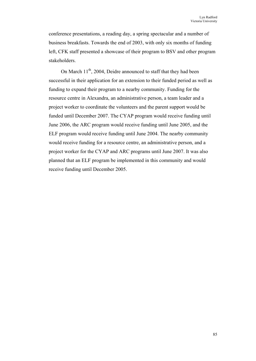conference presentations, a reading day, a spring spectacular and a number of business breakfasts. Towards the end of 2003, with only six months of funding left, CFK staff presented a showcase of their program to BSV and other program stakeholders.

On March  $11^{th}$ , 2004, Deidre announced to staff that they had been successful in their application for an extension to their funded period as well as funding to expand their program to a nearby community. Funding for the resource centre in Alexandra, an administrative person, a team leader and a project worker to coordinate the volunteers and the parent support would be funded until December 2007. The CYAP program would receive funding until June 2006, the ARC program would receive funding until June 2005, and the ELF program would receive funding until June 2004. The nearby community would receive funding for a resource centre, an administrative person, and a project worker for the CYAP and ARC programs until June 2007. It was also planned that an ELF program be implemented in this community and would receive funding until December 2005.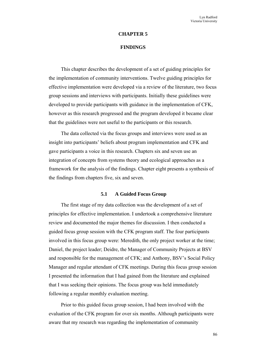#### **CHAPTER 5**

## **FINDINGS**

This chapter describes the development of a set of guiding principles for the implementation of community interventions. Twelve guiding principles for effective implementation were developed via a review of the literature, two focus group sessions and interviews with participants. Initially these guidelines were developed to provide participants with guidance in the implementation of CFK, however as this research progressed and the program developed it became clear that the guidelines were not useful to the participants or this research.

The data collected via the focus groups and interviews were used as an insight into participants' beliefs about program implementation and CFK and gave participants a voice in this research. Chapters six and seven use an integration of concepts from systems theory and ecological approaches as a framework for the analysis of the findings. Chapter eight presents a synthesis of the findings from chapters five, six and seven.

#### **5.1 A Guided Focus Group**

The first stage of my data collection was the development of a set of principles for effective implementation. I undertook a comprehensive literature review and documented the major themes for discussion. I then conducted a guided focus group session with the CFK program staff. The four participants involved in this focus group were: Meredith, the only project worker at the time; Daniel, the project leader; Deidre, the Manager of Community Projects at BSV and responsible for the management of CFK; and Anthony, BSV's Social Policy Manager and regular attendant of CFK meetings. During this focus group session I presented the information that I had gained from the literature and explained that I was seeking their opinions. The focus group was held immediately following a regular monthly evaluation meeting.

Prior to this guided focus group session, I had been involved with the evaluation of the CFK program for over six months. Although participants were aware that my research was regarding the implementation of community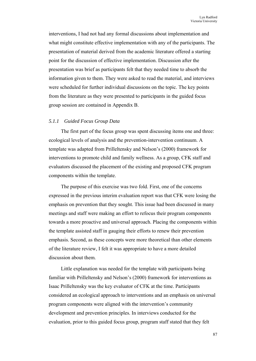interventions, I had not had any formal discussions about implementation and what might constitute effective implementation with any of the participants. The presentation of material derived from the academic literature offered a starting point for the discussion of effective implementation. Discussion after the presentation was brief as participants felt that they needed time to absorb the information given to them. They were asked to read the material, and interviews were scheduled for further individual discussions on the topic. The key points from the literature as they were presented to participants in the guided focus group session are contained in Appendix B.

## *5.1.1 Guided Focus Group Data*

The first part of the focus group was spent discussing items one and three: ecological levels of analysis and the prevention-intervention continuum. A template was adapted from Prilleltensky and Nelson's (2000) framework for interventions to promote child and family wellness. As a group, CFK staff and evaluators discussed the placement of the existing and proposed CFK program components within the template.

The purpose of this exercise was two fold. First, one of the concerns expressed in the previous interim evaluation report was that CFK were losing the emphasis on prevention that they sought. This issue had been discussed in many meetings and staff were making an effort to refocus their program components towards a more proactive and universal approach. Placing the components within the template assisted staff in gauging their efforts to renew their prevention emphasis. Second, as these concepts were more theoretical than other elements of the literature review, I felt it was appropriate to have a more detailed discussion about them.

Little explanation was needed for the template with participants being familiar with Prilleltensky and Nelson's (2000) framework for interventions as Isaac Prilleltensky was the key evaluator of CFK at the time. Participants considered an ecological approach to interventions and an emphasis on universal program components were aligned with the intervention's community development and prevention principles. In interviews conducted for the evaluation, prior to this guided focus group, program staff stated that they felt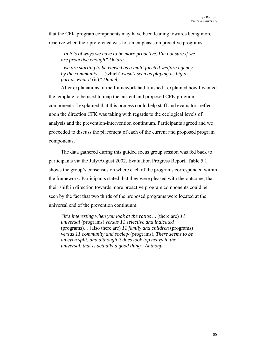that the CFK program components may have been leaning towards being more reactive when their preference was for an emphasis on proactive programs.

*"In lots of ways we have to be more proactive. I'm not sure if we are proactive enough" Deidre* 

*"we are starting to be viewed as a multi faceted welfare agency by the community …* (which) *wasn't seen as playing as big a part as what it* (is)*" Daniel* 

After explanations of the framework had finished I explained how I wanted the template to be used to map the current and proposed CFK program components. I explained that this process could help staff and evaluators reflect upon the direction CFK was taking with regards to the ecological levels of analysis and the prevention-intervention continuum. Participants agreed and we proceeded to discuss the placement of each of the current and proposed program components.

The data gathered during this guided focus group session was fed back to participants via the July/August 2002, Evaluation Progress Report. Table 5.1 shows the group's consensus on where each of the programs corresponded within the framework. Participants stated that they were pleased with the outcome, that their shift in direction towards more proactive program components could be seen by the fact that two thirds of the proposed programs were located at the universal end of the prevention continuum.

*"it's interesting when you look at the ratios ...* (there are) *11 universal* (programs) *versus 11 selective and indicated*  (programs)*…* (also there are) *11 family and children* (programs) *versus 11 community and society* (programs)*. There seems to be an even split, and although it does look top heavy in the universal, that is actually a good thing" Anthony*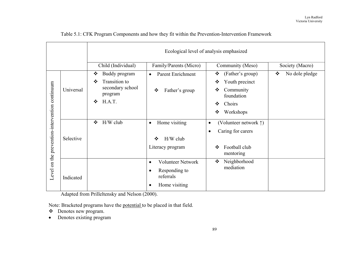|                                                |           |                             |                                       | Ecological level of analysis emphasized      |                                     |
|------------------------------------------------|-----------|-----------------------------|---------------------------------------|----------------------------------------------|-------------------------------------|
|                                                |           | Child (Individual)          | Family/Parents (Micro)                | Community (Meso)                             | Society (Macro)                     |
| Level on the prevention-intervention continuum |           | Buddy program<br>❖          | <b>Parent Enrichment</b><br>$\bullet$ | (Father's group)<br>❖                        | $\bullet \bullet$<br>No dole pledge |
|                                                | Universal | Transition to<br>❖          |                                       | Youth precinct<br>❖                          |                                     |
|                                                |           | secondary school<br>program | Father's group<br>❖                   | Community<br>❖<br>foundation                 |                                     |
|                                                |           | H.A.T.<br>$\frac{1}{2}$     |                                       | Choirs<br>❖                                  |                                     |
|                                                |           |                             |                                       | Workshops<br>❖                               |                                     |
|                                                | Selective | H/W club<br>$\frac{1}{2}$   | Home visiting<br>$\bullet$            | (Volunteer network $\uparrow$ )<br>$\bullet$ |                                     |
|                                                |           |                             |                                       | Caring for carers<br>$\bullet$               |                                     |
|                                                |           |                             | $H/W$ club<br>$\frac{1}{2}$           |                                              |                                     |
|                                                |           |                             | Literacy program                      | Football club<br>❖<br>mentoring              |                                     |
|                                                |           |                             | <b>Volunteer Network</b><br>$\bullet$ | Neighborhood<br>❖                            |                                     |
|                                                | Indicated |                             | Responding to<br>referrals            | mediation                                    |                                     |
|                                                |           |                             | Home visiting                         |                                              |                                     |

Table 5.1: CFK Program Components and how they fit within the Prevention-Intervention Framework

Adapted from Prilleltensky and Nelson (2000).

Note: Bracketed programs have the potential to be placed in that field.

- Denotes new program.
- •Denotes existing program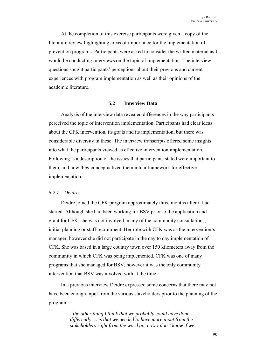At the completion of this exercise participants were given a copy of the literature review highlighting areas of importance for the implementation of prevention programs. Participants were asked to consider the written material as I would be conducting interviews on the topic of implementation. The interview questions sought participants' perceptions about their previous and current experiences with program implementation as well as their opinions of the academic literature.

# **5.2 Interview Data**

Analysis of the interview data revealed differences in the way participants perceived the topic of intervention implementation. Participants had clear ideas about the CFK intervention, its goals and its implementation, but there was considerable diversity in these. The interview transcripts offered some insights into what the participants viewed as effective intervention implementation. Following is a description of the issues that participants stated were important to them, and how they conceptualized them into a framework for effective implementation.

# *5.2.1 Deidre*

Deidre joined the CFK program approximately three months after it had started. Although she had been working for BSV prior to the application and grant for CFK, she was not involved in any of the community consultations, initial planning or staff recruitment. Her role with CFK was as the intervention's manager, however she did not participate in the day to day implementation of CFK. She was based in a large country town over 150 kilometers away from the community in which CFK was being implemented. CFK was one of many programs that she managed for BSV, however it was the only community intervention that BSV was involved with at the time.

In a previous interview Deidre expressed some concerns that there may not have been enough input from the various stakeholders prior to the planning of the program.

> *"the other thing I think that we probably could have done differently … is that we needed to have more input from the stakeholders right from the word go, now I don't know if we*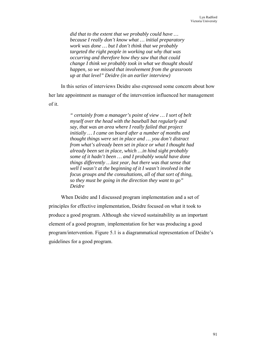*did that to the extent that we probably could have … because I really don't know what … initial preparatory work was done … but I don't think that we probably targeted the right people in working out why that was occurring and therefore how they saw that that could change I think we probably took in what we thought should happen, so we missed that involvement from the grassroots up at that level" Deidre (in an earlier interview)* 

In this series of interviews Deidre also expressed some concern about how her late appointment as manager of the intervention influenced her management of it.

> *" certainly from a manager's point of view … I sort of belt myself over the head with the baseball bat regularly and say, that was an area where I really failed that project initially … I came on board after a number of months and thought things were set in place and … you don't distract from what's already been set in place or what I thought had already been set in place, which …in hind sight probably some of it hadn't been … and I probably would have done things differently …last year, but there was that sense that well I wasn't at the beginning of it I wasn't involved in the focus groups and the consultations, all of that sort of thing, so they must be going in the direction they want to go" Deidre*

When Deidre and I discussed program implementation and a set of principles for effective implementation, Deidre focused on what it took to produce a good program. Although she viewed sustainability as an important element of a good program¸ implementation for her was producing a good program/intervention. Figure 5.1 is a diagrammatical representation of Deidre's guidelines for a good program.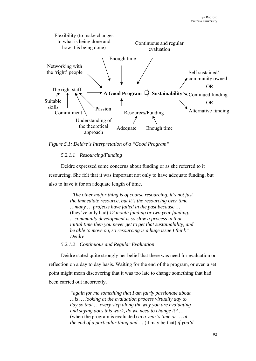

*Figure 5.1: Deidre's Interpretation of a "Good Program"* 

# *5.2.1.1 Resourcing/Funding*

Deidre expressed some concerns about funding or as she referred to it resourcing. She felt that it was important not only to have adequate funding, but also to have it for an adequate length of time.

> *"The other major thing is of course resourcing, it's not just the immediate resource, but it's the resourcing over time …many … projects have failed in the past because …* (they've only had) *12 month funding or two year funding. …community development is so slow a process in that initial time then you never get to get that sustainability, and be able to move on, so resourcing is a huge issue I think" Deidre*

# *5.2.1.2 Continuous and Regular Evaluation*

Deidre stated quite strongly her belief that there was need for evaluation or reflection on a day to day basis. Waiting for the end of the program, or even a set point might mean discovering that it was too late to change something that had been carried out incorrectly.

> *"again for me something that I am fairly passionate about …is … looking at the evaluation process virtually day to day so that … every step along the way you are evaluating and saying does this work, do we need to change it? …*  (when the program is evaluated) *in a year's time or … at the end of a particular thing and …* (it may be that) *if you'd*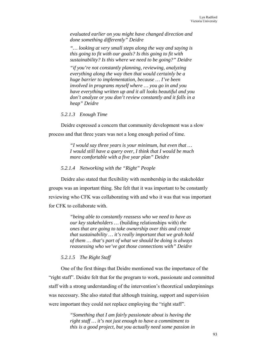*evaluated earlier on you might have changed direction and done something differently" Deidre* 

*"… looking at very small steps along the way and saying is this going to fit with our goals? Is this going to fit with sustainability? Is this where we need to be going?" Deidre* 

*"if you're not constantly planning, reviewing, analyzing everything along the way then that would certainly be a huge barrier to implementation, because … I've been involved in programs myself where … you go in and you have everything written up and it all looks beautiful and you don't analyze or you don't review constantly and it falls in a heap" Deidre* 

*5.2.1.3 Enough Time* 

Deidre expressed a concern that community development was a slow

process and that three years was not a long enough period of time.

*"I would say three years is your minimum, but even that … I would still have a query over, I think that I would be much more comfortable with a five year plan" Deidre* 

*5.2.1.4 Networking with the "Right" People* 

Deidre also stated that flexibility with membership in the stakeholder groups was an important thing. She felt that it was important to be constantly reviewing who CFK was collaborating with and who it was that was important for CFK to collaborate with.

> *"being able to constantly reassess who we need to have as our key stakeholders …* (building relationships with) *the ones that are going to take ownership over this and create that sustainability … it's really important that we grab hold of them … that's part of what we should be doing is always reassessing who we've got those connections with" Deidre*

# *5.2.1.5 The Right Staff*

One of the first things that Deidre mentioned was the importance of the "right staff". Deidre felt that for the program to work, passionate and committed staff with a strong understanding of the intervention's theoretical underpinnings was necessary. She also stated that although training, support and supervision were important they could not replace employing the "right staff".

> *"Something that I am fairly passionate about is having the right staff … it's not just enough to have a commitment to this is a good project, but you actually need some passion in*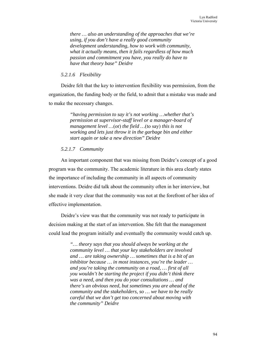*there … also an understanding of the approaches that we're using, if you don't have a really good community development understanding, how to work with community, what it actually means, then it fails regardless of how much passion and commitment you have, you really do have to have that theory base" Deidre* 

# *5.2.1.6 Flexibility*

Deidre felt that the key to intervention flexibility was permission, from the organization, the funding body or the field, to admit that a mistake was made and to make the necessary changes.

> *"having permission to say it's not working …whether that's permission at supervisor-staff level or a manager-board of management level …*(or) *the field …*(to say) *this is not working and lets just throw it in the garbage bin and either start again or take a new direction" Deidre*

# *5.2.1.7 Community*

An important component that was missing from Deidre's concept of a good program was the community. The academic literature in this area clearly states the importance of including the community in all aspects of community interventions. Deidre did talk about the community often in her interview, but she made it very clear that the community was not at the forefront of her idea of effective implementation.

Deidre's view was that the community was not ready to participate in decision making at the start of an intervention. She felt that the management could lead the program initially and eventually the community would catch up.

> *"… theory says that you should always be working at the community level … that your key stakeholders are involved and … are taking ownership … sometimes that is a bit of an inhibitor because … in most instances, you're the leader … and you're taking the community on a road, … first of all you wouldn't be starting the project if you didn't think there was a need, and then you do your consultations … and there's an obvious need, but sometimes you are ahead of the community and the stakeholders, so … we have to be really careful that we don't get too concerned about moving with the community" Deidre*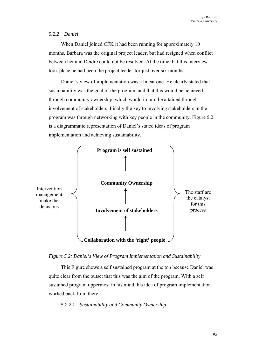# *5.2.2 Daniel*

When Daniel joined CFK it had been running for approximately 10 months. Barbara was the original project leader, but had resigned when conflict between her and Deidre could not be resolved. At the time that this interview took place he had been the project leader for just over six months.

Daniel's view of implementation was a linear one. He clearly stated that sustainability was the goal of the program, and that this would be achieved through community ownership, which would in turn be attained through involvement of stakeholders. Finally the key to involving stakeholders in the program was through networking with key people in the community. Figure 5.2 is a diagrammatic representation of Daniel's stated ideas of program implementation and achieving sustainability.



*Figure 5.2: Daniel's View of Program Implementation and Sustainability* 

This Figure shows a self sustained program at the top because Daniel was quite clear from the outset that this was the aim of the program. With a self sustained program uppermost in his mind, his idea of program implementation worked back from there.

# *5.2.2.1 Sustainability and Community Ownership*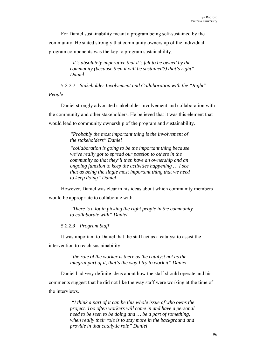For Daniel sustainability meant a program being self-sustained by the community. He stated strongly that community ownership of the individual program components was the key to program sustainability.

> *"it's absolutely imperative that it's felt to be owned by the community (because then it will be sustained?) that's right" Daniel*

*5.2.2.2 Stakeholder Involvement and Collaboration with the "Right"* 

*People* 

Daniel strongly advocated stakeholder involvement and collaboration with the community and other stakeholders. He believed that it was this element that would lead to community ownership of the program and sustainability.

> *"Probably the most important thing is the involvement of the stakeholders" Daniel*

> *"collaboration is going to be the important thing because we've really got to spread our passion to others in the community so that they'll then have an ownership and an ongoing function to keep the activities happening … I see that as being the single most important thing that we need to keep doing" Daniel*

However, Daniel was clear in his ideas about which community members would be appropriate to collaborate with.

> *"There is a lot in picking the right people in the community to collaborate with" Daniel*

*5.2.2.3 Program Staff* 

It was important to Daniel that the staff act as a catalyst to assist the intervention to reach sustainability.

> *"the role of the worker is there as the catalyst not as the integral part of it, that's the way I try to work it" Daniel*

Daniel had very definite ideas about how the staff should operate and his comments suggest that he did not like the way staff were working at the time of the interviews.

> *"I think a part of it can be this whole issue of who owns the project. Too often workers will come in and have a personal need to be seen to be doing and … be a part of something, when really their role is to stay more in the background and provide in that catalytic role" Daniel*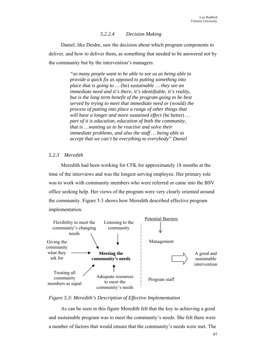# *5.2.2.4 Decision Making*

Daniel, like Deidre, saw the decision about which program components to deliver, and how to deliver them, as something that needed to be answered not by the community but by the intervention's managers.

> *"so many people want to be able to see us as being able to provide a quick fix as opposed to putting something into place that is going to …* (be) *sustainable … they see an immediate need and it's there, it's identifiable, it's reality, but is the long term benefit of the program going to be best served by trying to meet that immediate need or* (would) *the process of putting into place a range of other things that will have a longer and more sustained effect* (be better) *… part of it is education, education of both the community, that is …wanting us to be reactive and solve their immediate problems, and also the staff … being able to accept that we can't be everything to everybody" Daniel*

# *5.2.3 Meredith*

Meredith had been working for CFK for approximately 18 months at the time of the interviews and was the longest serving employee. Her primary role was to work with community members who were referred or came into the BSV office seeking help. Her views of the program were very clearly oriented around the community. Figure 5.3 shows how Meredith described effective program implementation.



*Figure 5.3: Meredith's Description of Effective Implementation* 

As can be seen in this figure Meredith felt that the key to achieving a good and sustainable program was to meet the community's needs. She felt there were a number of factors that would ensure that the community's needs were met. The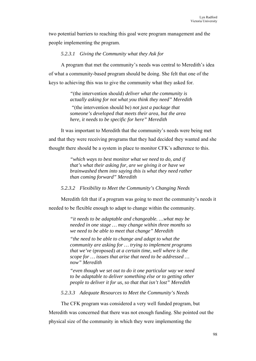two potential barriers to reaching this goal were program management and the people implementing the program.

*5.2.3.1 Giving the Community what they Ask for* 

A program that met the community's needs was central to Meredith's idea of what a community-based program should be doing. She felt that one of the keys to achieving this was to give the community what they asked for.

> *"*(the intervention should) *deliver what the community is actually asking for not what you think they need" Meredith*

 *"*(the intervention should be) *not just a package that someone's developed that meets their area, but the area here, it needs to be specific for here" Meredith* 

It was important to Meredith that the community's needs were being met and that they were receiving programs that they had decided they wanted and she thought there should be a system in place to monitor CFK's adherence to this.

> *"which ways to best monitor what we need to do, and if that's what their asking for, are we giving it or have we brainwashed them into saying this is what they need rather than coming forward" Meredith*

*5.2.3.2 Flexibility to Meet the Community's Changing Needs* 

Meredith felt that if a program was going to meet the community's needs it needed to be flexible enough to adapt to change within the community.

> *"it needs to be adaptable and changeable. …what may be needed in one stage … may change within three months so we need to be able to meet that change" Meredith*

> *"the need to be able to change and adapt to what the community are asking for … trying to implement programs that we've* (proposed) *at a certain time, well where is the scope for … issues that arise that need to be addressed … now" Meredith*

*"even though we set out to do it one particular way we need to be adaptable to deliver something else or to getting other people to deliver it for us, so that that isn't lost" Meredith* 

*5.2.3.3 Adequate Resources to Meet the Community's Needs* 

The CFK program was considered a very well funded program, but Meredith was concerned that there was not enough funding. She pointed out the physical size of the community in which they were implementing the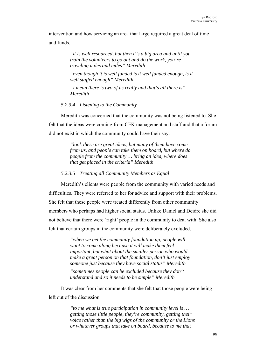intervention and how servicing an area that large required a great deal of time and funds.

> *"it is well resourced, but then it's a big area and until you train the volunteers to go out and do the work, you're traveling miles and miles" Meredith*

"even though it is well funded is it well funded enough, is it *well staffed enough" Meredith* 

*"I mean there is two of us really and that's all there is" Meredith* 

### *5.2.3.4 Listening to the Community*

Meredith was concerned that the community was not being listened to. She felt that the ideas were coming from CFK management and staff and that a forum did not exist in which the community could have their say.

> *"look these are great ideas, but many of them have come from us, and people can take them on board, but where do people from the community … bring an idea, where does that get placed in the criteria" Meredith*

### *5.2.3.5 Treating all Community Members as Equal*

Meredith's clients were people from the community with varied needs and difficulties. They were referred to her for advice and support with their problems. She felt that these people were treated differently from other community members who perhaps had higher social status. Unlike Daniel and Deidre she did not believe that there were 'right' people in the community to deal with. She also felt that certain groups in the community were deliberately excluded.

> *"when we get the community foundation up, people will want to come along because it will make them feel important, but what about the smaller person who would make a great person on that foundation, don't just employ someone just because they have social status" Meredith*

*"sometimes people can be excluded because they don't understand and so it needs to be simple" Meredith* 

It was clear from her comments that she felt that those people were being left out of the discussion.

> *"to me what is true participation in community level is … getting those little people, they're community, getting their voice rather than the big wigs of the community or the Lions or whatever groups that take on board, because to me that*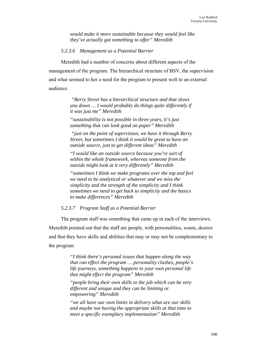*would make it more sustainable because they would feel like they've actually got something to offer" Meredith* 

### *5.2.3.6 Management as a Potential Barrier*

Meredith had a number of concerns about different aspects of the management of the program. The hierarchical structure of BSV, the supervision and what seemed to her a need for the program to present well to an external audience.

> *"Berry Street has a hierarchical structure and that slows you down … I would probably do things quite differently if it was just me" Meredith*

*"sustainability is not possible in three years, it's just something that can look good on paper" Meredith* 

 *"just on the point of supervision, we have it through Berry Street, but sometimes I think it would be great to have an outside source, just to get different ideas" Meredith* 

*"I would like an outside source because you're sort of within the whole framework, whereas someone from the outside might look at it very differently" Meredith* 

*"sometimes I think we make programs over the top and feel we need to be analytical or whatever and we miss the simplicity and the strength of the simplicity and I think sometimes we need to get back to simplicity and the basics to make differences" Meredith* 

*5.2.3.7 Program Staff as a Potential Barrier* 

The program staff was something that came up in each of the interviews. Meredith pointed out that the staff are people, with personalities, wants, desires

and that they have skills and abilities that may or may not be complementary to the program

> *"I think there's personal issues that happen along the way that can effect the program … personality clashes, people's life journeys, something happens in your own personal life that might effect the program" Meredith*

*"people bring their own skills to the job which can be very different and unique and they can be limiting or empowering" Meredith* 

*"we all have our own limits in delivery what are our skills and maybe not having the appropriate skills at that time to meet a specific exemplary implementation" Meredith*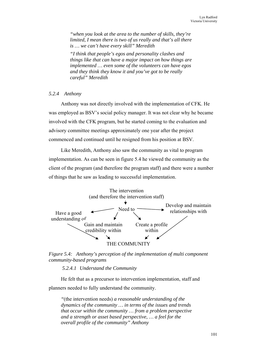*"when you look at the area to the number of skills, they're limited, I mean there is two of us really and that's all there is … we can't have every skill" Meredith* 

*"I think that people's egos and personality clashes and things like that can have a major impact on how things are implemented … even some of the volunteers can have egos and they think they know it and you've got to be really careful" Meredith* 

# *5.2.4 Anthony*

Anthony was not directly involved with the implementation of CFK. He was employed as BSV's social policy manager. It was not clear why he became involved with the CFK program, but he started coming to the evaluation and advisory committee meetings approximately one year after the project commenced and continued until he resigned from his position at BSV.

Like Meredith, Anthony also saw the community as vital to program implementation. As can be seen in figure 5.4 he viewed the community as the client of the program (and therefore the program staff) and there were a number of things that he saw as leading to successful implementation.



*Figure 5.4: Anthony's perception of the implementation of multi component community-based programs* 

 *5.2.4.1 Understand the Community* 

He felt that as a precursor to intervention implementation, staff and planners needed to fully understand the community.

*"*(the intervention needs) *a reasonable understanding of the dynamics of the community … in terms of the issues and trends that occur within the community … from a problem perspective and a strength or asset based perspective, … a feel for the overall profile of the community" Anthony*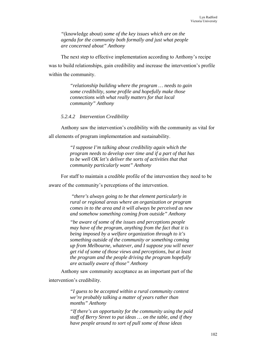*"*(knowledge about) *some of the key issues which are on the agenda for the community both formally and just what people are concerned about" Anthony* 

The next step to effective implementation according to Anthony's recipe was to build relationships, gain credibility and increase the intervention's profile within the community.

> *"relationship building where the program … needs to gain some credibility, some profile and hopefully make those connections with what really matters for that local community" Anthony*

#### *5.2.4.2 Intervention Credibility*

Anthony saw the intervention's credibility with the community as vital for all elements of program implementation and sustainability.

> *"I suppose I'm talking about credibility again which the program needs to develop over time and if a part of that has to be well OK let's deliver the sorts of activities that that community particularly want" Anthony*

For staff to maintain a credible profile of the intervention they need to be aware of the community's perceptions of the intervention.

> *"there's always going to be that element particularly in rural or regional areas where an organization or program comes in to the area and it will always be perceived as new and somehow something coming from outside" Anthony*

> *"be aware of some of the issues and perceptions people may have of the program, anything from the fact that it is being imposed by a welfare organization through to it's something outside of the community or something coming up from Melbourne, whatever, and I suppose you will never get rid of some of those views and perceptions, but at least the program and the people driving the program hopefully are actually aware of those" Anthony*

Anthony saw community acceptance as an important part of the intervention's credibility.

> *"I guess to be accepted within a rural community context we're probably talking a matter of years rather than months" Anthony*

*"If there's an opportunity for the community using the paid staff of Berry Street to put ideas … on the table, and if they have people around to sort of pull some of those ideas*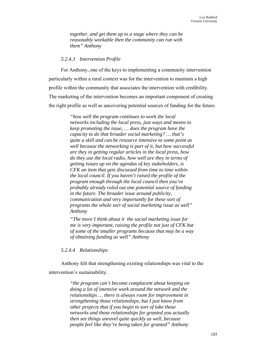*together, and get them up to a stage where they can be reasonably workable then the community can run with them" Anthony* 

#### *5.2.4.3 Intervention Profile*

For Anthony, one of the keys to implementing a community intervention particularly within a rural context was for the intervention to maintain a high profile within the community that associates the intervention with credibility. The marketing of the intervention becomes an important component of creating the right profile as well as uncovering potential sources of funding for the future.

> *"how well the program continues to work the local networks including the local press, just ways and means to keep promoting the issue, … does the program have the capacity to do that broader social marketing? … that's quite a skill and can be resource intensive to some point as well because the networking is part of it, but how successful are they in getting regular articles in the local press, how do they use the local radio, how well are they in terms of getting issues up on the agendas of key stakeholders, is CFK an item that gets discussed from time to time within the local council. If you haven't raised the profile of the program enough through the local council then you've probably already ruled out one potential source of funding in the future. The broader issue around publicity, communication and very importantly for these sort of programs the whole sort of social marketing issue as well" Anthony*

> *"The more I think about it the social marketing issue for me is very important, raising the profile not just of CFK but of some of the smaller programs because that may be a way of obtaining funding as well" Anthony*

### *5.2.4.4 Relationships*

Anthony felt that strengthening existing relationships was vital to the intervention's sustainability.

> *"the program can't become complacent about keeping on doing a lot of intensive work around the network and the relationships … there is always room for improvement in strengthening those relationships, but I just know from other projects that if you begin to sort of take those networks and those relationships for granted you actually then see things unravel quite quickly as well, because people feel like they're being taken for granted" Anthony*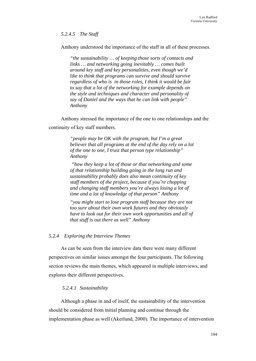*5.2.4.5 The Staff* 

Anthony understood the importance of the staff in all of these processes.

*"the sustainability … of keeping those sorts of contacts and links … and networking going inevitably … comes built around key staff and key personalities, even though we'd like to think that programs can survive and should survive regardless of who is in those roles, I think it would be fair to say that a lot of the networking for example depends on the style and techniques and character and personality of say of Daniel and the ways that he can link with people" Anthony* 

Anthony stressed the importance of the one to one relationships and the

continuity of key staff members.

*"people may be OK with the program, but I'm a great believer that all programs at the end of the day rely on a lot of the one to one, I trust that person type relationship" Anthony* 

 *"how they keep a lot of those or that networking and some of that relationship building going in the long run and sustainability probably does also mean continuity of key staff members of the project, because if you're chopping and changing staff members you're always losing a lot of time and a lot of knowledge of that person" Anthony* 

*"you might start to lose program staff because they are not too sure about their own work futures and they obviously have to look out for their own work opportunities and all of that stuff is out there as well" Anthony* 

### *5.2.4 Exploring the Interview Themes*

As can be seen from the interview data there were many different perspectives on similar issues amongst the four participants. The following section reviews the main themes, which appeared in multiple interviews, and explores their different perspectives.

### *5.2.4.1 Sustainability*

Although a phase in and of itself, the sustainability of the intervention should be considered from initial planning and continue through the implementation phase as well (Akerlund, 2000). The importance of intervention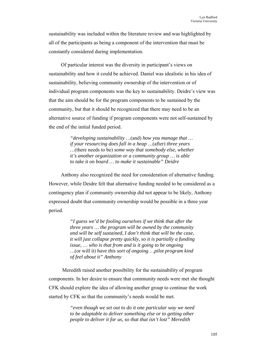sustainability was included within the literature review and was highlighted by all of the participants as being a component of the intervention that must be constantly considered during implementation.

Of particular interest was the diversity in participant's views on sustainability and how it could be achieved. Daniel was idealistic in his idea of sustainability, believing community ownership of the intervention or of individual program components was the key to sustainability. Deidre's view was that the aim should be for the program components to be sustained by the community, but that it should be recognized that there may need to be an alternative source of funding if program components were not self-sustained by the end of the initial funded period.

> *"developing sustainability …*(and) *how you manage that … if your resourcing does fall in a heap …*(after) *three years …*(there needs to be) *some way that somebody else, whether it's another organization or a community group … is able to take it on board … to make it sustainable" Deidre*

Anthony also recognized the need for consideration of alternative funding. However, while Deidre felt that alternative funding needed to be considered as a contingency plan if community ownership did not appear to be likely, Anthony expressed doubt that community ownership would be possible in a three year period.

> *"I guess we'd be fooling ourselves if we think that after the three years … the program will be owned by the community and will be self sustained, I don't think that will be the case, it will just collapse pretty quickly, so it is partially a funding issue, … who is that from and is it going to be ongoing …*(or will it) *have this sort of ongoing …pilot program kind of feel about it" Anthony*

 Meredith raised another possibility for the sustainability of program components. In her desire to ensure that community needs were met she thought CFK should explore the idea of allowing another group to continue the work started by CFK so that the community's needs would be met.

> *"even though we set out to do it one particular way we need to be adaptable to deliver something else or to getting other people to deliver it for us, so that that isn't lost" Meredith*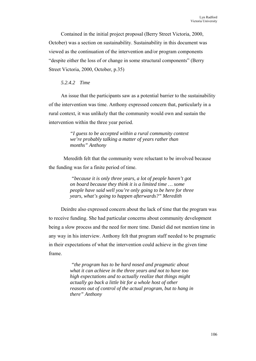Contained in the initial project proposal (Berry Street Victoria, 2000, October) was a section on sustainability. Sustainability in this document was viewed as the continuation of the intervention and/or program components "despite either the loss of or change in some structural components" (Berry Street Victoria, 2000, October, p.35)

# *5.2.4.2 Time*

An issue that the participants saw as a potential barrier to the sustainability of the intervention was time. Anthony expressed concern that, particularly in a rural context, it was unlikely that the community would own and sustain the intervention within the three year period.

> *"I guess to be accepted within a rural community context we're probably talking a matter of years rather than months" Anthony*

Meredith felt that the community were reluctant to be involved because the funding was for a finite period of time.

> *"because it is only three years, a lot of people haven't got on board because they think it is a limited time … some people have said well you're only going to be here for three years, what's going to happen afterwards?" Meredith*

Deirdre also expressed concern about the lack of time that the program was to receive funding. She had particular concerns about community development being a slow process and the need for more time. Daniel did not mention time in any way in his interview. Anthony felt that program staff needed to be pragmatic in their expectations of what the intervention could achieve in the given time frame.

> *"the program has to be hard nosed and pragmatic about what it can achieve in the three years and not to have too high expectations and to actually realize that things might actually go back a little bit for a whole host of other reasons out of control of the actual program, but to hang in there" Anthony*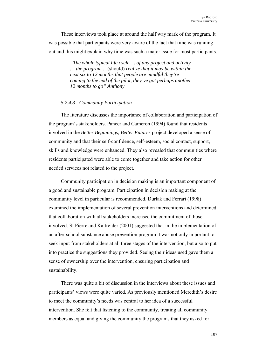These interviews took place at around the half way mark of the program. It was possible that participants were very aware of the fact that time was running out and this might explain why time was such a major issue for most participants.

> *"The whole typical life cycle … of any project and activity … the program …*(should) *realize that it may be within the next six to 12 months that people are mindful they're coming to the end of the pilot, they've got perhaps another 12 months to go" Anthony*

### *5.2.4.3 Community Participation*

The literature discusses the importance of collaboration and participation of the program's stakeholders. Pancer and Cameron (1994) found that residents involved in the *Better Beginnings, Better Futures* project developed a sense of community and that their self-confidence, self-esteem, social contact, support, skills and knowledge were enhanced. They also revealed that communities where residents participated were able to come together and take action for other needed services not related to the project.

Community participation in decision making is an important component of a good and sustainable program. Participation in decision making at the community level in particular is recommended. Durlak and Ferrari (1998) examined the implementation of several prevention interventions and determined that collaboration with all stakeholders increased the commitment of those involved. St Pierre and Kaltreider (2001) suggested that in the implementation of an after-school substance abuse prevention program it was not only important to seek input from stakeholders at all three stages of the intervention, but also to put into practice the suggestions they provided. Seeing their ideas used gave them a sense of ownership over the intervention, ensuring participation and sustainability.

There was quite a bit of discussion in the interviews about these issues and participants' views were quite varied. As previously mentioned Meredith's desire to meet the community's needs was central to her idea of a successful intervention. She felt that listening to the community, treating all community members as equal and giving the community the programs that they asked for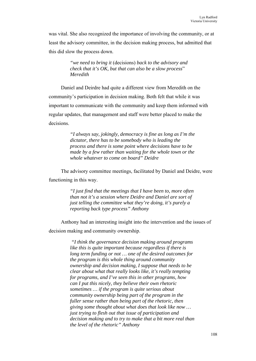was vital. She also recognized the importance of involving the community, or at least the advisory committee, in the decision making process, but admitted that this did slow the process down.

> *"we need to bring it* (decisions) *back to the advisory and check that it's OK, but that can also be a slow process*" *Meredith*

Daniel and Deirdre had quite a different view from Meredith on the community's participation in decision making. Both felt that while it was important to communicate with the community and keep them informed with regular updates, that management and staff were better placed to make the decisions.

> *"I always say, jokingly, democracy is fine as long as I'm the dictator, there has to be somebody who is leading the process and there is some point where decisions have to be made by a few rather than waiting for the whole town or the whole whatever to come on board" Deidre*

The advisory committee meetings, facilitated by Daniel and Deidre, were functioning in this way.

> *"I just find that the meetings that I have been to, more often than not it's a session where Deidre and Daniel are sort of just telling the committee what they're doing, it's purely a reporting back type process" Anthony*

Anthony had an interesting insight into the intervention and the issues of decision making and community ownership.

> *"I think the governance decision making around programs like this is quite important because regardless if there is long term funding or not … one of the desired outcomes for the program is this whole thing around community ownership and decision making, I suppose that needs to be clear about what that really looks like, it's really tempting for programs, and I've seen this in other programs, how can I put this nicely, they believe their own rhetoric sometimes … if the program is quite serious about community ownership being part of the program in the fuller sense rather than being part of the rhetoric, then giving some thought about what does that look like now … just trying to flesh out that issue of participation and decision making and to try to make that a bit more real than the level of the rhetoric" Anthony*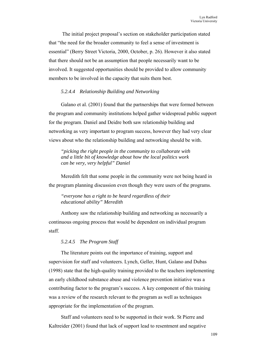The initial project proposal's section on stakeholder participation stated that "the need for the broader community to feel a sense of investment is essential" (Berry Street Victoria, 2000, October, p. 26). However it also stated that there should not be an assumption that people necessarily want to be involved. It suggested opportunities should be provided to allow community members to be involved in the capacity that suits them best.

### *5.2.4.4 Relationship Building and Networking*

Galano et al. (2001) found that the partnerships that were formed between the program and community institutions helped gather widespread public support for the program. Daniel and Deidre both saw relationship building and networking as very important to program success, however they had very clear views about who the relationship building and networking should be with.

*"picking the right people in the community to collaborate with and a little bit of knowledge about how the local politics work can be very, very helpful" Daniel* 

Meredith felt that some people in the community were not being heard in the program planning discussion even though they were users of the programs.

*"everyone has a right to be heard regardless of their educational ability" Meredith*

Anthony saw the relationship building and networking as necessarily a continuous ongoing process that would be dependent on individual program staff.

#### *5.2.4.5 The Program Staff*

The literature points out the importance of training, support and supervision for staff and volunteers. Lynch, Geller, Hunt, Galano and Dubas (1998) state that the high-quality training provided to the teachers implementing an early childhood substance abuse and violence prevention initiative was a contributing factor to the program's success. A key component of this training was a review of the research relevant to the program as well as techniques appropriate for the implementation of the program.

Staff and volunteers need to be supported in their work. St Pierre and Kaltreider (2001) found that lack of support lead to resentment and negative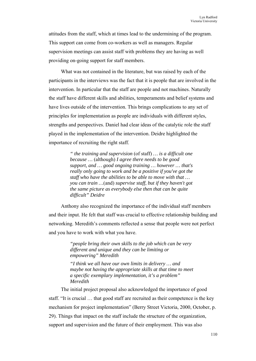attitudes from the staff, which at times lead to the undermining of the program. This support can come from co-workers as well as managers. Regular supervision meetings can assist staff with problems they are having as well providing on-going support for staff members.

What was not contained in the literature, but was raised by each of the participants in the interviews was the fact that it is people that are involved in the intervention. In particular that the staff are people and not machines. Naturally the staff have different skills and abilities, temperaments and belief systems and have lives outside of the intervention. This brings complications to any set of principles for implementation as people are individuals with different styles, strengths and perspectives. Daniel had clear ideas of the catalytic role the staff played in the implementation of the intervention. Deidre highlighted the importance of recruiting the right staff.

> *" the training and supervision* (of staff) *… is a difficult one because …* (although) *I agree there needs to be good support, and … good ongoing training … however … that's really only going to work and be a positive if you've got the staff who have the abilities to be able to move with that … you can train …*(and) *supervise staff, but if they haven't got the same picture as everybody else then that can be quite difficult" Deidre*

Anthony also recognized the importance of the individual staff members and their input. He felt that staff was crucial to effective relationship building and networking. Meredith's comments reflected a sense that people were not perfect and you have to work with what you have.

> *"people bring their own skills to the job which can be very different and unique and they can be limiting or empowering" Meredith*

*"I think we all have our own limits in delivery … and maybe not having the appropriate skills at that time to meet a specific exemplary implementation, it's a problem" Meredith* 

The initial project proposal also acknowledged the importance of good staff. "It is crucial … that good staff are recruited as their competence is the key mechanism for project implementation" (Berry Street Victoria, 2000, October, p. 29). Things that impact on the staff include the structure of the organization, support and supervision and the future of their employment. This was also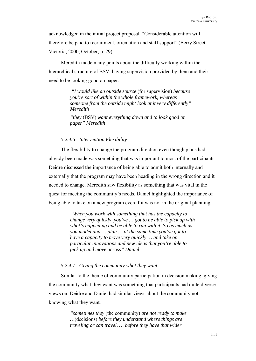acknowledged in the initial project proposal. "Considerable attention will therefore be paid to recruitment, orientation and staff support" (Berry Street Victoria, 2000, October, p. 29).

Meredith made many points about the difficulty working within the hierarchical structure of BSV, having supervision provided by them and their need to be looking good on paper.

> *"I would like an outside source* (for supervision) *because you're sort of within the whole framework, whereas someone from the outside might look at it very differently" Meredith*

*"they* (BSV) *want everything down and to look good on paper" Meredith* 

### *5.2.4.6 Intervention Flexibility*

The flexibility to change the program direction even though plans had already been made was something that was important to most of the participants. Deidre discussed the importance of being able to admit both internally and externally that the program may have been heading in the wrong direction and it needed to change. Meredith saw flexibility as something that was vital in the quest for meeting the community's needs. Daniel highlighted the importance of being able to take on a new program even if it was not in the original planning.

> *"When you work with something that has the capacity to change very quickly, you've … got to be able to pick up with what's happening and be able to run with it. So as much as you model and … plan … at the same time you've got to have a capacity to move very quickly … and take on particular innovations and new ideas that you're able to pick up and move across" Daniel*

### *5.2.4.7 Giving the community what they want*

Similar to the theme of community participation in decision making, giving the community what they want was something that participants had quite diverse views on. Deidre and Daniel had similar views about the community not knowing what they want.

> *"sometimes they* (the community) *are not ready to make …*(decisions) *before they understand where things are traveling or can travel, … before they have that wider*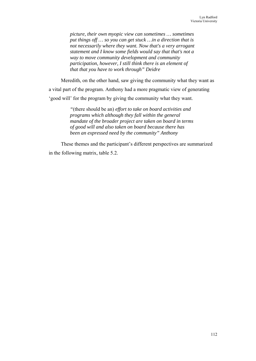*picture, their own myopic view can sometimes … sometimes put things off … so you can get stuck …in a direction that is not necessarily where they want. Now that's a very arrogant statement and I know some fields would say that that's not a way to move community development and community participation, however, I still think there is an element of that that you have to work through" Deidre* 

Meredith, on the other hand, saw giving the community what they want as a vital part of the program. Anthony had a more pragmatic view of generating 'good will' for the program by giving the community what they want.

> *"*(there should be an) *effort to take on board activities and programs which although they fall within the general mandate of the broader project are taken on board in terms of good will and also taken on board because there has been an expressed need by the community" Anthony*

These themes and the participant's different perspectives are summarized in the following matrix, table 5.2.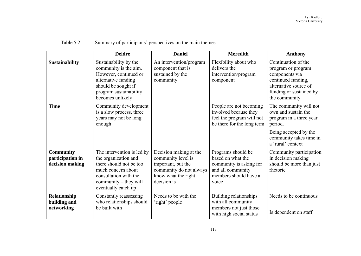|                                                         | <b>Deidre</b>                                                                                                                                                                | <b>Daniel</b>                                                                                                                       | <b>Meredith</b>                                                                                                           | <b>Anthony</b>                                                                                                                                               |
|---------------------------------------------------------|------------------------------------------------------------------------------------------------------------------------------------------------------------------------------|-------------------------------------------------------------------------------------------------------------------------------------|---------------------------------------------------------------------------------------------------------------------------|--------------------------------------------------------------------------------------------------------------------------------------------------------------|
| <b>Sustainability</b>                                   | Sustainability by the<br>community is the aim.<br>However, continued or<br>alternative funding<br>should be sought if<br>program sustainability<br>becomes unlikely          | An intervention/program<br>component that is<br>sustained by the<br>community                                                       | Flexibility about who<br>delivers the<br>intervention/program<br>component                                                | Continuation of the<br>program or program<br>components via<br>continued funding,<br>alternative source of<br>funding or sustained by<br>the community       |
| <b>Time</b>                                             | Community development<br>is a slow process, three<br>years may not be long<br>enough                                                                                         |                                                                                                                                     | People are not becoming<br>involved because they<br>feel the program will not<br>be there for the long term               | The community will not<br>own and sustain the<br>program in a three year<br>period.<br>Being accepted by the<br>community takes time in<br>a 'rural' context |
| <b>Community</b><br>participation in<br>decision making | The intervention is led by<br>the organization and<br>there should not be too<br>much concern about<br>consultation with the<br>community – they will<br>eventually catch up | Decision making at the<br>community level is<br>important, but the<br>community do not always<br>know what the right<br>decision is | Programs should be<br>based on what the<br>community is asking for<br>and all community<br>members should have a<br>voice | Community participation<br>in decision making<br>should be more than just<br>rhetoric                                                                        |
| Relationship<br>building and<br>networking              | Constantly reassessing<br>who relationships should<br>be built with                                                                                                          | Needs to be with the<br>'right' people                                                                                              | Building relationships<br>with all community<br>members not just those<br>with high social status                         | Needs to be continuous<br>Is dependent on staff                                                                                                              |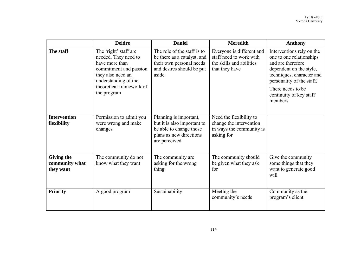|                                                  | <b>Deidre</b>                                                                                                                                                                     | <b>Daniel</b>                                                                                                                | <b>Meredith</b>                                                                                    | <b>Anthony</b>                                                                                                                                                                                                              |
|--------------------------------------------------|-----------------------------------------------------------------------------------------------------------------------------------------------------------------------------------|------------------------------------------------------------------------------------------------------------------------------|----------------------------------------------------------------------------------------------------|-----------------------------------------------------------------------------------------------------------------------------------------------------------------------------------------------------------------------------|
| The staff                                        | The 'right' staff are<br>needed. They need to<br>have more than<br>commitment and passion<br>they also need an<br>understanding of the<br>theoretical framework of<br>the program | The role of the staff is to<br>be there as a catalyst, and<br>their own personal needs<br>and desires should be put<br>aside | Everyone is different and<br>staff need to work with<br>the skills and abilities<br>that they have | Interventions rely on the<br>one to one relationships<br>and are therefore<br>dependent on the style,<br>techniques, character and<br>personality of the staff.<br>There needs to be.<br>continuity of key staff<br>members |
| <b>Intervention</b><br>flexibility               | Permission to admit you<br>were wrong and make<br>changes                                                                                                                         | Planning is important,<br>but it is also important to<br>be able to change those<br>plans as new directions<br>are perceived | Need the flexibility to<br>change the intervention<br>in ways the community is<br>asking for       |                                                                                                                                                                                                                             |
| <b>Giving the</b><br>community what<br>they want | The community do not<br>know what they want                                                                                                                                       | The community are<br>asking for the wrong<br>thing                                                                           | The community should<br>be given what they ask<br>for                                              | Give the community<br>some things that they<br>want to generate good<br>will                                                                                                                                                |
| <b>Priority</b>                                  | A good program                                                                                                                                                                    | Sustainability                                                                                                               | Meeting the<br>community's needs                                                                   | Community as the<br>program's client                                                                                                                                                                                        |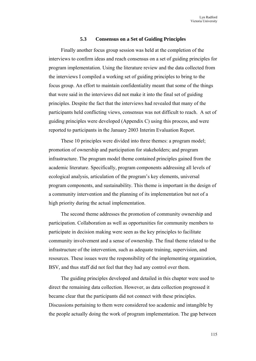#### **5.3 Consensus on a Set of Guiding Principles**

Finally another focus group session was held at the completion of the interviews to confirm ideas and reach consensus on a set of guiding principles for program implementation. Using the literature review and the data collected from the interviews I compiled a working set of guiding principles to bring to the focus group. An effort to maintain confidentiality meant that some of the things that were said in the interviews did not make it into the final set of guiding principles. Despite the fact that the interviews had revealed that many of the participants held conflicting views, consensus was not difficult to reach. A set of guiding principles were developed (Appendix C) using this process, and were reported to participants in the January 2003 Interim Evaluation Report.

These 10 principles were divided into three themes: a program model; promotion of ownership and participation for stakeholders; and program infrastructure. The program model theme contained principles gained from the academic literature. Specifically, program components addressing all levels of ecological analysis, articulation of the program's key elements, universal program components, and sustainability. This theme is important in the design of a community intervention and the planning of its implementation but not of a high priority during the actual implementation.

The second theme addresses the promotion of community ownership and participation. Collaboration as well as opportunities for community members to participate in decision making were seen as the key principles to facilitate community involvement and a sense of ownership. The final theme related to the infrastructure of the intervention, such as adequate training, supervision, and resources. These issues were the responsibility of the implementing organization, BSV, and thus staff did not feel that they had any control over them.

The guiding principles developed and detailed in this chapter were used to direct the remaining data collection. However, as data collection progressed it became clear that the participants did not connect with these principles. Discussions pertaining to them were considered too academic and intangible by the people actually doing the work of program implementation. The gap between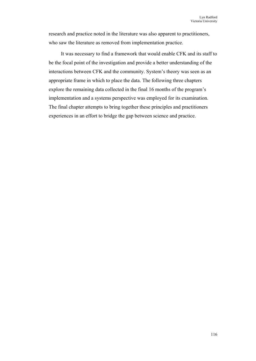research and practice noted in the literature was also apparent to practitioners, who saw the literature as removed from implementation practice.

It was necessary to find a framework that would enable CFK and its staff to be the focal point of the investigation and provide a better understanding of the interactions between CFK and the community. System's theory was seen as an appropriate frame in which to place the data. The following three chapters explore the remaining data collected in the final 16 months of the program's implementation and a systems perspective was employed for its examination. The final chapter attempts to bring together these principles and practitioners experiences in an effort to bridge the gap between science and practice.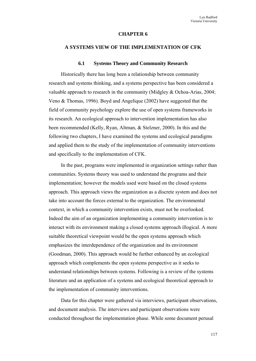#### **CHAPTER 6**

#### **A SYSTEMS VIEW OF THE IMPLEMENTATION OF CFK**

#### **6.1 Systems Theory and Community Research**

Historically there has long been a relationship between community research and systems thinking, and a systems perspective has been considered a valuable approach to research in the community (Midgley & Ochoa-Arias, 2004; Veno & Thomas, 1996). Boyd and Angelique (2002) have suggested that the field of community psychology explore the use of open systems frameworks in its research. An ecological approach to intervention implementation has also been recommended (Kelly, Ryan, Altman, & Stelzner, 2000). In this and the following two chapters, I have examined the systems and ecological paradigms and applied them to the study of the implementation of community interventions and specifically to the implementation of CFK.

In the past, programs were implemented in organization settings rather than communities. Systems theory was used to understand the programs and their implementation; however the models used were based on the closed systems approach. This approach views the organization as a discrete system and does not take into account the forces external to the organization. The environmental context, in which a community intervention exists, must not be overlooked. Indeed the aim of an organization implementing a community intervention is to interact with its environment making a closed systems approach illogical. A more suitable theoretical viewpoint would be the open systems approach which emphasizes the interdependence of the organization and its environment (Goodman, 2000). This approach would be further enhanced by an ecological approach which complements the open systems perspective as it seeks to understand relationships between systems. Following is a review of the systems literature and an application of a systems and ecological theoretical approach to the implementation of community interventions.

Data for this chapter were gathered via interviews, participant observations, and document analysis. The interviews and participant observations were conducted throughout the implementation phase. While some document perusal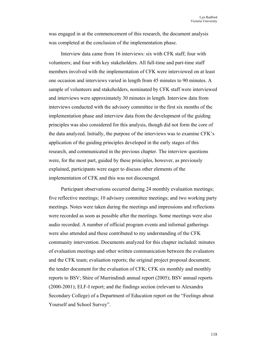was engaged in at the commencement of this research, the document analysis was completed at the conclusion of the implementation phase.

Interview data came from 16 interviews: six with CFK staff; four with volunteers; and four with key stakeholders. All full-time and part-time staff members involved with the implementation of CFK were interviewed on at least one occasion and interviews varied in length from 45 minutes to 90 minutes. A sample of volunteers and stakeholders, nominated by CFK staff were interviewed and interviews were approximately 30 minutes in length. Interview data from interviews conducted with the advisory committee in the first six months of the implementation phase and interview data from the development of the guiding principles was also considered for this analysis, though did not form the core of the data analyzed. Initially, the purpose of the interviews was to examine CFK's application of the guiding principles developed in the early stages of this research, and communicated in the previous chapter. The interview questions were, for the most part, guided by these principles, however, as previously explained, participants were eager to discuss other elements of the implementation of CFK and this was not discouraged.

Participant observations occurred during 24 monthly evaluation meetings; five reflective meetings; 10 advisory committee meetings; and two working party meetings. Notes were taken during the meetings and impressions and reflections were recorded as soon as possible after the meetings. Some meetings were also audio recorded. A number of official program events and informal gatherings were also attended and these contributed to my understanding of the CFK community intervention. Documents analyzed for this chapter included: minutes of evaluation meetings and other written communication between the evaluators and the CFK team; evaluation reports; the original project proposal document; the tender document for the evaluation of CFK; CFK six monthly and monthly reports to BSV; Shire of Murrindindi annual report (2005); BSV annual reports (2000-2001); ELF-I report; and the findings section (relevant to Alexandra Secondary College) of a Department of Education report on the "Feelings about Yourself and School Survey".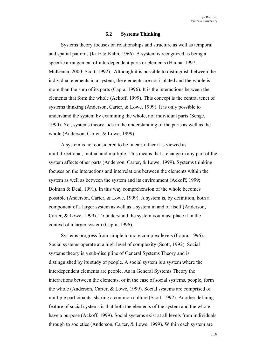#### **6.2 Systems Thinking**

Systems theory focuses on relationships and structure as well as temporal and spatial patterns (Katz & Kahn, 1966). A system is recognized as being a specific arrangement of interdependent parts or elements (Hanna, 1997; McKenna, 2000; Scott, 1992). Although it is possible to distinguish between the individual elements in a system, the elements are not isolated and the whole is more than the sum of its parts (Capra, 1996). It is the interactions between the elements that form the whole (Ackoff, 1999). This concept is the central tenet of systems thinking (Anderson, Carter, & Lowe, 1999). It is only possible to understand the system by examining the whole, not individual parts (Senge, 1990). Yet, systems theory aids in the understanding of the parts as well as the whole (Anderson, Carter, & Lowe, 1999).

A system is not considered to be linear; rather it is viewed as multidirectional, mutual and multiple. This means that a change in any part of the system affects other parts (Anderson, Carter, & Lowe, 1999). Systems thinking focuses on the interactions and interrelations between the elements within the system as well as between the system and its environment (Ackoff, 1999; Bolman & Deal, 1991). In this way comprehension of the whole becomes possible (Anderson, Carter, & Lowe, 1999). A system is, by definition, both a component of a larger system as well as a system in and of itself (Anderson, Carter, & Lowe, 1999). To understand the system you must place it in the context of a larger system (Capra, 1996).

Systems progress from simple to more complex levels (Capra, 1996). Social systems operate at a high level of complexity (Scott, 1992). Social systems theory is a sub-discipline of General Systems Theory and is distinguished by its study of people. A social system is a system where the interdependent elements are people. As in General Systems Theory the interactions between the elements, or in the case of social systems, people, form the whole (Anderson, Carter, & Lowe, 1999). Social systems are comprised of multiple participants, sharing a common culture (Scott, 1992). Another defining feature of social systems is that both the elements of the system and the whole have a purpose (Ackoff, 1999). Social systems exist at all levels from individuals through to societies (Anderson, Carter, & Lowe, 1999). Within each system are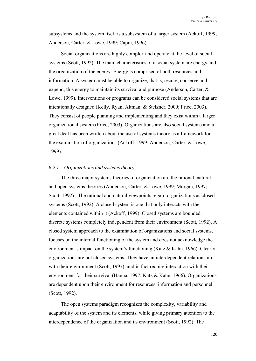subsystems and the system itself is a subsystem of a larger system (Ackoff, 1999; Anderson, Carter, & Lowe, 1999; Capra, 1996).

Social organizations are highly complex and operate at the level of social systems (Scott, 1992). The main characteristics of a social system are energy and the organization of the energy. Energy is comprised of both resources and information. A system must be able to organize, that is, secure, conserve and expend, this energy to maintain its survival and purpose (Anderson, Carter, & Lowe, 1999). Interventions or programs can be considered social systems that are intentionally designed (Kelly, Ryan, Altman, & Stelzner, 2000; Price, 2003). They consist of people planning and implementing and they exist within a larger organizational system (Price, 2003). Organizations are also social systems and a great deal has been written about the use of systems theory as a framework for the examination of organizations (Ackoff, 1999; Anderson, Carter, & Lowe, 1999).

#### *6.2.1 Organizations and systems theory*

The three major systems theories of organization are the rational, natural and open systems theories (Anderson, Carter, & Lowe, 1999; Morgan, 1997; Scott, 1992). The rational and natural viewpoints regard organizations as closed systems (Scott, 1992). A closed system is one that only interacts with the elements contained within it (Ackoff, 1999). Closed systems are bounded, discrete systems completely independent from their environment (Scott, 1992). A closed system approach to the examination of organizations and social systems, focuses on the internal functioning of the system and does not acknowledge the environment's impact on the system's functioning (Katz & Kahn, 1966). Clearly organizations are not closed systems. They have an interdependent relationship with their environment (Scott, 1997), and in fact require interaction with their environment for their survival (Hanna, 1997; Katz & Kahn, 1966). Organizations are dependent upon their environment for resources, information and personnel (Scott, 1992).

The open systems paradigm recognizes the complexity, variability and adaptability of the system and its elements, while giving primary attention to the interdependence of the organization and its environment (Scott, 1992). The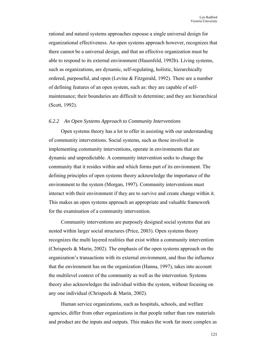rational and natural systems approaches espouse a single universal design for organizational effectiveness. An open systems approach however, recognizes that there cannot be a universal design, and that an effective organization must be able to respond to its external environment (Hasenfeld, 1992b). Living systems, such as organizations, are dynamic, self-regulating, holistic, hierarchically ordered, purposeful, and open (Levine & Fitzgerald, 1992). There are a number of defining features of an open system, such as: they are capable of selfmaintenance; their boundaries are difficult to determine; and they are hierarchical (Scott, 1992).

#### *6.2.2 An Open Systems Approach to Community Interventions*

Open systems theory has a lot to offer in assisting with our understanding of community interventions. Social systems, such as those involved in implementing community interventions, operate in environments that are dynamic and unpredictable. A community intervention seeks to change the community that it resides within and which forms part of its environment. The defining principles of open systems theory acknowledge the importance of the environment to the system (Morgan, 1997). Community interventions must interact with their environment if they are to survive and create change within it. This makes an open systems approach an appropriate and valuable framework for the examination of a community intervention.

Community interventions are purposely designed social systems that are nested within larger social structures (Price, 2003). Open systems theory recognizes the multi layered realities that exist within a community intervention (Chrispeels & Marin, 2002). The emphasis of the open systems approach on the organization's transactions with its external environment, and thus the influence that the environment has on the organization (Hanna, 1997), takes into account the multilevel context of the community as well as the intervention. Systems theory also acknowledges the individual within the system, without focusing on any one individual (Chrispeels & Marin, 2002).

Human service organizations, such as hospitals, schools, and welfare agencies, differ from other organizations in that people rather than raw materials and product are the inputs and outputs. This makes the work far more complex as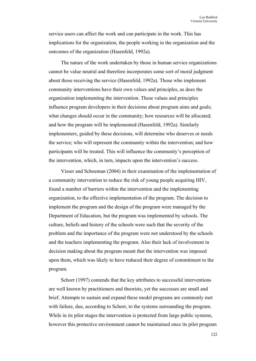service users can affect the work and can participate in the work. This has implications for the organization, the people working in the organization and the outcomes of the organization (Hasenfeld, 1992a).

The nature of the work undertaken by those in human service organizations cannot be value neutral and therefore incorporates some sort of moral judgment about those receiving the service (Hasenfeld, 1992a). Those who implement community interventions have their own values and principles, as does the organization implementing the intervention. These values and principles influence program developers in their decisions about program aims and goals; what changes should occur in the community; how resources will be allocated; and how the program will be implemented (Hasenfeld, 1992a). Similarly implementers, guided by these decisions, will determine who deserves or needs the service; who will represent the community within the intervention; and how participants will be treated. This will influence the community's perception of the intervention, which, in turn, impacts upon the intervention's success.

Visser and Schoeman (2004) in their examination of the implementation of a community intervention to reduce the risk of young people acquiring HIV, found a number of barriers within the intervention and the implementing organization, to the effective implementation of the program. The decision to implement the program and the design of the program were managed by the Department of Education, but the program was implemented by schools. The culture, beliefs and history of the schools were such that the severity of the problem and the importance of the program were not understood by the schools and the teachers implementing the program. Also their lack of involvement in decision making about the program meant that the intervention was imposed upon them, which was likely to have reduced their degree of commitment to the program.

Schorr (1997) contends that the key attributes to successful interventions are well known by practitioners and theorists, yet the successes are small and brief. Attempts to sustain and expand these model programs are commonly met with failure, due, according to Schorr, to the systems surrounding the program. While in its pilot stages the intervention is protected from large public systems, however this protective environment cannot be maintained once its pilot program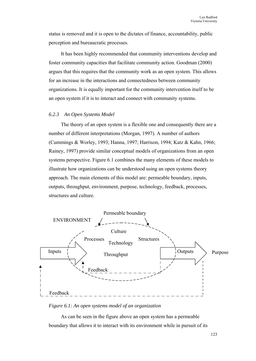status is removed and it is open to the dictates of finance, accountability, public perception and bureaucratic processes.

It has been highly recommended that community interventions develop and foster community capacities that facilitate community action. Goodman (2000) argues that this requires that the community work as an open system. This allows for an increase in the interactions and connectedness between community organizations. It is equally important for the community intervention itself to be an open system if it is to interact and connect with community systems.

### *6.2.3 An Open Systems Model*

The theory of an open system is a flexible one and consequently there are a number of different interpretations (Morgan, 1997). A number of authors (Cummings & Worley, 1993; Hanna, 1997; Harrison, 1994; Katz & Kahn, 1966; Rainey, 1997) provide similar conceptual models of organizations from an open systems perspective. Figure 6.1 combines the many elements of these models to illustrate how organizations can be understood using an open systems theory approach. The main elements of this model are: permeable boundary, inputs, outputs, throughput, environment, purpose, technology, feedback, processes, structures and culture.



*Figure 6.1: An open systems model of an organization* 

As can be seen in the figure above an open system has a permeable boundary that allows it to interact with its environment while in pursuit of its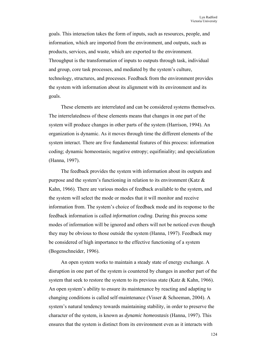goals. This interaction takes the form of inputs, such as resources, people, and information, which are imported from the environment, and outputs, such as products, services, and waste, which are exported to the environment. Throughput is the transformation of inputs to outputs through task, individual and group, core task processes, and mediated by the system's culture, technology, structures, and processes. Feedback from the environment provides the system with information about its alignment with its environment and its goals.

These elements are interrelated and can be considered systems themselves. The interrelatedness of these elements means that changes in one part of the system will produce changes in other parts of the system (Harrison, 1994). An organization is dynamic. As it moves through time the different elements of the system interact. There are five fundamental features of this process: information coding; dynamic homeostasis; negative entropy; equifiniality; and specialization (Hanna, 1997).

The feedback provides the system with information about its outputs and purpose and the system's functioning in relation to its environment (Katz & Kahn, 1966). There are various modes of feedback available to the system, and the system will select the mode or modes that it will monitor and receive information from. The system's choice of feedback mode and its response to the feedback information is called *information coding*. During this process some modes of information will be ignored and others will not be noticed even though they may be obvious to those outside the system (Hanna, 1997). Feedback may be considered of high importance to the effective functioning of a system (Bogenschneider, 1996).

An open system works to maintain a steady state of energy exchange. A disruption in one part of the system is countered by changes in another part of the system that seek to restore the system to its previous state (Katz & Kahn, 1966). An open system's ability to ensure its maintenance by reacting and adapting to changing conditions is called self-maintenance (Visser & Schoeman, 2004). A system's natural tendency towards maintaining stability, in order to preserve the character of the system, is known as *dynamic homeostasis* (Hanna, 1997). This ensures that the system is distinct from its environment even as it interacts with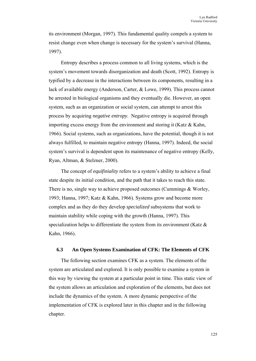its environment (Morgan, 1997). This fundamental quality compels a system to resist change even when change is necessary for the system's survival (Hanna, 1997).

Entropy describes a process common to all living systems, which is the system's movement towards disorganization and death (Scott, 1992). Entropy is typified by a decrease in the interactions between its components, resulting in a lack of available energy (Anderson, Carter, & Lowe, 1999). This process cannot be arrested in biological organisms and they eventually die. However, an open system, such as an organization or social system, can attempt to arrest this process by acquiring *negative entropy*. Negative entropy is acquired through importing excess energy from the environment and storing it (Katz  $\&$  Kahn, 1966). Social systems, such as organizations, have the potential, though it is not always fulfilled, to maintain negative entropy (Hanna, 1997). Indeed, the social system's survival is dependent upon its maintenance of negative entropy (Kelly, Ryan, Altman, & Stelzner, 2000).

The concept of *equifiniality* refers to a system's ability to achieve a final state despite its initial condition, and the path that it takes to reach this state. There is no, single way to achieve proposed outcomes (Cummings & Worley, 1993; Hanna, 1997; Katz & Kahn, 1966). Systems grow and become more complex and as they do they develop *specialized* subsystems that work to maintain stability while coping with the growth (Hanna, 1997). This specialization helps to differentiate the system from its environment (Katz & Kahn, 1966).

### **6.3 An Open Systems Examination of CFK: The Elements of CFK**

The following section examines CFK as a system. The elements of the system are articulated and explored. It is only possible to examine a system in this way by viewing the system at a particular point in time. This static view of the system allows an articulation and exploration of the elements, but does not include the dynamics of the system. A more dynamic perspective of the implementation of CFK is explored later in this chapter and in the following chapter.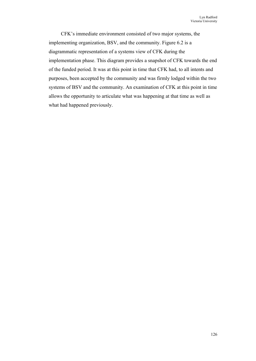CFK's immediate environment consisted of two major systems, the implementing organization, BSV, and the community. Figure 6.2 is a diagrammatic representation of a systems view of CFK during the implementation phase. This diagram provides a snapshot of CFK towards the end of the funded period. It was at this point in time that CFK had, to all intents and purposes, been accepted by the community and was firmly lodged within the two systems of BSV and the community. An examination of CFK at this point in time allows the opportunity to articulate what was happening at that time as well as what had happened previously.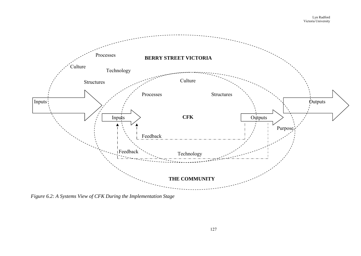

*Figure 6.2: A Systems View of CFK During the Implementation Stage*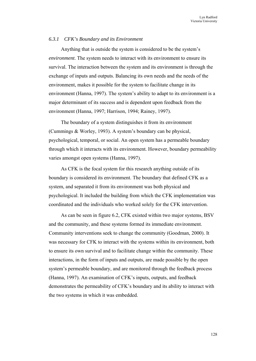#### *6.3.1 CFK's Boundary and its Environment*

Anything that is outside the system is considered to be the system's *environment*. The system needs to interact with its environment to ensure its survival. The interaction between the system and its environment is through the exchange of inputs and outputs. Balancing its own needs and the needs of the environment, makes it possible for the system to facilitate change in its environment (Hanna, 1997). The system's ability to adapt to its environment is a major determinant of its success and is dependent upon feedback from the environment (Hanna, 1997; Harrison, 1994; Rainey, 1997).

The boundary of a system distinguishes it from its environment (Cummings & Worley, 1993). A system's boundary can be physical, psychological, temporal, or social. An open system has a permeable boundary through which it interacts with its environment. However, boundary permeability varies amongst open systems (Hanna, 1997).

As CFK is the focal system for this research anything outside of its boundary is considered its environment. The boundary that defined CFK as a system, and separated it from its environment was both physical and psychological. It included the building from which the CFK implementation was coordinated and the individuals who worked solely for the CFK intervention.

As can be seen in figure 6.2, CFK existed within two major systems, BSV and the community, and these systems formed its immediate environment. Community interventions seek to change the community (Goodman, 2000). It was necessary for CFK to interact with the systems within its environment, both to ensure its own survival and to facilitate change within the community. These interactions, in the form of inputs and outputs, are made possible by the open system's permeable boundary, and are monitored through the feedback process (Hanna, 1997). An examination of CFK's inputs, outputs, and feedback demonstrates the permeability of CFK's boundary and its ability to interact with the two systems in which it was embedded.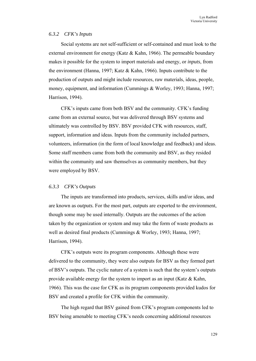# *6.3.2 CFK's Inputs*

Social systems are not self-sufficient or self-contained and must look to the external environment for energy (Katz & Kahn, 1966). The permeable boundary makes it possible for the system to import materials and energy, or *inputs*, from the environment (Hanna, 1997; Katz & Kahn, 1966). Inputs contribute to the production of outputs and might include resources, raw materials, ideas, people, money, equipment, and information (Cummings & Worley, 1993; Hanna, 1997; Harrison, 1994).

CFK's inputs came from both BSV and the community. CFK's funding came from an external source, but was delivered through BSV systems and ultimately was controlled by BSV. BSV provided CFK with resources, staff, support, information and ideas. Inputs from the community included partners, volunteers, information (in the form of local knowledge and feedback) and ideas. Some staff members came from both the community and BSV, as they resided within the community and saw themselves as community members, but they were employed by BSV.

### *6.3.3 CFK's Outputs*

The inputs are transformed into products, services, skills and/or ideas, and are known as *outputs.* For the most part, outputs are exported to the environment, though some may be used internally. Outputs are the outcomes of the action taken by the organization or system and may take the form of waste products as well as desired final products (Cummings & Worley, 1993; Hanna, 1997; Harrison, 1994).

CFK's outputs were its program components. Although these were delivered to the community, they were also outputs for BSV as they formed part of BSV's outputs. The cyclic nature of a system is such that the system's outputs provide available energy for the system to import as an input (Katz & Kahn, 1966). This was the case for CFK as its program components provided kudos for BSV and created a profile for CFK within the community.

The high regard that BSV gained from CFK's program components led to BSV being amenable to meeting CFK's needs concerning additional resources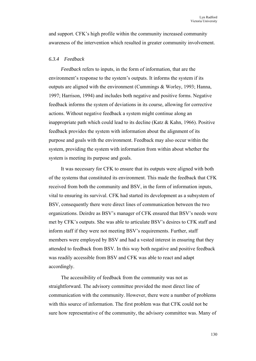and support. CFK's high profile within the community increased community awareness of the intervention which resulted in greater community involvement.

#### *6.3.4 Feedback*

*Feedback* refers to inputs, in the form of information, that are the environment's response to the system's outputs. It informs the system if its outputs are aligned with the environment (Cummings & Worley, 1993; Hanna, 1997; Harrison, 1994) and includes both negative and positive forms. Negative feedback informs the system of deviations in its course, allowing for corrective actions. Without negative feedback a system might continue along an inappropriate path which could lead to its decline (Katz & Kahn, 1966). Positive feedback provides the system with information about the alignment of its purpose and goals with the environment. Feedback may also occur within the system, providing the system with information from within about whether the system is meeting its purpose and goals.

It was necessary for CFK to ensure that its outputs were aligned with both of the systems that constituted its environment. This made the feedback that CFK received from both the community and BSV, in the form of information inputs, vital to ensuring its survival. CFK had started its development as a subsystem of BSV, consequently there were direct lines of communication between the two organizations. Deirdre as BSV's manager of CFK ensured that BSV's needs were met by CFK's outputs. She was able to articulate BSV's desires to CFK staff and inform staff if they were not meeting BSV's requirements. Further, staff members were employed by BSV and had a vested interest in ensuring that they attended to feedback from BSV. In this way both negative and positive feedback was readily accessible from BSV and CFK was able to react and adapt accordingly.

The accessibility of feedback from the community was not as straightforward. The advisory committee provided the most direct line of communication with the community. However, there were a number of problems with this source of information. The first problem was that CFK could not be sure how representative of the community, the advisory committee was. Many of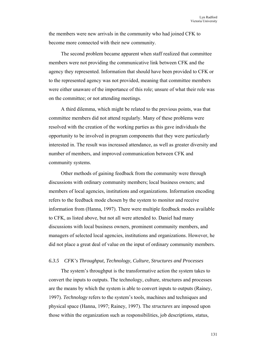the members were new arrivals in the community who had joined CFK to become more connected with their new community.

The second problem became apparent when staff realized that committee members were not providing the communicative link between CFK and the agency they represented. Information that should have been provided to CFK or to the represented agency was not provided, meaning that committee members were either unaware of the importance of this role; unsure of what their role was on the committee; or not attending meetings.

A third dilemma, which might be related to the previous points, was that committee members did not attend regularly. Many of these problems were resolved with the creation of the working parties as this gave individuals the opportunity to be involved in program components that they were particularly interested in. The result was increased attendance, as well as greater diversity and number of members, and improved communication between CFK and community systems.

Other methods of gaining feedback from the community were through discussions with ordinary community members; local business owners; and members of local agencies, institutions and organizations. Information encoding refers to the feedback mode chosen by the system to monitor and receive information from (Hanna, 1997). There were multiple feedback modes available to CFK, as listed above, but not all were attended to. Daniel had many discussions with local business owners, prominent community members, and managers of selected local agencies, institutions and organizations. However, he did not place a great deal of value on the input of ordinary community members.

#### *6.3.5 CFK's Throughput, Technology, Culture, Structures and Processes*

The system's throughput is the transformative action the system takes to convert the inputs to outputs. The technology, culture, structures and processes are the means by which the system is able to convert inputs to outputs (Rainey, 1997). *Technology* refers to the system's tools, machines and techniques and physical space (Hanna, 1997; Rainey, 1997). The *structures* are imposed upon those within the organization such as responsibilities, job descriptions, status,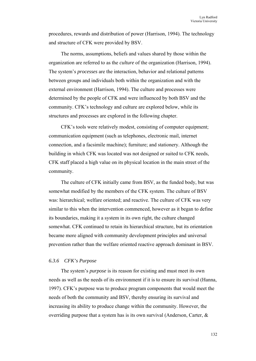procedures, rewards and distribution of power (Harrison, 1994). The technology and structure of CFK were provided by BSV.

The norms, assumptions, beliefs and values shared by those within the organization are referred to as the *culture* of the organization (Harrison, 1994). The system's *processes* are the interaction, behavior and relational patterns between groups and individuals both within the organization and with the external environment (Harrison, 1994). The culture and processes were determined by the people of CFK and were influenced by both BSV and the community. CFK's technology and culture are explored below, while its structures and processes are explored in the following chapter.

CFK's tools were relatively modest, consisting of computer equipment; communication equipment (such as telephones, electronic mail, internet connection, and a facsimile machine); furniture; and stationery. Although the building in which CFK was located was not designed or suited to CFK needs, CFK staff placed a high value on its physical location in the main street of the community.

The culture of CFK initially came from BSV, as the funded body, but was somewhat modified by the members of the CFK system. The culture of BSV was: hierarchical; welfare oriented; and reactive. The culture of CFK was very similar to this when the intervention commenced, however as it began to define its boundaries, making it a system in its own right, the culture changed somewhat. CFK continued to retain its hierarchical structure, but its orientation became more aligned with community development principles and universal prevention rather than the welfare oriented reactive approach dominant in BSV.

# *6.3.6 CFK's Purpose*

The system's *purpose* is its reason for existing and must meet its own needs as well as the needs of its environment if it is to ensure its survival (Hanna, 1997). CFK's purpose was to produce program components that would meet the needs of both the community and BSV, thereby ensuring its survival and increasing its ability to produce change within the community. However, the overriding purpose that a system has is its own survival (Anderson, Carter, &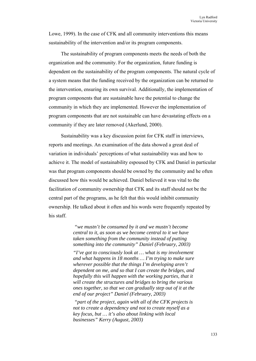Lowe, 1999). In the case of CFK and all community interventions this means sustainability of the intervention and/or its program components.

The sustainability of program components meets the needs of both the organization and the community. For the organization, future funding is dependent on the sustainability of the program components. The natural cycle of a system means that the funding received by the organization can be returned to the intervention, ensuring its own survival. Additionally, the implementation of program components that are sustainable have the potential to change the community in which they are implemented. However the implementation of program components that are not sustainable can have devastating effects on a community if they are later removed (Akerlund, 2000).

Sustainability was a key discussion point for CFK staff in interviews, reports and meetings. An examination of the data showed a great deal of variation in individuals' perceptions of what sustainability was and how to achieve it. The model of sustainability espoused by CFK and Daniel in particular was that program components should be owned by the community and he often discussed how this would be achieved. Daniel believed it was vital to the facilitation of community ownership that CFK and its staff should not be the central part of the programs, as he felt that this would inhibit community ownership. He talked about it often and his words were frequently repeated by his staff.

> *"we mustn't be consumed by it and we mustn't become central to it, as soon as we become central to it we have taken something from the community instead of putting something into the community" Daniel (February, 2003)*

*"I've got to consciously look at … what is my involvement and what happens in 18 months … I'm trying to make sure wherever possible that the things I'm developing aren't dependent on me, and so that I can create the bridges, and hopefully this will happen with the working parties, that it will create the structures and bridges to bring the various ones together, so that we can gradually step out of it at the end of our project" Daniel (February, 2003)* 

 *"part of the project, again with all of the CFK projects is not to create a dependency and not to create myself as a key focus, but … it's also about linking with local businesses" Kerry (August, 2003)*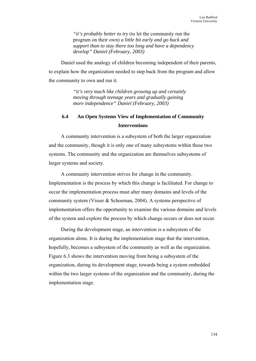*"it's probably better to try* (to let the community run the program on their own) *a little bit early and go back and support than to stay there too long and have a dependency develop" Daniel (February, 2003)* 

Daniel used the analogy of children becoming independent of their parents, to explain how the organization needed to step back from the program and allow the community to own and run it.

> *"it's very much like children growing up and certainly moving through teenage years and gradually gaining more independence" Daniel (February, 2003)*

# **6.4 An Open Systems View of Implementation of Community Interventions**

A community intervention is a subsystem of both the larger organization and the community, though it is only one of many subsystems within these two systems. The community and the organization are themselves subsystems of larger systems and society.

A community intervention strives for change in the community. Implementation is the process by which this change is facilitated. For change to occur the implementation process must alter many domains and levels of the community system (Visser & Schoeman, 2004). A systems perspective of implementation offers the opportunity to examine the various domains and levels of the system and explore the process by which change occurs or does not occur.

During the development stage, an intervention is a subsystem of the organization alone. It is during the implementation stage that the intervention, hopefully, becomes a subsystem of the community as well as the organization. Figure 6.3 shows the intervention moving from being a subsystem of the organization, during its development stage, towards being a system embedded within the two larger systems of the organization and the community, during the implementation stage.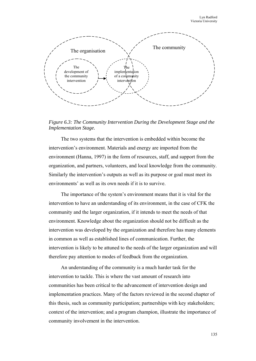

*Figure 6.3: The Community Intervention During the Development Stage and the Implementation Stage.* 

The two systems that the intervention is embedded within become the intervention's environment. Materials and energy are imported from the environment (Hanna, 1997) in the form of resources, staff, and support from the organization, and partners, volunteers, and local knowledge from the community. Similarly the intervention's outputs as well as its purpose or goal must meet its environments' as well as its own needs if it is to survive.

The importance of the system's environment means that it is vital for the intervention to have an understanding of its environment, in the case of CFK the community and the larger organization, if it intends to meet the needs of that environment. Knowledge about the organization should not be difficult as the intervention was developed by the organization and therefore has many elements in common as well as established lines of communication. Further, the intervention is likely to be attuned to the needs of the larger organization and will therefore pay attention to modes of feedback from the organization.

An understanding of the community is a much harder task for the intervention to tackle. This is where the vast amount of research into communities has been critical to the advancement of intervention design and implementation practices. Many of the factors reviewed in the second chapter of this thesis, such as community participation; partnerships with key stakeholders; context of the intervention; and a program champion, illustrate the importance of community involvement in the intervention.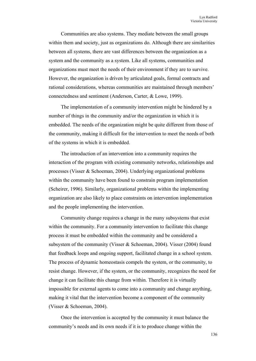Communities are also systems. They mediate between the small groups within them and society, just as organizations do. Although there are similarities between all systems, there are vast differences between the organization as a system and the community as a system. Like all systems, communities and organizations must meet the needs of their environment if they are to survive. However, the organization is driven by articulated goals, formal contracts and rational considerations, whereas communities are maintained through members' connectedness and sentiment (Anderson, Carter, & Lowe, 1999).

The implementation of a community intervention might be hindered by a number of things in the community and/or the organization in which it is embedded. The needs of the organization might be quite different from those of the community, making it difficult for the intervention to meet the needs of both of the systems in which it is embedded.

The introduction of an intervention into a community requires the interaction of the program with existing community networks, relationships and processes (Visser & Schoeman, 2004). Underlying organizational problems within the community have been found to constrain program implementation (Scheirer, 1996). Similarly, organizational problems within the implementing organization are also likely to place constraints on intervention implementation and the people implementing the intervention.

Community change requires a change in the many subsystems that exist within the community. For a community intervention to facilitate this change process it must be embedded within the community and be considered a subsystem of the community (Visser & Schoeman, 2004). Visser (2004) found that feedback loops and ongoing support, facilitated change in a school system. The process of dynamic homeostasis compels the system, or the community, to resist change. However, if the system, or the community, recognizes the need for change it can facilitate this change from within. Therefore it is virtually impossible for external agents to come into a community and change anything, making it vital that the intervention become a component of the community (Visser & Schoeman, 2004).

Once the intervention is accepted by the community it must balance the community's needs and its own needs if it is to produce change within the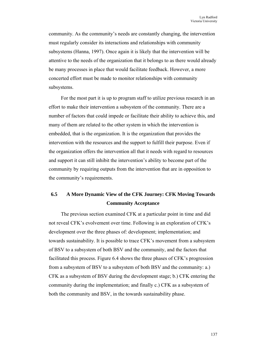community. As the community's needs are constantly changing, the intervention must regularly consider its interactions and relationships with community subsystems (Hanna, 1997). Once again it is likely that the intervention will be attentive to the needs of the organization that it belongs to as there would already be many processes in place that would facilitate feedback. However, a more concerted effort must be made to monitor relationships with community subsystems.

For the most part it is up to program staff to utilize previous research in an effort to make their intervention a subsystem of the community. There are a number of factors that could impede or facilitate their ability to achieve this, and many of them are related to the other system in which the intervention is embedded, that is the organization. It is the organization that provides the intervention with the resources and the support to fulfill their purpose. Even if the organization offers the intervention all that it needs with regard to resources and support it can still inhibit the intervention's ability to become part of the community by requiring outputs from the intervention that are in opposition to the community's requirements.

# **6.5 A More Dynamic View of the CFK Journey: CFK Moving Towards Community Acceptance**

The previous section examined CFK at a particular point in time and did not reveal CFK's evolvement over time. Following is an exploration of CFK's development over the three phases of: development; implementation; and towards sustainability. It is possible to trace CFK's movement from a subsystem of BSV to a subsystem of both BSV and the community, and the factors that facilitated this process. Figure 6.4 shows the three phases of CFK's progression from a subsystem of BSV to a subsystem of both BSV and the community: a.) CFK as a subsystem of BSV during the development stage; b.) CFK entering the community during the implementation; and finally c.) CFK as a subsystem of both the community and BSV, in the towards sustainability phase.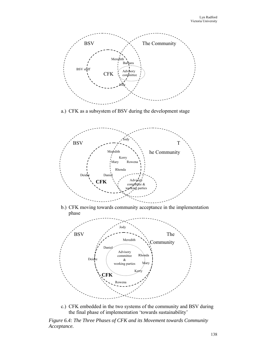

a.) CFK as a subsystem of BSV during the development stage



b.) CFK moving towards community acceptance in the implementation phase



c.) CFK embedded in the two systems of the community and BSV during the final phase of implementation 'towards sustainability'

*Figure 6.4: The Three Phases of CFK and its Movement towards Community Acceptance.*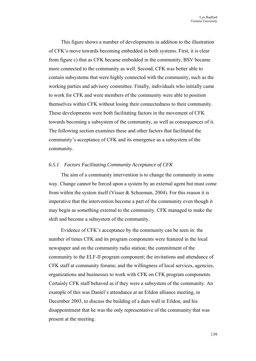This figure shows a number of developments in addition to the illustration of CFK's move towards becoming embedded in both systems. First, it is clear from figure c) that as CFK became embedded in the community, BSV became more connected to the community as well. Second, CFK was better able to contain subsystems that were highly connected with the community, such as the working parties and advisory committee. Finally, individuals who initially came to work for CFK and were members of the community were able to position themselves within CFK without losing their connectedness to their community. These developments were both facilitating factors in the movement of CFK towards becoming a subsystem of the community, as well as consequences of it. The following section examines these and other factors that facilitated the community's acceptance of CFK and its emergence as a subsystem of the community.

### *6.5.1 Factors Facilitating Community Acceptance of CFK*

The aim of a community intervention is to change the community in some way. Change cannot be forced upon a system by an external agent but must come from within the system itself (Visser & Schoeman, 2004). For this reason it is imperative that the intervention become a part of the community even though it may begin as something external to the community. CFK managed to make the shift and become a subsystem of the community.

Evidence of CFK's acceptance by the community can be seen in: the number of times CFK and its program components were featured in the local newspaper and on the community radio station; the commitment of the community to the ELF-II program component; the invitations and attendance of CFK staff at community forums; and the willingness of local services, agencies, organizations and businesses to work with CFK on CFK program components. Certainly CFK staff behaved as if they were a subsystem of the community. An example of this was Daniel's attendance at an Eildon alliance meeting, in December 2003, to discuss the building of a dam wall in Eildon, and his disappointment that he was the only representative of the community that was present at the meeting.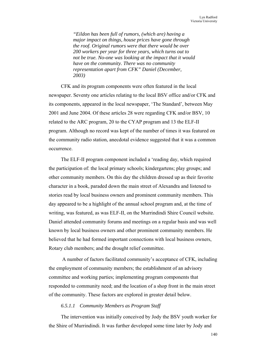*"Eildon has been full of rumors, (which are) having a major impact on things, house prices have gone through the roof. Original rumors were that there would be over 200 workers per year for three years, which turns out to not be true. No-one was looking at the impact that it would have on the community. There was no community representation apart from CFK" Daniel (December, 2003)* 

CFK and its program components were often featured in the local newspaper. Seventy one articles relating to the local BSV office and/or CFK and its components, appeared in the local newspaper, 'The Standard', between May 2001 and June 2004. Of these articles 28 were regarding CFK and/or BSV, 10 related to the ARC program, 20 to the CYAP program and 13 the ELF-II program. Although no record was kept of the number of times it was featured on the community radio station, anecdotal evidence suggested that it was a common occurrence.

The ELF-II program component included a 'reading day, which required the participation of: the local primary schools; kindergartens; play groups; and other community members. On this day the children dressed up as their favorite character in a book, paraded down the main street of Alexandra and listened to stories read by local business owners and prominent community members. This day appeared to be a highlight of the annual school program and, at the time of writing, was featured, as was ELF-II, on the Murrindindi Shire Council website. Daniel attended community forums and meetings on a regular basis and was well known by local business owners and other prominent community members. He believed that he had formed important connections with local business owners, Rotary club members; and the drought relief committee.

 A number of factors facilitated community's acceptance of CFK, including the employment of community members; the establishment of an advisory committee and working parties; implementing program components that responded to community need; and the location of a shop front in the main street of the community. These factors are explored in greater detail below.

# *6.5.1.1 Community Members as Program Staff*

The intervention was initially conceived by Jody the BSV youth worker for the Shire of Murrindindi. It was further developed some time later by Jody and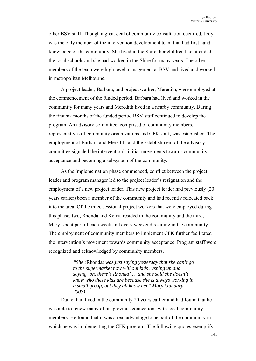other BSV staff. Though a great deal of community consultation occurred, Jody was the only member of the intervention development team that had first hand knowledge of the community. She lived in the Shire, her children had attended the local schools and she had worked in the Shire for many years. The other members of the team were high level management at BSV and lived and worked in metropolitan Melbourne.

A project leader, Barbara, and project worker, Meredith, were employed at the commencement of the funded period. Barbara had lived and worked in the community for many years and Meredith lived in a nearby community. During the first six months of the funded period BSV staff continued to develop the program. An advisory committee, comprised of community members, representatives of community organizations and CFK staff, was established. The employment of Barbara and Meredith and the establishment of the advisory committee signaled the intervention's initial movements towards community acceptance and becoming a subsystem of the community.

As the implementation phase commenced, conflict between the project leader and program manager led to the project leader's resignation and the employment of a new project leader. This new project leader had previously (20 years earlier) been a member of the community and had recently relocated back into the area. Of the three sessional project workers that were employed during this phase, two, Rhonda and Kerry, resided in the community and the third, Mary, spent part of each week and every weekend residing in the community. The employment of community members to implement CFK further facilitated the intervention's movement towards community acceptance. Program staff were recognized and acknowledged by community members.

> *"She* (Rhonda) *was just saying yesterday that she can't go to the supermarket now without kids rushing up and saying 'oh, there's Rhonda' … and she said she doesn't know who these kids are because she is always working in a small group, but they all know her" Mary (January, 2003)*

Daniel had lived in the community 20 years earlier and had found that he was able to renew many of his previous connections with local community members. He found that it was a real advantage to be part of the community in which he was implementing the CFK program. The following quotes exemplify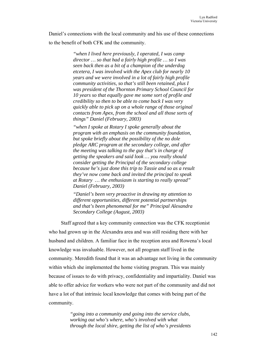Daniel's connections with the local community and his use of these connections to the benefit of both CFK and the community.

> *"when I lived here previously, I operated, I was camp director … so that had a fairly high profile … so I was seen back then as a bit of a champion of the underdog etcetera, I was involved with the Apex club for nearly 10 years and we were involved in a lot of fairly high profile community activities, so that's still been retained, plus I was president of the Thornton Primary School Council for 10 years so that equally gave me some sort of profile and credibility so then to be able to come back I was very quickly able to pick up on a whole range of those original contacts from Apex, from the school and all those sorts of things" Daniel (February, 2003)*

*"when I spoke at Rotary I spoke generally about the program with an emphasis on the community foundation, but spoke briefly about the possibility of the no dole pledge ARC program at the secondary college, and after the meeting was talking to the guy that's in charge of getting the speakers and said look … you really should consider getting the Principal of the secondary college because he's just done this trip to Tassie and so as a result they've now come back and invited the principal to speak at Rotary … the enthusiasm is starting to really spread" Daniel (February, 2003)* 

*"Daniel's been very proactive in drawing my attention to different opportunities, different potential partnerships and that's been phenomenal for me" Principal Alexandra Secondary College (August, 2003)* 

Staff agreed that a key community connection was the CFK receptionist who had grown up in the Alexandra area and was still residing there with her husband and children. A familiar face in the reception area and Rowena's local knowledge was invaluable. However, not all program staff lived in the community. Meredith found that it was an advantage not living in the community within which she implemented the home visiting program. This was mainly because of issues to do with privacy, confidentiality and impartiality. Daniel was able to offer advice for workers who were not part of the community and did not have a lot of that intrinsic local knowledge that comes with being part of the community.

> *"going into a community and going into the service clubs, working out who's where, who's involved with what through the local shire, getting the list of who's presidents*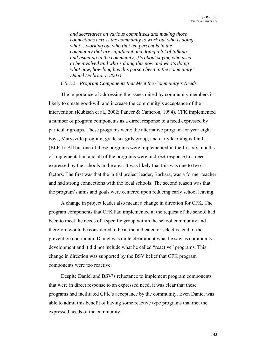*and secretaries on various committees and making those connections across the community to work out who is doing what …working out who that ten percent is in the community that are significant and doing a lot of talking and listening in the community, it's about saying who used to be involved and who's doing this now and who's doing what now, how long has this person been in the community" Daniel (February, 2003)* 

### *6.5.1.2 Program Components that Meet the Community's Needs*

The importance of addressing the issues raised by community members is likely to create good-will and increase the community's acceptance of the intervention (Kubisch et al., 2002; Pancer & Cameron, 1994). CFK implemented a number of program components as a direct response to a need expressed by particular groups. These programs were: the alternative program for year eight boys; Marysville program; grade six girls group; and early learning is fun I (ELF-I). All but one of these programs were implemented in the first six months of implementation and all of the programs were in direct response to a need expressed by the schools in the area. It was likely that this was due to two factors. The first was that the initial project leader, Barbara, was a former teacher and had strong connections with the local schools. The second reason was that the program's aims and goals were centered upon reducing early school leaving.

A change in project leader also meant a change in direction for CFK. The program components that CFK had implemented at the request of the school had been to meet the needs of a specific group within the school community and therefore would be considered to be at the indicated or selective end of the prevention continuum. Daniel was quite clear about what he saw as community development and it did not include what he called "reactive" programs. This change in direction was supported by the BSV belief that CFK program components were too reactive.

Despite Daniel and BSV's reluctance to implement program components that were in direct response to an expressed need, it was clear that these programs had facilitated CFK's acceptance by the community. Even Daniel was able to admit this benefit of having some reactive type programs that met the expressed needs of the community.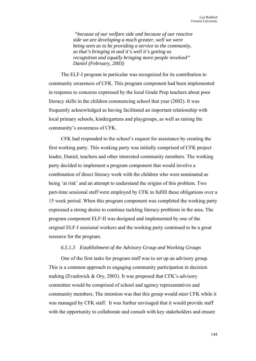*"because of our welfare side and because of our reactive side we are developing a much greater, well we were being seen as to be providing a service to the community, so that's bringing in and it's well it's getting us recognition and equally bringing more people involved" Daniel (February, 2003)* 

The ELF-I program in particular was recognized for its contribution to community awareness of CFK. This program component had been implemented in response to concerns expressed by the local Grade Prep teachers about poor literacy skills in the children commencing school that year (2002). It was frequently acknowledged as having facilitated an important relationship with local primary schools, kindergartens and playgroups, as well as raising the community's awareness of CFK.

CFK had responded to the school's request for assistance by creating the first working party. This working party was initially comprised of CFK project leader, Daniel, teachers and other interested community members. The working party decided to implement a program component that would involve a combination of direct literacy work with the children who were nominated as being 'at risk' and an attempt to understand the origins of this problem. Two part-time sessional staff were employed by CFK to fulfill these obligations over a 15 week period. When this program component was completed the working party expressed a strong desire to continue tackling literacy problems in the area. The program component ELF-II was designed and implemented by one of the original ELF-I sessional workers and the working party continued to be a great resource for the program.

# *6.5.1.3 Establishment of the Advisory Group and Working Groups*

One of the first tasks for program staff was to set up an advisory group. This is a common approach to engaging community participation in decision making (Evashwick & Ory, 2003). It was proposed that CFK's advisory committee would be comprised of school and agency representatives and community members. The intention was that this group would steer CFK while it was managed by CFK staff. It was further envisaged that it would provide staff with the opportunity to collaborate and consult with key stakeholders and ensure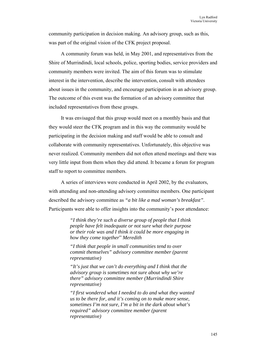community participation in decision making. An advisory group, such as this, was part of the original vision of the CFK project proposal.

A community forum was held, in May 2001, and representatives from the Shire of Murrindindi, local schools, police, sporting bodies, service providers and community members were invited. The aim of this forum was to stimulate interest in the intervention, describe the intervention, consult with attendees about issues in the community, and encourage participation in an advisory group. The outcome of this event was the formation of an advisory committee that included representatives from these groups.

It was envisaged that this group would meet on a monthly basis and that they would steer the CFK program and in this way the community would be participating in the decision making and staff would be able to consult and collaborate with community representatives. Unfortunately, this objective was never realized. Community members did not often attend meetings and there was very little input from them when they did attend. It became a forum for program staff to report to committee members.

A series of interviews were conducted in April 2002, by the evaluators, with attending and non-attending advisory committee members. One participant described the advisory committee as *"a bit like a mad woman's breakfast"*. Participants were able to offer insights into the community's poor attendance:

> *"I think they're such a diverse group of people that I think people have felt inadequate or not sure what their purpose or their role was and I think it could be more engaging in how they come together*" *Meredith*

*"I think that people in small communities tend to over commit themselves" advisory committee member (parent representative)* 

*"It's just that we can't do everything and I think that the advisory group is sometimes not sure about why we're there" advisory committee member (Murrindindi Shire representative)* 

*"I first wondered what I needed to do and what they wanted us to be there for, and it's coming on to make more sense, sometimes I'm not sure, I'm a bit in the dark about what's required" advisory committee member (parent representative)*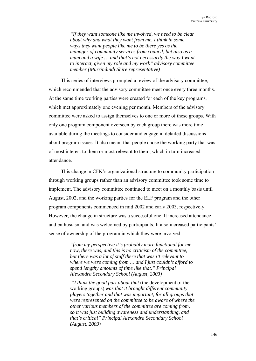*"If they want someone like me involved, we need to be clear about why and what they want from me. I think in some ways they want people like me to be there yes as the manager of community services from council, but also as a mum and a wife … and that's not necessarily the way I want to interact, given my role and my work" advisory committee member (Murrindindi Shire representative)* 

This series of interviews prompted a review of the advisory committee, which recommended that the advisory committee meet once every three months. At the same time working parties were created for each of the key programs, which met approximately one evening per month. Members of the advisory committee were asked to assign themselves to one or more of these groups. With only one program component overseen by each group there was more time available during the meetings to consider and engage in detailed discussions about program issues. It also meant that people chose the working party that was of most interest to them or most relevant to them, which in turn increased attendance.

This change in CFK's organizational structure to community participation through working groups rather than an advisory committee took some time to implement. The advisory committee continued to meet on a monthly basis until August, 2002, and the working parties for the ELF program and the other program components commenced in mid 2002 and early 2003, respectively. However, the change in structure was a successful one. It increased attendance and enthusiasm and was welcomed by participants. It also increased participants' sense of ownership of the program in which they were involved.

> *"from my perspective it's probably more functional for me now, there was, and this is no criticism of the committee, but there was a lot of stuff there that wasn't relevant to where we were coming from … and I just couldn't afford to spend lengthy amounts of time like that." Principal Alexandra Secondary School (August, 2003)*

 *"I think the good part about that* (the development of the working groups) *was that it brought different community players together and that was important, for all groups that were represented on the committee to be aware of where the other various members of the committee are coming from, so it was just building awareness and understanding, and that's critical" Principal Alexandra Secondary School (August, 2003)*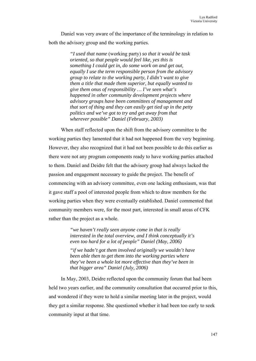Daniel was very aware of the importance of the terminology in relation to both the advisory group and the working parties.

> *"I used that name* (working party) *so that it would be task oriented, so that people would feel like, yes this is something I could get in, do some work on and get out, equally I use the term responsible person from the advisory group to relate to the working party, I didn't want to give them a title that made them superior, but equally wanted to give them onus of responsibility … I've seen what's happened in other community development projects where advisory groups have been committees of management and that sort of thing and they can easily get tied up in the petty politics and we've got to try and get away from that wherever possible" Daniel (February, 2003)*

When staff reflected upon the shift from the advisory committee to the working parties they lamented that it had not happened from the very beginning. However, they also recognized that it had not been possible to do this earlier as there were not any program components ready to have working parties attached to them. Daniel and Deidre felt that the advisory group had always lacked the passion and engagement necessary to guide the project. The benefit of commencing with an advisory committee, even one lacking enthusiasm, was that it gave staff a pool of interested people from which to draw members for the working parties when they were eventually established. Daniel commented that community members were, for the most part, interested in small areas of CFK rather than the project as a whole.

> *"we haven't really seen anyone come in that is really interested in the total overview, and I think conceptually it's even too hard for a lot of people" Daniel (May, 2006)*

> *"if we hadn't got them involved originally we wouldn't have been able then to get them into the working parties where they've been a whole lot more effective than they've been in that bigger area" Daniel (July, 2006)*

In May, 2003, Deidre reflected upon the community forum that had been held two years earlier, and the community consultation that occurred prior to this, and wondered if they were to hold a similar meeting later in the project, would they get a similar response. She questioned whether it had been too early to seek community input at that time.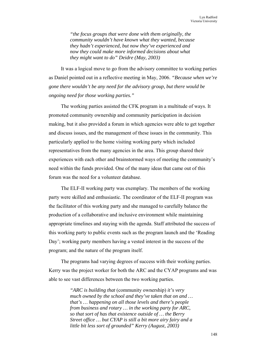*"the focus groups that were done with them originally, the community wouldn't have known what they wanted, because they hadn't experienced, but now they've experienced and now they could make more informed decisions about what they might want to do" Deidre (May, 2003)* 

It was a logical move to go from the advisory committee to working parties as Daniel pointed out in a reflective meeting in May, 2006. *"Because when we're gone there wouldn't be any need for the advisory group, but there would be ongoing need for those working parties."* 

The working parties assisted the CFK program in a multitude of ways. It promoted community ownership and community participation in decision making, but it also provided a forum in which agencies were able to get together and discuss issues, and the management of these issues in the community. This particularly applied to the home visiting working party which included representatives from the many agencies in the area. This group shared their experiences with each other and brainstormed ways of meeting the community's need within the funds provided. One of the many ideas that came out of this forum was the need for a volunteer database.

The ELF-II working party was exemplary. The members of the working party were skilled and enthusiastic. The coordinator of the ELF-II program was the facilitator of this working party and she managed to carefully balance the production of a collaborative and inclusive environment while maintaining appropriate timelines and staying with the agenda. Staff attributed the success of this working party to public events such as the program launch and the 'Reading Day'; working party members having a vested interest in the success of the program; and the nature of the program itself.

The programs had varying degrees of success with their working parties. Kerry was the project worker for both the ARC and the CYAP programs and was able to see vast differences between the two working parties.

> *"ARC is building that* (community ownership) *it's very much owned by the school and they've taken that on and … that's … happening on all those levels and there's people from business and rotary … in the working party for ARC, so that sort of has that existence outside of … the Berry Street office … but CYAP is still a bit more airy fairy and a little bit less sort of grounded" Kerry (August, 2003)*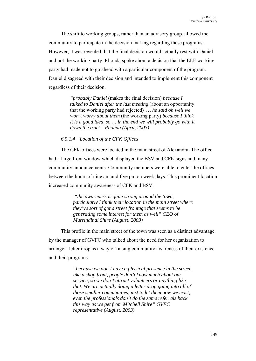The shift to working groups, rather than an advisory group, allowed the community to participate in the decision making regarding these programs. However, it was revealed that the final decision would actually rest with Daniel and not the working party. Rhonda spoke about a decision that the ELF working party had made not to go ahead with a particular component of the program. Daniel disagreed with their decision and intended to implement this component regardless of their decision.

> *"probably Daniel* (makes the final decision) *because I talked to Daniel after the last meeting* (about an opportunity that the working party had rejected) *… he said oh well we won't worry about them* (the working party) *because I think it is a good idea, so … in the end we will probably go with it down the track" Rhonda (April, 2003)*

# *6.5.1.4 Location of the CFK Offices*

The CFK offices were located in the main street of Alexandra. The office had a large front window which displayed the BSV and CFK signs and many community announcements. Community members were able to enter the offices between the hours of nine am and five pm on week days. This prominent location increased community awareness of CFK and BSV.

> *"the awareness is quite strong around the town, particularly I think their location in the main street where they've sort of got a street frontage that seems to be generating some interest for them as well" CEO of Murrindindi Shire (August, 2003)*

This profile in the main street of the town was seen as a distinct advantage by the manager of GVFC who talked about the need for her organization to arrange a letter drop as a way of raising community awareness of their existence and their programs.

> *"because we don't have a physical presence in the street, like a shop front, people don't know much about our service, so we don't attract volunteers or anything like that. We are actually doing a letter drop going into all of those smaller communities, just to let them now we exist, even the professionals don't do the same referrals back this way as we get from Mitchell Shire" GVFC representative (August, 2003)*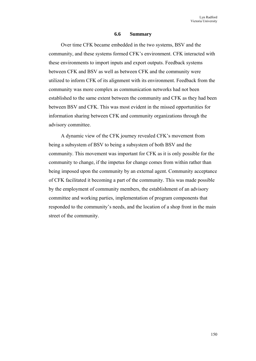#### **6.6 Summary**

Over time CFK became embedded in the two systems, BSV and the community, and these systems formed CFK's environment. CFK interacted with these environments to import inputs and export outputs. Feedback systems between CFK and BSV as well as between CFK and the community were utilized to inform CFK of its alignment with its environment. Feedback from the community was more complex as communication networks had not been established to the same extent between the community and CFK as they had been between BSV and CFK. This was most evident in the missed opportunities for information sharing between CFK and community organizations through the advisory committee.

A dynamic view of the CFK journey revealed CFK's movement from being a subsystem of BSV to being a subsystem of both BSV and the community. This movement was important for CFK as it is only possible for the community to change, if the impetus for change comes from within rather than being imposed upon the community by an external agent. Community acceptance of CFK facilitated it becoming a part of the community. This was made possible by the employment of community members, the establishment of an advisory committee and working parties, implementation of program components that responded to the community's needs, and the location of a shop front in the main street of the community.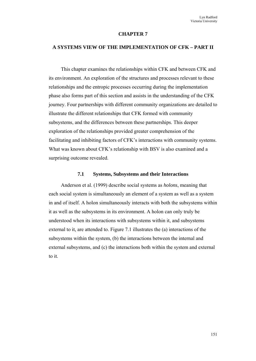### **CHAPTER 7**

#### **A SYSTEMS VIEW OF THE IMPLEMENTATION OF CFK – PART II**

This chapter examines the relationships within CFK and between CFK and its environment. An exploration of the structures and processes relevant to these relationships and the entropic processes occurring during the implementation phase also forms part of this section and assists in the understanding of the CFK journey. Four partnerships with different community organizations are detailed to illustrate the different relationships that CFK formed with community subsystems, and the differences between these partnerships. This deeper exploration of the relationships provided greater comprehension of the facilitating and inhibiting factors of CFK's interactions with community systems. What was known about CFK's relationship with BSV is also examined and a surprising outcome revealed.

#### **7.1 Systems, Subsystems and their Interactions**

Anderson et al. (1999) describe social systems as *holons*, meaning that each social system is simultaneously an element of a system as well as a system in and of itself. A holon simultaneously interacts with both the subsystems within it as well as the subsystems in its environment. A holon can only truly be understood when its interactions with subsystems within it, and subsystems external to it, are attended to. Figure 7.1 illustrates the (a) interactions of the subsystems within the system, (b) the interactions between the internal and external subsystems, and (c) the interactions both within the system and external to it.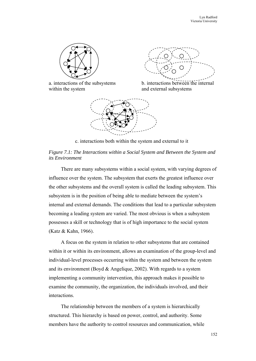

within the system and external subsystems





c. interactions both within the system and external to it

# *Figure 7.1: The Interactions within a Social System and Between the System and its Environment*

There are many subsystems within a social system, with varying degrees of influence over the system. The subsystem that exerts the greatest influence over the other subsystems and the overall system is called the leading subsystem. This subsystem is in the position of being able to mediate between the system's internal and external demands. The conditions that lead to a particular subsystem becoming a leading system are varied. The most obvious is when a subsystem possesses a skill or technology that is of high importance to the social system (Katz & Kahn, 1966).

A focus on the system in relation to other subsystems that are contained within it or within its environment, allows an examination of the group-level and individual-level processes occurring within the system and between the system and its environment (Boyd & Angelique, 2002). With regards to a system implementing a community intervention, this approach makes it possible to examine the community, the organization, the individuals involved, and their interactions.

The relationship between the members of a system is hierarchically structured. This hierarchy is based on power, control, and authority. Some members have the authority to control resources and communication, while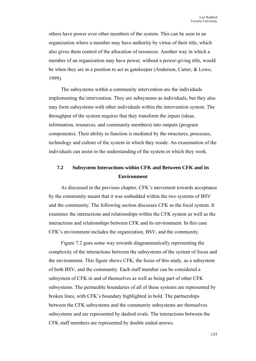others have power over other members of the system. This can be seen in an organization where a member may have authority by virtue of their title, which also gives them control of the allocation of resources. Another way in which a member of an organization may have power, without a power-giving title, would be when they are in a position to act as gatekeeper (Anderson, Carter, & Lowe, 1999).

The subsystems within a community intervention are the individuals implementing the intervention. They are subsystems as individuals, but they also may form subsystems with other individuals within the intervention system. The throughput of the system requires that they transform the inputs (ideas, information, resources, and community members) into outputs (program components). Their ability to function is mediated by the structures, processes, technology and culture of the system in which they reside. An examination of the individuals can assist in the understanding of the system in which they work.

# **7.2 Subsystem Interactions within CFK and Between CFK and its Environment**

As discussed in the previous chapter, CFK's movement towards acceptance by the community meant that it was embedded within the two systems of BSV and the community. The following section discusses CFK as the focal system. It examines the interactions and relationships within the CFK system as well as the interactions and relationships between CFK and its environment. In this case CFK's environment includes the organization, BSV, and the community.

Figure 7.2 goes some way towards diagrammatically representing the complexity of the interactions between the subsystems of the system of focus and the environment. This figure shows CFK, the focus of this study, as a subsystem of both BSV, and the community. Each staff member can be considered a subsystem of CFK in and of themselves as well as being part of other CFK subsystems. The permeable boundaries of all of these systems are represented by broken lines, with CFK's boundary highlighted in bold. The partnerships between the CFK subsystems and the community subsystems are themselves subsystems and are represented by dashed ovals. The interactions between the CFK staff members are represented by double ended arrows.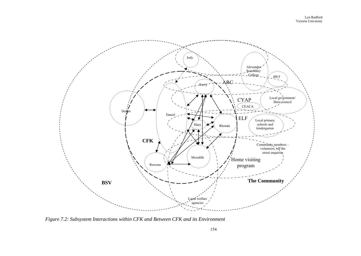

*Figure 7.2: Subsystem Interactions within CFK and Between CFK and its Environment*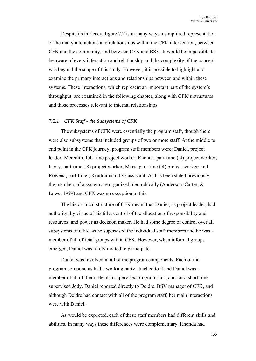Despite its intricacy, figure 7.2 is in many ways a simplified representation of the many interactions and relationships within the CFK intervention, between CFK and the community, and between CFK and BSV. It would be impossible to be aware of every interaction and relationship and the complexity of the concept was beyond the scope of this study. However, it is possible to highlight and examine the primary interactions and relationships between and within these systems. These interactions, which represent an important part of the system's throughput, are examined in the following chapter, along with CFK's structures and those processes relevant to internal relationships.

# *7.2.1 CFK Staff - the Subsystems of CFK*

The subsystems of CFK were essentially the program staff, though there were also subsystems that included groups of two or more staff. At the middle to end point in the CFK journey, program staff members were: Daniel, project leader; Meredith, full-time project worker; Rhonda, part-time (.4) project worker; Kerry, part-time (.8) project worker; Mary, part-time (.4) project worker; and Rowena, part-time (.8) administrative assistant. As has been stated previously, the members of a system are organized hierarchically (Anderson, Carter, & Lowe, 1999) and CFK was no exception to this.

The hierarchical structure of CFK meant that Daniel, as project leader, had authority, by virtue of his title; control of the allocation of responsibility and resources; and power as decision maker. He had some degree of control over all subsystems of CFK, as he supervised the individual staff members and he was a member of all official groups within CFK. However, when informal groups emerged, Daniel was rarely invited to participate.

Daniel was involved in all of the program components. Each of the program components had a working party attached to it and Daniel was a member of all of them. He also supervised program staff, and for a short time supervised Jody. Daniel reported directly to Deidre, BSV manager of CFK, and although Deidre had contact with all of the program staff, her main interactions were with Daniel.

As would be expected, each of these staff members had different skills and abilities. In many ways these differences were complementary. Rhonda had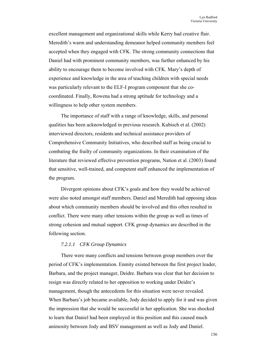excellent management and organizational skills while Kerry had creative flair. Meredith's warm and understanding demeanor helped community members feel accepted when they engaged with CFK. The strong community connections that Daniel had with prominent community members, was further enhanced by his ability to encourage them to become involved with CFK. Mary's depth of experience and knowledge in the area of teaching children with special needs was particularly relevant to the ELF-I program component that she cocoordinated. Finally, Rowena had a strong aptitude for technology and a willingness to help other system members.

The importance of staff with a range of knowledge, skills, and personal qualities has been acknowledged in previous research. Kubisch et al. (2002) interviewed directors, residents and technical assistance providers of Comprehensive Community Initiatives, who described staff as being crucial to combating the frailty of community organizations. In their examination of the literature that reviewed effective prevention programs, Nation et al. (2003) found that sensitive, well-trained, and competent staff enhanced the implementation of the program.

Divergent opinions about CFK's goals and how they would be achieved were also noted amongst staff members. Daniel and Meredith had opposing ideas about which community members should be involved and this often resulted in conflict. There were many other tensions within the group as well as times of strong cohesion and mutual support. CFK group dynamics are described in the following section.

# *7.2.1.1 CFK Group Dynamics*

There were many conflicts and tensions between group members over the period of CFK's implementation. Enmity existed between the first project leader, Barbara, and the project manager, Deidre. Barbara was clear that her decision to resign was directly related to her opposition to working under Deidre's management, though the antecedents for this situation were never revealed. When Barbara's job became available, Jody decided to apply for it and was given the impression that she would be successful in her application. She was shocked to learn that Daniel had been employed in this position and this caused much animosity between Jody and BSV management as well as Jody and Daniel.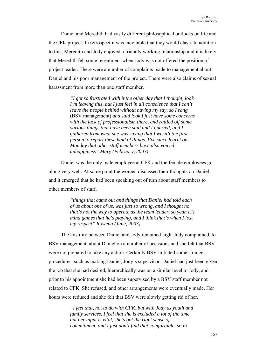Daniel and Meredith had vastly different philosophical outlooks on life and the CFK project. In retrospect it was inevitable that they would clash. In addition to this, Meredith and Jody enjoyed a friendly working relationship and it is likely that Meredith felt some resentment when Jody was not offered the position of project leader. There were a number of complaints made to management about Daniel and his poor management of the project. There were also claims of sexual harassment from more than one staff member.

> *"I got so frustrated with it the other day that I thought, look I'm leaving this, but I just feel in all conscience that I can't leave the people behind without having my say, so I rang*  (BSV management) *and said look I just have some concerns with the lack of professionalism there, and rattled off some various things that have been said and I queried, and I gathered from what she was saying that I wasn't the first person to report these kind of things. I've since learnt on Monday that other staff members have also voiced unhappiness" Mary (February, 2003)*

Daniel was the only male employee at CFK and the female employees got along very well. At some point the women discussed their thoughts on Daniel and it emerged that he had been speaking out of turn about staff members to other members of staff.

> *"things that came out and things that Daniel had told each of us about one of us, was just so wrong, and I thought no that's not the way to operate as the team leader, so yeah it's mind games that he's playing, and I think that's when I lost my respect" Rowena (June, 2003)*

The hostility between Daniel and Jody remained high. Jody complained, to BSV management, about Daniel on a number of occasions and she felt that BSV were not prepared to take any action. Certainly BSV initiated some strange procedures, such as making Daniel, Jody's supervisor. Daniel had just been given the job that she had desired, hierarchically was on a similar level to Jody, and prior to his appointment she had been supervised by a BSV staff member not related to CFK. She refused, and other arrangements were eventually made. Her hours were reduced and she felt that BSV were slowly getting rid of her.

> *"I feel that, not to do with CFK, but with Jody as youth and family services, I feel that she is excluded a lot of the time, but her input is vital, she's got the right sense of commitment, and I just don't find that comfortable, so in*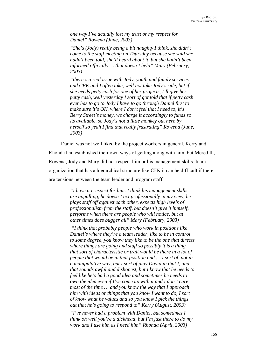*one way I've actually lost my trust or my respect for Daniel" Rowena (June, 2003)* 

*"She's (Jody) really being a bit naughty I think, she didn't come to the staff meeting on Thursday because she said she hadn't been told, she'd heard about it, but she hadn't been informed officially … that doesn't help" Mary (February, 2003)* 

*"there's a real issue with Jody, youth and family services and CFK and I often take, well not take Jody's side, but if she needs petty cash for one of her projects, I'll give her petty cash, well yesterday I sort of got told that if petty cash ever has to go to Jody I have to go through Daniel first to make sure it's OK, where I don't feel that I need to, it's Berry Street's money, we charge it accordingly to funds so its available, so Jody's not a little monkey out here by herself so yeah I find that really frustrating" Rowena (June, 2003)* 

Daniel was not well liked by the project workers in general. Kerry and Rhonda had established their own ways of getting along with him, but Meredith, Rowena, Jody and Mary did not respect him or his management skills. In an organization that has a hierarchical structure like CFK it can be difficult if there are tensions between the team leader and program staff.

> *"I have no respect for him. I think his management skills are appalling, he doesn't act professionally in my view, he plays staff off against each other, expects high levels of professionalism from the staff, but doesn't give it himself, performs when there are people who will notice, but at other times does bugger all" Mary (February, 2003)*

 *"I think that probably people who work in positions like Daniel's where they're a team leader, like to be in control to some degree, you know they like to be the one that directs where things are going and stuff so possibly it is a thing that sort of characteristic or trait would be there in a lot of people that would be in that position and … I sort of, not in a manipulative way, but I sort of play David in that I, and that sounds awful and dishonest, but I know that he needs to feel like he's had a good idea and sometimes he needs to own the idea even if I've come up with it and I don't care most of the time … and you know the way that I approach him with ideas or things that you know I want to do, I sort of know what he values and so you know I pick the things out that he's going to respond to" Kerry (August, 2003)* 

*"I've never had a problem with Daniel, but sometimes I think oh well you're a dickhead, but I'm just there to do my work and I use him as I need him" Rhonda (April, 2003)*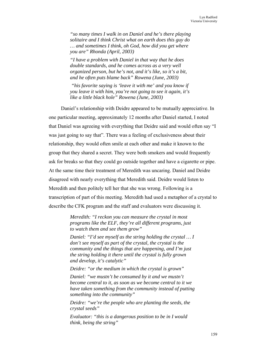*"so many times I walk in on Daniel and he's there playing solitaire and I think Christ what on earth does this guy do … and sometimes I think, oh God, how did you get where you are" Rhonda (April, 2003)* 

*"I have a problem with Daniel in that way that he does double standards, and he comes across as a very well organized person, but he's not, and it's like, so it's a bit, and he often puts blame back" Rowena (June, 2003)* 

 *"his favorite saying is 'leave it with me' and you know if you leave it with him, you're not going to see it again, it's like a little black hole" Rowena (June, 2003)* 

Daniel's relationship with Deidre appeared to be mutually appreciative. In one particular meeting, approximately 12 months after Daniel started, I noted that Daniel was agreeing with everything that Deidre said and would often say "I was just going to say that". There was a feeling of exclusiveness about their relationship, they would often smile at each other and make it known to the group that they shared a secret. They were both smokers and would frequently ask for breaks so that they could go outside together and have a cigarette or pipe. At the same time their treatment of Meredith was uncaring. Daniel and Deidre disagreed with nearly everything that Meredith said. Deidre would listen to Meredith and then politely tell her that she was wrong. Following is a transcription of part of this meeting. Meredith had used a metaphor of a crystal to describe the CFK program and the staff and evaluators were discussing it.

> *Meredith: "I reckon you can measure the crystal in most programs like the ELF, they're all different programs, just to watch them and see them grow"*

*Daniel: "I'd see myself as the string holding the crystal ... I don't see myself as part of the crystal, the crystal is the community and the things that are happening, and I'm just the string holding it there until the crystal is fully grown and develop, it's catalytic"* 

*Deidre: "or the medium in which the crystal is grown"* 

*Daniel: "we mustn't be consumed by it and we mustn't become central to it, as soon as we become central to it we have taken something from the community instead of putting something into the community"* 

*Deidre: "we're the people who are planting the seeds, the crystal seeds"* 

*Evaluator: "this is a dangerous position to be in I would think, being the string"*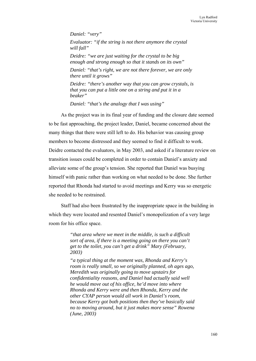*Daniel: "very" Evaluator: "if the string is not there anymore the crystal will fall" Deidre: "we are just waiting for the crystal to be big enough and strong enough so that it stands on its own" Daniel: "that's right, we are not there forever, we are only there until it grows" Deidre: "there's another way that you can grow crystals, is that you can put a little one on a string and put it in a beaker"* 

*Daniel: "that's the analogy that I was using"* 

As the project was in its final year of funding and the closure date seemed to be fast approaching, the project leader, Daniel, became concerned about the many things that there were still left to do. His behavior was causing group members to become distressed and they seemed to find it difficult to work. Deidre contacted the evaluators, in May 2003, and asked if a literature review on transition issues could be completed in order to contain Daniel's anxiety and alleviate some of the group's tension. She reported that Daniel was busying himself with panic rather than working on what needed to be done. She further reported that Rhonda had started to avoid meetings and Kerry was so energetic she needed to be restrained.

Staff had also been frustrated by the inappropriate space in the building in which they were located and resented Daniel's monopolization of a very large room for his office space.

> *"that area where we meet in the middle, is such a difficult sort of area, if there is a meeting going on there you can't get to the toilet, you can't get a drink" Mary (February, 2003)*

*"a typical thing at the moment was, Rhonda and Kerry's room is really small, so we originally planned, oh ages ago, Meredith was originally going to move upstairs for confidentiality reasons, and Daniel had actually said well he would move out of his office, he'd move into where Rhonda and Kerry were and then Rhonda, Kerry and the other CYAP person would all work in Daniel's room, because Kerry got both positions then they've basically said no to moving around, but it just makes more sense" Rowena (June, 2003)*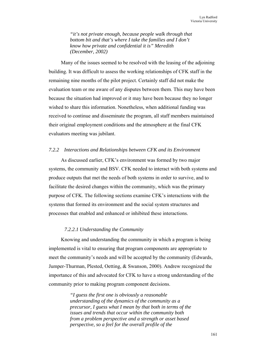*"it's not private enough, because people walk through that bottom bit and that's where I take the families and I don't know how private and confidential it is" Meredith (December, 2002)* 

Many of the issues seemed to be resolved with the leasing of the adjoining building. It was difficult to assess the working relationships of CFK staff in the remaining nine months of the pilot project. Certainly staff did not make the evaluation team or me aware of any disputes between them. This may have been because the situation had improved or it may have been because they no longer wished to share this information. Nonetheless, when additional funding was received to continue and disseminate the program, all staff members maintained their original employment conditions and the atmosphere at the final CFK evaluators meeting was jubilant.

# *7.2.2 Interactions and Relationships between CFK and its Environment*

As discussed earlier, CFK's environment was formed by two major systems, the community and BSV. CFK needed to interact with both systems and produce outputs that met the needs of both systems in order to survive, and to facilitate the desired changes within the community, which was the primary purpose of CFK. The following sections examine CFK's interactions with the systems that formed its environment and the social system structures and processes that enabled and enhanced or inhibited these interactions.

#### *7.2.2.1 Understanding the Community*

Knowing and understanding the community in which a program is being implemented is vital to ensuring that program components are appropriate to meet the community's needs and will be accepted by the community (Edwards, Jumper-Thurman, Plested, Oetting, & Swanson, 2000). Andrew recognized the importance of this and advocated for CFK to have a strong understanding of the community prior to making program component decisions.

> *"I guess the first one is obviously a reasonable understanding of the dynamics of the community as a precursor, I guess what I mean by that both in terms of the issues and trends that occur within the community both from a problem perspective and a strength or asset based perspective, so a feel for the overall profile of the*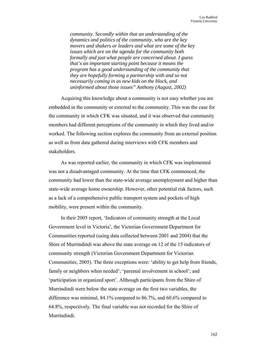*community. Secondly within that an understanding of the dynamics and politics of the community, who are the key movers and shakers or leaders and what are some of the key issues which are on the agenda for the community both formally and just what people are concerned about. I guess that's an important starting point because it means the program has a good understanding of the community that they are hopefully forming a partnership with and so not necessarily coming in as new kids on the block, and uninformed about those issues" Anthony (August, 2002)* 

Acquiring this knowledge about a community is not easy whether you are embedded in the community or external to the community. This was the case for the community in which CFK was situated, and it was observed that community members had different perceptions of the community in which they lived and/or worked. The following section explores the community from an external position as well as from data gathered during interviews with CFK members and stakeholders.

As was reported earlier, the community in which CFK was implemented was not a disadvantaged community. At the time that CFK commenced, the community had lower than the state-wide average unemployment and higher than state-wide average home ownership. However, other potential risk factors, such as a lack of a comprehensive public transport system and pockets of high mobility, were present within the community.

In their 2005 report, 'Indicators of community strength at the Local Government level in Victoria', the Victorian Government Department for Communities reported (using data collected between 2001 and 2004) that the Shire of Murrindindi was above the state average on 12 of the 15 indicators of community strength (Victorian Government Department for Victorian Communities, 2005). The three exceptions were: 'ability to get help from friends, family or neighbors when needed'; 'parental involvement in school'; and 'participation in organized sport'. Although participants from the Shire of Murrindindi were below the state average on the first two variables, the difference was minimal, 84.1% compared to 86.7%, and 60.6% compared to 64.8%, respectively. The final variable was not recorded for the Shire of Murrindindi.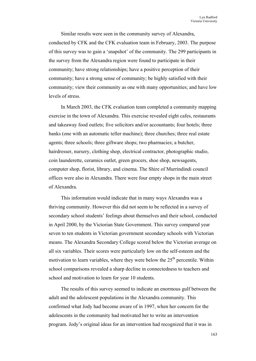Similar results were seen in the community survey of Alexandra, conducted by CFK and the CFK evaluation team in February, 2003. The purpose of this survey was to gain a 'snapshot' of the community. The 299 participants in the survey from the Alexandra region were found to participate in their community; have strong relationships; have a positive perception of their community; have a strong sense of community; be highly satisfied with their community; view their community as one with many opportunities; and have low levels of stress.

In March 2003, the CFK evaluation team completed a community mapping exercise in the town of Alexandra. This exercise revealed eight cafes, restaurants and takeaway food outlets; five solicitors and/or accountants; four hotels; three banks (one with an automatic teller machine); three churches; three real estate agents; three schools; three giftware shops; two pharmacies; a butcher, hairdresser, nursery, clothing shop, electrical contractor, photographic studio, coin launderette, ceramics outlet, green grocers, shoe shop, newsagents, computer shop, florist, library, and cinema. The Shire of Murrindindi council offices were also in Alexandra. There were four empty shops in the main street of Alexandra.

This information would indicate that in many ways Alexandra was a thriving community. However this did not seem to be reflected in a survey of secondary school students' feelings about themselves and their school, conducted in April 2000, by the Victorian State Government. This survey compared year seven to ten students in Victorian government secondary schools with Victorian means. The Alexandra Secondary College scored below the Victorian average on all six variables. Their scores were particularly low on the self-esteem and the motivation to learn variables, where they were below the  $25<sup>th</sup>$  percentile. Within school comparisons revealed a sharp decline in connectedness to teachers and school and motivation to learn for year 10 students.

The results of this survey seemed to indicate an enormous gulf between the adult and the adolescent populations in the Alexandra community. This confirmed what Jody had become aware of in 1997, when her concern for the adolescents in the community had motivated her to write an intervention program. Jody's original ideas for an intervention had recognized that it was in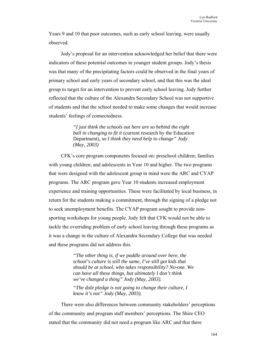Years 9 and 10 that poor outcomes, such as early school leaving, were usually observed.

Jody's proposal for an intervention acknowledged her belief that there were indicators of these potential outcomes in younger student groups. Jody's thesis was that many of the precipitating factors could be observed in the final years of primary school and early years of secondary school, and that this was the ideal group to target for an intervention to prevent early school leaving. Jody further reflected that the culture of the Alexandra Secondary School was not supportive of students and that the school needed to make some changes that would increase students' feelings of connectedness.

> *"I just think the schools out here are so behind the eight ball in changing to fit it* (current research by the Education Department)*, so I think they need help to change" Jody (May, 2003)*

CFK's core program components focused on: preschool children; families with young children; and adolescents in Year 10 and higher. The two programs that were designed with the adolescent group in mind were the ARC and CYAP programs. The ARC program gave Year 10 students increased employment experience and training opportunities. These were facilitated by local business, in return for the students making a commitment, through the signing of a pledge not to seek unemployment benefits. The CYAP program sought to provide nonsporting workshops for young people. Jody felt that CFK would not be able to tackle the overriding problem of early school leaving through these programs as it was a change in the culture of Alexandra Secondary College that was needed and these programs did not address this.

> *"The other thing is, if we paddle around over here, the school's culture is still the same, I've still got kids that should be at school, who takes responsibility? No-one. We can have all these things, but ultimately I don't think we've changed a thing" Jody (May, 2003).*

*"The dole pledge is not going to change their culture, I know it's not" Jody (May, 2003).* 

There were also differences between community stakeholders' perceptions of the community and program staff members' perceptions. The Shire CEO stated that the community did not need a program like ARC and that there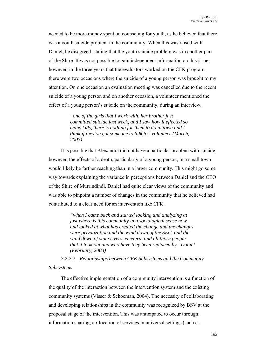needed to be more money spent on counseling for youth, as he believed that there was a youth suicide problem in the community. When this was raised with Daniel, he disagreed, stating that the youth suicide problem was in another part of the Shire. It was not possible to gain independent information on this issue; however, in the three years that the evaluators worked on the CFK program, there were two occasions where the suicide of a young person was brought to my attention. On one occasion an evaluation meeting was cancelled due to the recent suicide of a young person and on another occasion, a volunteer mentioned the effect of a young person's suicide on the community, during an interview.

> *"one of the girls that I work with, her brother just committed suicide last week, and I saw how it effected so many kids, there is nothing for them to do in town and I think if they've got someone to talk to" volunteer (March, 2003).*

It is possible that Alexandra did not have a particular problem with suicide, however, the effects of a death, particularly of a young person, in a small town would likely be farther reaching than in a larger community. This might go some way towards explaining the variance in perceptions between Daniel and the CEO of the Shire of Murrindindi. Daniel had quite clear views of the community and was able to pinpoint a number of changes in the community that he believed had contributed to a clear need for an intervention like CFK.

> *"when I came back and started looking and analyzing at just where is this community in a sociological sense now and looked at what has created the change and the changes were privatization and the wind down of the SEC, and the wind down of state rivers, etcetera, and all those people that it took out and who have they been replaced by" Daniel (February, 2003)*

*7.2.2.2 Relationships between CFK Subsystems and the Community Subsystems* 

The effective implementation of a community intervention is a function of the quality of the interaction between the intervention system and the existing community systems (Visser & Schoeman, 2004). The necessity of collaborating and developing relationships in the community was recognized by BSV at the proposal stage of the intervention. This was anticipated to occur through: information sharing; co-location of services in universal settings (such as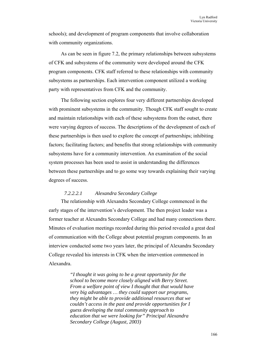schools); and development of program components that involve collaboration with community organizations.

As can be seen in figure 7.2, the primary relationships between subsystems of CFK and subsystems of the community were developed around the CFK program components. CFK staff referred to these relationships with community subsystems as partnerships. Each intervention component utilized a working party with representatives from CFK and the community.

The following section explores four very different partnerships developed with prominent subsystems in the community. Though CFK staff sought to create and maintain relationships with each of these subsystems from the outset, there were varying degrees of success. The descriptions of the development of each of these partnerships is then used to explore the concept of partnerships; inhibiting factors; facilitating factors; and benefits that strong relationships with community subsystems have for a community intervention. An examination of the social system processes has been used to assist in understanding the differences between these partnerships and to go some way towards explaining their varying degrees of success.

# *7.2.2.2.1 Alexandra Secondary College*

The relationship with Alexandra Secondary College commenced in the early stages of the intervention's development. The then project leader was a former teacher at Alexandra Secondary College and had many connections there. Minutes of evaluation meetings recorded during this period revealed a great deal of communication with the College about potential program components. In an interview conducted some two years later, the principal of Alexandra Secondary College revealed his interests in CFK when the intervention commenced in Alexandra.

> *"I thought it was going to be a great opportunity for the school to become more closely aligned with Berry Street. From a welfare point of view I thought that that would have very big advantages … they could support our programs, they might be able to provide additional resources that we couldn't access in the past and provide opportunities for I guess developing the total community approach to education that we were looking for" Principal Alexandra Secondary College (August, 2003)*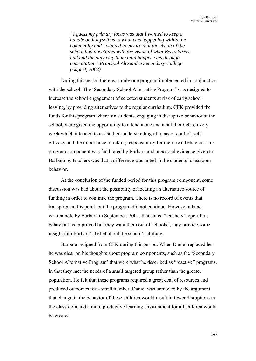*"I guess my primary focus was that I wanted to keep a handle on it myself as to what was happening within the community and I wanted to ensure that the vision of the school had dovetailed with the vision of what Berry Street had and the only way that could happen was through consultation" Principal Alexandra Secondary College (August, 2003)* 

During this period there was only one program implemented in conjunction with the school. The 'Secondary School Alternative Program' was designed to increase the school engagement of selected students at risk of early school leaving, by providing alternatives to the regular curriculum. CFK provided the funds for this program where six students, engaging in disruptive behavior at the school, were given the opportunity to attend a one and a half hour class every week which intended to assist their understanding of locus of control, selfefficacy and the importance of taking responsibility for their own behavior. This program component was facilitated by Barbara and anecdotal evidence given to Barbara by teachers was that a difference was noted in the students' classroom behavior.

At the conclusion of the funded period for this program component, some discussion was had about the possibility of locating an alternative source of funding in order to continue the program. There is no record of events that transpired at this point, but the program did not continue. However a hand written note by Barbara in September, 2001, that stated "teachers' report kids behavior has improved but they want them out of schools", may provide some insight into Barbara's belief about the school's attitude.

Barbara resigned from CFK during this period. When Daniel replaced her he was clear on his thoughts about program components, such as the 'Secondary School Alternative Program' that were what he described as "reactive" programs, in that they met the needs of a small targeted group rather than the greater population. He felt that these programs required a great deal of resources and produced outcomes for a small number. Daniel was unmoved by the argument that change in the behavior of these children would result in fewer disruptions in the classroom and a more productive learning environment for all children would be created.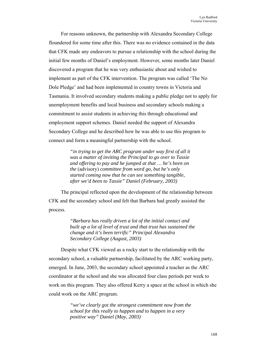For reasons unknown, the partnership with Alexandra Secondary College floundered for some time after this. There was no evidence contained in the data that CFK made any endeavors to pursue a relationship with the school during the initial few months of Daniel's employment. However, some months later Daniel discovered a program that he was very enthusiastic about and wished to implement as part of the CFK intervention. The program was called 'The No Dole Pledge' and had been implemented in country towns in Victoria and Tasmania. It involved secondary students making a public pledge not to apply for unemployment benefits and local business and secondary schools making a commitment to assist students in achieving this through educational and employment support schemes. Daniel needed the support of Alexandra Secondary College and he described how he was able to use this program to connect and form a meaningful partnership with the school.

> *"in trying to get the ARC program under way first of all it was a matter of inviting the Principal to go over to Tassie and offering to pay and he jumped at that … he's been on the* (advisory) *committee from word go, but he's only started coming now that he can see something tangible, after we'd been to Tassie" Daniel (February, 2003)*

The principal reflected upon the development of the relationship between CFK and the secondary school and felt that Barbara had greatly assisted the process.

> *"Barbara has really driven a lot of the initial contact and built up a lot of level of trust and that trust has sustained the change and it's been terrific" Principal Alexandra Secondary College (August, 2003)*

Despite what CFK viewed as a rocky start to the relationship with the secondary school, a valuable partnership, facilitated by the ARC working party, emerged. In June, 2003, the secondary school appointed a teacher as the ARC coordinator at the school and she was allocated four class periods per week to work on this program. They also offered Kerry a space at the school in which she could work on the ARC program.

> *"we've clearly got the strongest commitment now from the school for this really to happen and to happen in a very positive way" Daniel (May, 2003)*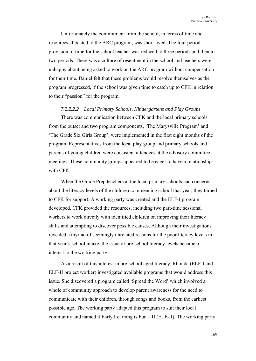Unfortunately the commitment from the school, in terms of time and resources allocated to the ARC program, was short lived. The four period provision of time for the school teacher was reduced to three periods and then to two periods. There was a culture of resentment in the school and teachers were unhappy about being asked to work on the ARC program without compensation for their time. Daniel felt that these problems would resolve themselves as the program progressed, if the school was given time to catch up to CFK in relation to their "passion" for the program.

### *7.2.2.2.2 Local Primary Schools, Kindergartens and Play Groups*

There was communication between CFK and the local primary schools from the outset and two program components, 'The Marysville Program' and 'The Grade Six Girls Group', were implemented in the first eight months of the program. Representatives from the local play group and primary schools and parents of young children were consistent attendees at the advisory committee meetings. These community groups appeared to be eager to have a relationship with CFK.

When the Grade Prep teachers at the local primary schools had concerns about the literacy levels of the children commencing school that year, they turned to CFK for support. A working party was created and the ELF-I program developed. CFK provided the resources, including two part-time sessional workers to work directly with identified children on improving their literacy skills and attempting to discover possible causes. Although their investigations revealed a myriad of seemingly unrelated reasons for the poor literacy levels in that year's school intake, the issue of pre-school literacy levels became of interest to the working party.

As a result of this interest in pre-school aged literacy, Rhonda (ELF-I and ELF-II project worker) investigated available programs that would address this issue. She discovered a program called 'Spread the Word' which involved a whole of community approach to develop parent awareness for the need to communicate with their children, through songs and books, from the earliest possible age. The working party adapted this program to suit their local community and named it Early Learning is Fun – II (ELF-II). The working party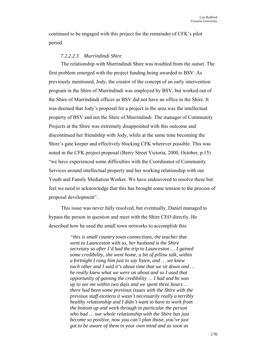continued to be engaged with this project for the remainder of CFK's pilot period.

## *7.2.2.2.3 Murrindindi Shire*

The relationship with Murrindindi Shire was troubled from the outset. The first problem emerged with the project funding being awarded to BSV. As previously mentioned, Jody, the creator of the concept of an early intervention program in the Shire of Murrindindi was employed by BSV, but worked out of the Shire of Murrindindi offices as BSV did not have an office in the Shire. It was deemed that Jody's proposal for a project in the area was the intellectual property of BSV and not the Shire of Murrindindi. The manager of Community Projects at the Shire was extremely disappointed with this outcome and discontinued her friendship with Jody, while at the same time becoming the Shire's gate keeper and effectively blocking CFK wherever possible. This was noted in the CFK project proposal (Berry Street Victoria, 2000, October, p.15) "we have experienced some difficulties with the Coordinator of Community Services around intellectual property and her working relationship with our Youth and Family Mediation Worker. We have endeavored to resolve these but feel we need to acknowledge that this has brought some tension to the process of proposal development".

This issue was never fully resolved, but eventually, Daniel managed to bypass the person in question and meet with the Shire CEO directly. He described how he used the small town networks to accomplish this.

> *"this is small country town connections, the teacher that went to Launceston with us, her husband is the Shire secretary so after I'd had the trip to Launceston … I gained some credibility, she went home, a bit of pillow talk, within a fortnight I rang him just to say listen, and … we knew each other and I said it's about time that we sit down and … he really knew what we were on about and so I used that opportunity of gaining the credibility … I had and he was up to see me within two days and we spent three hours … there had been some previous issues with the Shire with the previous staff etcetera it wasn't necessarily really a terribly healthy relationship and I didn't want to have to work from the bottom up and work through in particular the person who had … our whole relationship with the Shire has just become so positive, now you can't plan those, you've just got to be aware of them in your own mind and as soon as*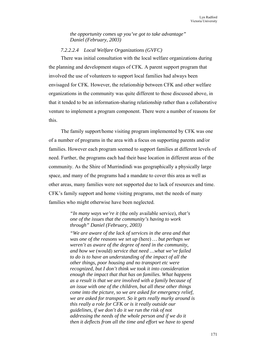*the opportunity comes up you've got to take advantage" Daniel (February, 2003)* 

## *7.2.2.2.4 Local Welfare Organizations (GVFC)*

There was initial consultation with the local welfare organizations during the planning and development stages of CFK. A parent support program that involved the use of volunteers to support local families had always been envisaged for CFK. However, the relationship between CFK and other welfare organizations in the community was quite different to those discussed above, in that it tended to be an information-sharing relationship rather than a collaborative venture to implement a program component. There were a number of reasons for this.

The family support/home visiting program implemented by CFK was one of a number of programs in the area with a focus on supporting parents and/or families. However each program seemed to support families at different levels of need. Further, the programs each had their base location in different areas of the community. As the Shire of Murrindindi was geographically a physically large space, and many of the programs had a mandate to cover this area as well as other areas, many families were not supported due to lack of resources and time. CFK's family support and home visiting programs, met the needs of many families who might otherwise have been neglected.

> *"In many ways we're it* (the only available service)*, that's one of the issues that the community's having to work through" Daniel (February, 2003)*

*"We are aware of the lack of services in the area and that was one of the reasons we set up* (here) *… but perhaps we weren't as aware of the degree of need in the community, and how we* (would) *service that need …what we've failed to do is to have an understanding of the impact of all the other things, poor housing and no transport etc were recognized, but I don't think we took it into consideration enough the impact that that has on families. What happens as a result is that we are involved with a family because of an issue with one of the children, but all these other things come into the picture, so we are asked for emergency relief, we are asked for transport. So it gets really murky around is this really a role for CFK or is it really outside our guidelines, if we don't do it we run the risk of not addressing the needs of the whole person and if we do it then it deflects from all the time and effort we have to spend*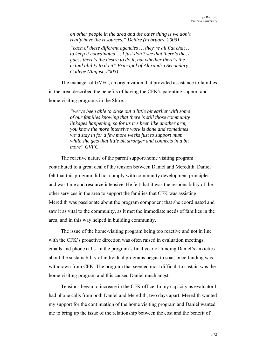*on other people in the area and the other thing is we don't really have the resources." Deidre (February, 2003)* 

*"each of these different agencies … they're all flat chat … to keep it coordinated … I just don't see that there's the, I guess there's the desire to do it, but whether there's the actual ability to do it" Principal of Alexandra Secondary College (August, 2003)* 

The manager of GVFC, an organization that provided assistance to families in the area, described the benefits of having the CFK's parenting support and home visiting programs in the Shire.

> *"we've been able to close out a little bit earlier with some of our families knowing that there is still those community linkages happening, so for us it's been like another arm, you know the more intensive work is done and sometimes we'd stay in for a few more weeks just to support mum while she gets that little bit stronger and connects in a bit more" GVFC*

The reactive nature of the parent support/home visiting program contributed to a great deal of the tension between Daniel and Meredith. Daniel felt that this program did not comply with community development principles and was time and resource intensive. He felt that it was the responsibility of the other services in the area to support the families that CFK was assisting. Meredith was passionate about the program component that she coordinated and saw it as vital to the community, as it met the immediate needs of families in the area, and in this way helped in building community.

The issue of the home-visiting program being too reactive and not in line with the CFK's proactive direction was often raised in evaluation meetings, emails and phone calls. In the program's final year of funding Daniel's anxieties about the sustainability of individual programs began to soar, once funding was withdrawn from CFK. The program that seemed most difficult to sustain was the home visiting program and this caused Daniel much angst.

Tensions began to increase in the CFK office. In my capacity as evaluator I had phone calls from both Daniel and Meredith, two days apart. Meredith wanted my support for the continuation of the home visiting program and Daniel wanted me to bring up the issue of the relationship between the cost and the benefit of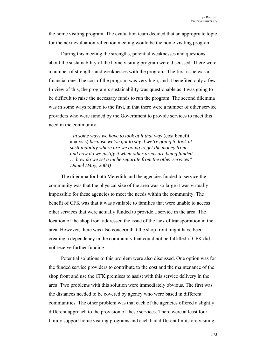the home visiting program. The evaluation team decided that an appropriate topic for the next evaluation reflection meeting would be the home visiting program.

During this meeting the strengths, potential weaknesses and questions about the sustainability of the home visiting program were discussed. There were a number of strengths and weaknesses with the program. The first issue was a financial one. The cost of the program was very high, and it benefited only a few. In view of this, the program's sustainability was questionable as it was going to be difficult to raise the necessary funds to run the program. The second dilemma was in some ways related to the first, in that there were a number of other service providers who were funded by the Government to provide services to meet this need in the community.

> *"in some ways we have to look at it that way* (cost benefit analysis) *because we've got to say if we're going to look at sustainability where are we going to get the money from and how do we justify it when other areas are being funded … how do we set a niche separate from the other services" Daniel (May, 2003)*

The dilemma for both Meredith and the agencies funded to service the community was that the physical size of the area was so large it was virtually impossible for these agencies to meet the needs within the community. The benefit of CFK was that it was available to families that were unable to access other services that were actually funded to provide a service in the area. The location of the shop front addressed the issue of the lack of transportation in the area. However, there was also concern that the shop front might have been creating a dependency in the community that could not be fulfilled if CFK did not receive further funding.

Potential solutions to this problem were also discussed. One option was for the funded service providers to contribute to the cost and the maintenance of the shop front and use the CFK premises to assist with this service delivery in the area. Two problems with this solution were immediately obvious. The first was the distances needed to be covered by agency who were based in different communities. The other problem was that each of the agencies offered a slightly different approach to the provision of these services. There were at least four family support home visiting programs and each had different limits on: visiting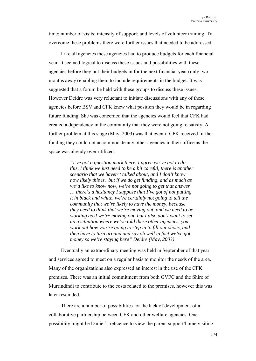time; number of visits; intensity of support; and levels of volunteer training. To overcome these problems there were further issues that needed to be addressed.

Like all agencies these agencies had to produce budgets for each financial year. It seemed logical to discuss these issues and possibilities with these agencies before they put their budgets in for the next financial year (only two months away) enabling them to include requirements in the budget. It was suggested that a forum be held with these groups to discuss these issues. However Deidre was very reluctant to initiate discussions with any of these agencies before BSV and CFK knew what position they would be in regarding future funding. She was concerned that the agencies would feel that CFK had created a dependency in the community that they were not going to satisfy. A further problem at this stage (May, 2003) was that even if CFK received further funding they could not accommodate any other agencies in their office as the space was already over-utilized.

> *"I've got a question mark there, I agree we've got to do this, I think we just need to be a bit careful, there is another scenario that we haven't talked about, and I don't know how likely this is, but if we do get funding, and as much as we'd like to know now, we're not going to get that answer … there's a hesitancy I suppose that I've got of not putting it in black and white, we're certainly not going to tell the community that we're likely to have the money, because they need to think that we're moving out, and we need to be working as if we're moving out, but I also don't want to set up a situation where we've told these other agencies, you work out how you're going to step in to fill our shoes, and then have to turn around and say oh well in fact we've got money so we're staying here" Deidre (May, 2003)*

Eventually an extraordinary meeting was held in September of that year and services agreed to meet on a regular basis to monitor the needs of the area. Many of the organizations also expressed an interest in the use of the CFK premises. There was an initial commitment from both GVFC and the Shire of Murrindindi to contribute to the costs related to the premises, however this was later rescinded.

There are a number of possibilities for the lack of development of a collaborative partnership between CFK and other welfare agencies. One possibility might be Daniel's reticence to view the parent support/home visiting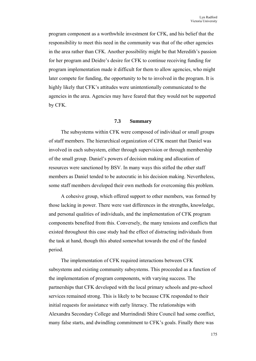program component as a worthwhile investment for CFK, and his belief that the responsibility to meet this need in the community was that of the other agencies in the area rather than CFK. Another possibility might be that Meredith's passion for her program and Deidre's desire for CFK to continue receiving funding for program implementation made it difficult for them to allow agencies, who might later compete for funding, the opportunity to be to involved in the program. It is highly likely that CFK's attitudes were unintentionally communicated to the agencies in the area. Agencies may have feared that they would not be supported by CFK.

## **7.3 Summary**

The subsystems within CFK were composed of individual or small groups of staff members. The hierarchical organization of CFK meant that Daniel was involved in each subsystem, either through supervision or through membership of the small group. Daniel's powers of decision making and allocation of resources were sanctioned by BSV. In many ways this stifled the other staff members as Daniel tended to be autocratic in his decision making. Nevertheless, some staff members developed their own methods for overcoming this problem.

A cohesive group, which offered support to other members, was formed by those lacking in power. There were vast differences in the strengths, knowledge, and personal qualities of individuals, and the implementation of CFK program components benefited from this. Conversely, the many tensions and conflicts that existed throughout this case study had the effect of distracting individuals from the task at hand, though this abated somewhat towards the end of the funded period.

The implementation of CFK required interactions between CFK subsystems and existing community subsystems. This proceeded as a function of the implementation of program components, with varying success. The partnerships that CFK developed with the local primary schools and pre-school services remained strong. This is likely to be because CFK responded to their initial requests for assistance with early literacy. The relationships with Alexandra Secondary College and Murrindindi Shire Council had some conflict, many false starts, and dwindling commitment to CFK's goals. Finally there was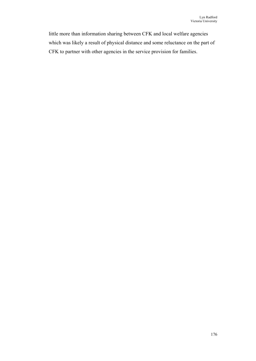little more than information sharing between CFK and local welfare agencies which was likely a result of physical distance and some reluctance on the part of CFK to partner with other agencies in the service provision for families.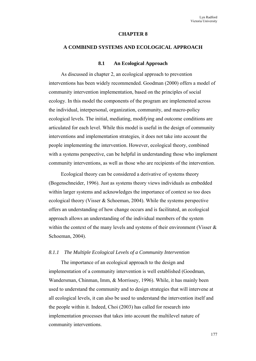#### **CHAPTER 8**

#### **A COMBINED SYSTEMS AND ECOLOGICAL APPROACH**

### **8.1 An Ecological Approach**

As discussed in chapter 2, an ecological approach to prevention interventions has been widely recommended. Goodman (2000) offers a model of community intervention implementation, based on the principles of social ecology. In this model the components of the program are implemented across the individual, interpersonal, organization, community, and macro-policy ecological levels. The initial, mediating, modifying and outcome conditions are articulated for each level. While this model is useful in the design of community interventions and implementation strategies, it does not take into account the people implementing the intervention. However, ecological theory, combined with a systems perspective, can be helpful in understanding those who implement community interventions, as well as those who are recipients of the intervention.

Ecological theory can be considered a derivative of systems theory (Bogenschneider, 1996). Just as systems theory views individuals as embedded within larger systems and acknowledges the importance of context so too does ecological theory (Visser & Schoeman, 2004). While the systems perspective offers an understanding of how change occurs and is facilitated, an ecological approach allows an understanding of the individual members of the system within the context of the many levels and systems of their environment (Visser  $\&$ Schoeman, 2004).

### *8.1.1 The Multiple Ecological Levels of a Community Intervention*

The importance of an ecological approach to the design and implementation of a community intervention is well established (Goodman, Wandersman, Chinman, Imm, & Morrissey, 1996). While, it has mainly been used to understand the community and to design strategies that will intervene at all ecological levels, it can also be used to understand the intervention itself and the people within it. Indeed, Choi (2003) has called for research into implementation processes that takes into account the multilevel nature of community interventions.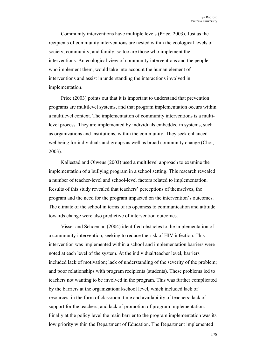Community interventions have multiple levels (Price, 2003). Just as the recipients of community interventions are nested within the ecological levels of society, community, and family, so too are those who implement the interventions. An ecological view of community interventions and the people who implement them, would take into account the human element of interventions and assist in understanding the interactions involved in implementation.

Price (2003) points out that it is important to understand that prevention programs are multilevel systems, and that program implementation occurs within a multilevel context. The implementation of community interventions is a multilevel process. They are implemented by individuals embedded in systems, such as organizations and institutions, within the community. They seek enhanced wellbeing for individuals and groups as well as broad community change (Choi, 2003).

Kallestad and Olweus (2003) used a multilevel approach to examine the implementation of a bullying program in a school setting. This research revealed a number of teacher-level and school-level factors related to implementation. Results of this study revealed that teachers' perceptions of themselves, the program and the need for the program impacted on the intervention's outcomes. The climate of the school in terms of its openness to communication and attitude towards change were also predictive of intervention outcomes.

Visser and Schoeman (2004) identified obstacles to the implementation of a community intervention, seeking to reduce the risk of HIV infection. This intervention was implemented within a school and implementation barriers were noted at each level of the system. At the individual/teacher level, barriers included lack of motivation; lack of understanding of the severity of the problem; and poor relationships with program recipients (students). These problems led to teachers not wanting to be involved in the program. This was further complicated by the barriers at the organizational/school level, which included lack of resources, in the form of classroom time and availability of teachers; lack of support for the teachers; and lack of promotion of program implementation. Finally at the policy level the main barrier to the program implementation was its low priority within the Department of Education. The Department implemented

178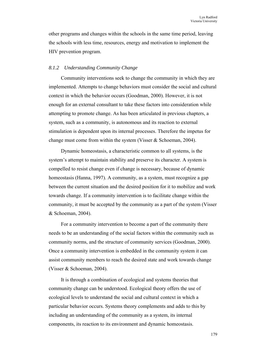other programs and changes within the schools in the same time period, leaving the schools with less time, resources, energy and motivation to implement the HIV prevention program.

### *8.1.2 Understanding Community Change*

Community interventions seek to change the community in which they are implemented. Attempts to change behaviors must consider the social and cultural context in which the behavior occurs (Goodman, 2000). However, it is not enough for an external consultant to take these factors into consideration while attempting to promote change. As has been articulated in previous chapters, a system, such as a community, is autonomous and its reaction to external stimulation is dependent upon its internal processes. Therefore the impetus for change must come from within the system (Visser & Schoeman, 2004).

Dynamic homeostasis, a characteristic common to all systems, is the system's attempt to maintain stability and preserve its character. A system is compelled to resist change even if change is necessary, because of dynamic homeostasis (Hanna, 1997). A community, as a system, must recognize a gap between the current situation and the desired position for it to mobilize and work towards change. If a community intervention is to facilitate change within the community, it must be accepted by the community as a part of the system (Visser & Schoeman, 2004).

For a community intervention to become a part of the community there needs to be an understanding of the social factors within the community such as community norms, and the structure of community services (Goodman, 2000). Once a community intervention is embedded in the community system it can assist community members to reach the desired state and work towards change (Visser & Schoeman, 2004).

It is through a combination of ecological and systems theories that community change can be understood. Ecological theory offers the use of ecological levels to understand the social and cultural context in which a particular behavior occurs. Systems theory complements and adds to this by including an understanding of the community as a system, its internal components, its reaction to its environment and dynamic homeostasis.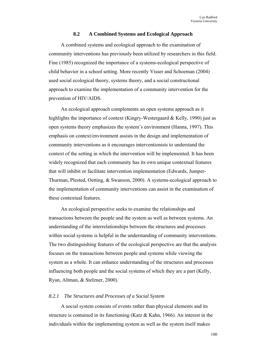### **8.2 A Combined Systems and Ecological Approach**

A combined systems and ecological approach to the examination of community interventions has previously been utilized by researchers in this field. Fine (1985) recognized the importance of a systems-ecological perspective of child behavior in a school setting. More recently Visser and Schoeman (2004) used social ecological theory, systems theory, and a social constructional approach to examine the implementation of a community intervention for the prevention of HIV/AIDS.

An ecological approach complements an open systems approach as it highlights the importance of context (Kingry-Westergaard & Kelly, 1990) just as open systems theory emphasizes the system's environment (Hanna, 1997). This emphasis on context/environment assists in the design and implementation of community interventions as it encourages interventionists to understand the context of the setting in which the intervention will be implemented. It has been widely recognized that each community has its own unique contextual features that will inhibit or facilitate intervention implementation (Edwards, Jumper-Thurman, Plested, Oetting, & Swanson, 2000). A systems-ecological approach to the implementation of community interventions can assist in the examination of these contextual features.

An ecological perspective seeks to examine the relationships and transactions between the people and the system as well as between systems. An understanding of the interrelationships between the structures and processes within social systems is helpful in the understanding of community interventions. The two distinguishing features of the ecological perspective are that the analysis focuses on the transactions between people and systems while viewing the system as a whole. It can enhance understanding of the structures and processes influencing both people and the social systems of which they are a part (Kelly, Ryan, Altman, & Stelzner, 2000).

### *8.2.1 The Structures and Processes of a Social System*

A social system consists of events rather than physical elements and its structure is contained in its functioning (Katz & Kahn, 1966). An interest in the individuals within the implementing system as well as the system itself makes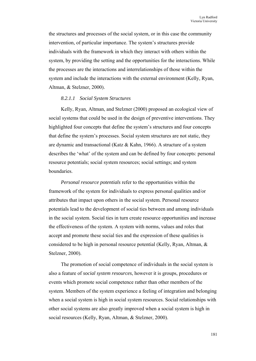the structures and processes of the social system, or in this case the community intervention, of particular importance. The system's structures provide individuals with the framework in which they interact with others within the system, by providing the setting and the opportunities for the interactions. While the processes are the interactions and interrelationships of those within the system and include the interactions with the external environment (Kelly, Ryan, Altman, & Stelzner, 2000).

### *8.2.1.1 Social System Structures*

Kelly, Ryan, Altman, and Stelzner (2000) proposed an ecological view of social systems that could be used in the design of preventive interventions. They highlighted four concepts that define the system's structures and four concepts that define the system's processes. Social system structures are not static, they are dynamic and transactional (Katz & Kahn, 1966). A structure of a system describes the 'what' of the system and can be defined by four concepts: personal resource potentials; social system resources; social settings; and system boundaries.

*Personal resource potentials* refer to the opportunities within the framework of the system for individuals to express personal qualities and/or attributes that impact upon others in the social system. Personal resource potentials lead to the development of social ties between and among individuals in the social system. Social ties in turn create resource opportunities and increase the effectiveness of the system. A system with norms, values and roles that accept and promote these social ties and the expression of these qualities is considered to be high in personal resource potential (Kelly, Ryan, Altman, & Stelzner, 2000).

The promotion of social competence of individuals in the social system is also a feature of *social system resources*, however it is groups, procedures or events which promote social competence rather than other members of the system. Members of the system experience a feeling of integration and belonging when a social system is high in social system resources. Social relationships with other social systems are also greatly improved when a social system is high in social resources (Kelly, Ryan, Altman, & Stelzner, 2000).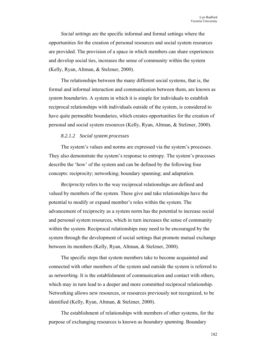*Social settings* are the specific informal and formal settings where the opportunities for the creation of personal resources and social system resources are provided. The provision of a space in which members can share experiences and develop social ties, increases the sense of community within the system (Kelly, Ryan, Altman, & Stelzner, 2000).

The relationships between the many different social systems, that is, the formal and informal interaction and communication between them, are known as *system boundaries*. A system in which it is simple for individuals to establish reciprocal relationships with individuals outside of the system, is considered to have quite permeable boundaries, which creates opportunities for the creation of personal and social system resources (Kelly, Ryan, Altman, & Stelzner, 2000).

### *8.2.1.2 Social system processes*

The system's values and norms are expressed via the system's processes. They also demonstrate the system's response to entropy. The system's processes describe the 'how' of the system and can be defined by the following four concepts: reciprocity; networking; boundary spanning; and adaptation.

*Reciprocity* refers to the way reciprocal relationships are defined and valued by members of the system. These give and take relationships have the potential to modify or expand member's roles within the system. The advancement of reciprocity as a system norm has the potential to increase social and personal system resources, which in turn increases the sense of community within the system. Reciprocal relationships may need to be encouraged by the system through the development of social settings that promote mutual exchange between its members (Kelly, Ryan, Altman, & Stelzner, 2000).

The specific steps that system members take to become acquainted and connected with other members of the system and outside the system is referred to as *networking*. It is the establishment of communication and contact with others, which may in turn lead to a deeper and more committed reciprocal relationship. Networking allows new resources, or resources previously not recognized, to be identified (Kelly, Ryan, Altman, & Stelzner, 2000).

The establishment of relationships with members of other systems, for the purpose of exchanging resources is known as *boundary spanning*. Boundary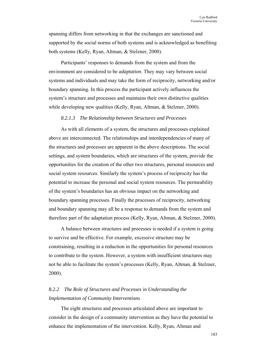spanning differs from networking in that the exchanges are sanctioned and supported by the social norms of both systems and is acknowledged as benefiting both systems (Kelly, Ryan, Altman, & Stelzner, 2000).

Participants' responses to demands from the system and from the environment are considered to be *adaptation*. They may vary between social systems and individuals and may take the form of reciprocity, networking and/or boundary spanning. In this process the participant actively influences the system's structure and processes and maintains their own distinctive qualities while developing new qualities (Kelly, Ryan, Altman, & Stelzner, 2000).

### *8.2.1.3 The Relationship between Structures and Processes*

As with all elements of a system, the structures and processes explained above are interconnected. The relationships and interdependencies of many of the structures and processes are apparent in the above descriptions. The social settings, and system boundaries, which are structures of the system, provide the opportunities for the creation of the other two structures, personal resources and social system resources. Similarly the system's process of reciprocity has the potential to increase the personal and social system resources. The permeability of the system's boundaries has an obvious impact on the networking and boundary spanning processes. Finally the processes of reciprocity, networking and boundary spanning may all be a response to demands from the system and therefore part of the adaptation process (Kelly, Ryan, Altman, & Stelzner, 2000).

A balance between structures and processes is needed if a system is going to survive and be effective. For example, excessive structure may be constraining, resulting in a reduction in the opportunities for personal resources to contribute to the system. However, a system with insufficient structures may not be able to facilitate the system's processes (Kelly, Ryan, Altman, & Stelzner, 2000).

# *8.2.2 The Role of Structures and Processes in Understanding the Implementation of Community Interventions*

The eight structures and processes articulated above are important to consider in the design of a community intervention as they have the potential to enhance the implementation of the intervention. Kelly, Ryan, Altman and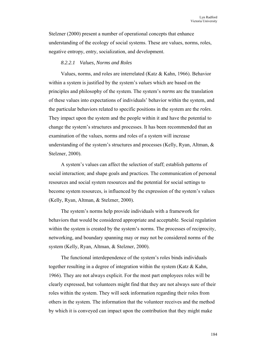Stelzner (2000) present a number of operational concepts that enhance understanding of the ecology of social systems. These are values, norms, roles, negative entropy, entry, socialization, and development.

### *8.2.2.1 Values, Norms and Roles*

Values, norms, and roles are interrelated (Katz & Kahn, 1966). Behavior within a system is justified by the system's *values* which are based on the principles and philosophy of the system. The system's *norms* are the translation of these values into expectations of individuals' behavior within the system, and the particular behaviors related to specific positions in the system are the *roles*. They impact upon the system and the people within it and have the potential to change the system's structures and processes. It has been recommended that an examination of the values, norms and roles of a system will increase understanding of the system's structures and processes (Kelly, Ryan, Altman, & Stelzner, 2000).

A system's values can affect the selection of staff; establish patterns of social interaction; and shape goals and practices. The communication of personal resources and social system resources and the potential for social settings to become system resources, is influenced by the expression of the system's values (Kelly, Ryan, Altman, & Stelzner, 2000).

The system's norms help provide individuals with a framework for behaviors that would be considered appropriate and acceptable. Social regulation within the system is created by the system's norms. The processes of reciprocity, networking, and boundary spanning may or may not be considered norms of the system (Kelly, Ryan, Altman, & Stelzner, 2000).

The functional interdependence of the system's roles binds individuals together resulting in a degree of integration within the system (Katz & Kahn, 1966). They are not always explicit. For the most part employees roles will be clearly expressed, but volunteers might find that they are not always sure of their roles within the system. They will seek information regarding their roles from others in the system. The information that the volunteer receives and the method by which it is conveyed can impact upon the contribution that they might make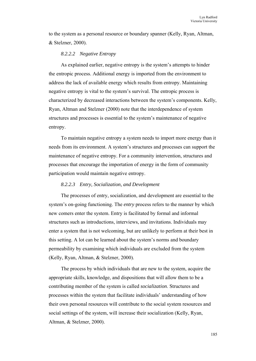to the system as a personal resource or boundary spanner (Kelly, Ryan, Altman, & Stelzner, 2000).

## *8.2.2.2 Negative Entropy*

As explained earlier, negative entropy is the system's attempts to hinder the entropic process. Additional energy is imported from the environment to address the lack of available energy which results from entropy. Maintaining negative entropy is vital to the system's survival. The entropic process is characterized by decreased interactions between the system's components. Kelly, Ryan, Altman and Stelzner (2000) note that the interdependence of system structures and processes is essential to the system's maintenance of negative entropy.

To maintain negative entropy a system needs to import more energy than it needs from its environment. A system's structures and processes can support the maintenance of negative entropy. For a community intervention, structures and processes that encourage the importation of energy in the form of community participation would maintain negative entropy.

## *8.2.2.3 Entry, Socialization, and Development*

The processes of entry, socialization, and development are essential to the system's on-going functioning. The *entry* process refers to the manner by which new comers enter the system. Entry is facilitated by formal and informal structures such as introductions, interviews, and invitations. Individuals may enter a system that is not welcoming, but are unlikely to perform at their best in this setting. A lot can be learned about the system's norms and boundary permeability by examining which individuals are excluded from the system (Kelly, Ryan, Altman, & Stelzner, 2000).

The process by which individuals that are new to the system, acquire the appropriate skills, knowledge, and dispositions that will allow them to be a contributing member of the system is called *socialization*. Structures and processes within the system that facilitate individuals' understanding of how their own personal resources will contribute to the social system resources and social settings of the system, will increase their socialization (Kelly, Ryan, Altman, & Stelzner, 2000).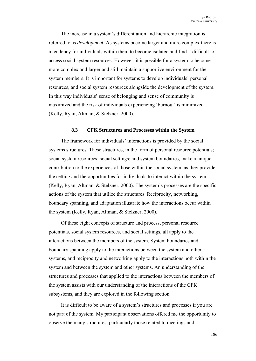The increase in a system's differentiation and hierarchic integration is referred to as *development*. As systems become larger and more complex there is a tendency for individuals within them to become isolated and find it difficult to access social system resources. However, it is possible for a system to become more complex and larger and still maintain a supportive environment for the system members. It is important for systems to develop individuals' personal resources, and social system resources alongside the development of the system. In this way individuals' sense of belonging and sense of community is maximized and the risk of individuals experiencing 'burnout' is minimized (Kelly, Ryan, Altman, & Stelzner, 2000).

## **8.3 CFK Structures and Processes within the System**

The framework for individuals' interactions is provided by the social systems structures. These structures, in the form of personal resource potentials; social system resources; social settings; and system boundaries, make a unique contribution to the experiences of those within the social system, as they provide the setting and the opportunities for individuals to interact within the system (Kelly, Ryan, Altman, & Stelzner, 2000). The system's processes are the specific actions of the system that utilize the structures. Reciprocity, networking, boundary spanning, and adaptation illustrate how the interactions occur within the system (Kelly, Ryan, Altman, & Stelzner, 2000).

Of these eight concepts of structure and process, personal resource potentials, social system resources, and social settings, all apply to the interactions between the members of the system. System boundaries and boundary spanning apply to the interactions between the system and other systems, and reciprocity and networking apply to the interactions both within the system and between the system and other systems. An understanding of the structures and processes that applied to the interactions between the members of the system assists with our understanding of the interactions of the CFK subsystems, and they are explored in the following section.

It is difficult to be aware of a system's structures and processes if you are not part of the system. My participant observations offered me the opportunity to observe the many structures, particularly those related to meetings and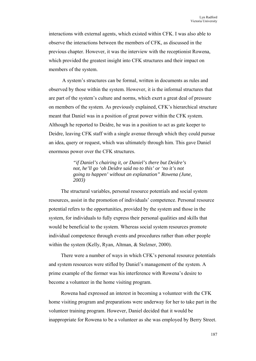interactions with external agents, which existed within CFK. I was also able to observe the interactions between the members of CFK, as discussed in the previous chapter. However, it was the interview with the receptionist Rowena, which provided the greatest insight into CFK structures and their impact on members of the system.

 A system's structures can be formal, written in documents as rules and observed by those within the system. However, it is the informal structures that are part of the system's culture and norms, which exert a great deal of pressure on members of the system. As previously explained, CFK's hierarchical structure meant that Daniel was in a position of great power within the CFK system. Although he reported to Deidre, he was in a position to act as gate keeper to Deidre, leaving CFK staff with a single avenue through which they could pursue an idea, query or request, which was ultimately through him. This gave Daniel enormous power over the CFK structures.

> *"if Daniel's chairing it, or Daniel's there but Deidre's not, he'll go 'oh Deidre said no to this' or 'no it's not going to happen' without an explanation" Rowena (June, 2003)*

The structural variables, personal resource potentials and social system resources, assist in the promotion of individuals' competence. Personal resource potential refers to the opportunities, provided by the system and those in the system, for individuals to fully express their personal qualities and skills that would be beneficial to the system. Whereas social system resources promote individual competence through events and procedures rather than other people within the system (Kelly, Ryan, Altman, & Stelzner, 2000).

There were a number of ways in which CFK's personal resource potentials and system resources were stifled by Daniel's management of the system. A prime example of the former was his interference with Rowena's desire to become a volunteer in the home visiting program.

Rowena had expressed an interest in becoming a volunteer with the CFK home visiting program and preparations were underway for her to take part in the volunteer training program. However, Daniel decided that it would be inappropriate for Rowena to be a volunteer as she was employed by Berry Street.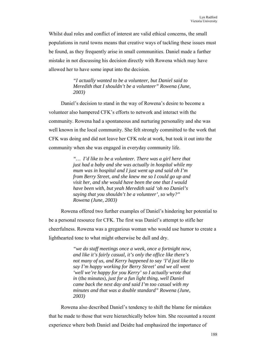Whilst dual roles and conflict of interest are valid ethical concerns, the small populations in rural towns means that creative ways of tackling these issues must be found, as they frequently arise in small communities. Daniel made a further mistake in not discussing his decision directly with Rowena which may have allowed her to have some input into the decision.

> *"I actually wanted to be a volunteer, but Daniel said to Meredith that I shouldn't be a volunteer" Rowena (June, 2003)*

Daniel's decision to stand in the way of Rowena's desire to become a volunteer also hampered CFK's efforts to network and interact with the community. Rowena had a spontaneous and nurturing personality and she was well known in the local community. She felt strongly committed to the work that CFK was doing and did not leave her CFK role at work, but took it out into the community when she was engaged in everyday community life.

> *"… I'd like to be a volunteer. There was a girl here that just had a baby and she was actually in hospital while my mum was in hospital and I just went up and said oh I'm from Berry Street, and she knew me so I could go up and visit her, and she would have been the one that I would have been with, but yeah Meredith said 'oh no Daniel's saying that you shouldn't be a volunteer', so why?" Rowena (June, 2003)*

Rowena offered two further examples of Daniel's hindering her potential to be a personal resource for CFK. The first was Daniel's attempt to stifle her cheerfulness. Rowena was a gregarious woman who would use humor to create a lighthearted tone to what might otherwise be dull and dry.

> *"we do staff meetings once a week, once a fortnight now, and like it's fairly casual, it's only the office like there's not many of us, and Kerry happened to say 'I'd just like to say I'm happy working for Berry Street' and we all went 'well we're happy for you Kerry' so I actually wrote that in* (the minutes)*, just for a fun light thing, well Daniel came back the next day and said I'm too casual with my minutes and that was a double standard" Rowena (June, 2003)*

Rowena also described Daniel's tendency to shift the blame for mistakes that he made to those that were hierarchically below him. She recounted a recent experience where both Daniel and Deidre had emphasized the importance of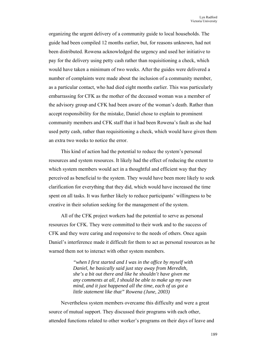organizing the urgent delivery of a community guide to local households. The guide had been compiled 12 months earlier, but, for reasons unknown, had not been distributed. Rowena acknowledged the urgency and used her initiative to pay for the delivery using petty cash rather than requisitioning a check, which would have taken a minimum of two weeks. After the guides were delivered a number of complaints were made about the inclusion of a community member, as a particular contact, who had died eight months earlier. This was particularly embarrassing for CFK as the mother of the deceased woman was a member of the advisory group and CFK had been aware of the woman's death. Rather than accept responsibility for the mistake, Daniel chose to explain to prominent community members and CFK staff that it had been Rowena's fault as she had used petty cash, rather than requisitioning a check, which would have given them an extra two weeks to notice the error.

This kind of action had the potential to reduce the system's personal resources and system resources. It likely had the effect of reducing the extent to which system members would act in a thoughtful and efficient way that they perceived as beneficial to the system. They would have been more likely to seek clarification for everything that they did, which would have increased the time spent on all tasks. It was further likely to reduce participants' willingness to be creative in their solution seeking for the management of the system.

All of the CFK project workers had the potential to serve as personal resources for CFK. They were committed to their work and to the success of CFK and they were caring and responsive to the needs of others. Once again Daniel's interference made it difficult for them to act as personal resources as he warned them not to interact with other system members.

> *"when I first started and I was in the office by myself with Daniel, he basically said just stay away from Meredith, she's a bit out there and like he shouldn't have given me any comments at all, I should be able to make up my own mind, and it just happened all the time, each of us got a little statement like that" Rowena (June, 2003)*

Nevertheless system members overcame this difficulty and were a great source of mutual support. They discussed their programs with each other, attended functions related to other worker's programs on their days of leave and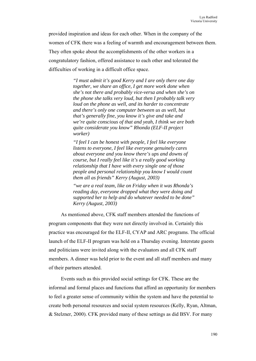provided inspiration and ideas for each other. When in the company of the women of CFK there was a feeling of warmth and encouragement between them. They often spoke about the accomplishments of the other workers in a congratulatory fashion, offered assistance to each other and tolerated the difficulties of working in a difficult office space.

> *"I must admit it's good Kerry and I are only there one day together, we share an office, I get more work done when she's not there and probably vice-versa and when she's on the phone she talks very loud, but then I probably talk very loud on the phone as well, and its harder to concentrate and there's only one computer between us as well, but that's generally fine, you know it's give and take and we're quite conscious of that and yeah, I think we are both quite considerate you know" Rhonda (ELF-II project worker)*

*"I feel I can be honest with people, I feel like everyone listens to everyone, I feel like everyone genuinely cares about everyone and you know there's ups and downs of course, but I really feel like it's a really good working relationship that I have with every single one of those people and personal relationship you know I would count them all as friends" Kerry (August, 2003)* 

*"we are a real team, like on Friday when it was Rhonda's reading day, everyone dropped what they were doing and supported her to help and do whatever needed to be done" Kerry (August, 2003)* 

As mentioned above, CFK staff members attended the functions of program components that they were not directly involved in. Certainly this practice was encouraged for the ELF-II, CYAP and ARC programs. The official launch of the ELF-II program was held on a Thursday evening. Interstate guests and politicians were invited along with the evaluators and all CFK staff members. A dinner was held prior to the event and all staff members and many of their partners attended.

Events such as this provided social settings for CFK. These are the informal and formal places and functions that afford an opportunity for members to feel a greater sense of community within the system and have the potential to create both personal resources and social system resources (Kelly, Ryan, Altman, & Stelzner, 2000). CFK provided many of these settings as did BSV. For many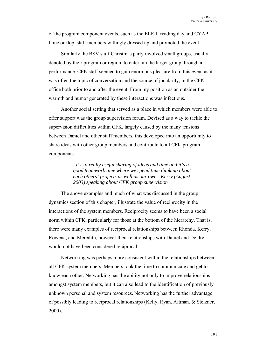of the program component events, such as the ELF-II reading day and CYAP fame or flop, staff members willingly dressed up and promoted the event.

Similarly the BSV staff Christmas party involved small groups, usually denoted by their program or region, to entertain the larger group through a performance. CFK staff seemed to gain enormous pleasure from this event as it was often the topic of conversation and the source of jocularity, in the CFK office both prior to and after the event. From my position as an outsider the warmth and humor generated by these interactions was infectious.

Another social setting that served as a place in which members were able to offer support was the group supervision forum. Devised as a way to tackle the supervision difficulties within CFK, largely caused by the many tensions between Daniel and other staff members, this developed into an opportunity to share ideas with other group members and contribute to all CFK program components.

> *"it is a really useful sharing of ideas and time and it's a good teamwork time where we spend time thinking about each others' projects as well as our own" Kerry (August 2003) speaking about CFK group supervision*

The above examples and much of what was discussed in the group dynamics section of this chapter, illustrate the value of reciprocity in the interactions of the system members. Reciprocity seems to have been a social norm within CFK, particularly for those at the bottom of the hierarchy. That is, there were many examples of reciprocal relationships between Rhonda, Kerry, Rowena, and Meredith, however their relationships with Daniel and Deidre would not have been considered reciprocal.

Networking was perhaps more consistent within the relationships between all CFK system members. Members took the time to communicate and get to know each other. Networking has the ability not only to improve relationships amongst system members, but it can also lead to the identification of previously unknown personal and system resources. Networking has the further advantage of possibly leading to reciprocal relationships (Kelly, Ryan, Altman, & Stelzner, 2000).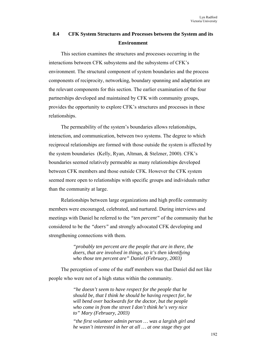# **8.4 CFK System Structures and Processes between the System and its Environment**

This section examines the structures and processes occurring in the interactions between CFK subsystems and the subsystems of CFK's environment. The structural component of system boundaries and the process components of reciprocity, networking, boundary spanning and adaptation are the relevant components for this section. The earlier examination of the four partnerships developed and maintained by CFK with community groups, provides the opportunity to explore CFK's structures and processes in these relationships.

The permeability of the system's boundaries allows relationships, interaction, and communication, between two systems. The degree to which reciprocal relationships are formed with those outside the system is affected by the system boundaries (Kelly, Ryan, Altman, & Stelzner, 2000). CFK's boundaries seemed relatively permeable as many relationships developed between CFK members and those outside CFK. However the CFK system seemed more open to relationships with specific groups and individuals rather than the community at large.

Relationships between large organizations and high profile community members were encouraged, celebrated, and nurtured. During interviews and meetings with Daniel he referred to the *"ten percent"* of the community that he considered to be the *"doers"* and strongly advocated CFK developing and strengthening connections with them*.* 

> *"probably ten percent are the people that are in there, the doers, that are involved in things, so it's then identifying who those ten percent are" Daniel (February, 2003)*

The perception of some of the staff members was that Daniel did not like people who were not of a high status within the community.

> *"he doesn't seem to have respect for the people that he should be, that I think he should be having respect for, he will bend over backwards for the doctor, but the people who come in from the street I don't think he's very nice to" Mary (February, 2003)*

*"the first volunteer admin person … was a largish girl and he wasn't interested in her at all … at one stage they got*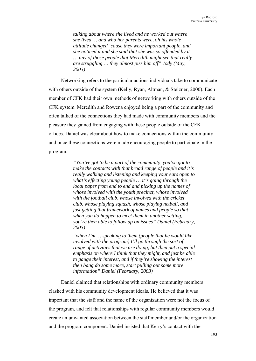*talking about where she lived and he worked out where she lived … and who her parents were, oh his whole attitude changed 'cause they were important people, and she noticed it and she said that she was so offended by it … any of those people that Meredith might see that really are struggling … they almost piss him off" Jody (May, 2003)* 

Networking refers to the particular actions individuals take to communicate with others outside of the system (Kelly, Ryan, Altman, & Stelzner, 2000). Each member of CFK had their own methods of networking with others outside of the CFK system. Meredith and Rowena enjoyed being a part of the community and often talked of the connections they had made with community members and the pleasure they gained from engaging with these people outside of the CFK offices. Daniel was clear about how to make connections within the community and once these connections were made encouraging people to participate in the program.

> *"You've got to be a part of the community, you've got to make the contacts with that broad range of people and it's really walking and listening and keeping your ears open to what's effecting young people … it's going through the local paper from end to end and picking up the names of whose involved with the youth precinct, whose involved with the football club, whose involved with the cricket club, whose playing squash, whose playing netball, and just getting that framework of names and people so that when you do happen to meet them in another setting, you're then able to follow up on issues" Daniel (February, 2003)*

> *"when I'm … speaking to them (people that he would like involved with the program) I'll go through the sort of range of activities that we are doing, but then put a special emphasis on where I think that they might, and just be able to gauge their interest, and if they're showing the interest then bang do some more, start pulling out some more information" Daniel (February, 2003)*

Daniel claimed that relationships with ordinary community members clashed with his community development ideals. He believed that it was important that the staff and the name of the organization were not the focus of the program, and felt that relationships with regular community members would create an unwanted association between the staff member and/or the organization and the program component. Daniel insisted that Kerry's contact with the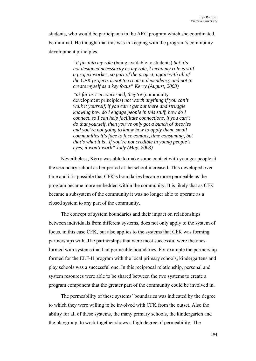students, who would be participants in the ARC program which she coordinated, be minimal. He thought that this was in keeping with the program's community development principles.

> *"it fits into my role* (being available to students) *but it's not designed necessarily as my role, I mean my role is still a project worker, so part of the project, again with all of the CFK projects is not to create a dependency and not to create myself as a key focus" Kerry (August, 2003)*

> *"as far as I'm concerned, they're* (community development principles) *not worth anything if you can't walk it yourself, if you can't get out there and struggle knowing how do I engage people in this stuff, how do I connect, so I can help facilitate connections, if you can't do that yourself, then you've only got a bunch of theories and you're not going to know how to apply them, small communities it's face to face contact, time consuming, but that's what it is , if you're not credible in young people's eyes, it won't work" Jody (May, 2003)*

Nevertheless, Kerry was able to make some contact with younger people at the secondary school as her period at the school increased. This developed over time and it is possible that CFK's boundaries became more permeable as the program became more embedded within the community. It is likely that as CFK became a subsystem of the community it was no longer able to operate as a closed system to any part of the community.

The concept of system boundaries and their impact on relationships between individuals from different systems, does not only apply to the system of focus, in this case CFK, but also applies to the systems that CFK was forming partnerships with. The partnerships that were most successful were the ones formed with systems that had permeable boundaries. For example the partnership formed for the ELF-II program with the local primary schools, kindergartens and play schools was a successful one. In this reciprocal relationship, personal and system resources were able to be shared between the two systems to create a program component that the greater part of the community could be involved in.

The permeability of these systems' boundaries was indicated by the degree to which they were willing to be involved with CFK from the outset. Also the ability for all of these systems, the many primary schools, the kindergarten and the playgroup, to work together shows a high degree of permeability. The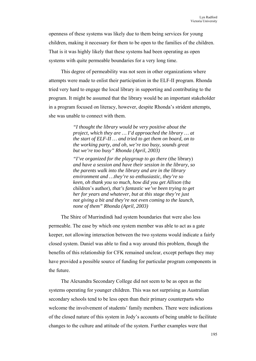openness of these systems was likely due to them being services for young children, making it necessary for them to be open to the families of the children. That is it was highly likely that these systems had been operating as open systems with quite permeable boundaries for a very long time.

This degree of permeability was not seen in other organizations where attempts were made to enlist their participation in the ELF-II program. Rhonda tried very hard to engage the local library in supporting and contributing to the program. It might be assumed that the library would be an important stakeholder in a program focused on literacy, however, despite Rhonda's strident attempts, she was unable to connect with them.

> *"I thought the library would be very positive about the project, which they are … I'd approached the library … at the start of ELF-II … and tried to get them on board, on to the working party, and oh, we're too busy, sounds great but we're too busy" Rhonda (April, 2003)*

> *"I've organized for the playgroup to go there* (the library) *and have a session and have their session in the library, so the parents walk into the library and are in the library environment and …they're so enthusiastic, they're so keen, oh thank you so much, how did you get Allison* (the children's author)*, that's fantastic we've been trying to get her for years and whatever, but at this stage they're just not giving a bit and they're not even coming to the launch, none of them" Rhonda (April, 2003)*

The Shire of Murrindindi had system boundaries that were also less permeable. The ease by which one system member was able to act as a gate keeper, not allowing interaction between the two systems would indicate a fairly closed system. Daniel was able to find a way around this problem, though the benefits of this relationship for CFK remained unclear, except perhaps they may have provided a possible source of funding for particular program components in the future.

The Alexandra Secondary College did not seem to be as open as the systems operating for younger children. This was not surprising as Australian secondary schools tend to be less open than their primary counterparts who welcome the involvement of students' family members. There were indications of the closed nature of this system in Jody's accounts of being unable to facilitate changes to the culture and attitude of the system. Further examples were that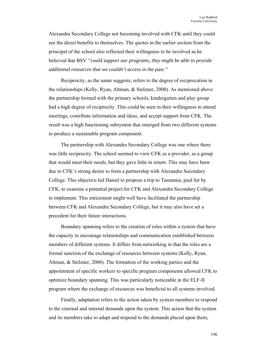Alexandra Secondary College not becoming involved with CFK until they could see the direct benefits to themselves. The quotes in the earlier section from the principal of the school also reflected their willingness to be involved as he believed that BSV *"could support our programs, they might be able to provide additional resources that we couldn't access in the past."* 

Reciprocity, as the name suggests, refers to the degree of reciprocation in the relationships (Kelly, Ryan, Altman, & Stelzner, 2000). As mentioned above the partnership formed with the primary schools, kindergarten and play group had a high degree of reciprocity. This could be seen in their willingness to attend meetings, contribute information and ideas, and accept support from CFK. The result was a high functioning subsystem that emerged from two different systems to produce a sustainable program component.

The partnership with Alexandra Secondary College was one where there was little reciprocity. The school seemed to view CFK as a provider, as a group that would meet their needs, but they gave little in return. This may have been due to CFK's strong desire to form a partnership with Alexandra Secondary College. This objective led Daniel to propose a trip to Tasmania, paid for by CFK, to examine a potential project for CFK and Alexandra Secondary College to implement. This enticement might well have facilitated the partnership between CFK and Alexandra Secondary College, but it may also have set a precedent for their future interactions.

Boundary spanning refers to the creation of roles within a system that have the capacity to encourage relationships and communication established between members of different systems. It differs from networking in that the roles are a formal sanction of the exchange of resources between systems (Kelly, Ryan, Altman, & Stelzner, 2000). The formation of the working parties and the appointment of specific workers to specific program components allowed CFK to optimize boundary spanning. This was particularly noticeable in the ELF-II program where the exchange of resources was beneficial to all systems involved.

Finally, adaptation refers to the action taken by system members to respond to the external and internal demands upon the system. This action that the system and its members take to adapt and respond to the demands placed upon them,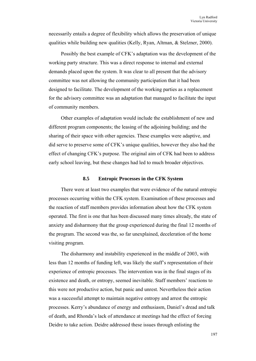necessarily entails a degree of flexibility which allows the preservation of unique qualities while building new qualities (Kelly, Ryan, Altman, & Stelzner, 2000).

Possibly the best example of CFK's adaptation was the development of the working party structure. This was a direct response to internal and external demands placed upon the system. It was clear to all present that the advisory committee was not allowing the community participation that it had been designed to facilitate. The development of the working parties as a replacement for the advisory committee was an adaptation that managed to facilitate the input of community members.

Other examples of adaptation would include the establishment of new and different program components; the leasing of the adjoining building; and the sharing of their space with other agencies. These examples were adaptive, and did serve to preserve some of CFK's unique qualities, however they also had the effect of changing CFK's purpose. The original aim of CFK had been to address early school leaving, but these changes had led to much broader objectives.

## **8.5 Entropic Processes in the CFK System**

There were at least two examples that were evidence of the natural entropic processes occurring within the CFK system. Examination of these processes and the reaction of staff members provides information about how the CFK system operated. The first is one that has been discussed many times already, the state of anxiety and disharmony that the group experienced during the final 12 months of the program. The second was the, so far unexplained, deceleration of the home visiting program.

The disharmony and instability experienced in the middle of 2003, with less than 12 months of funding left, was likely the staff's representation of their experience of entropic processes. The intervention was in the final stages of its existence and death, or entropy, seemed inevitable. Staff members' reactions to this were not productive action, but panic and unrest. Nevertheless their action was a successful attempt to maintain negative entropy and arrest the entropic processes. Kerry's abundance of energy and enthusiasm, Daniel's dread and talk of death, and Rhonda's lack of attendance at meetings had the effect of forcing Deidre to take action. Deidre addressed these issues through enlisting the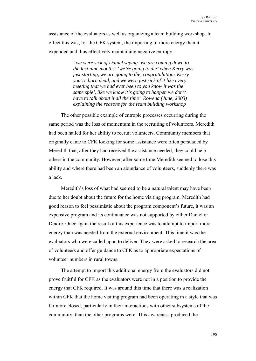assistance of the evaluators as well as organizing a team building workshop. In effect this was, for the CFK system, the importing of more energy than it expended and thus effectively maintaining negative entropy.

> *"we were sick of Daniel saying 'we are coming down to the last nine months' 'we're going to die' when Kerry was just starting, we are going to die, congratulations Kerry you're born dead, and we were just sick of it like every meeting that we had ever been to you know it was the same spiel, like we know it's going to happen we don't have to talk about it all the time" Rowena (June, 2003) explaining the reasons for the team building workshop*

The other possible example of entropic processes occurring during the same period was the loss of momentum in the recruiting of volunteers. Meredith had been hailed for her ability to recruit volunteers. Community members that originally came to CFK looking for some assistance were often persuaded by Meredith that, after they had received the assistance needed, they could help others in the community. However, after some time Meredith seemed to lose this ability and where there had been an abundance of volunteers, suddenly there was a lack.

Meredith's loss of what had seemed to be a natural talent may have been due to her doubt about the future for the home visiting program. Meredith had good reason to feel pessimistic about the program component's future, it was an expensive program and its continuance was not supported by either Daniel or Deidre. Once again the result of this experience was to attempt to import more energy than was needed from the external environment. This time it was the evaluators who were called upon to deliver. They were asked to research the area of volunteers and offer guidance to CFK as to appropriate expectations of volunteer numbers in rural towns.

The attempt to import this additional energy from the evaluators did not prove fruitful for CFK as the evaluators were not in a position to provide the energy that CFK required. It was around this time that there was a realization within CFK that the home visiting program had been operating in a style that was far more closed, particularly in their interactions with other subsystems of the community, than the other programs were. This awareness produced the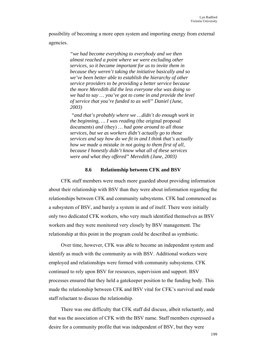possibility of becoming a more open system and importing energy from external agencies.

> *"we had become everything to everybody and we then almost reached a point where we were excluding other services, so it became important for us to invite them in because they weren't taking the initiative basically and so we've been better able to establish the hierarchy of other service providers to be providing a better service because the more Meredith did the less everyone else was doing so we had to say … you've got to come in and provide the level of service that you're funded to as well" Daniel (June, 2003)*

> *"and that's probably where we …didn't do enough work in the beginning, ... I was reading (the original proposal* documents) *and* (they) *… had gone around to all those services, but we as workers didn't actually go to those services and say how do we fit in and I think that's actually how we made a mistake in not going to them first of all, because I honestly didn't know what all of these services were and what they offered" Meredith (June, 2003)*

### **8.6 Relationship between CFK and BSV**

CFK staff members were much more guarded about providing information about their relationship with BSV than they were about information regarding the relationships between CFK and community subsystems. CFK had commenced as a subsystem of BSV, and barely a system in and of itself. There were initially only two dedicated CFK workers, who very much identified themselves as BSV workers and they were monitored very closely by BSV management. The relationship at this point in the program could be described as symbiotic.

Over time, however, CFK was able to become an independent system and identify as much with the community as with BSV. Additional workers were employed and relationships were formed with community subsystems. CFK continued to rely upon BSV for resources, supervision and support. BSV processes ensured that they held a gatekeeper position to the funding body. This made the relationship between CFK and BSV vital for CFK's survival and made staff reluctant to discuss the relationship.

There was one difficulty that CFK staff did discuss, albeit reluctantly, and that was the association of CFK with the BSV name. Staff members expressed a desire for a community profile that was independent of BSV, but they were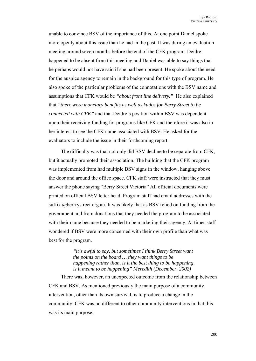unable to convince BSV of the importance of this. At one point Daniel spoke more openly about this issue than he had in the past. It was during an evaluation meeting around seven months before the end of the CFK program. Deidre happened to be absent from this meeting and Daniel was able to say things that he perhaps would not have said if she had been present. He spoke about the need for the auspice agency to remain in the background for this type of program. He also spoke of the particular problems of the connotations with the BSV name and assumptions that CFK would be *"about front line delivery."* He also explained that *"there were monetary benefits as well as kudos for Berry Street to be connected with CFK"* and that Deidre's position within BSV was dependent upon their receiving funding for programs like CFK and therefore it was also in her interest to see the CFK name associated with BSV. He asked for the evaluators to include the issue in their forthcoming report.

The difficulty was that not only did BSV decline to be separate from CFK, but it actually promoted their association. The building that the CFK program was implemented from had multiple BSV signs in the window, hanging above the door and around the office space. CFK staff were instructed that they must answer the phone saying "Berry Street Victoria" All official documents were printed on official BSV letter head. Program staff had email addresses with the suffix @berrrystreet.org.au. It was likely that as BSV relied on funding from the government and from donations that they needed the program to be associated with their name because they needed to be marketing their agency. At times staff wondered if BSV were more concerned with their own profile than what was best for the program.

> *"it's awful to say, but sometimes I think Berry Street want the points on the board … they want things to be happening rather than, is it the best thing to be happening, is it meant to be happening" Meredith (December, 2002)*

There was, however, an unexpected outcome from the relationship between CFK and BSV. As mentioned previously the main purpose of a community intervention, other than its own survival, is to produce a change in the community. CFK was no different to other community interventions in that this was its main purpose.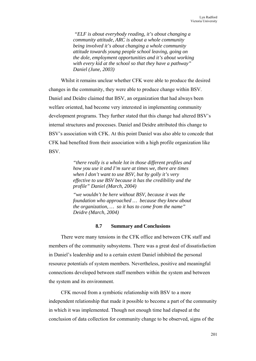*"ELF is about everybody reading, it's about changing a community attitude, ARC is about a whole community being involved it's about changing a whole community attitude towards young people school leaving, going on the dole, employment opportunities and it's about working with every kid at the school so that they have a pathway" Daniel (June, 2003)* 

Whilst it remains unclear whether CFK were able to produce the desired changes in the community, they were able to produce change within BSV. Daniel and Deidre claimed that BSV, an organization that had always been welfare oriented, had become very interested in implementing community development programs. They further stated that this change had altered BSV's internal structures and processes. Daniel and Deidre attributed this change to BSV's association with CFK. At this point Daniel was also able to concede that CFK had benefited from their association with a high profile organization like BSV.

> *"there really is a whole lot in those different profiles and how you use it and I'm sure at times we, there are times when I don't want to use BSV, but by golly it's very effective to use BSV because it has the credibility and the profile" Daniel (March, 2004)*

> *"we wouldn't be here without BSV, because it was the foundation who approached … because they knew about the organization, … so it has to come from the name" Deidre (March, 2004)*

## **8.7 Summary and Conclusions**

There were many tensions in the CFK office and between CFK staff and members of the community subsystems. There was a great deal of dissatisfaction in Daniel's leadership and to a certain extent Daniel inhibited the personal resource potentials of system members. Nevertheless, positive and meaningful connections developed between staff members within the system and between the system and its environment.

CFK moved from a symbiotic relationship with BSV to a more independent relationship that made it possible to become a part of the community in which it was implemented. Though not enough time had elapsed at the conclusion of data collection for community change to be observed, signs of the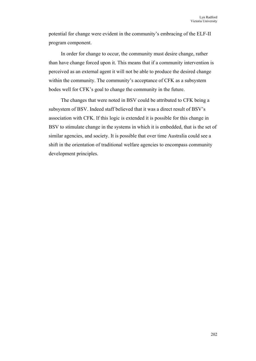potential for change were evident in the community's embracing of the ELF-II program component.

In order for change to occur, the community must desire change, rather than have change forced upon it. This means that if a community intervention is perceived as an external agent it will not be able to produce the desired change within the community. The community's acceptance of CFK as a subsystem bodes well for CFK's goal to change the community in the future.

The changes that were noted in BSV could be attributed to CFK being a subsystem of BSV. Indeed staff believed that it was a direct result of BSV's association with CFK. If this logic is extended it is possible for this change in BSV to stimulate change in the systems in which it is embedded, that is the set of similar agencies, and society. It is possible that over time Australia could see a shift in the orientation of traditional welfare agencies to encompass community development principles.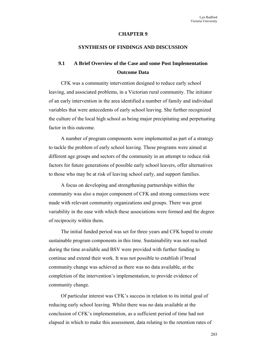#### **CHAPTER 9**

### **SYNTHESIS OF FINDINGS AND DISCUSSION**

# **9.1 A Brief Overview of the Case and some Post Implementation Outcome Data**

CFK was a community intervention designed to reduce early school leaving, and associated problems, in a Victorian rural community. The initiator of an early intervention in the area identified a number of family and individual variables that were antecedents of early school leaving. She further recognized the culture of the local high school as being major precipitating and perpetuating factor in this outcome.

A number of program components were implemented as part of a strategy to tackle the problem of early school leaving. These programs were aimed at different age groups and sectors of the community in an attempt to reduce risk factors for future generations of possible early school leavers, offer alternatives to those who may be at risk of leaving school early, and support families.

A focus on developing and strengthening partnerships within the community was also a major component of CFK and strong connections were made with relevant community organizations and groups. There was great variability in the ease with which these associations were formed and the degree of reciprocity within them.

The initial funded period was set for three years and CFK hoped to create sustainable program components in this time. Sustainability was not reached during the time available and BSV were provided with further funding to continue and extend their work. It was not possible to establish if broad community change was achieved as there was no data available, at the completion of the intervention's implementation, to provide evidence of community change.

Of particular interest was CFK's success in relation to its initial goal of reducing early school leaving. Whilst there was no data available at the conclusion of CFK's implementation, as a sufficient period of time had not elapsed in which to make this assessment, data relating to the retention rates of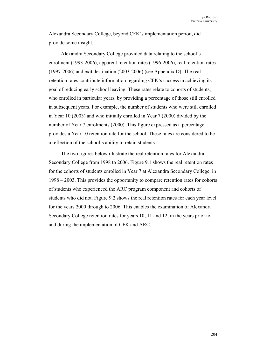Alexandra Secondary College, beyond CFK's implementation period, did provide some insight.

Alexandra Secondary College provided data relating to the school's enrolment (1993-2006), apparent retention rates (1996-2006), real retention rates (1997-2006) and exit destination (2003-2006) (see Appendix D). The real retention rates contribute information regarding CFK's success in achieving its goal of reducing early school leaving. These rates relate to cohorts of students, who enrolled in particular years, by providing a percentage of those still enrolled in subsequent years. For example, the number of students who were still enrolled in Year 10 (2003) and who initially enrolled in Year 7 (2000) divided by the number of Year 7 enrolments (2000). This figure expressed as a percentage provides a Year 10 retention rate for the school. These rates are considered to be a reflection of the school's ability to retain students.

The two figures below illustrate the real retention rates for Alexandra Secondary College from 1998 to 2006. Figure 9.1 shows the real retention rates for the cohorts of students enrolled in Year 7 at Alexandra Secondary College, in 1998 – 2003. This provides the opportunity to compare retention rates for cohorts of students who experienced the ARC program component and cohorts of students who did not. Figure 9.2 shows the real retention rates for each year level for the years 2000 through to 2006. This enables the examination of Alexandra Secondary College retention rates for years 10, 11 and 12, in the years prior to and during the implementation of CFK and ARC.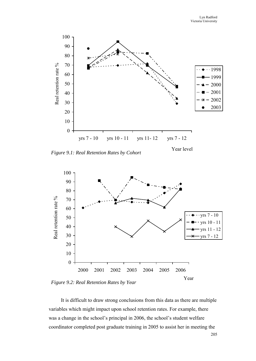

*Figure 9.1: Real Retention Rates by Cohort*

Year level



*Figure 9.2: Real Retention Rates by Year*

It is difficult to draw strong conclusions from this data as there are multiple variables which might impact upon school retention rates. For example, there was a change in the school's principal in 2006, the school's student welfare coordinator completed post graduate training in 2005 to assist her in meeting the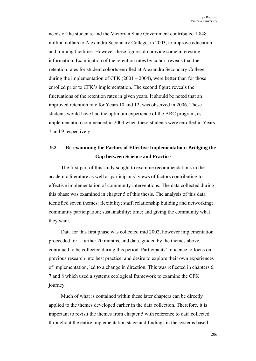needs of the students, and the Victorian State Government contributed 1.848 million dollars to Alexandra Secondary College, in 2003, to improve education and training facilities. However these figures do provide some interesting information. Examination of the retention rates by cohort reveals that the retention rates for student cohorts enrolled at Alexandra Secondary College during the implementation of CFK (2001 – 2004), were better than for those enrolled prior to CFK's implementation. The second figure reveals the fluctuations of the retention rates in given years. It should be noted that an improved retention rate for Years 10 and 12, was observed in 2006. These students would have had the optimum experience of the ARC program, as implementation commenced in 2003 when these students were enrolled in Years 7 and 9 respectively.

# **9.2 Re-examining the Factors of Effective Implementation: Bridging the Gap between Science and Practice**

The first part of this study sought to examine recommendations in the academic literature as well as participants' views of factors contributing to effective implementation of community interventions. The data collected during this phase was examined in chapter 5 of this thesis. The analysis of this data identified seven themes: flexibility; staff; relationship building and networking; community participation; sustainability; time; and giving the community what they want.

Data for this first phase was collected mid 2002, however implementation proceeded for a further 20 months, and data, guided by the themes above, continued to be collected during this period. Participants' reticence to focus on previous research into best practice, and desire to explore their own experiences of implementation, led to a change in direction. This was reflected in chapters 6, 7 and 8 which used a systems ecological framework to examine the CFK journey.

Much of what is contained within these later chapters can be directly applied to the themes developed earlier in the data collection. Therefore, it is important to revisit the themes from chapter 5 with reference to data collected throughout the entire implementation stage and findings in the systems based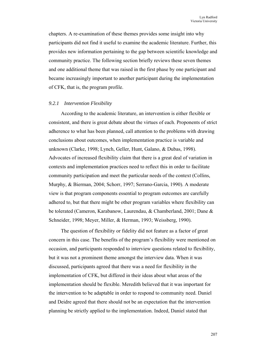chapters. A re-examination of these themes provides some insight into why participants did not find it useful to examine the academic literature. Further, this provides new information pertaining to the gap between scientific knowledge and community practice. The following section briefly reviews these seven themes and one additional theme that was raised in the first phase by one participant and became increasingly important to another participant during the implementation of CFK, that is, the program profile.

#### *9.2.1 Intervention Flexibility*

According to the academic literature, an intervention is either flexible or consistent, and there is great debate about the virtues of each. Proponents of strict adherence to what has been planned, call attention to the problems with drawing conclusions about outcomes, when implementation practice is variable and unknown (Clarke, 1998; Lynch, Geller, Hunt, Galano, & Dubas, 1998). Advocates of increased flexibility claim that there is a great deal of variation in contexts and implementation practices need to reflect this in order to facilitate community participation and meet the particular needs of the context (Collins, Murphy, & Bierman, 2004; Schorr, 1997; Serrano-Garcia, 1990). A moderate view is that program components essential to program outcomes are carefully adhered to, but that there might be other program variables where flexibility can be tolerated (Cameron, Karabanow, Laurendau, & Chamberland, 2001; Dane & Schneider, 1998; Meyer, Miller, & Herman, 1993; Weissberg, 1990).

The question of flexibility or fidelity did not feature as a factor of great concern in this case. The benefits of the program's flexibility were mentioned on occasion, and participants responded to interview questions related to flexibility, but it was not a prominent theme amongst the interview data. When it was discussed, participants agreed that there was a need for flexibility in the implementation of CFK, but differed in their ideas about what areas of the implementation should be flexible. Meredith believed that it was important for the intervention to be adaptable in order to respond to community need. Daniel and Deidre agreed that there should not be an expectation that the intervention planning be strictly applied to the implementation. Indeed, Daniel stated that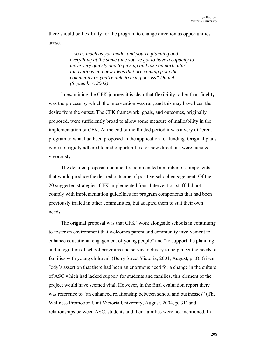there should be flexibility for the program to change direction as opportunities arose.

> *" so as much as you model and you're planning and everything at the same time you've got to have a capacity to move very quickly and to pick up and take on particular innovations and new ideas that are coming from the community or you're able to bring across" Daniel (September, 2002)*

In examining the CFK journey it is clear that flexibility rather than fidelity was the process by which the intervention was run, and this may have been the desire from the outset. The CFK framework, goals, and outcomes, originally proposed, were sufficiently broad to allow some measure of malleability in the implementation of CFK. At the end of the funded period it was a very different program to what had been proposed in the application for funding. Original plans were not rigidly adhered to and opportunities for new directions were pursued vigorously.

The detailed proposal document recommended a number of components that would produce the desired outcome of positive school engagement. Of the 20 suggested strategies, CFK implemented four. Intervention staff did not comply with implementation guidelines for program components that had been previously trialed in other communities, but adapted them to suit their own needs.

The original proposal was that CFK "work alongside schools in continuing to foster an environment that welcomes parent and community involvement to enhance educational engagement of young people" and "to support the planning and integration of school programs and service delivery to help meet the needs of families with young children" (Berry Street Victoria, 2001, August, p. 3). Given Jody's assertion that there had been an enormous need for a change in the culture of ASC which had lacked support for students and families, this element of the project would have seemed vital. However, in the final evaluation report there was reference to "an enhanced relationship between school and businesses" (The Wellness Promotion Unit Victoria University, August, 2004, p. 31) and relationships between ASC, students and their families were not mentioned. In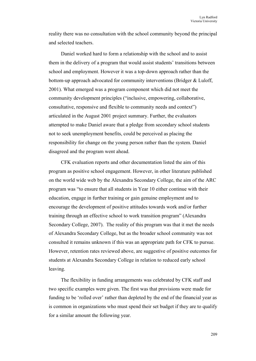reality there was no consultation with the school community beyond the principal and selected teachers.

Daniel worked hard to form a relationship with the school and to assist them in the delivery of a program that would assist students' transitions between school and employment. However it was a top-down approach rather than the bottom-up approach advocated for community interventions (Bridger & Luloff, 2001). What emerged was a program component which did not meet the community development principles ("inclusive, empowering, collaborative, consultative, responsive and flexible to community needs and context") articulated in the August 2001 project summary. Further, the evaluators attempted to make Daniel aware that a pledge from secondary school students not to seek unemployment benefits, could be perceived as placing the responsibility for change on the young person rather than the system. Daniel disagreed and the program went ahead.

CFK evaluation reports and other documentation listed the aim of this program as positive school engagement. However, in other literature published on the world wide web by the Alexandra Secondary College, the aim of the ARC program was "to ensure that all students in Year 10 either continue with their education, engage in further training or gain genuine employment and to encourage the development of positive attitudes towards work and/or further training through an effective school to work transition program" (Alexandra Secondary College, 2007). The reality of this program was that it met the needs of Alexandra Secondary College, but as the broader school community was not consulted it remains unknown if this was an appropriate path for CFK to pursue. However, retention rates reviewed above, are suggestive of positive outcomes for students at Alexandra Secondary College in relation to reduced early school leaving.

The flexibility in funding arrangements was celebrated by CFK staff and two specific examples were given. The first was that provisions were made for funding to be 'rolled over' rather than depleted by the end of the financial year as is common in organizations who must spend their set budget if they are to qualify for a similar amount the following year.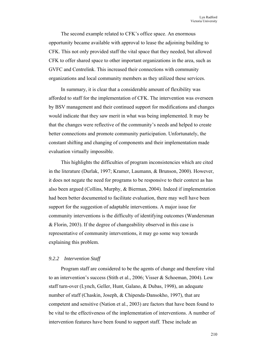The second example related to CFK's office space. An enormous opportunity became available with approval to lease the adjoining building to CFK. This not only provided staff the vital space that they needed, but allowed CFK to offer shared space to other important organizations in the area, such as GVFC and Centrelink. This increased their connections with community organizations and local community members as they utilized these services.

In summary, it is clear that a considerable amount of flexibility was afforded to staff for the implementation of CFK. The intervention was overseen by BSV management and their continued support for modifications and changes would indicate that they saw merit in what was being implemented. It may be that the changes were reflective of the community's needs and helped to create better connections and promote community participation. Unfortunately, the constant shifting and changing of components and their implementation made evaluation virtually impossible.

This highlights the difficulties of program inconsistencies which are cited in the literature (Durlak, 1997; Kramer, Laumann, & Brunson, 2000). However, it does not negate the need for programs to be responsive to their context as has also been argued (Collins, Murphy, & Bierman, 2004). Indeed if implementation had been better documented to facilitate evaluation, there may well have been support for the suggestion of adaptable interventions. A major issue for community interventions is the difficulty of identifying outcomes (Wandersman & Florin, 2003). If the degree of changeability observed in this case is representative of community interventions, it may go some way towards explaining this problem.

## *9.2.2 Intervention Staff*

Program staff are considered to be the agents of change and therefore vital to an intervention's success (Stith et al., 2006; Visser & Schoeman, 2004). Low staff turn-over (Lynch, Geller, Hunt, Galano, & Dubas, 1998), an adequate number of staff (Chaskin, Joseph, & Chipenda-Dansokho, 1997), that are competent and sensitive (Nation et al., 2003) are factors that have been found to be vital to the effectiveness of the implementation of interventions. A number of intervention features have been found to support staff. These include an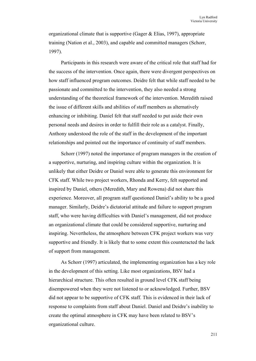organizational climate that is supportive (Gager & Elias, 1997), appropriate training (Nation et al., 2003), and capable and committed managers (Schorr, 1997).

Participants in this research were aware of the critical role that staff had for the success of the intervention. Once again, there were divergent perspectives on how staff influenced program outcomes. Deidre felt that while staff needed to be passionate and committed to the intervention, they also needed a strong understanding of the theoretical framework of the intervention. Meredith raised the issue of different skills and abilities of staff members as alternatively enhancing or inhibiting. Daniel felt that staff needed to put aside their own personal needs and desires in order to fulfill their role as a catalyst. Finally, Anthony understood the role of the staff in the development of the important relationships and pointed out the importance of continuity of staff members.

Schorr (1997) noted the importance of program managers in the creation of a supportive, nurturing, and inspiring culture within the organization. It is unlikely that either Deidre or Daniel were able to generate this environment for CFK staff. While two project workers, Rhonda and Kerry, felt supported and inspired by Daniel, others (Meredith, Mary and Rowena) did not share this experience. Moreover, all program staff questioned Daniel's ability to be a good manager. Similarly, Deidre's dictatorial attitude and failure to support program staff, who were having difficulties with Daniel's management, did not produce an organizational climate that could be considered supportive, nurturing and inspiring. Nevertheless, the atmosphere between CFK project workers was very supportive and friendly. It is likely that to some extent this counteracted the lack of support from management.

As Schorr (1997) articulated, the implementing organization has a key role in the development of this setting. Like most organizations, BSV had a hierarchical structure. This often resulted in ground level CFK staff being disempowered when they were not listened to or acknowledged. Further, BSV did not appear to be supportive of CFK staff. This is evidenced in their lack of response to complaints from staff about Daniel. Daniel and Deidre's inability to create the optimal atmosphere in CFK may have been related to BSV's organizational culture.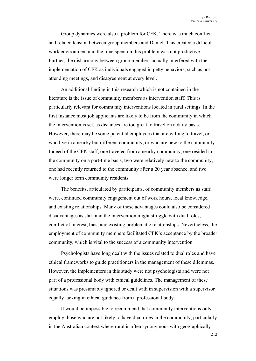Group dynamics were also a problem for CFK. There was much conflict and related tension between group members and Daniel. This created a difficult work environment and the time spent on this problem was not productive. Further, the disharmony between group members actually interfered with the implementation of CFK as individuals engaged in petty behaviors, such as not attending meetings, and disagreement at every level.

An additional finding in this research which is not contained in the literature is the issue of community members as intervention staff. This is particularly relevant for community interventions located in rural settings. In the first instance most job applicants are likely to be from the community in which the intervention is set, as distances are too great to travel on a daily basis. However, there may be some potential employees that are willing to travel, or who live in a nearby but different community, or who are new to the community. Indeed of the CFK staff, one traveled from a nearby community, one resided in the community on a part-time basis, two were relatively new to the community, one had recently returned to the community after a 20 year absence, and two were longer term community residents.

The benefits, articulated by participants, of community members as staff were, continued community engagement out of work hours, local knowledge, and existing relationships. Many of these advantages could also be considered disadvantages as staff and the intervention might struggle with dual roles, conflict of interest, bias, and existing problematic relationships. Nevertheless, the employment of community members facilitated CFK's acceptance by the broader community, which is vital to the success of a community intervention.

Psychologists have long dealt with the issues related to dual roles and have ethical frameworks to guide practitioners in the management of these dilemmas. However, the implementers in this study were not psychologists and were not part of a professional body with ethical guidelines. The management of these situations was presumably ignored or dealt with in supervision with a supervisor equally lacking in ethical guidance from a professional body.

It would be impossible to recommend that community interventions only employ those who are not likely to have dual roles in the community, particularly in the Australian context where rural is often synonymous with geographically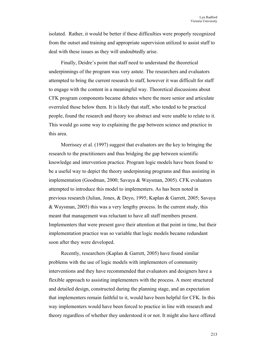isolated. Rather, it would be better if these difficulties were properly recognized from the outset and training and appropriate supervision utilized to assist staff to deal with these issues as they will undoubtedly arise.

Finally, Deidre's point that staff need to understand the theoretical underpinnings of the program was very astute. The researchers and evaluators attempted to bring the current research to staff, however it was difficult for staff to engage with the content in a meaningful way. Theoretical discussions about CFK program components became debates where the more senior and articulate overruled those below them. It is likely that staff, who tended to be practical people, found the research and theory too abstract and were unable to relate to it. This would go some way to explaining the gap between science and practice in this area.

Morrissey et al. (1997) suggest that evaluators are the key to bringing the research to the practitioners and thus bridging the gap between scientific knowledge and intervention practice. Program logic models have been found to be a useful way to depict the theory underpinning programs and thus assisting in implementation (Goodman, 2000; Savaya & Waysman, 2005). CFK evaluators attempted to introduce this model to implementers. As has been noted in previous research (Julian, Jones, & Deyo, 1995; Kaplan & Garrett, 2005; Savaya & Waysman, 2005) this was a very lengthy process. In the current study, this meant that management was reluctant to have all staff members present. Implementers that were present gave their attention at that point in time, but their implementation practice was so variable that logic models became redundant soon after they were developed.

Recently, researchers (Kaplan & Garrett, 2005) have found similar problems with the use of logic models with implementers of community interventions and they have recommended that evaluators and designers have a flexible approach to assisting implementers with the process. A more structured and detailed design, constructed during the planning stage, and an expectation that implementers remain faithful to it, would have been helpful for CFK. In this way implementers would have been forced to practice in line with research and theory regardless of whether they understood it or not. It might also have offered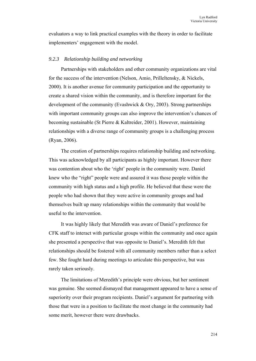evaluators a way to link practical examples with the theory in order to facilitate implementers' engagement with the model.

#### *9.2.3 Relationship building and networking*

Partnerships with stakeholders and other community organizations are vital for the success of the intervention (Nelson, Amio, Prilleltensky, & Nickels, 2000). It is another avenue for community participation and the opportunity to create a shared vision within the community, and is therefore important for the development of the community (Evashwick & Ory, 2003). Strong partnerships with important community groups can also improve the intervention's chances of becoming sustainable (St Pierre & Kaltreider, 2001). However, maintaining relationships with a diverse range of community groups is a challenging process (Ryan, 2006).

The creation of partnerships requires relationship building and networking. This was acknowledged by all participants as highly important. However there was contention about who the 'right' people in the community were. Daniel knew who the "right" people were and assured it was those people within the community with high status and a high profile. He believed that these were the people who had shown that they were active in community groups and had themselves built up many relationships within the community that would be useful to the intervention.

It was highly likely that Meredith was aware of Daniel's preference for CFK staff to interact with particular groups within the community and once again she presented a perspective that was opposite to Daniel's. Meredith felt that relationships should be fostered with all community members rather than a select few. She fought hard during meetings to articulate this perspective, but was rarely taken seriously.

The limitations of Meredith's principle were obvious, but her sentiment was genuine. She seemed dismayed that management appeared to have a sense of superiority over their program recipients. Daniel's argument for partnering with those that were in a position to facilitate the most change in the community had some merit, however there were drawbacks.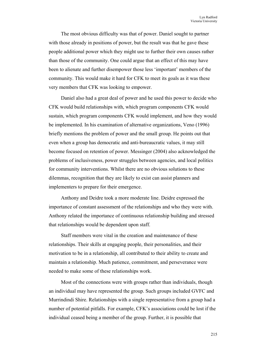The most obvious difficulty was that of power. Daniel sought to partner with those already in positions of power, but the result was that he gave these people additional power which they might use to further their own causes rather than those of the community. One could argue that an effect of this may have been to alienate and further disempower those less 'important' members of the community. This would make it hard for CFK to meet its goals as it was these very members that CFK was looking to empower.

Daniel also had a great deal of power and he used this power to decide who CFK would build relationships with, which program components CFK would sustain, which program components CFK would implement, and how they would be implemented. In his examination of alternative organizations, Veno (1996) briefly mentions the problem of power and the small group. He points out that even when a group has democratic and anti-bureaucratic values, it may still become focused on retention of power. Messinger (2004) also acknowledged the problems of inclusiveness, power struggles between agencies, and local politics for community interventions. Whilst there are no obvious solutions to these dilemmas, recognition that they are likely to exist can assist planners and implementers to prepare for their emergence.

Anthony and Deidre took a more moderate line. Deidre expressed the importance of constant assessment of the relationships and who they were with. Anthony related the importance of continuous relationship building and stressed that relationships would be dependent upon staff.

Staff members were vital in the creation and maintenance of these relationships. Their skills at engaging people, their personalities, and their motivation to be in a relationship, all contributed to their ability to create and maintain a relationship. Much patience, commitment, and perseverance were needed to make some of these relationships work.

Most of the connections were with groups rather than individuals, though an individual may have represented the group. Such groups included GVFC and Murrindindi Shire. Relationships with a single representative from a group had a number of potential pitfalls. For example, CFK's associations could be lost if the individual ceased being a member of the group. Further, it is possible that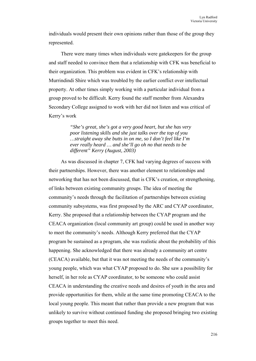individuals would present their own opinions rather than those of the group they represented.

There were many times when individuals were gatekeepers for the group and staff needed to convince them that a relationship with CFK was beneficial to their organization. This problem was evident in CFK's relationship with Murrindindi Shire which was troubled by the earlier conflict over intellectual property. At other times simply working with a particular individual from a group proved to be difficult. Kerry found the staff member from Alexandra Secondary College assigned to work with her did not listen and was critical of Kerry's work

> *"She's great, she's got a very good heart, but she has very poor listening skills and she just talks over the top of you …straight away she butts in on me, so I don't feel like I'm ever really heard … and she'll go oh no that needs to be different" Kerry (August, 2003)*

As was discussed in chapter 7, CFK had varying degrees of success with their partnerships. However, there was another element to relationships and networking that has not been discussed, that is CFK's creation, or strengthening, of links between existing community groups. The idea of meeting the community's needs through the facilitation of partnerships between existing community subsystems, was first proposed by the ARC and CYAP coordinator, Kerry. She proposed that a relationship between the CYAP program and the CEACA organization (local community art group) could be used in another way to meet the community's needs. Although Kerry preferred that the CYAP program be sustained as a program, she was realistic about the probability of this happening. She acknowledged that there was already a community art centre (CEACA) available, but that it was not meeting the needs of the community's young people, which was what CYAP proposed to do. She saw a possibility for herself, in her role as CYAP coordinator, to be someone who could assist CEACA in understanding the creative needs and desires of youth in the area and provide opportunities for them, while at the same time promoting CEACA to the local young people. This meant that rather than provide a new program that was unlikely to survive without continued funding she proposed bringing two existing groups together to meet this need.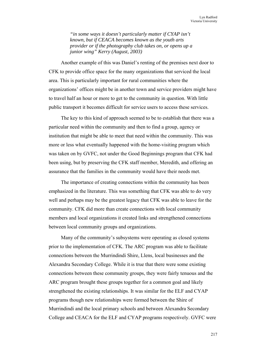*"in some ways it doesn't particularly matter if CYAP isn't known, but if CEACA becomes known as the youth arts provider or if the photography club takes on, or opens up a junior wing" Kerry (August, 2003)* 

Another example of this was Daniel's renting of the premises next door to CFK to provide office space for the many organizations that serviced the local area. This is particularly important for rural communities where the organizations' offices might be in another town and service providers might have to travel half an hour or more to get to the community in question. With little public transport it becomes difficult for service users to access these services.

The key to this kind of approach seemed to be to establish that there was a particular need within the community and then to find a group, agency or institution that might be able to meet that need within the community. This was more or less what eventually happened with the home-visiting program which was taken on by GVFC, not under the Good Beginnings program that CFK had been using, but by preserving the CFK staff member, Meredith, and offering an assurance that the families in the community would have their needs met.

The importance of creating connections within the community has been emphasized in the literature. This was something that CFK was able to do very well and perhaps may be the greatest legacy that CFK was able to leave for the community. CFK did more than create connections with local community members and local organizations it created links and strengthened connections between local community groups and organizations.

Many of the community's subsystems were operating as closed systems prior to the implementation of CFK. The ARC program was able to facilitate connections between the Murrindindi Shire, Llens, local businesses and the Alexandra Secondary College. While it is true that there were some existing connections between these community groups, they were fairly tenuous and the ARC program brought these groups together for a common goal and likely strengthened the existing relationships. It was similar for the ELF and CYAP programs though new relationships were formed between the Shire of Murrindindi and the local primary schools and between Alexandra Secondary College and CEACA for the ELF and CYAP programs respectively. GVFC were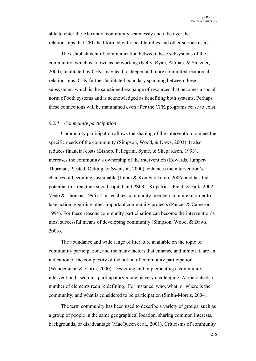able to enter the Alexandra community seamlessly and take over the relationships that CFK had formed with local families and other service users.

The establishment of communication between these subsystems of the community, which is known as networking (Kelly, Ryan, Altman, & Stelzner, 2000), facilitated by CFK, may lead to deeper and more committed reciprocal relationships. CFK further facilitated boundary spanning between these subsystems, which is the sanctioned exchange of resources that becomes a social norm of both systems and is acknowledged as benefiting both systems. Perhaps these connections will be maintained even after the CFK programs cease to exist.

## *9.2.4 Community participation*

Community participation allows the shaping of the intervention to meet the specific needs of the community (Simpson, Wood, & Daws, 2003). It also reduces financial costs (Bishop, Pellegrini, Syme, & Shepardson, 1993), increases the community's ownership of the intervention (Edwards, Jumper-Thurman, Plested, Oetting, & Swanson, 2000), enhances the intervention's chances of becoming sustainable (Julian & Kombarakaran, 2006) and has the potential to strengthen social capital and PSOC (Kilpatrick, Field, & Falk, 2002; Veno & Thomas, 1996). This enables community members to unite in order to take action regarding other important community projects (Pancer & Cameron, 1994). For these reasons community participation can become the intervention's most successful means of developing community (Simpson, Wood, & Daws, 2003).

The abundance and wide range of literature available on the topic of community participation, and the many factors that enhance and inhibit it, are an indication of the complexity of the notion of community participation (Wandersman & Florin, 2000). Designing and implementing a community intervention based on a participatory model is very challenging. At the outset, a number of elements require defining. For instance, who, what, or where is the community, and what is considered to be participation (Smith-Morris, 2004).

The term community has been used to describe a variety of groups, such as a group of people in the same geographical location, sharing common interests, backgrounds, or disadvantage (MacQueen et al., 2001). Criticisms of community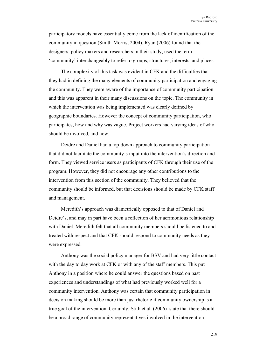participatory models have essentially come from the lack of identification of the community in question (Smith-Morris, 2004). Ryan (2006) found that the designers, policy makers and researchers in their study, used the term 'community' interchangeably to refer to groups, structures, interests, and places.

The complexity of this task was evident in CFK and the difficulties that they had in defining the many elements of community participation and engaging the community. They were aware of the importance of community participation and this was apparent in their many discussions on the topic. The community in which the intervention was being implemented was clearly defined by geographic boundaries. However the concept of community participation, who participates, how and why was vague. Project workers had varying ideas of who should be involved, and how.

Deidre and Daniel had a top-down approach to community participation that did not facilitate the community's input into the intervention's direction and form. They viewed service users as participants of CFK through their use of the program. However, they did not encourage any other contributions to the intervention from this section of the community. They believed that the community should be informed, but that decisions should be made by CFK staff and management.

Meredith's approach was diametrically opposed to that of Daniel and Deidre's, and may in part have been a reflection of her acrimonious relationship with Daniel. Meredith felt that all community members should be listened to and treated with respect and that CFK should respond to community needs as they were expressed.

Anthony was the social policy manager for BSV and had very little contact with the day to day work at CFK or with any of the staff members. This put Anthony in a position where he could answer the questions based on past experiences and understandings of what had previously worked well for a community intervention. Anthony was certain that community participation in decision making should be more than just rhetoric if community ownership is a true goal of the intervention. Certainly, Stith et al. (2006) state that there should be a broad range of community representatives involved in the intervention.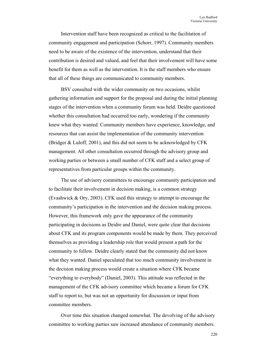Intervention staff have been recognized as critical to the facilitation of community engagement and participation (Schorr, 1997). Community members need to be aware of the existence of the intervention, understand that their contribution is desired and valued, and feel that their involvement will have some benefit for them as well as the intervention. It is the staff members who ensure that all of these things are communicated to community members.

BSV consulted with the wider community on two occasions, whilst gathering information and support for the proposal and during the initial planning stages of the intervention when a community forum was held. Deidre questioned whether this consultation had occurred too early, wondering if the community knew what they wanted. Community members have experience, knowledge, and resources that can assist the implementation of the community intervention (Bridger & Luloff, 2001), and this did not seem to be acknowledged by CFK management. All other consultation occurred through the advisory group and working parties or between a small number of CFK staff and a select group of representatives from particular groups within the community.

The use of advisory committees to encourage community participation and to facilitate their involvement in decision making, is a common strategy (Evashwick & Ory, 2003). CFK used this strategy to attempt to encourage the community's participation in the intervention and the decision making process. However, this framework only gave the appearance of the community participating in decisions as Deidre and Daniel, were quite clear that decisions about CFK and its program components would be made by them. They perceived themselves as providing a leadership role that would present a path for the community to follow. Deidre clearly stated that the community did not know what they wanted. Daniel speculated that too much community involvement in the decision making process would create a situation where CFK became "everything to everybody" (Daniel, 2003). This attitude was reflected in the management of the CFK advisory committee which became a forum for CFK staff to report to, but was not an opportunity for discussion or input from committee members.

Over time this situation changed somewhat. The devolving of the advisory committee to working parties saw increased attendance of community members.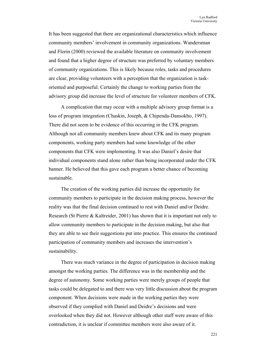It has been suggested that there are organizational characteristics which influence community members' involvement in community organizations. Wandersman and Florin (2000) reviewed the available literature on community involvement and found that a higher degree of structure was preferred by voluntary members of community organizations. This is likely because roles, tasks and procedures are clear, providing volunteers with a perception that the organization is taskoriented and purposeful. Certainly the change to working parties from the advisory group did increase the level of structure for volunteer members of CFK.

A complication that may occur with a multiple advisory group format is a loss of program integration (Chaskin, Joseph, & Chipenda-Dansokho, 1997). There did not seem to be evidence of this occurring in the CFK program. Although not all community members knew about CFK and its many program components, working party members had some knowledge of the other components that CFK were implementing. It was also Daniel's desire that individual components stand alone rather than being incorporated under the CFK banner. He believed that this gave each program a better chance of becoming sustainable.

The creation of the working parties did increase the opportunity for community members to participate in the decision making process, however the reality was that the final decision continued to rest with Daniel and/or Deidre. Research (St Pierre & Kaltreider, 2001) has shown that it is important not only to allow community members to participate in the decision making, but also that they are able to see their suggestions put into practice. This ensures the continued participation of community members and increases the intervention's sustainability.

There was much variance in the degree of participation in decision making amongst the working parties. The difference was in the membership and the degree of autonomy. Some working parties were merely groups of people that tasks could be delegated to and there was very little discussion about the program component. When decisions were made in the working parties they were observed if they complied with Daniel and Deidre's decisions and were overlooked when they did not. However although other staff were aware of this contradiction, it is unclear if committee members were also aware of it.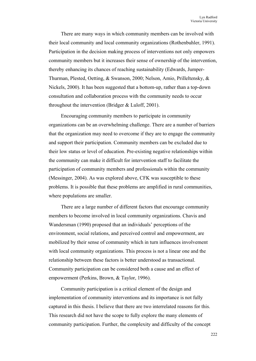There are many ways in which community members can be involved with their local community and local community organizations (Rothenbuhler, 1991). Participation in the decision making process of interventions not only empowers community members but it increases their sense of ownership of the intervention, thereby enhancing its chances of reaching sustainability (Edwards, Jumper-Thurman, Plested, Oetting, & Swanson, 2000; Nelson, Amio, Prilleltensky, & Nickels, 2000). It has been suggested that a bottom-up, rather than a top-down consultation and collaboration process with the community needs to occur throughout the intervention (Bridger & Luloff, 2001).

Encouraging community members to participate in community organizations can be an overwhelming challenge. There are a number of barriers that the organization may need to overcome if they are to engage the community and support their participation. Community members can be excluded due to their low status or level of education. Pre-existing negative relationships within the community can make it difficult for intervention staff to facilitate the participation of community members and professionals within the community (Messinger, 2004). As was explored above, CFK was susceptible to these problems. It is possible that these problems are amplified in rural communities, where populations are smaller.

There are a large number of different factors that encourage community members to become involved in local community organizations. Chavis and Wandersman (1990) proposed that an individuals' perceptions of the environment, social relations, and perceived control and empowerment, are mobilized by their sense of community which in turn influences involvement with local community organizations. This process is not a linear one and the relationship between these factors is better understood as transactional. Community participation can be considered both a cause and an effect of empowerment (Perkins, Brown, & Taylor, 1996).

Community participation is a critical element of the design and implementation of community interventions and its importance is not fully captured in this thesis. I believe that there are two interrelated reasons for this. This research did not have the scope to fully explore the many elements of community participation. Further, the complexity and difficulty of the concept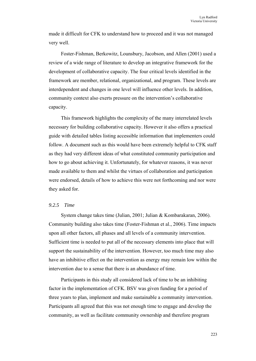made it difficult for CFK to understand how to proceed and it was not managed very well.

Foster-Fishman, Berkowitz, Lounsbury, Jacobson, and Allen (2001) used a review of a wide range of literature to develop an integrative framework for the development of collaborative capacity. The four critical levels identified in the framework are member, relational, organizational, and program. These levels are interdependent and changes in one level will influence other levels. In addition, community context also exerts pressure on the intervention's collaborative capacity.

This framework highlights the complexity of the many interrelated levels necessary for building collaborative capacity. However it also offers a practical guide with detailed tables listing accessible information that implementers could follow. A document such as this would have been extremely helpful to CFK staff as they had very different ideas of what constituted community participation and how to go about achieving it. Unfortunately, for whatever reasons, it was never made available to them and whilst the virtues of collaboration and participation were endorsed, details of how to achieve this were not forthcoming and nor were they asked for.

# *9.2.5 Time*

System change takes time (Julian, 2001; Julian & Kombarakaran, 2006). Community building also takes time (Foster-Fishman et al., 2006). Time impacts upon all other factors, all phases and all levels of a community intervention. Sufficient time is needed to put all of the necessary elements into place that will support the sustainability of the intervention. However, too much time may also have an inhibitive effect on the intervention as energy may remain low within the intervention due to a sense that there is an abundance of time.

Participants in this study all considered lack of time to be an inhibiting factor in the implementation of CFK. BSV was given funding for a period of three years to plan, implement and make sustainable a community intervention. Participants all agreed that this was not enough time to engage and develop the community, as well as facilitate community ownership and therefore program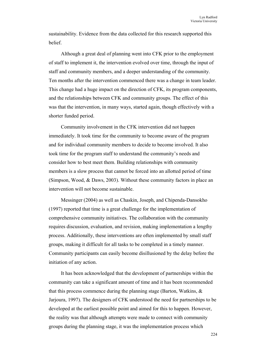sustainability. Evidence from the data collected for this research supported this belief.

Although a great deal of planning went into CFK prior to the employment of staff to implement it, the intervention evolved over time, through the input of staff and community members, and a deeper understanding of the community. Ten months after the intervention commenced there was a change in team leader. This change had a huge impact on the direction of CFK, its program components, and the relationships between CFK and community groups. The effect of this was that the intervention, in many ways, started again, though effectively with a shorter funded period.

Community involvement in the CFK intervention did not happen immediately. It took time for the community to become aware of the program and for individual community members to decide to become involved. It also took time for the program staff to understand the community's needs and consider how to best meet them. Building relationships with community members is a slow process that cannot be forced into an allotted period of time (Simpson, Wood, & Daws, 2003). Without these community factors in place an intervention will not become sustainable.

Messinger (2004) as well as Chaskin, Joseph, and Chipenda-Dansokho (1997) reported that time is a great challenge for the implementation of comprehensive community initiatives. The collaboration with the community requires discussion, evaluation, and revision, making implementation a lengthy process. Additionally, these interventions are often implemented by small staff groups, making it difficult for all tasks to be completed in a timely manner. Community participants can easily become disillusioned by the delay before the initiation of any action.

It has been acknowledged that the development of partnerships within the community can take a significant amount of time and it has been recommended that this process commence during the planning stage (Barton, Watkins, & Jarjoura, 1997). The designers of CFK understood the need for partnerships to be developed at the earliest possible point and aimed for this to happen. However, the reality was that although attempts were made to connect with community groups during the planning stage, it was the implementation process which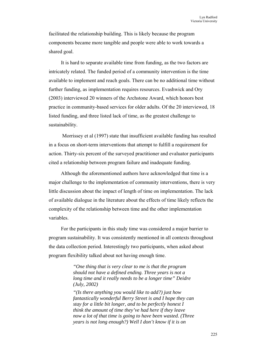facilitated the relationship building. This is likely because the program components became more tangible and people were able to work towards a shared goal.

It is hard to separate available time from funding, as the two factors are intricately related. The funded period of a community intervention is the time available to implement and reach goals. There can be no additional time without further funding, as implementation requires resources. Evashwick and Ory (2003) interviewed 20 winners of the Archstone Award, which honors best practice in community-based services for older adults. Of the 20 interviewed, 18 listed funding, and three listed lack of time, as the greatest challenge to sustainability.

 Morrissey et al (1997) state that insufficient available funding has resulted in a focus on short-term interventions that attempt to fulfill a requirement for action. Thirty-six percent of the surveyed practitioner and evaluator participants cited a relationship between program failure and inadequate funding.

Although the aforementioned authors have acknowledged that time is a major challenge to the implementation of community interventions, there is very little discussion about the impact of length of time on implementation. The lack of available dialogue in the literature about the effects of time likely reflects the complexity of the relationship between time and the other implementation variables.

For the participants in this study time was considered a major barrier to program sustainability. It was consistently mentioned in all contexts throughout the data collection period. Interestingly two participants, when asked about program flexibility talked about not having enough time.

> *"One thing that is very clear to me is that the program should not have a defined ending. Three years is not a long time and it really needs to be a longer time" Deidre (July, 2002)*

*"(Is there anything you would like to add?) just how fantastically wonderful Berry Street is and I hope they can stay for a little bit longer, and to be perfectly honest I think the amount of time they've had here if they leave now a lot of that time is going to have been wasted. (Three years is not long enough?) Well I don't know if it is on*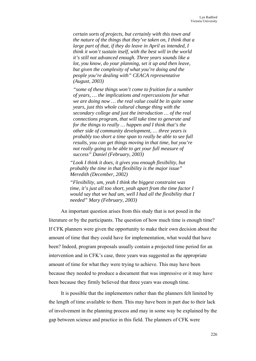*certain sorts of projects, but certainly with this town and the nature of the things that they've taken on, I think that a large part of that, if they do leave in April as intended, I think it won't sustain itself, with the best will in the world it's still not advanced enough. Three years sounds like a lot, you know, do your planning, set it up and then leave, but given the complexity of what you're doing and the people you're dealing with" CEACA representative (August, 2003)* 

*"some of these things won't come to fruition for a number of years, … the implications and repercussions for what we are doing now … the real value could be in quite some years, just this whole cultural change thing with the secondary college and just the introduction … of the real connections program, that will take time to generate and for the things to really … happen and I think that's the other side of community development, … three years is probably too short a time span to really be able to see full results, you can get things moving in that time, but you're not really going to be able to get your full measure of success" Daniel (February, 2003)* 

*"Look I think it does, it gives you enough flexibility, but probably the time in that flexibility is the major issue" Meredith (December, 2002)* 

*"Flexibility, um, yeah I think the biggest constraint was time, it's just all too short, yeah apart from the time factor I would say that we had um, well I had all the flexibility that I needed" Mary (February, 2003)*

An important question arises from this study that is not posed in the literature or by the participants. The question of how much time is enough time? If CFK planners were given the opportunity to make their own decision about the amount of time that they could have for implementation, what would that have been? Indeed, program proposals usually contain a projected time period for an intervention and in CFK's case, three years was suggested as the appropriate amount of time for what they were trying to achieve. This may have been because they needed to produce a document that was impressive or it may have been because they firmly believed that three years was enough time.

It is possible that the implementers rather than the planners felt limited by the length of time available to them. This may have been in part due to their lack of involvement in the planning process and may in some way be explained by the gap between science and practice in this field. The planners of CFK were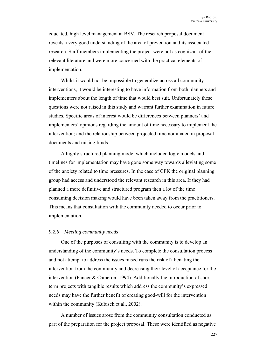educated, high level management at BSV. The research proposal document reveals a very good understanding of the area of prevention and its associated research. Staff members implementing the project were not as cognizant of the relevant literature and were more concerned with the practical elements of implementation.

Whilst it would not be impossible to generalize across all community interventions, it would be interesting to have information from both planners and implementers about the length of time that would best suit. Unfortunately these questions were not raised in this study and warrant further examination in future studies. Specific areas of interest would be differences between planners' and implementers' opinions regarding the amount of time necessary to implement the intervention; and the relationship between projected time nominated in proposal documents and raising funds.

A highly structured planning model which included logic models and timelines for implementation may have gone some way towards alleviating some of the anxiety related to time pressures. In the case of CFK the original planning group had access and understood the relevant research in this area. If they had planned a more definitive and structured program then a lot of the time consuming decision making would have been taken away from the practitioners. This means that consultation with the community needed to occur prior to implementation.

#### *9.2.6 Meeting community needs*

One of the purposes of consulting with the community is to develop an understanding of the community's needs. To complete the consultation process and not attempt to address the issues raised runs the risk of alienating the intervention from the community and decreasing their level of acceptance for the intervention (Pancer & Cameron, 1994). Additionally the introduction of shortterm projects with tangible results which address the community's expressed needs may have the further benefit of creating good-will for the intervention within the community (Kubisch et al., 2002).

A number of issues arose from the community consultation conducted as part of the preparation for the project proposal. These were identified as negative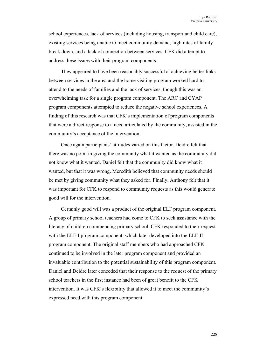school experiences, lack of services (including housing, transport and child care), existing services being unable to meet community demand, high rates of family break down, and a lack of connection between services. CFK did attempt to address these issues with their program components.

They appeared to have been reasonably successful at achieving better links between services in the area and the home visiting program worked hard to attend to the needs of families and the lack of services, though this was an overwhelming task for a single program component. The ARC and CYAP program components attempted to reduce the negative school experiences. A finding of this research was that CFK's implementation of program components that were a direct response to a need articulated by the community, assisted in the community's acceptance of the intervention.

Once again participants' attitudes varied on this factor. Deidre felt that there was no point in giving the community what it wanted as the community did not know what it wanted. Daniel felt that the community did know what it wanted, but that it was wrong. Meredith believed that community needs should be met by giving community what they asked for. Finally, Anthony felt that it was important for CFK to respond to community requests as this would generate good will for the intervention.

Certainly good will was a product of the original ELF program component. A group of primary school teachers had come to CFK to seek assistance with the literacy of children commencing primary school. CFK responded to their request with the ELF-I program component, which later developed into the ELF-II program component. The original staff members who had approached CFK continued to be involved in the later program component and provided an invaluable contribution to the potential sustainability of this program component. Daniel and Deidre later conceded that their response to the request of the primary school teachers in the first instance had been of great benefit to the CFK intervention. It was CFK's flexibility that allowed it to meet the community's expressed need with this program component.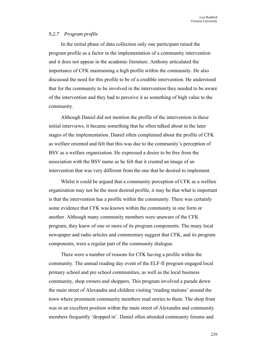## *9.2.7 Program profile*

In the initial phase of data collection only one participant raised the program profile as a factor in the implementation of a community intervention and it does not appear in the academic literature. Anthony articulated the importance of CFK maintaining a high profile within the community. He also discussed the need for this profile to be of a credible intervention. He understood that for the community to be involved in the intervention they needed to be aware of the intervention and they had to perceive it as something of high value to the community.

Although Daniel did not mention the profile of the intervention in these initial interviews, it became something that he often talked about in the later stages of the implementation. Daniel often complained about the profile of CFK as welfare oriented and felt that this was due to the community's perception of BSV as a welfare organization. He expressed a desire to be free from the association with the BSV name as he felt that it created an image of an intervention that was very different from the one that he desired to implement.

Whilst it could be argued that a community perception of CFK as a welfare organization may not be the most desired profile, it may be that what is important is that the intervention has a profile within the community. There was certainly some evidence that CFK was known within the community in one form or another. Although many community members were unaware of the CFK program, they knew of one or more of its program components. The many local newspaper and radio articles and commentary suggest that CFK, and its program components, were a regular part of the community dialogue.

There were a number of reasons for CFK having a profile within the community. The annual reading day event of the ELF-II program engaged local primary school and pre school communities, as well as the local business community, shop owners and shoppers. This program involved a parade down the main street of Alexandra and children visiting 'reading stations' around the town where prominent community members read stories to them. The shop front was in an excellent position within the main street of Alexandra and community members frequently 'dropped in'. Daniel often attended community forums and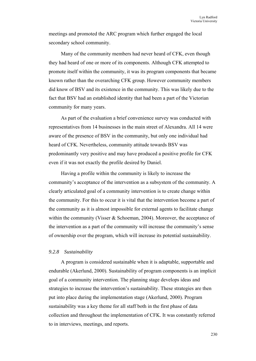meetings and promoted the ARC program which further engaged the local secondary school community.

Many of the community members had never heard of CFK, even though they had heard of one or more of its components. Although CFK attempted to promote itself within the community, it was its program components that became known rather than the overarching CFK group. However community members did know of BSV and its existence in the community. This was likely due to the fact that BSV had an established identity that had been a part of the Victorian community for many years.

As part of the evaluation a brief convenience survey was conducted with representatives from 14 businesses in the main street of Alexandra. All 14 were aware of the presence of BSV in the community, but only one individual had heard of CFK. Nevertheless, community attitude towards BSV was predominantly very positive and may have produced a positive profile for CFK even if it was not exactly the profile desired by Daniel.

Having a profile within the community is likely to increase the community's acceptance of the intervention as a subsystem of the community. A clearly articulated goal of a community intervention is to create change within the community. For this to occur it is vital that the intervention become a part of the community as it is almost impossible for external agents to facilitate change within the community (Visser & Schoeman, 2004). Moreover, the acceptance of the intervention as a part of the community will increase the community's sense of ownership over the program, which will increase its potential sustainability.

## *9.2.8 Sustainability*

A program is considered sustainable when it is adaptable, supportable and endurable (Akerlund, 2000). Sustainability of program components is an implicit goal of a community intervention. The planning stage develops ideas and strategies to increase the intervention's sustainability. These strategies are then put into place during the implementation stage (Akerlund, 2000). Program sustainability was a key theme for all staff both in the first phase of data collection and throughout the implementation of CFK. It was constantly referred to in interviews, meetings, and reports.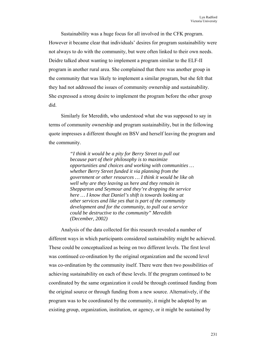Sustainability was a huge focus for all involved in the CFK program. However it became clear that individuals' desires for program sustainability were not always to do with the community, but were often linked to their own needs. Deidre talked about wanting to implement a program similar to the ELF-II program in another rural area. She complained that there was another group in the community that was likely to implement a similar program, but she felt that they had not addressed the issues of community ownership and sustainability. She expressed a strong desire to implement the program before the other group did.

Similarly for Meredith, who understood what she was supposed to say in terms of community ownership and program sustainability, but in the following quote impresses a different thought on BSV and herself leaving the program and the community.

> *"I think it would be a pity for Berry Street to pull out because part of their philosophy is to maximize opportunities and choices and working with communities … whether Berry Street funded it via planning from the government or other resources … I think it would be like oh well why are they leaving us here and they remain in Shepparton and Seymour and they're dropping the service here … I know that Daniel's shift is towards looking at other services and like yes that is part of the community development and for the community, to pull out a service could be destructive to the community" Meredith (December, 2002)*

Analysis of the data collected for this research revealed a number of different ways in which participants considered sustainability might be achieved. These could be conceptualized as being on two different levels. The first level was continued co-ordination by the original organization and the second level was co-ordination by the community itself. There were then two possibilities of achieving sustainability on each of these levels. If the program continued to be coordinated by the same organization it could be through continued funding from the original source or through funding from a new source. Alternatively, if the program was to be coordinated by the community, it might be adopted by an existing group, organization, institution, or agency, or it might be sustained by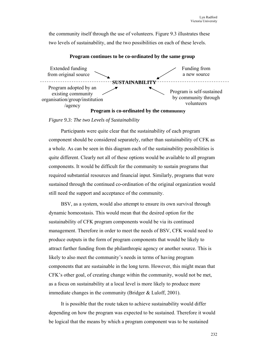the community itself through the use of volunteers. Figure 9.3 illustrates these two levels of sustainability, and the two possibilities on each of these levels.



#### **Program continues to be co-ordinated by the same group**

## *Figure 9.3: The two Levels of Sustainability*

Participants were quite clear that the sustainability of each program component should be considered separately, rather than sustainability of CFK as a whole. As can be seen in this diagram each of the sustainability possibilities is quite different. Clearly not all of these options would be available to all program components. It would be difficult for the community to sustain programs that required substantial resources and financial input. Similarly, programs that were sustained through the continued co-ordination of the original organization would still need the support and acceptance of the community.

BSV, as a system, would also attempt to ensure its own survival through dynamic homeostasis. This would mean that the desired option for the sustainability of CFK program components would be via its continued management. Therefore in order to meet the needs of BSV, CFK would need to produce outputs in the form of program components that would be likely to attract further funding from the philanthropic agency or another source. This is likely to also meet the community's needs in terms of having program components that are sustainable in the long term. However, this might mean that CFK's other goal, of creating change within the community, would not be met, as a focus on sustainability at a local level is more likely to produce more immediate changes in the community (Bridger & Luloff, 2001).

It is possible that the route taken to achieve sustainability would differ depending on how the program was expected to be sustained. Therefore it would be logical that the means by which a program component was to be sustained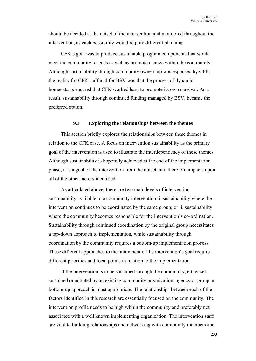should be decided at the outset of the intervention and monitored throughout the intervention, as each possibility would require different planning.

CFK's goal was to produce sustainable program components that would meet the community's needs as well as promote change within the community. Although sustainability through community ownership was espoused by CFK, the reality for CFK staff and for BSV was that the process of dynamic homeostasis ensured that CFK worked hard to promote its own survival. As a result, sustainability through continued funding managed by BSV, became the preferred option.

#### **9.3 Exploring the relationships between the themes**

This section briefly explores the relationships between these themes in relation to the CFK case. A focus on intervention sustainability as the primary goal of the intervention is used to illustrate the interdependency of these themes. Although sustainability is hopefully achieved at the end of the implementation phase, it is a goal of the intervention from the outset, and therefore impacts upon all of the other factors identified.

As articulated above, there are two main levels of intervention sustainability available to a community intervention: i. sustainability where the intervention continues to be coordinated by the same group; or ii. sustainability where the community becomes responsible for the intervention's co-ordination. Sustainability through continued coordination by the original group necessitates a top-down approach to implementation, while sustainability through coordination by the community requires a bottom-up implementation process. These different approaches to the attainment of the intervention's goal require different priorities and focal points in relation to the implementation.

If the intervention is to be sustained through the community, either self sustained or adopted by an existing community organization, agency or group, a bottom-up approach is most appropriate. The relationships between each of the factors identified in this research are essentially focused on the community. The intervention profile needs to be high within the community and preferably not associated with a well known implementing organization. The intervention staff are vital to building relationships and networking with community members and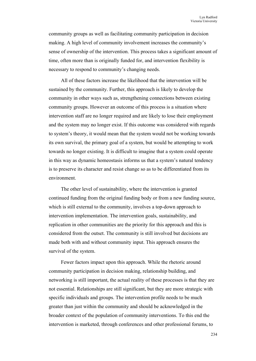community groups as well as facilitating community participation in decision making. A high level of community involvement increases the community's sense of ownership of the intervention. This process takes a significant amount of time, often more than is originally funded for, and intervention flexibility is necessary to respond to community's changing needs.

All of these factors increase the likelihood that the intervention will be sustained by the community. Further, this approach is likely to develop the community in other ways such as, strengthening connections between existing community groups. However an outcome of this process is a situation where intervention staff are no longer required and are likely to lose their employment and the system may no longer exist. If this outcome was considered with regards to system's theory, it would mean that the system would not be working towards its own survival, the primary goal of a system, but would be attempting to work towards no longer existing. It is difficult to imagine that a system could operate in this way as dynamic homeostasis informs us that a system's natural tendency is to preserve its character and resist change so as to be differentiated from its environment.

The other level of sustainability, where the intervention is granted continued funding from the original funding body or from a new funding source, which is still external to the community, involves a top-down approach to intervention implementation. The intervention goals, sustainability, and replication in other communities are the priority for this approach and this is considered from the outset. The community is still involved but decisions are made both with and without community input. This approach ensures the survival of the system.

Fewer factors impact upon this approach. While the rhetoric around community participation in decision making, relationship building, and networking is still important, the actual reality of these processes is that they are not essential. Relationships are still significant, but they are more strategic with specific individuals and groups. The intervention profile needs to be much greater than just within the community and should be acknowledged in the broader context of the population of community interventions. To this end the intervention is marketed, through conferences and other professional forums, to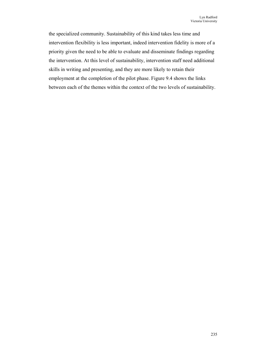the specialized community. Sustainability of this kind takes less time and intervention flexibility is less important, indeed intervention fidelity is more of a priority given the need to be able to evaluate and disseminate findings regarding the intervention. At this level of sustainability, intervention staff need additional skills in writing and presenting, and they are more likely to retain their employment at the completion of the pilot phase. Figure 9.4 shows the links between each of the themes within the context of the two levels of sustainability.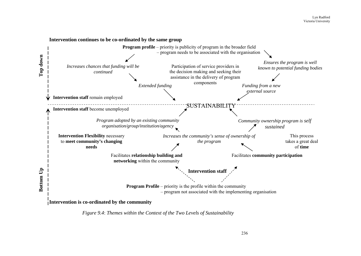

*Figure 9.4*: *Themes within the Context of the Two Levels of Sustainability*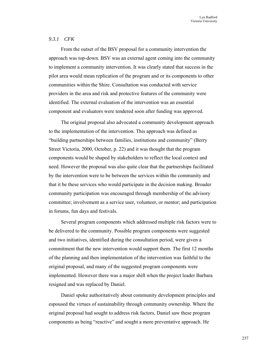## *9.3.1 CFK*

From the outset of the BSV proposal for a community intervention the approach was top-down. BSV was an external agent coming into the community to implement a community intervention. It was clearly stated that success in the pilot area would mean replication of the program and or its components to other communities within the Shire. Consultation was conducted with service providers in the area and risk and protective features of the community were identified. The external evaluation of the intervention was an essential component and evaluators were tendered soon after funding was approved.

The original proposal also advocated a community development approach to the implementation of the intervention. This approach was defined as "building partnerships between families, institutions and community" (Berry Street Victoria, 2000, October, p. 22) and it was thought that the program components would be shaped by stakeholders to reflect the local context and need. However the proposal was also quite clear that the partnerships facilitated by the intervention were to be between the services within the community and that it be these services who would participate in the decision making. Broader community participation was encouraged through membership of the advisory committee; involvement as a service user, volunteer, or mentor; and participation in forums, fun days and festivals.

Several program components which addressed multiple risk factors were to be delivered to the community. Possible program components were suggested and two initiatives, identified during the consultation period, were given a commitment that the new intervention would support them. The first 12 months of the planning and then implementation of the intervention was faithful to the original proposal, and many of the suggested program components were implemented. However there was a major shift when the project leader Barbara resigned and was replaced by Daniel.

Daniel spoke authoritatively about community development principles and espoused the virtues of sustainability through community ownership. Where the original proposal had sought to address risk factors, Daniel saw these program components as being "reactive" and sought a more preventative approach. He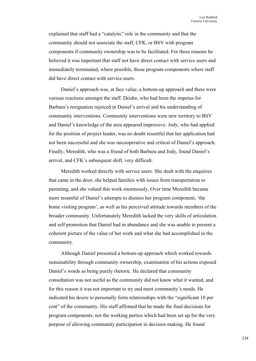explained that staff had a "catalytic" role in the community and that the community should not associate the staff, CFK, or BSV with program components if community ownership was to be facilitated. For these reasons he believed it was important that staff not have direct contact with service users and immediately terminated, where possible, those program components where staff did have direct contact with service users.

Daniel's approach was, at face value, a bottom-up approach and there were various reactions amongst the staff. Deidre, who had been the impetus for Barbara's resignation rejoiced in Daniel's arrival and his understanding of community interventions. Community interventions were new territory to BSV and Daniel's knowledge of the area appeared impressive. Jody, who had applied for the position of project leader, was no doubt resentful that her application had not been successful and she was uncooperative and critical of Daniel's approach. Finally, Meredith, who was a friend of both Barbara and Jody, found Daniel's arrival, and CFK's subsequent shift, very difficult.

Meredith worked directly with service users. She dealt with the enquiries that came in the door, she helped families with issues from transportation to parenting, and she valued this work enormously. Over time Meredith became more resentful of Daniel's attempts to dismiss her program component, 'the home visiting program', as well as his perceived attitude towards members of the broader community. Unfortunately Meredith lacked the very skills of articulation and self promotion that Daniel had in abundance and she was unable to present a coherent picture of the value of her work and what she had accomplished in the community.

Although Daniel presented a bottom-up approach which worked towards sustainability through community ownership, examination of his actions exposed Daniel's words as being purely rhetoric. He declared that community consultation was not useful as the community did not know what it wanted, and for this reason it was not important to try and meet community's needs. He indicated his desire to personally form relationships with the "significant 10 per cent" of the community. His staff affirmed that he made the final decisions for program components, not the working parties which had been set up for the very purpose of allowing community participation in decision making. He found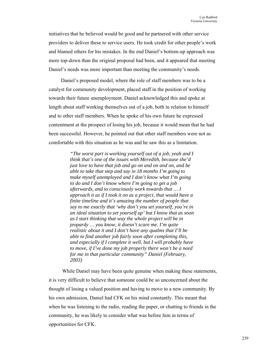initiatives that he believed would be good and he partnered with other service providers to deliver these to service users. He took credit for other people's work and blamed others for his mistakes. In the end Daniel's bottom-up approach was more top-down than the original proposal had been, and it appeared that meeting Daniel's needs was more important than meeting the community's needs.

Daniel's proposed model, where the role of staff members was to be a catalyst for community development, placed staff in the position of working towards their future unemployment. Daniel acknowledged this and spoke at length about staff working themselves out of a job, both in relation to himself and to other staff members. When he spoke of his own future he expressed contentment at the prospect of losing his job, because it would mean that he had been successful. However, he pointed out that other staff members were not as comfortable with this situation as he was and he saw this as a limitation.

> *"The worst part is working yourself out of a job, yeah and I think that's one of the issues with Meredith, because she'd just love to have that job and go on and on and on, and be able to take that step and say in 18 months I'm going to make myself unemployed and I don't know what I'm going to do and I don't know where I'm going to get a job afterwards, and to consciously work towards that … I approach it as if I took it on as a project, that would have a finite timeline and it's amazing the number of people that say to me exactly that 'why don't you set yourself, you're in an ideal situation to set yourself up' but I know that as soon as I start thinking that way the whole project will be in jeopardy … you know, it doesn't scare me. I'm quite realistic about it and I don't have any qualms that I'll be able to find another job fairly soon after completing this, and especially if I complete it well, but I will probably have to move, if I've done my job properly there won't be a need for me in that particular community" Daniel (February, 2003)*

 While Daniel may have been quite genuine when making these statements, it is very difficult to believe that someone could be so unconcerned about the thought of losing a valued position and having to move to a new community. By his own admission, Daniel had CFK on his mind constantly. This meant that when he was listening to the radio, reading the paper, or chatting to friends in the community, he was likely to consider what was before him in terms of opportunities for CFK.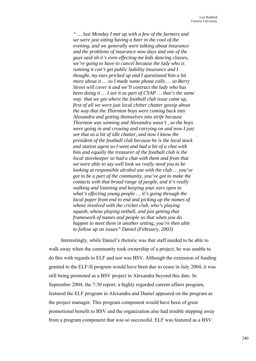*" … last Monday I met up with a few of the farmers and we were just sitting having a beer in the cool of the evening, and we generally were talking about insurance and the problems of insurance now days and one of the guys said oh it's even effecting me kids dancing classes, we're going to have to cancel because the lady who is running it can't get public liability insurance and I thought, my ears pricked up and I questioned him a bit more about it … so I made some phone calls … so Berry Street will cover it and we'll contract the lady who has been doing it … I see it as part of CYAP … that's the same way that we got where the football club issue came up, first of all we were just local chitter chatter gossip about the way that the Thornton boys were coming back into Alexandra and getting themselves into strife because Thornton was winning and Alexandra wasn't , so the boys were going in and crowing and carrying on and now I just see that as a bit of idle chatter, and now I know the president of the football club because he is the local stock and station agent so I went and had a bit of a chat with him and equally the treasurer of the football club is the local storekeeper so had a chat with them and from that we were able to say well look we really need you to be looking at responsible alcohol use with the club … you've got to be a part of the community, you've got to make the contacts with that broad range of people, and it's really walking and listening and keeping your ears open to what's effecting young people … it's going through the local paper from end to end and picking up the names of whose involved with the cricket club, who's playing squash, whose playing netball, and just getting that framework of names and people so that when you do happen to meet them in another setting, you're then able to follow up on issues" Daniel (February, 2003)* 

Interestingly, while Daniel's rhetoric was that staff needed to be able to walk away when the community took ownership of a project, he was unable to do this with regards to ELF and nor was BSV. Although the extension of funding granted to the ELF-II program would have been due to cease in July 2004, it was still being promoted as a BSV project in Alexandra beyond this date. In September 2004, the 7:30 report, a highly regarded current affairs program, featured the ELF program in Alexandra and Daniel appeared on the program as the project manager. This program component would have been of great promotional benefit to BSV and the organization also had trouble stepping away from a program component that was so successful. ELF was featured as a BSV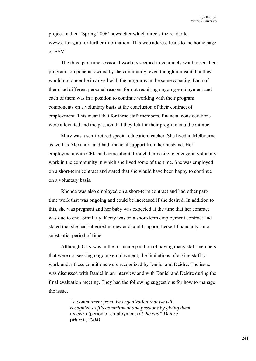project in their 'Spring 2006' newsletter which directs the reader to www.elf.org.au for further information. This web address leads to the home page of BSV.

The three part time sessional workers seemed to genuinely want to see their program components owned by the community, even though it meant that they would no longer be involved with the programs in the same capacity. Each of them had different personal reasons for not requiring ongoing employment and each of them was in a position to continue working with their program components on a voluntary basis at the conclusion of their contract of employment. This meant that for these staff members, financial considerations were alleviated and the passion that they felt for their program could continue.

Mary was a semi-retired special education teacher. She lived in Melbourne as well as Alexandra and had financial support from her husband. Her employment with CFK had come about through her desire to engage in voluntary work in the community in which she lived some of the time. She was employed on a short-term contract and stated that she would have been happy to continue on a voluntary basis.

Rhonda was also employed on a short-term contract and had other parttime work that was ongoing and could be increased if she desired. In addition to this, she was pregnant and her baby was expected at the time that her contract was due to end. Similarly, Kerry was on a short-term employment contract and stated that she had inherited money and could support herself financially for a substantial period of time.

Although CFK was in the fortunate position of having many staff members that were not seeking ongoing employment, the limitations of asking staff to work under these conditions were recognized by Daniel and Deidre. The issue was discussed with Daniel in an interview and with Daniel and Deidre during the final evaluation meeting. They had the following suggestions for how to manage the issue.

> *"a commitment from the organization that we will recognize staff's commitment and passions by giving them an extra* (period of employment) *at the end" Deidre (March, 2004)*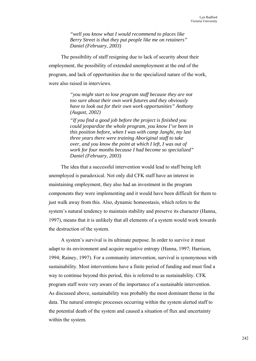*"well you know what I would recommend to places like Berry Street is that they put people like me on retainers" Daniel (February, 2003)* 

The possibility of staff resigning due to lack of security about their employment, the possibility of extended unemployment at the end of the program, and lack of opportunities due to the specialized nature of the work, were also raised in interviews.

> *"you might start to lose program staff because they are not too sure about their own work futures and they obviously have to look out for their own work opportunities" Anthony (August, 2002)*

> *"If you find a good job before the project is finished you could jeopardize the whole program, you know I've been in this position before, when I was with camp Janghi, my last three years there were training Aboriginal staff to take over, and you know the point at which I left, I was out of work for four months because I had become so specialized" Daniel (February, 2003)*

The idea that a successful intervention would lead to staff being left unemployed is paradoxical. Not only did CFK staff have an interest in maintaining employment, they also had an investment in the program components they were implementing and it would have been difficult for them to just walk away from this. Also, dynamic homeostasis, which refers to the system's natural tendency to maintain stability and preserve its character (Hanna, 1997), means that it is unlikely that all elements of a system would work towards the destruction of the system.

A system's survival is its ultimate purpose. In order to survive it must adapt to its environment and acquire negative entropy (Hanna, 1997; Harrison, 1994; Rainey, 1997). For a community intervention, survival is synonymous with sustainability. Most interventions have a finite period of funding and must find a way to continue beyond this period, this is referred to as sustainability. CFK program staff were very aware of the importance of a sustainable intervention. As discussed above, sustainability was probably the most dominant theme in the data. The natural entropic processes occurring within the system alerted staff to the potential death of the system and caused a situation of flux and uncertainty within the system.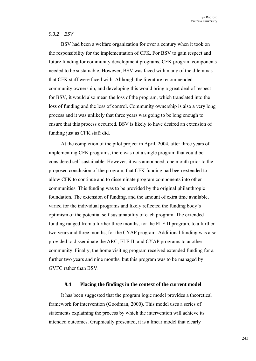### *9.3.2 BSV*

BSV had been a welfare organization for over a century when it took on the responsibility for the implementation of CFK. For BSV to gain respect and future funding for community development programs, CFK program components needed to be sustainable. However, BSV was faced with many of the dilemmas that CFK staff were faced with. Although the literature recommended community ownership, and developing this would bring a great deal of respect for BSV, it would also mean the loss of the program, which translated into the loss of funding and the loss of control. Community ownership is also a very long process and it was unlikely that three years was going to be long enough to ensure that this process occurred. BSV is likely to have desired an extension of funding just as CFK staff did.

At the completion of the pilot project in April, 2004, after three years of implementing CFK programs, there was not a single program that could be considered self-sustainable. However, it was announced, one month prior to the proposed conclusion of the program, that CFK funding had been extended to allow CFK to continue and to disseminate program components into other communities. This funding was to be provided by the original philanthropic foundation. The extension of funding, and the amount of extra time available, varied for the individual programs and likely reflected the funding body's optimism of the potential self sustainability of each program. The extended funding ranged from a further three months, for the ELF-II program, to a further two years and three months, for the CYAP program. Additional funding was also provided to disseminate the ARC, ELF-II, and CYAP programs to another community. Finally, the home visiting program received extended funding for a further two years and nine months, but this program was to be managed by GVFC rather than BSV.

### **9.4 Placing the findings in the context of the current model**

It has been suggested that the program logic model provides a theoretical framework for intervention (Goodman, 2000). This model uses a series of statements explaining the process by which the intervention will achieve its intended outcomes. Graphically presented, it is a linear model that clearly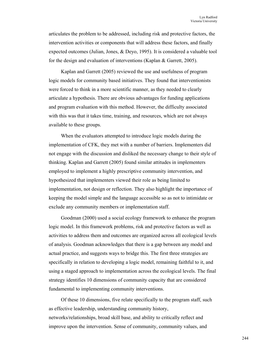articulates the problem to be addressed, including risk and protective factors, the intervention activities or components that will address these factors, and finally expected outcomes (Julian, Jones, & Deyo, 1995). It is considered a valuable tool for the design and evaluation of interventions (Kaplan & Garrett, 2005).

Kaplan and Garrett (2005) reviewed the use and usefulness of program logic models for community based initiatives. They found that interventionists were forced to think in a more scientific manner, as they needed to clearly articulate a hypothesis. There are obvious advantages for funding applications and program evaluation with this method. However, the difficulty associated with this was that it takes time, training, and resources, which are not always available to these groups.

When the evaluators attempted to introduce logic models during the implementation of CFK, they met with a number of barriers. Implementers did not engage with the discussion and disliked the necessary change to their style of thinking. Kaplan and Garrett (2005) found similar attitudes in implementers employed to implement a highly prescriptive community intervention, and hypothesized that implementers viewed their role as being limited to implementation, not design or reflection. They also highlight the importance of keeping the model simple and the language accessible so as not to intimidate or exclude any community members or implementation staff.

Goodman (2000) used a social ecology framework to enhance the program logic model. In this framework problems, risk and protective factors as well as activities to address them and outcomes are organized across all ecological levels of analysis. Goodman acknowledges that there is a gap between any model and actual practice, and suggests ways to bridge this. The first three strategies are specifically in relation to developing a logic model, remaining faithful to it, and using a staged approach to implementation across the ecological levels. The final strategy identifies 10 dimensions of community capacity that are considered fundamental to implementing community interventions.

Of these 10 dimensions, five relate specifically to the program staff, such as effective leadership, understanding community history, networks/relationships, broad skill base, and ability to critically reflect and improve upon the intervention. Sense of community, community values, and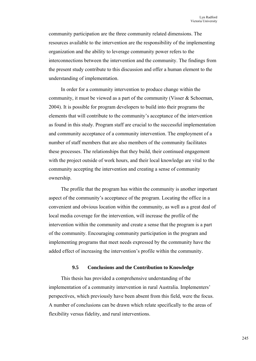community participation are the three community related dimensions. The resources available to the intervention are the responsibility of the implementing organization and the ability to leverage community power refers to the interconnections between the intervention and the community. The findings from the present study contribute to this discussion and offer a human element to the understanding of implementation.

In order for a community intervention to produce change within the community, it must be viewed as a part of the community (Visser  $\&$  Schoeman, 2004). It is possible for program developers to build into their programs the elements that will contribute to the community's acceptance of the intervention as found in this study. Program staff are crucial to the successful implementation and community acceptance of a community intervention. The employment of a number of staff members that are also members of the community facilitates these processes. The relationships that they build, their continued engagement with the project outside of work hours, and their local knowledge are vital to the community accepting the intervention and creating a sense of community ownership.

The profile that the program has within the community is another important aspect of the community's acceptance of the program. Locating the office in a convenient and obvious location within the community, as well as a great deal of local media coverage for the intervention, will increase the profile of the intervention within the community and create a sense that the program is a part of the community. Encouraging community participation in the program and implementing programs that meet needs expressed by the community have the added effect of increasing the intervention's profile within the community.

## **9.5 Conclusions and the Contribution to Knowledge**

This thesis has provided a comprehensive understanding of the implementation of a community intervention in rural Australia. Implementers' perspectives, which previously have been absent from this field, were the focus. A number of conclusions can be drawn which relate specifically to the areas of flexibility versus fidelity, and rural interventions.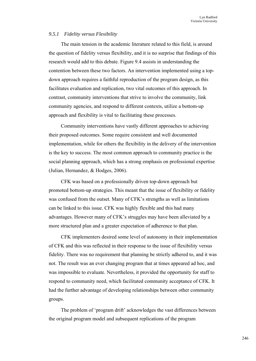## *9.5.1 Fidelity versus Flexibility*

The main tension in the academic literature related to this field, is around the question of fidelity versus flexibility, and it is no surprise that findings of this research would add to this debate. Figure 9.4 assists in understanding the contention between these two factors. An intervention implemented using a topdown approach requires a faithful reproduction of the program design, as this facilitates evaluation and replication, two vital outcomes of this approach. In contrast, community interventions that strive to involve the community, link community agencies, and respond to different contexts, utilize a bottom-up approach and flexibility is vital to facilitating these processes.

Community interventions have vastly different approaches to achieving their proposed outcomes. Some require consistent and well documented implementation, while for others the flexibility in the delivery of the intervention is the key to success. The most common approach to community practice is the social planning approach, which has a strong emphasis on professional expertise (Julian, Hernandez, & Hodges, 2006).

CFK was based on a professionally driven top-down approach but promoted bottom-up strategies. This meant that the issue of flexibility or fidelity was confused from the outset. Many of CFK's strengths as well as limitations can be linked to this issue. CFK was highly flexible and this had many advantages. However many of CFK's struggles may have been alleviated by a more structured plan and a greater expectation of adherence to that plan.

CFK implementers desired some level of autonomy in their implementation of CFK and this was reflected in their response to the issue of flexibility versus fidelity. There was no requirement that planning be strictly adhered to, and it was not. The result was an ever changing program that at times appeared ad hoc, and was impossible to evaluate. Nevertheless, it provided the opportunity for staff to respond to community need, which facilitated community acceptance of CFK. It had the further advantage of developing relationships between other community groups.

The problem of 'program drift' acknowledges the vast differences between the original program model and subsequent replications of the program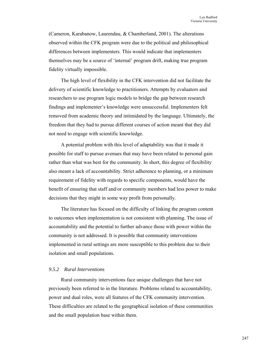(Cameron, Karabanow, Laurendau, & Chamberland, 2001). The alterations observed within the CFK program were due to the political and philosophical differences between implementers. This would indicate that implementers themselves may be a source of 'internal' program drift, making true program fidelity virtually impossible.

The high level of flexibility in the CFK intervention did not facilitate the delivery of scientific knowledge to practitioners. Attempts by evaluators and researchers to use program logic models to bridge the gap between research findings and implementer's knowledge were unsuccessful. Implementers felt removed from academic theory and intimidated by the language. Ultimately, the freedom that they had to pursue different courses of action meant that they did not need to engage with scientific knowledge.

A potential problem with this level of adaptability was that it made it possible for staff to pursue avenues that may have been related to personal gain rather than what was best for the community. In short, this degree of flexibility also meant a lack of accountability. Strict adherence to planning, or a minimum requirement of fidelity with regards to specific components, would have the benefit of ensuring that staff and/or community members had less power to make decisions that they might in some way profit from personally.

The literature has focused on the difficulty of linking the program content to outcomes when implementation is not consistent with planning. The issue of accountability and the potential to further advance those with power within the community is not addressed. It is possible that community interventions implemented in rural settings are more susceptible to this problem due to their isolation and small populations.

#### *9.5.2 Rural Interventions*

Rural community interventions face unique challenges that have not previously been referred to in the literature. Problems related to accountability, power and dual roles, were all features of the CFK community intervention. These difficulties are related to the geographical isolation of these communities and the small population base within them.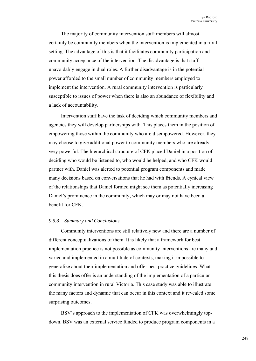The majority of community intervention staff members will almost certainly be community members when the intervention is implemented in a rural setting. The advantage of this is that it facilitates community participation and community acceptance of the intervention. The disadvantage is that staff unavoidably engage in dual roles. A further disadvantage is in the potential power afforded to the small number of community members employed to implement the intervention. A rural community intervention is particularly susceptible to issues of power when there is also an abundance of flexibility and a lack of accountability.

Intervention staff have the task of deciding which community members and agencies they will develop partnerships with. This places them in the position of empowering those within the community who are disempowered. However, they may choose to give additional power to community members who are already very powerful. The hierarchical structure of CFK placed Daniel in a position of deciding who would be listened to, who would be helped, and who CFK would partner with. Daniel was alerted to potential program components and made many decisions based on conversations that he had with friends. A cynical view of the relationships that Daniel formed might see them as potentially increasing Daniel's prominence in the community, which may or may not have been a benefit for CFK.

#### *9.5.3 Summary and Conclusions*

Community interventions are still relatively new and there are a number of different conceptualizations of them. It is likely that a framework for best implementation practice is not possible as community interventions are many and varied and implemented in a multitude of contexts, making it impossible to generalize about their implementation and offer best practice guidelines. What this thesis does offer is an understanding of the implementation of a particular community intervention in rural Victoria. This case study was able to illustrate the many factors and dynamic that can occur in this context and it revealed some surprising outcomes.

BSV's approach to the implementation of CFK was overwhelmingly topdown. BSV was an external service funded to produce program components in a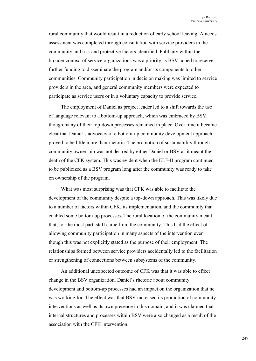rural community that would result in a reduction of early school leaving. A needs assessment was completed through consultation with service providers in the community and risk and protective factors identified. Publicity within the broader context of service organizations was a priority as BSV hoped to receive further funding to disseminate the program and/or its components to other communities. Community participation in decision making was limited to service providers in the area, and general community members were expected to participate as service users or in a voluntary capacity to provide service.

The employment of Daniel as project leader led to a shift towards the use of language relevant to a bottom-up approach, which was embraced by BSV, though many of their top-down processes remained in place. Over time it became clear that Daniel's advocacy of a bottom-up community development approach proved to be little more than rhetoric. The promotion of sustainability through community ownership was not desired by either Daniel or BSV as it meant the death of the CFK system. This was evident when the ELF-II program continued to be publicized as a BSV program long after the community was ready to take on ownership of the program.

What was most surprising was that CFK was able to facilitate the development of the community despite a top-down approach. This was likely due to a number of factors within CFK, its implementation, and the community that enabled some bottom-up processes. The rural location of the community meant that, for the most part, staff came from the community. This had the effect of allowing community participation in many aspects of the intervention even though this was not explicitly stated as the purpose of their employment. The relationships formed between service providers accidentally led to the facilitation or strengthening of connections between subsystems of the community.

An additional unexpected outcome of CFK was that it was able to effect change in the BSV organization. Daniel's rhetoric about community development and bottom-up processes had an impact on the organization that he was working for. The effect was that BSV increased its promotion of community interventions as well as its own presence in this domain, and it was claimed that internal structures and processes within BSV were also changed as a result of the association with the CFK intervention.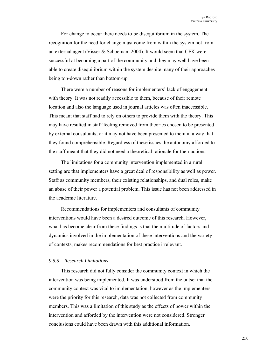For change to occur there needs to be disequilibrium in the system. The recognition for the need for change must come from within the system not from an external agent (Visser & Schoeman, 2004). It would seem that CFK were successful at becoming a part of the community and they may well have been able to create disequilibrium within the system despite many of their approaches being top-down rather than bottom-up.

There were a number of reasons for implementers' lack of engagement with theory. It was not readily accessible to them, because of their remote location and also the language used in journal articles was often inaccessible. This meant that staff had to rely on others to provide them with the theory. This may have resulted in staff feeling removed from theories chosen to be presented by external consultants, or it may not have been presented to them in a way that they found comprehensible. Regardless of these issues the autonomy afforded to the staff meant that they did not need a theoretical rationale for their actions.

The limitations for a community intervention implemented in a rural setting are that implementers have a great deal of responsibility as well as power. Staff as community members, their existing relationships, and dual roles, make an abuse of their power a potential problem. This issue has not been addressed in the academic literature.

Recommendations for implementers and consultants of community interventions would have been a desired outcome of this research. However, what has become clear from these findings is that the multitude of factors and dynamics involved in the implementation of these interventions and the variety of contexts, makes recommendations for best practice irrelevant.

## *9.5.5 Research Limitations*

This research did not fully consider the community context in which the intervention was being implemented. It was understood from the outset that the community context was vital to implementation, however as the implementers were the priority for this research, data was not collected from community members. This was a limitation of this study as the effects of power within the intervention and afforded by the intervention were not considered. Stronger conclusions could have been drawn with this additional information.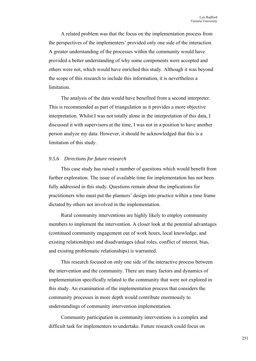A related problem was that the focus on the implementation process from the perspectives of the implementers' provided only one side of the interaction. A greater understanding of the processes within the community would have provided a better understanding of why some components were accepted and others were not, which would have enriched this study. Although it was beyond the scope of this research to include this information, it is nevertheless a limitation.

The analysis of the data would have benefited from a second interpreter. This is recommended as part of triangulation as it provides a more objective interpretation. Whilst I was not totally alone in the interpretation of this data, I discussed it with supervisors at the time, I was not in a position to have another person analyze my data. However, it should be acknowledged that this is a limitation of this study.

#### *9.5.6 Directions for future research*

This case study has raised a number of questions which would benefit from further exploration. The issue of available time for implementation has not been fully addressed in this study. Questions remain about the implications for practitioners who must put the planners' design into practice within a time frame dictated by others not involved in the implementation.

Rural community interventions are highly likely to employ community members to implement the intervention. A closer look at the potential advantages (continued community engagement out of work hours, local knowledge, and existing relationships) and disadvantages (dual roles, conflict of interest, bias, and existing problematic relationships) is warranted.

This research focused on only one side of the interactive process between the intervention and the community. There are many factors and dynamics of implementation specifically related to the community that were not explored in this study. An examination of the implementation process that considers the community processes in more depth would contribute enormously to understandings of community intervention implementation.

Community participation in community interventions is a complex and difficult task for implementers to undertake. Future research could focus on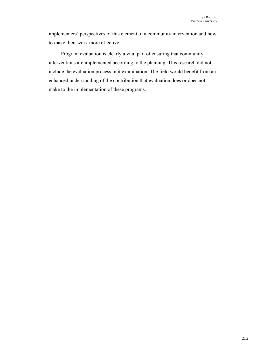implementers' perspectives of this element of a community intervention and how to make their work more effective.

Program evaluation is clearly a vital part of ensuring that community interventions are implemented according to the planning. This research did not include the evaluation process in it examination. The field would benefit from an enhanced understanding of the contribution that evaluation does or does not make to the implementation of these programs.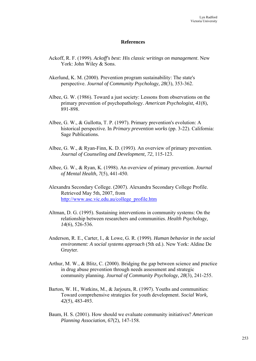## **References**

- Ackoff, R. F. (1999). *Ackoff's best: His classic writings on management*. New York: John Wiley & Sons.
- Akerlund, K. M. (2000). Prevention program sustainability: The state's perspective. *Journal of Community Psychology, 28*(3), 353-362.
- Albee, G. W. (1986). Toward a just society: Lessons from observations on the primary prevention of psychopathology. *American Psychologist, 41*(8), 891-898.
- Albee, G. W., & Gullotta, T. P. (1997). Primary prevention's evolution: A historical perspective. In *Primary prevention works* (pp. 3-22). California: Sage Publications.
- Albee, G. W., & Ryan-Finn, K. D. (1993). An overview of primary prevention. *Journal of Counseling and Development, 72*, 115-123.
- Albee, G. W., & Ryan, K. (1998). An overview of primary prevention. *Journal of Mental Health, 7*(5), 441-450.
- Alexandra Secondary College. (2007). Alexandra Secondary College Profile. Retrieved May 5th, 2007, from http://www.asc.vic.edu.au/college\_profile.htm
- Altman, D. G. (1995). Sustaining interventions in community systems: On the relationship between researchers and communities. *Health Psychology, 14*(6), 526-536.
- Anderson, R. E., Carter, I., & Lowe, G. R. (1999). *Human behavior in the social environment: A social systems approach* (5th ed.). New York: Aldine De Gruyter.
- Arthur, M. W., & Blitz, C. (2000). Bridging the gap between science and practice in drug abuse prevention through needs assessment and strategic community planning. *Journal of Community Psychology, 28*(3), 241-255.
- Barton, W. H., Watkins, M., & Jarjoura, R. (1997). Youths and communities: Toward comprehensive strategies for youth development. *Social Work, 42*(5), 483-493.
- Baum, H. S. (2001). How should we evaluate community initiatives? *American Planning Association, 67*(2), 147-158.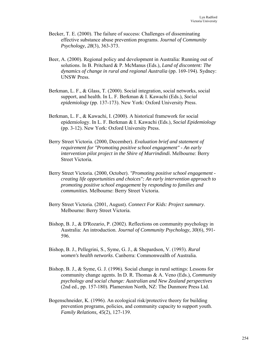- Becker, T. E. (2000). The failure of success: Challenges of disseminating effective substance abuse prevention programs. *Journal of Community Psychology, 28*(3), 363-373.
- Beer, A. (2000). Regional policy and development in Australia: Running out of solutions. In B. Pritchard & P. McManus (Eds.), *Land of discontent: The dynamics of change in rural and regional Australia* (pp. 169-194). Sydney: UNSW Press.
- Berkman, L. F., & Glass, T. (2000). Social integration, social networks, social support, and health. In L. F. Berkman & I. Kawachi (Eds.), *Social epidemiology* (pp. 137-173). New York: Oxford University Press.
- Berkman, L. F., & Kawachi, I. (2000). A historical framework for social epidemiology. In L. F. Berkman & I. Kawachi (Eds.), *Social Epidemiology* (pp. 3-12). New York: Oxford University Press.
- Berry Street Victoria. (2000, December). *Evaluation brief and statement of requirement for "Promoting positive school engagement" - An early intervention pilot project in the Shire of Murrindindi.* Melbourne: Berry Street Victoria.
- Berry Street Victoria. (2000, October). *"Promoting positive school engagement creating life opportunities and choices": An early intervention approach to promoting positive school engagement by responding to families and communities.* Melbourne: Berry Street Victoria.
- Berry Street Victoria. (2001, August). *Connect For Kids: Project summary*. Melbourne: Berry Street Victoria.
- Bishop, B. J., & D'Rozario, P. (2002). Reflections on community psychology in Australia: An introduction. *Journal of Community Psychology, 30*(6), 591- 596.
- Bishop, B. J., Pellegrini, S., Syme, G. J., & Shepardson, V. (1993). *Rural women's health networks*. Canberra: Commonwealth of Australia.
- Bishop, B. J., & Syme, G. J. (1996). Social change in rural settings: Lessons for community change agents. In D. R. Thomas & A. Veno (Eds.), *Community psychology and social change: Australian and New Zealand perspectives* (2nd ed., pp. 157-180). Plamerston North, NZ: The Dunmore Press Ltd.
- Bogenschneider, K. (1996). An ecological risk/protective theory for building prevention programs, policies, and community capacity to support youth. *Family Relations, 45*(2), 127-139.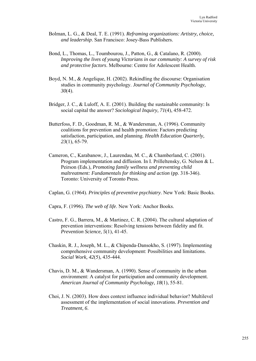- Bolman, L. G., & Deal, T. E. (1991). *Reframing organizations: Artistry, choice, and leadership*. San Francisco: Josey-Bass Publishers.
- Bond, L., Thomas, L., Toumbourou, J., Patton, G., & Catalano, R. (2000). *Improving the lives of young Victorians in our community: A survey of risk and protective factors*. Melbourne: Centre for Adolescent Health.
- Boyd, N. M., & Angelique, H. (2002). Rekindling the discourse: Organisation studies in community psychology. *Journal of Community Psychology, 30*(4).
- Bridger, J. C., & Luloff, A. E. (2001). Building the sustainable community: Is social capital the answer? *Sociological Inquiry, 71*(4), 458-472.
- Butterfoss, F. D., Goodman, R. M., & Wandersman, A. (1996). Community coalitions for prevention and health promotion: Factors predicting satisfaction, participation, and planning. *Health Education Quarterly, 23*(1), 65-79.
- Cameron, C., Karabanow, J., Laurendau, M. C., & Chamberland, C. (2001). Program implementation and diffusion. In I. Prilleltensky, G. Nelson & L. Peirson (Eds.), *Promoting family wellness and preventing child maltreatment: Fundamentals for thinking and action* (pp. 318-346). Toronto: University of Toronto Press.
- Caplan, G. (1964). *Principles of preventive psychiatry*. New York: Basic Books.
- Capra, F. (1996). *The web of life*. New York: Anchor Books.
- Castro, F. G., Barrera, M., & Martinez, C. R. (2004). The cultural adaptation of prevention interventions: Resolving tensions between fidelity and fit. *Prevention Science, 5*(1), 41-45.
- Chaskin, R. J., Joseph, M. L., & Chipenda-Dansokho, S. (1997). Implementing comprehensive community development: Possibilities and limitations. *Social Work, 42*(5), 435-444.
- Chavis, D. M., & Wandersman, A. (1990). Sense of community in the urban environment: A catalyst for participation and community development. *American Journal of Community Psychology, 18*(1), 55-81.
- Choi, J. N. (2003). How does context influence individual behavior? Multilevel assessment of the implementation of social innovations. *Prevention and Treatment, 6*.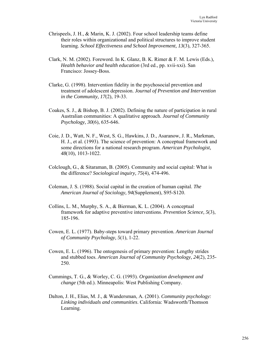- Chrispeels, J. H., & Marin, K. J. (2002). Four school leadership teams define their roles within organizational and political structures to improve student learning. *School Effectiveness and School Improvement, 13*(3), 327-365.
- Clark, N. M. (2002). Foreword. In K. Glanz, B. K. Rimer & F. M. Lewis (Eds.), *Health behavior and health education* (3rd ed., pp. xvii-xxi). San Francisco: Jossey-Boss.
- Clarke, G. (1998). Intervention fidelity in the psychosocial prevention and treatment of adolescent depression. *Journal of Prevention and Intervention in the Community, 17*(2), 19-33.
- Coakes, S. J., & Bishop, B. J. (2002). Defining the nature of participation in rural Australian communities: A qualitative approach. *Journal of Community Psychology, 30*(6), 635-646.
- Coie, J. D., Watt, N. F., West, S. G., Hawkins, J. D., Asaranow, J. R., Markman, H. J., et al. (1993). The science of prevention: A conceptual framework and some directions for a national research program. *American Psychologist, 48*(10), 1013-1022.
- Colclough, G., & Sitaraman, B. (2005). Community and social capital: What is the difference? *Sociological inquiry, 75*(4), 474-496.
- Coleman, J. S. (1988). Social capital in the creation of human capital. *The American Journal of Sociology, 94*(Supplement), S95-S120.
- Collins, L. M., Murphy, S. A., & Bierman, K. L. (2004). A conceptual framework for adaptive preventive interventions. *Prevention Science, 5*(3), 185-196.
- Cowen, E. L. (1977). Baby-steps toward primary prevention. *American Journal of Community Psychology, 5*(1), 1-22.
- Cowen, E. L. (1996). The ontogenesis of primary prevention: Lengthy strides and stubbed toes. *American Journal of Community Psychology, 24*(2), 235- 250.
- Cummings, T. G., & Worley, C. G. (1993). *Organization development and change* (5th ed.). Minneapolis: West Publishing Company.
- Dalton, J. H., Elias, M. J., & Wandersman, A. (2001). *Community psychology: Linking individuals and communities*. California: Wadsworth/Thomson Learning.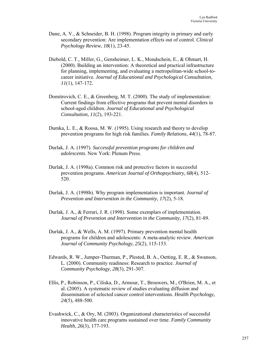- Dane, A. V., & Schneider, B. H. (1998). Program integrity in primary and early secondary prevention: Are implementation effects out of control. *Clinical Psychology Review, 18*(1), 23-45.
- Diebold, C. T., Miller, G., Gensheimer, L. K., Mondschein, E., & Ohmart, H. (2000). Building an intervention: A theoretical and practical infrastructure for planning, implementing, and evaluating a metropolitan-wide school-tocareer initiative. *Journal of Educational and Psychological Consultation, 11*(1), 147-172.
- Domitrovich, C. E., & Greenberg, M. T. (2000). The study of implementation: Current findings from effective programs that prevent mental disorders in school-aged children. *Journal of Educational and Psychological Consultation, 11*(2), 193-221.
- Dumka, L. E., & Roosa, M. W. (1995). Using research and theory to develop prevention programs for high risk families. *Family Relations, 44*(1), 78-87.
- Durlak, J. A. (1997). *Successful prevention programs for children and adolescents*. New York: Plenum Press.
- Durlak, J. A. (1998a). Common risk and protective factors in successful prevention programs. *American Journal of Orthopsychiatry, 68*(4), 512- 520.
- Durlak, J. A. (1998b). Why program implementation is important. *Journal of Prevention and Intervention in the Community, 17*(2), 5-18.
- Durlak, J. A., & Ferrari, J. R. (1998). Some exemplars of implementation. *Journal of Prevention and Intervention in the Community, 17*(2), 81-89.
- Durlak, J. A., & Wells, A. M. (1997). Primary prevention mental health programs for children and adolescents: A meta-analytic review. *American Journal of Community Psychology, 25*(2), 115-153.
- Edwards, R. W., Jumper-Thurman, P., Plested, B. A., Oetting, E. R., & Swanson, L. (2000). Community readiness: Research to practice. *Journal of Community Psychology, 28*(3), 291-307.
- Ellis, P., Robinson, P., Ciliska, D., Armour, T., Brouwers, M., O'Brien, M. A., et al. (2005). A systematic review of studies evaluating diffusion and dissemination of selected cancer control interventions. *Health Psychology, 24*(5), 488-500.
- Evashwick, C., & Ory, M. (2003). Organizational characteristics of successful innovative health care programs sustained over time. *Family Community Health, 26*(3), 177-193.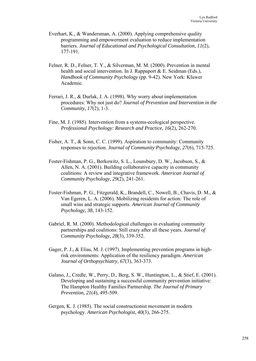- Everhart, K., & Wandersman, A. (2000). Applying comprehensive quality programming and empowerment evaluation to reduce implementation barriers. *Journal of Educational and Psychological Consultation, 11*(2), 177-191.
- Felner, R. D., Felner, T. Y., & Silverman, M. M. (2000). Prevention in mental health and social intervention. In J. Rappaport & E. Seidman (Eds.), *Handbook of Community Psychology* (pp. 9-42). New York: Kluwer Academic.
- Ferrari, J. R., & Durlak, J. A. (1998). Why worry about implementation procedures: Why not just do? *Journal of Prevention and Intervention in the Community, 17*(2), 1-3.
- Fine, M. J. (1985). Intervention from a systems-ecological perspective. *Professional Psychology: Research and Practice, 16*(2), 262-270.
- Fisher, A. T., & Sonn, C. C. (1999). Aspiration to community: Community responses to rejection. *Journal of Community Psychology, 27*(6), 715-725.
- Foster-Fishman, P. G., Berkowitz, S. L., Lounsbury, D. W., Jacobson, S., & Allen, N. A. (2001). Building collaborative capacity in community coalitions: A review and integrative framework. *American Journal of Community Psychology, 29*(2), 241-261.
- Foster-Fishman, P. G., Fitzgerald, K., Brandell, C., Nowell, B., Chavis, D. M., & Van Egeren, L. A. (2006). Mobilizing residents for action: The role of small wins and strategic supports. *American Journal of Community Psychology, 38*, 143-152.
- Gabriel, R. M. (2000). Methodological challenges in evaluating community partnerships and coalitions: Still crazy after all these years. *Journal of Community Psychology, 28*(3), 339-352.
- Gager, P. J., & Elias, M. J. (1997). Implementing prevention programs in highrisk environments: Application of the resiliency paradigm. *American Journal of Orthopsychiatry, 67*(3), 363-373.
- Galano, J., Credle, W., Perry, D., Berg, S. W., Huntington, L., & Stief, E. (2001). Developing and sustaining a successful community prevention initiative: The Hampton Healthy Families Partnership. *The Journal of Primary Prevention, 21*(4), 495-509.
- Gergen, K. J. (1985). The social constructionist movement in modern psychology. *American Psychologist, 40*(3), 266-275.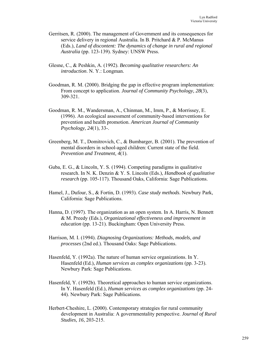- Gerritsen, R. (2000). The management of Government and its consequences for service delivery in regional Australia. In B. Pritchard & P. McManus (Eds.), *Land of discontent: The dynamics of change in rural and regional Australia* (pp. 123-139). Sydney: UNSW Press.
- Glesne, C., & Peshkin, A. (1992). *Becoming qualitative researchers: An introduction*. N. Y.: Longman.
- Goodman, R. M. (2000). Bridging the gap in effective program implementation: From concept to application. *Journal of Community Psychology, 28*(3), 309-321.
- Goodman, R. M., Wandersman, A., Chinman, M., Imm, P., & Morrissey, E. (1996). An ecological assessment of community-based interventions for prevention and health promotion. *American Journal of Community Psychology, 24*(1), 33-.
- Greenberg, M. T., Domitrovich, C., & Bumbarger, B. (2001). The prevention of mental disorders in school-aged children: Current state of the field. *Prevention and Treatment, 4*(1).
- Guba, E. G., & Lincoln, Y. S. (1994). Competing paradigms in qualitative research. In N. K. Denzin & Y. S. Lincoln (Eds.), *Handbook of qualitative research* (pp. 105-117). Thousand Oaks, California: Sage Publications.
- Hamel, J., Dufour, S., & Fortin, D. (1993). *Case study methods*. Newbury Park, California: Sage Publications.
- Hanna, D. (1997). The organization as an open system. In A. Harris, N. Bennett & M. Preedy (Eds.), *Organizational effectiveness and improvement in education* (pp. 13-21). Buckingham: Open University Press.
- Harrison, M. I. (1994). *Diagnosing Organizations: Methods, models, and processes* (2nd ed.). Thousand Oaks: Sage Publications.
- Hasenfeld, Y. (1992a). The nature of human service organizations. In Y. Hasenfeld (Ed.), *Human services as complex organizations* (pp. 3-23). Newbury Park: Sage Publications.
- Hasenfeld, Y. (1992b). Theoretical approaches to human service organizations. In Y. Hasenfeld (Ed.), *Human services as complex organizations* (pp. 24- 44). Newbury Park: Sage Publications.
- Herbert-Cheshire, L. (2000). Contemporary strategies for rural community development in Australia: A governmentality perspective. *Journal of Rural Studies, 16*, 203-215.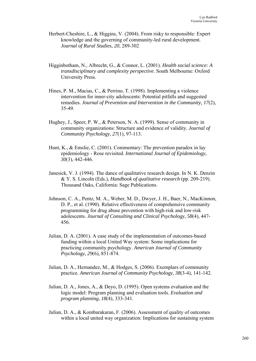- Herbert-Cheshire, L., & Higgins, V. (2004). From risky to responsible: Expert knowledge and the governing of community-led rural development. *Journal of Rural Studies, 20*, 289-302
- Higginbotham, N., Albrecht, G., & Connor, L. (2001). *Health social science: A transdisciplinary and complexity perspective*. South Melbourne: Oxford University Press.
- Hines, P. M., Macias, C., & Perrino, T. (1998). Implementing a violence intervention for inner-city adolescents: Potential pitfalls and suggested remedies. *Journal of Prevention and Intervention in the Community, 17*(2), 35-49.
- Hughey, J., Speer, P. W., & Peterson, N. A. (1999). Sense of community in community organizations: Structure and evidence of validity. *Journal of Community Psychology, 27*(1), 97-113.
- Hunt, K., & Emslie, C. (2001). Commentary: The prevention paradox in lay epidemiology - Rose revisited. *International Journal of Epidemiology, 30*(3), 442-446.
- Janesick, V. J. (1994). The dance of qualitative research design. In N. K. Denzin & Y. S. Lincoln (Eds.), *Handbook of qualitative research* (pp. 209-219). Thousand Oaks, California: Sage Publications.
- Johnson, C. A., Pentz, M. A., Weber, M. D., Dwyer, J. H., Baer, N., MacKinnon, D. P., et al. (1990). Relative effectiveness of comprehensive community programming for drug abuse prevention with high-risk and low-risk adolescents. *Journal of Consulting and Clinical Psychology, 58*(4), 447- 456.
- Julian, D. A. (2001). A case study of the implementation of outcomes-based funding within a local United Way system: Some implications for practicing community psychology. *American Journal of Community Psychology, 29*(6), 851-874.
- Julian, D. A., Hernandez, M., & Hodges, S. (2006). Exemplars of community practice. *American Journal of Community Psychology, 38*(3-4), 141-142.
- Julian, D. A., Jones, A., & Deyo, D. (1995). Open systems evaluation and the logic model: Program planning and evaluation tools. *Evaluation and program planning, 18*(4), 333-341.
- Julian, D. A., & Kombarakaran, F. (2006). Assessment of quality of outcomes within a local united way organization: Implications for sustaining system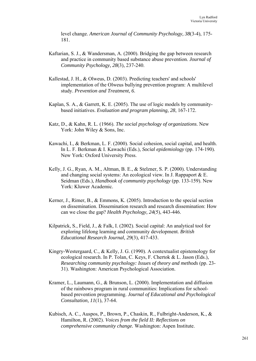level change. *American Journal of Community Psychology, 38*(3-4), 175- 181.

- Kaftarian, S. J., & Wandersman, A. (2000). Bridging the gap between research and practice in community based substance abuse prevention. *Journal of Community Psychology, 28*(3), 237-240.
- Kallestad, J. H., & Olweus, D. (2003). Predicting teachers' and schools' implementation of the Olweus bullying prevention program: A multilevel study. *Prevention and Treatment, 6*.
- Kaplan, S. A., & Garrett, K. E. (2005). The use of logic models by communitybased initiatives. *Evaluation and program planning, 28*, 167-172.
- Katz, D., & Kahn, R. L. (1966). *The social psychology of organizations*. New York: John Wiley & Sons, Inc.
- Kawachi, I., & Berkman, L. F. (2000). Social cohesion, social capital, and health. In L. F. Berkman & I. Kawachi (Eds.), *Social epidemiology* (pp. 174-190). New York: Oxford University Press.
- Kelly, J. G., Ryan, A. M., Altman, B. E., & Stelzner, S. P. (2000). Understanding and changing social systems: An ecological view. In J. Rappaport & E. Seidman (Eds.), *Handbook of community psychology* (pp. 133-159). New York: Kluwer Academic.
- Kerner, J., Rimer, B., & Emmons, K. (2005). Introduction to the special section on dissemination. Dissemination research and research dissemination: How can we close the gap? *Health Psychology, 24*(5), 443-446.
- Kilpatrick, S., Field, J., & Falk, I. (2002). Social capital: An analytical tool for exploring lifelong learning and community development. *British Educational Research Journal, 29*(3), 417-433.
- Kingry-Westergaard, C., & Kelly, J. G. (1990). A contextualist epistemology for ecological research. In P. Tolan, C. Keys, F. Chertok & L. Jason (Eds.), *Researching community psychology: Issues of theory and methods* (pp. 23- 31). Washington: American Psychological Association.
- Kramer, L., Laumann, G., & Brunson, L. (2000). Implementation and diffusion of the rainbows program in rural communities: Implications for schoolbased prevention programming. *Journal of Educational and Psychological Consultation, 11*(1), 37-64.
- Kubisch, A. C., Auspos, P., Brown, P., Chaskin, R., Fulbright-Anderson, K., & Hamilton, R. (2002). *Voices from the field II: Reflections on comprehensive community change.* Washington: Aspen Institute.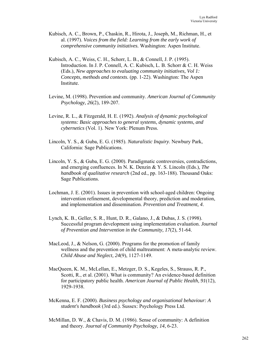- Kubisch, A. C., Brown, P., Chaskin, R., Hirota, J., Joseph, M., Richman, H., et al. (1997). *Voices from the field: Learning from the early work of comprehensive community initiatives.* Washington: Aspen Institute.
- Kubisch, A. C., Weiss, C. H., Schorr, L. B., & Connell, J. P. (1995). Introduction. In J. P. Connell, A. C. Kubisch, L. B. Schorr & C. H. Weiss (Eds.), *New approaches to evaluating community initiatives, Vol 1: Concepts, methods and contexts.* (pp. 1-22). Washington: The Aspen Institute.
- Levine, M. (1998). Prevention and community. *American Journal of Community Psychology, 26*(2), 189-207.
- Levine, R. L., & Fitzgerald, H. E. (1992). *Analysis of dynamic psychological systems: Basic approaches to general systems, dynamic systems, and cybernetics* (Vol. 1). New York: Plenum Press.
- Lincoln, Y. S., & Guba, E. G. (1985). *Naturalistic Inquiry*. Newbury Park, California: Sage Publications.
- Lincoln, Y. S., & Guba, E. G. (2000). Paradigmatic controversies, contradictions, and emerging confluences. In N. K. Denzin & Y. S. Lincoln (Eds.), *The handbook of qualitative research* (2nd ed., pp. 163-188). Thousand Oaks: Sage Publications.
- Lochman, J. E. (2001). Issues in prevention with school-aged children: Ongoing intervention refinement, developmental theory, prediction and moderation, and implementation and dissemination. *Prevention and Treatment, 4*.
- Lynch, K. B., Geller, S. R., Hunt, D. R., Galano, J., & Dubas, J. S. (1998). Successful program development using implementation evaluation. *Journal of Prevention and Intervention in the Community, 17*(2), 51-64.
- MacLeod, J., & Nelson, G. (2000). Programs for the promotion of family wellness and the prevention of child maltreatment: A meta-analytic review. *Child Abuse and Neglect, 24*(9), 1127-1149.
- MacQueen, K. M., McLellan, E., Metzger, D. S., Kegeles, S., Strauss, R. P., Scotti, R., et al. (2001). What is community? An evidence-based definition for participatory public health. *American Journal of Public Health, 91*(12), 1929-1938.
- McKenna, E. F. (2000). *Business psychology and organisational behaviour: A student's handbook* (3rd ed.). Sussex: Psychology Press Ltd.
- McMillan, D. W., & Chavis, D. M. (1986). Sense of community: A definition and theory. *Journal of Community Psychology, 14*, 6-23.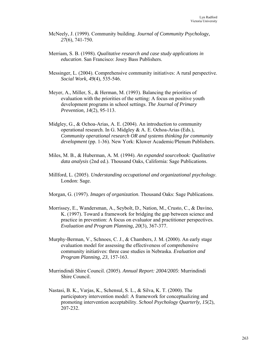- McNeely, J. (1999). Community building. *Journal of Community Psychology, 27*(6), 741-750.
- Merriam, S. B. (1998). *Qualitative research and case study applications in education*. San Francisco: Josey Bass Publishers.
- Messinger, L. (2004). Comprehensive community initiatives: A rural perspective. *Social Work, 49*(4), 535-546.
- Meyer, A., Miller, S., & Herman, M. (1993). Balancing the priorities of evaluation with the priorities of the setting: A focus on positive youth development programs in school settings. *The Journal of Primary Prevention, 14*(2), 95-113.
- Midgley, G., & Ochoa-Arias, A. E. (2004). An introduction to community operational research. In G. Midgley & A. E. Ochoa-Arias (Eds.), *Community operational research OR and systems thinking for community development* (pp. 1-36). New York: Kluwer Academic/Plenum Publishers.
- Miles, M. B., & Huberman, A. M. (1994). *An expanded sourcebook: Qualitative data analysis* (2nd ed.). Thousand Oaks, California: Sage Publications.
- Millford, L. (2005). *Understanding occupational and organizational psychology*. London: Sage.
- Morgan, G. (1997). *Images of organization*. Thousand Oaks: Sage Publications.
- Morrissey, E., Wandersman, A., Seybolt, D., Nation, M., Crusto, C., & Davino, K. (1997). Toward a framework for bridging the gap between science and practice in prevention: A focus on evaluator and practitioner perspectives. *Evaluation and Program Planning, 20*(3), 367-377.
- Murphy-Berman, V., Schnoes, C. J., & Chambers, J. M. (2000). An early stage evaluation model for assessing the effectiveness of comprehensive community initiatives: three case studies in Nebraska. *Evaluation and Program Planning, 23*, 157-163.
- Murrindindi Shire Council. (2005). *Annual Report: 2004/2005*: Murrindindi Shire Council.
- Nastasi, B. K., Varjas, K., Schensul, S. L., & Silva, K. T. (2000). The participatory intervention model: A framework for conceptualizing and promoting intervention acceptability. *School Psychology Quarterly, 15*(2), 207-232.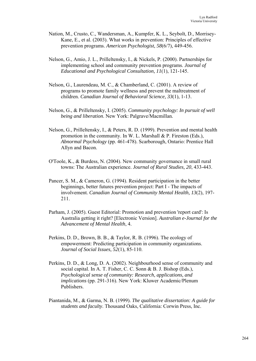- Nation, M., Crusto, C., Wandersman, A., Kumpfer, K. L., Seybolt, D., Morrisey-Kane, E., et al. (2003). What works in prevention: Principles of effective prevention programs. *American Psychologist, 58*(6/7), 449-456.
- Nelson, G., Amio, J. L., Prilleltensky, I., & Nickels, P. (2000). Partnerships for implementing school and community prevention programs. *Journal of Educational and Psychological Consultation, 11*(1), 121-145.
- Nelson, G., Laurendeau, M. C., & Chamberland, C. (2001). A review of programs to promote family wellness and prevent the maltreatment of children. *Canadian Journal of Behavioral Science, 33*(1), 1-13.
- Nelson, G., & Prilleltensky, I. (2005). *Community psychology: In pursuit of well being and liberation*. New York: Palgrave/Macmillan.
- Nelson, G., Prilleltensky, I., & Peters, R. D. (1999). Prevention and mental health promotion in the community. In W. L. Marshall & P. Fireston (Eds.), *Abnormal Psychology* (pp. 461-478). Scarborough, Ontario: Prentice Hall Allyn and Bacon.
- O'Toole, K., & Burdess, N. (2004). New community governance in small rural towns: The Australian experience. *Journal of Rural Studies, 20*, 433-443.
- Pancer, S. M., & Cameron, G. (1994). Resident participation in the better beginnings, better futures prevention project: Part I - The impacts of involvement. *Canadian Journal of Community Mental Health, 13*(2), 197- 211.
- Parham, J. (2005). Guest Editorial: Promotion and prevention 'report card': Is Australia getting it right? [Electronic Version]. *Australian e-Journal for the Advancement of Mental Health*, 4.
- Perkins, D. D., Brown, B. B., & Taylor, R. B. (1996). The ecology of empowerment: Predicting participation in community organizations. *Journal of Social Issues, 52*(1), 85-110.
- Perkins, D. D., & Long, D. A. (2002). Neighbourhood sense of community and social capital. In A. T. Fisher, C. C. Sonn & B. J. Bishop (Eds.), *Psychological sense of community: Research, applications, and implications* (pp. 291-316). New York: Kluwer Academic/Plenum Publishers.
- Piantanida, M., & Garma, N. B. (1999). *The qualitative dissertation: A guide for students and faculty*. Thousand Oaks, California: Corwin Press, Inc.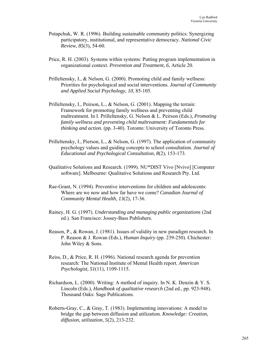- Potapchuk, W. R. (1996). Building sustainable community politics: Synergizing participatory, institutional, and representative democracy. *National Civic Review, 85*(3), 54-60.
- Price, R. H. (2003). Systems within systems: Putting program implementation in organizational context. *Prevention and Treatment, 6*, Article 20.
- Prilleltensky, I., & Nelson, G. (2000). Promoting child and family wellness: Priorities for psychological and social interventions. *Journal of Community and Applied Social Psychology, 10*, 85-105.
- Prilleltensky, I., Peirson, L., & Nelson, G. (2001). Mapping the terrain: Framework for promoting family wellness and preventing child maltreatment. In I. Prilleltensky, G. Nelson & L. Peirson (Eds.), *Promoting family wellness and preventing child maltreatment: Fundamentals for thinking and action.* (pp. 3-40). Toronto: University of Toronto Press.
- Prilleltensky, I., Pierson, L., & Nelson, G. (1997). The application of community psychology values and guiding concepts to school consultation. *Journal of Educational and Psychological Consultation, 8*(2), 153-173.
- Qualitative Solutions and Research. (1999). NU\*DIST Vivo [Nvivo] [Computer software]. Melbourne: Qualitative Solutions and Research Pty. Ltd.
- Rae-Grant, N. (1994). Preventive interventions for children and adolescents: Where are we now and how far have we come? *Canadian Journal of Community Mental Health, 13*(2), 17-36.
- Rainey, H. G. (1997). *Understanding and managing public organizations* (2nd ed.). San Francisco: Jossey-Bass Publishers.
- Reason, P., & Rowan, J. (1981). Issues of validity in new paradigm research. In P. Reason & J. Rowan (Eds.), *Human Inquiry* (pp. 239-250). Chichester: John Wiley & Sons.
- Reiss, D., & Price, R. H. (1996). National research agenda for prevention research: The National Institute of Mental Health report. *American Psychologist, 51*(11), 1109-1115.
- Richardson, L. (2000). Writing: A method of inquiry. In N. K. Denzin & Y. S. Lincoln (Eds.), *Handbook of qualitative research* (2nd ed., pp. 923-948). Thousand Oaks: Sage Publications.
- Roberts-Gray, C., & Gray, T. (1983). Implementing innovations: A model to bridge the gap between diffusion and utilization. *Knowledge: Creation, diffusion, utilization, 5*(2), 213-232.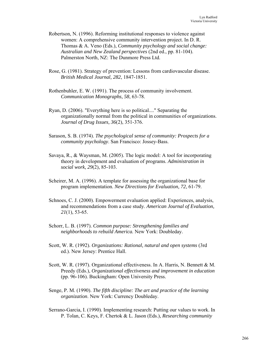- Robertson, N. (1996). Reforming institutional responses to violence against women: A comprehensive community intervention project. In D. R. Thomas & A. Veno (Eds.), *Community psychology and social change: Australian and New Zealand perspectives* (2nd ed., pp. 81-104). Palmerston North, NZ: The Dunmore Press Ltd.
- Rose, G. (1981). Strategy of prevention: Lessons from cardiovascular disease. *British Medical Journal, 282*, 1847-1851.
- Rothenbuhler, E. W. (1991). The process of community involvement. *Communication Monographs, 58*, 63-78.
- Ryan, D. (2006). "Everything here is so political...." Separating the organizationally normal from the political in communities of organizations. *Journal of Drug Issues, 36*(2), 351-376.
- Sarason, S. B. (1974). *The psychological sense of community: Prospects for a community psychology*. San Francisco: Jossey-Bass.
- Savaya, R., & Waysman, M. (2005). The logic model: A tool for incorporating theory in development and evaluation of programs. *Administration in social work, 29*(2), 85-103.
- Scheirer, M. A. (1996). A template for assessing the organizational base for program implementation. *New Directions for Evaluation, 72*, 61-79.
- Schnoes, C. J. (2000). Empowerment evaluation applied: Experiences, analysis, and recommendations from a case study. *American Journal of Evaluation, 21*(1), 53-65.
- Schorr, L. B. (1997). *Common purpose: Strengthening families and neighborhoods to rebuild America.* New York: Doubleday.
- Scott, W. R. (1992). *Organizations: Rational, natural and open systems* (3rd ed.). New Jersey: Prentice Hall.
- Scott, W. R. (1997). Organizational effectiveness. In A. Harris, N. Bennett & M. Preedy (Eds.), *Organizational effectiveness and improvement in education* (pp. 96-106). Buckingham: Open University Press.
- Senge, P. M. (1990). *The fifth discipline: The art and practice of the learning organization*. New York: Currency Doubleday.
- Serrano-Garcia, I. (1990). Implementing research: Putting our values to work. In P. Tolan, C. Keys, F. Chertok & L. Jason (Eds.), *Researching community*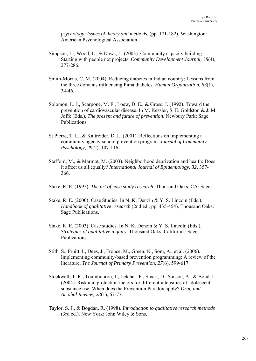*psychology: Issues of theory and methods.* (pp. 171-182). Washington: American Psychological Association.

- Simpson, L., Wood, L., & Daws, L. (2003). Community capacity building: Starting with people not projects. *Community Development Journal, 38*(4), 277-286.
- Smith-Morris, C. M. (2004). Reducing diabetes in Indian country: Lessons from the three domains influencing Pima diabetes. *Human Organization, 63*(1), 34-46.
- Solomon, L. J., Scarpone, M. F., Loew, D. E., & Gross, J. (1992). Toward the prevention of cardiovascular disease. In M. Kessler, S. E. Goldston & J. M. Joffe (Eds.), *The present and future of prevention*. Newbury Park: Sage Publications.
- St Pierre, T. L., & Kaltreider, D. L. (2001). Reflections on implementing a community agency-school prevention program. *Journal of Community Psychology, 29*(2), 107-116.
- Stafford, M., & Marmot, M. (2003). Neighborhood deprivation and health: Does it affect us all equally? *International Journal of Epidemiology, 32*, 357- 366.
- Stake, R. E. (1995). *The art of case study research*. Thousand Oaks, CA: Sage.
- Stake, R. E. (2000). Case Studies. In N. K. Denzin & Y. S. Lincoln (Eds.), *Handbook of qualitative research* (2nd ed., pp. 435-454). Thousand Oaks: Sage Publications.
- Stake, R. E. (2003). Case studies. In N. K. Denzin & Y. S. Lincoln (Eds.), *Strategies of qualitative inquiry*. Thousand Oaks, California: Sage Publications.
- Stith, S., Pruitt, I., Dees, J., Fronce, M., Green, N., Som, A., et al. (2006). Implementing community-based prevention programming: A review of the literature. *The Journal of Primary Prevention, 27*(6), 599-617.
- Stockwell, T. R., Toumbourou, J., Letcher, P., Smart, D., Sanson, A., & Bond, L. (2004). Risk and protection factors for different intensities of adolescent substance use: When does the Prevention Paradox apply? *Drug and Alcohol Review, 23*(1), 67-77.
- Taylor, S. J., & Bogdan, R. (1998). *Introduction to qualitative research methods* (3rd ed.). New York: John Wiley & Sons.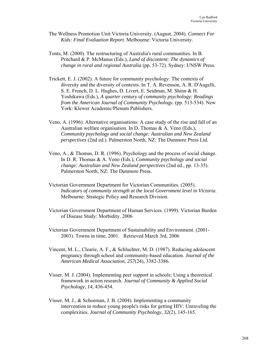- The Wellness Promotion Unit Victoria University. (August, 2004). *Connect For Kids: Final Evaluation Report*. Melbourne: Victoria University.
- Tonts, M. (2000). The restructuring of Australia's rural communities. In B. Pritchard & P. McManus (Eds.), *Land of discontent: The dynamics of change in rural and regional Australia* (pp. 53-72). Sydney: UNSW Press.
- Trickett, E. J. (2002). A future for community psychology: The contexts of diversity and the diversity of contexts. In T. A. Revenson, A. R. D'Augelli, S. E. French, D. L. Hughes, D. Livert, E. Seidman, M. Shinn & H. Yoshikawa (Eds.), *A quarter century of community psychology: Readings from the American Journal of Community Psychology.* (pp. 513-534). New York: Klewer Academic/Plenum Publishers.
- Veno, A. (1996). Alternative organisations: A case study of the rise and fall of an Australian welfare organisation. In D. Thomas & A. Veno (Eds.), *Community psychology and social change: Australian and New Zealand perspectives* (2nd ed.). Palmerston North, NZ: The Dunmore Press Ltd.
- Veno, A., & Thomas, D. R. (1996). Psychology and the process of social change. In D. R. Thomas & A. Veno (Eds.), *Community psychology and social change: Australian and New Zealand perspectives* (2nd ed., pp. 13-35). Palmerston North, NZ: The Dunmore Press.
- Victorian Government Department for Victorian Communities. (2005). *Indicators of community strength at the local Government level in Victoria*. Melbourne: Strategic Policy and Research Division.
- Victorian Government Department of Human Services. (1999). Victorian Burden of Disease Study: Morbidity. 2006
- Victorian Government Department of Sustainability and Environment. (2001- 2003). Towns in time, 2001. Retrieved March 3rd, 2006
- Vincent, M. L., Clearie, A. F., & Schluchter, M. D. (1987). Reducing adolescent pregnancy through school and community-based education. *Journal of the American Medical Association, 257*(24), 3382-3386.
- Visser, M. J. (2004). Implementing peer support in schools: Using a theoretical framework in action research. *Journal of Community & Applied Social Psychology, 14*, 436-454.
- Visser, M. J., & Schoeman, J. B. (2004). Implementing a community intervention to reduce young people's risks for getting HIV: Unraveling the complexities. *Journal of Community Psychology, 32*(2), 145-165.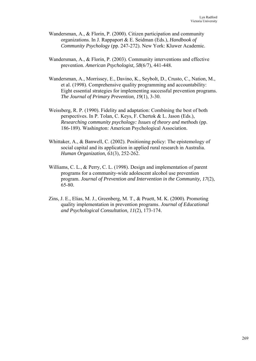- Wandersman, A., & Florin, P. (2000). Citizen participation and community organizations. In J. Rappaport & E. Seidman (Eds.), *Handbook of Community Psychology* (pp. 247-272). New York: Kluwer Academic.
- Wandersman, A., & Florin, P. (2003). Community interventions and effective prevention. *American Psychologist, 58*(6/7), 441-448.
- Wandersman, A., Morrissey, E., Davino, K., Seybolt, D., Crusto, C., Nation, M., et al. (1998). Comprehensive quality programming and accountability: Eight essential strategies for implementing successful prevention programs. *The Journal of Primary Prevention, 19*(1), 3-30.
- Weissberg, R. P. (1990). Fidelity and adaptation: Combining the best of both perspectives. In P. Tolan, C. Keys, F. Chertok & L. Jason (Eds.), *Researching community psychology: Issues of theory and methods* (pp. 186-189). Washington: American Psychological Association.
- Whittaker, A., & Banwell, C. (2002). Positioning policy: The epistemology of social capital and its application in applied rural research in Australia. *Human Organization, 61*(3), 252-262.
- Williams, C. L., & Perry, C. L. (1998). Design and implementation of parent programs for a community-wide adolescent alcohol use prevention program. *Journal of Prevention and Intervention in the Community, 17*(2), 65-80.
- Zins, J. E., Elias, M. J., Greenberg, M. T., & Pruett, M. K. (2000). Promoting quality implementation in prevention programs. *Journal of Educational and Psychological Consultation, 11*(2), 173-174.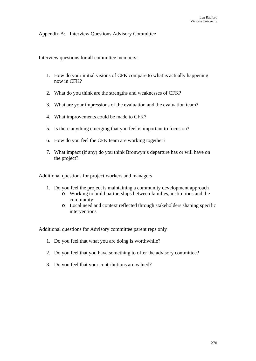## Appendix A: Interview Questions Advisory Committee

Interview questions for all committee members:

- 1. How do your initial visions of CFK compare to what is actually happening now in CFK?
- 2. What do you think are the strengths and weaknesses of CFK?
- 3. What are your impressions of the evaluation and the evaluation team?
- 4. What improvements could be made to CFK?
- 5. Is there anything emerging that you feel is important to focus on?
- 6. How do you feel the CFK team are working together?
- 7. What impact (if any) do you think Bronwyn's departure has or will have on the project?

Additional questions for project workers and managers

- 1. Do you feel the project is maintaining a community development approach
	- o Working to build partnerships between families, institutions and the community
	- o Local need and context reflected through stakeholders shaping specific interventions

Additional questions for Advisory committee parent reps only

- 1. Do you feel that what you are doing is worthwhile?
- 2. Do you feel that you have something to offer the advisory committee?
- 3. Do you feel that your contributions are valued?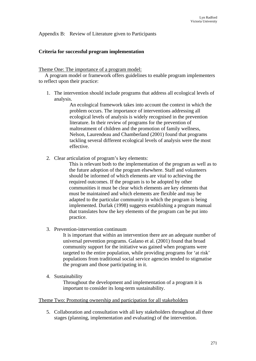Appendix B: Review of Literature given to Participants

## **Criteria for successful program implementation**

Theme One: The importance of a program model:

A program model or framework offers guidelines to enable program implementers to reflect upon their practice:

1. The intervention should include programs that address all ecological levels of analysis.

> An ecological framework takes into account the context in which the problem occurs. The importance of interventions addressing all ecological levels of analysis is widely recognised in the prevention literature. In their review of programs for the prevention of maltreatment of children and the promotion of family wellness, Nelson, Laurendeau and Chamberland (2001) found that programs tackling several different ecological levels of analysis were the most effective.

2. Clear articulation of program's key elements:

This is relevant both to the implementation of the program as well as to the future adoption of the program elsewhere. Staff and volunteers should be informed of which elements are vital to achieving the required outcomes. If the program is to be adopted by other communities it must be clear which elements are key elements that must be maintained and which elements are flexible and may be adapted to the particular community in which the program is being implemented. Durlak (1998) suggests establishing a program manual that translates how the key elements of the program can be put into practice.

3. Prevention-intervention continuum

It is important that within an intervention there are an adequate number of universal prevention programs. Galano et al. (2001) found that broad community support for the initiative was gained when programs were targeted to the entire population, while providing programs for 'at risk' populations from traditional social service agencies tended to stigmatise the program and those participating in it.

4. Sustainability

Throughout the development and implementation of a program it is important to consider its long-term sustainability.

## Theme Two: Promoting ownership and participation for all stakeholders

5. Collaboration and consultation with all key stakeholders throughout all three stages (planning, implementation and evaluating) of the intervention.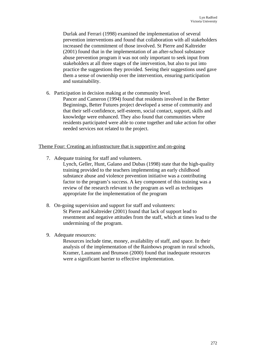Durlak and Ferrari (1998) examined the implementation of several prevention interventions and found that collaboration with all stakeholders increased the commitment of those involved. St Pierre and Kaltreider (2001) found that in the implementation of an after-school substance abuse prevention program it was not only important to seek input from stakeholders at all three stages of the intervention, but also to put into practice the suggestions they provided. Seeing their suggestions used gave them a sense of ownership over the intervention, ensuring participation and sustainability.

6. Participation in decision making at the community level.

Pancer and Cameron (1994) found that residents involved in the Better Beginnings, Better Futures project developed a sense of community and that their self-confidence, self-esteem, social contact, support, skills and knowledge were enhanced. They also found that communities where residents participated were able to come together and take action for other needed services not related to the project.

## Theme Four: Creating an infrastructure that is supportive and on-going

7. Adequate training for staff and volunteers.

Lynch, Geller, Hunt, Galano and Dubas (1998) state that the high-quality training provided to the teachers implementing an early childhood substance abuse and violence prevention initiative was a contributing factor to the program's success. A key component of this training was a review of the research relevant to the program as well as techniques appropriate for the implementation of the program

- 8. On-going supervision and support for staff and volunteers: St Pierre and Kaltreider (2001) found that lack of support lead to resentment and negative attitudes from the staff, which at times lead to the undermining of the program.
- 9. Adequate resources:

Resources include time, money, availability of staff, and space. In their analysis of the implementation of the Rainbows program in rural schools, Kramer, Laumann and Brunson (2000) found that inadequate resources were a significant barrier to effective implementation.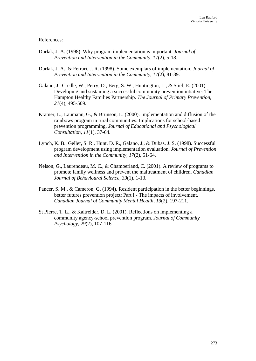## References:

- Durlak, J. A. (1998). Why program implementation is important. *Journal of Prevention and Intervention in the Community, 17*(2), 5-18.
- Durlak, J. A., & Ferrari, J. R. (1998). Some exemplars of implementation. *Journal of Prevention and Intervention in the Community, 17*(2), 81-89.
- Galano, J., Credle, W., Perry, D., Berg, S. W., Huntington, L., & Stief, E. (2001). Developing and sustaining a successful community prevention intiative: The Hampton Healthy Families Partnership. *The Journal of Primary Prevention, 21*(4), 495-509.
- Kramer, L., Laumann, G., & Brunson, L. (2000). Implementation and diffusion of the rainbows program in rural communities: Implications for school-based prevention programming. *Journal of Educational and Psychological Consultation, 11*(1), 37-64.
- Lynch, K. B., Geller, S. R., Hunt, D. R., Galano, J., & Dubas, J. S. (1998). Successful program development using implementation evaluation. *Journal of Prevention and Intervention in the Community, 17*(2), 51-64.
- Nelson, G., Laurendeau, M. C., & Chamberland, C. (2001). A review of programs to promote family wellness and prevent the maltreatment of children. *Canadian Journal of Behavioural Science, 33*(1), 1-13.
- Pancer, S. M., & Cameron, G. (1994). Resident participation in the better beginnings, better futures prevention project: Part I - The impacts of involvement. *Canadian Journal of Community Mental Health, 13*(2), 197-211.
- St Pierre, T. L., & Kaltreider, D. L. (2001). Reflections on implementing a community agency-school prevention program. *Journal of Community Psychology, 29*(2), 107-116.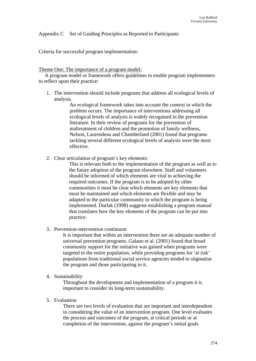# Appendix C Set of Guiding Principles as Reported to Participants

Criteria for successful program implementation:

## Theme One: The importance of a program model:

A program model or framework offers guidelines to enable program implementers to reflect upon their practice:

1. The intervention should include programs that address all ecological levels of analysis.

> An ecological framework takes into account the context in which the problem occurs. The importance of interventions addressing all ecological levels of analysis is widely recognised in the prevention literature. In their review of programs for the prevention of maltreatment of children and the promotion of family wellness, Nelson, Laurendeau and Chamberland (2001) found that programs tackling several different ecological levels of analysis were the most effective.

2. Clear articulation of program's key elements:

This is relevant both to the implementation of the program as well as to the future adoption of the program elsewhere. Staff and volunteers should be informed of which elements are vital to achieving the required outcomes. If the program is to be adopted by other communities it must be clear which elements are key elements that must be maintained and which elements are flexible and may be adapted to the particular community in which the program is being implemented. Durlak (1998) suggests establishing a program manual that translates how the key elements of the program can be put into practice.

3. Prevention-intervention continuum

It is important that within an intervention there are an adequate number of universal prevention programs. Galano et al. (2001) found that broad community support for the initiative was gained when programs were targeted to the entire population, while providing programs for 'at risk' populations from traditional social service agencies tended to stigmatise the program and those participating in it.

4. Sustainability

Throughout the development and implementation of a program it is important to consider its long-term sustainability.

5. Evaluation

There are two levels of evaluation that are important and interdependent in considering the value of an intervention program. One level evaluates the process and outcomes of the program, at critical periods or at completion of the intervention, against the program's initial goals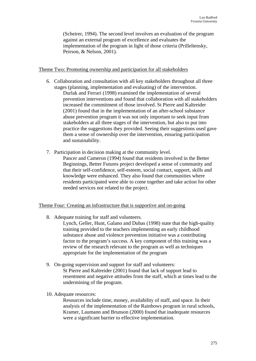(Scheirer, 1994). The second level involves an evaluation of the program against an external program of excellence and evaluates the implementation of the program in light of those criteria (Prilleltensky, Peirson, & Nelson, 2001).

## Theme Two: Promoting ownership and participation for all stakeholders

- 6. Collaboration and consultation with all key stakeholders throughout all three stages (planning, implementation and evaluating) of the intervention. Durlak and Ferrari (1998) examined the implementation of several prevention interventions and found that collaboration with all stakeholders increased the commitment of those involved. St Pierre and Kaltreider (2001) found that in the implementation of an after-school substance abuse prevention program it was not only important to seek input from stakeholders at all three stages of the intervention, but also to put into practice the suggestions they provided. Seeing their suggestions used gave them a sense of ownership over the intervention, ensuring participation and sustainability.
- 7. Participation in decision making at the community level. Pancer and Cameron (1994) found that residents involved in the Better Beginnings, Better Futures project developed a sense of community and that their self-confidence, self-esteem, social contact, support, skills and knowledge were enhanced. They also found that communities where residents participated were able to come together and take action for other needed services not related to the project.

# Theme Four: Creating an infrastructure that is supportive and on-going

- 8. Adequate training for staff and volunteers.
	- Lynch, Geller, Hunt, Galano and Dubas (1998) state that the high-quality training provided to the teachers implementing an early childhood substance abuse and violence prevention initiative was a contributing factor to the program's success. A key component of this training was a review of the research relevant to the program as well as techniques appropriate for the implementation of the program
- 9. On-going supervision and support for staff and volunteers: St Pierre and Kaltreider (2001) found that lack of support lead to resentment and negative attitudes from the staff, which at times lead to the undermining of the program.
- 10. Adequate resources:

Resources include time, money, availability of staff, and space. In their analysis of the implementation of the Rainbows program in rural schools, Kramer, Laumann and Brunson (2000) found that inadequate resources were a significant barrier to effective implementation.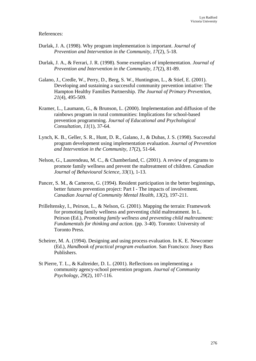## References:

- Durlak, J. A. (1998). Why program implementation is important. *Journal of Prevention and Intervention in the Community, 17*(2), 5-18.
- Durlak, J. A., & Ferrari, J. R. (1998). Some exemplars of implementation. *Journal of Prevention and Intervention in the Community, 17*(2), 81-89.
- Galano, J., Credle, W., Perry, D., Berg, S. W., Huntington, L., & Stief, E. (2001). Developing and sustaining a successful community prevention intiative: The Hampton Healthy Families Partnership. *The Journal of Primary Prevention, 21*(4), 495-509.
- Kramer, L., Laumann, G., & Brunson, L. (2000). Implementation and diffusion of the rainbows program in rural communities: Implications for school-based prevention programming. *Journal of Educational and Psychological Consultation, 11*(1), 37-64.
- Lynch, K. B., Geller, S. R., Hunt, D. R., Galano, J., & Dubas, J. S. (1998). Successful program development using implementation evaluation. *Journal of Prevention and Intervention in the Community, 17*(2), 51-64.
- Nelson, G., Laurendeau, M. C., & Chamberland, C. (2001). A review of programs to promote family wellness and prevent the maltreatment of children. *Canadian Journal of Behavioural Science, 33*(1), 1-13.
- Pancer, S. M., & Cameron, G. (1994). Resident participation in the better beginnings, better futures prevention project: Part I - The impacts of involvement. *Canadian Journal of Community Mental Health, 13*(2), 197-211.
- Prilleltensky, I., Peirson, L., & Nelson, G. (2001). Mapping the terrain: Framework for promoting family wellness and preventing child maltreatment. In L. Peirson (Ed.), *Promoting family wellness and preventing child maltreatment: Fundamentals for thinking and action.* (pp. 3-40). Toronto: University of Toronto Press.
- Scheirer, M. A. (1994). Designing and using process evaluation. In K. E. Newcomer (Ed.), *Handbook of practical program evaluation*. San Francisco: Josey Bass Publishers.
- St Pierre, T. L., & Kaltreider, D. L. (2001). Reflections on implementing a community agency-school prevention program. *Journal of Community Psychology, 29*(2), 107-116.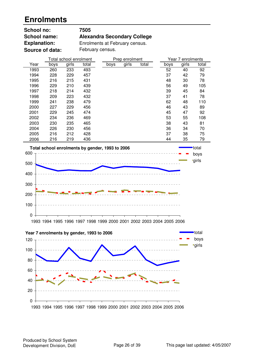## **Enrolments**

| School no:          | 7505                               |
|---------------------|------------------------------------|
| <b>School name:</b> | <b>Alexandra Secondary College</b> |
| <b>Explanation:</b> | Enrolments at February census.     |
| Source of data:     | February census.                   |

|      |      | Total school enrolment |       |      | Prep enrolment |       |      | Year 7 enrolments |       |
|------|------|------------------------|-------|------|----------------|-------|------|-------------------|-------|
| Year | boys | girls                  | total | boys | girls          | total | boys | girls             | total |
| 1993 | 260  | 233                    | 493   |      |                |       | 52   | 40                | 92    |
| 1994 | 228  | 229                    | 457   |      |                |       | 37   | 42                | 79    |
| 1995 | 216  | 215                    | 431   |      |                |       | 48   | 30                | 78    |
| 1996 | 229  | 210                    | 439   |      |                |       | 56   | 49                | 105   |
| 1997 | 218  | 214                    | 432   |      |                |       | 39   | 45                | 84    |
| 1998 | 209  | 223                    | 432   |      |                |       | 37   | 41                | 78    |
| 1999 | 241  | 238                    | 479   |      |                |       | 62   | 48                | 110   |
| 2000 | 227  | 229                    | 456   |      |                |       | 46   | 43                | 89    |
| 2001 | 229  | 245                    | 474   |      |                |       | 45   | 47                | 92    |
| 2002 | 234  | 236                    | 469   |      |                |       | 53   | 55                | 108   |
| 2003 | 230  | 235                    | 465   |      |                |       | 38   | 43                | 81    |
| 2004 | 226  | 230                    | 456   |      |                |       | 36   | 34                | 70    |
| 2005 | 216  | 212                    | 428   |      |                |       | 37   | 38                | 75    |
| 2006 | 216  | 219                    | 436   |      |                |       | 44   | 35                | 79    |





Produced by School System<br>Development Division, DoE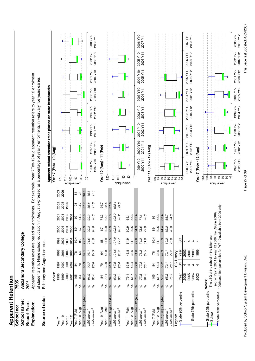| <b>Apparent Retention</b>                        |                                                                             |                |                                                        |                   |              |              |       |           |                                                                                                                                             |                                      |                      |                      |                      |                                                                                                                               |                      |                      |                      |
|--------------------------------------------------|-----------------------------------------------------------------------------|----------------|--------------------------------------------------------|-------------------|--------------|--------------|-------|-----------|---------------------------------------------------------------------------------------------------------------------------------------------|--------------------------------------|----------------------|----------------------|----------------------|-------------------------------------------------------------------------------------------------------------------------------|----------------------|----------------------|----------------------|
| School no:                                       | 7505                                                                        |                |                                                        |                   |              |              |       |           |                                                                                                                                             |                                      |                      |                      |                      |                                                                                                                               |                      |                      |                      |
| School name:                                     | Alexandra Secondary College                                                 |                |                                                        |                   |              |              |       |           |                                                                                                                                             |                                      |                      |                      |                      |                                                                                                                               |                      |                      |                      |
| Report Year:                                     | 2006                                                                        |                |                                                        |                   |              |              |       |           |                                                                                                                                             |                                      |                      |                      |                      |                                                                                                                               |                      |                      |                      |
| Explanation:                                     |                                                                             |                |                                                        |                   |              |              |       |           |                                                                                                                                             |                                      |                      |                      |                      | Apparent retention rates are based on enrolments. For example, Year 7Feb-12Aug apparent retention refers to year 12 enrolment |                      |                      |                      |
|                                                  | of students in full-time school education                                   |                |                                                        |                   |              |              |       |           |                                                                                                                                             |                                      |                      |                      |                      | in August expressed as a percentage of year 7 enrolments in February five years earlier.                                      |                      |                      |                      |
| Source of data:                                  | February and August census.                                                 |                |                                                        |                   |              |              |       |           |                                                                                                                                             |                                      |                      |                      |                      |                                                                                                                               |                      |                      |                      |
|                                                  | Cohorts                                                                     |                |                                                        |                   |              |              |       |           |                                                                                                                                             | Year 7 (Feb) - 10 (Aug) <sup>2</sup> |                      |                      |                      | Apparent school retention rates plotted on state benchmarks                                                                   |                      |                      |                      |
| Year 7                                           | 1996                                                                        | 1997           | 1998                                                   | 1999              | 2000         | 2001         | 2002  | 2003      | 120                                                                                                                                         |                                      |                      |                      |                      |                                                                                                                               |                      |                      |                      |
| Year <sub>10</sub>                               | 1999                                                                        | 2000           | 2001                                                   | 2002              | 2003         | 2004         | 2005  | 2006      |                                                                                                                                             |                                      |                      |                      |                      |                                                                                                                               |                      |                      |                      |
| Year <sub>12</sub><br>Year <sub>11</sub>         | 2000<br>2001                                                                | 2002<br>2001   | 2002<br>2003                                           | 2003<br>2004      | 2004<br>2005 | 2005<br>2006 | 2006  |           |                                                                                                                                             |                                      |                      |                      |                      |                                                                                                                               |                      |                      |                      |
| Year 7 (Feb)                                     | 105<br>ρ.                                                                   | 84             | $\frac{8}{2}$                                          | 110.4             | 89           | 92           | 108   | 5         | $\frac{1}{2}$ $\frac{1}{2}$ $\frac{1}{3}$ $\frac{1}{6}$ $\frac{1}{3}$ $\frac{1}{6}$ $\frac{1}{3}$ $\frac{1}{6}$ $\frac{1}{3}$ $\frac{1}{6}$ |                                      |                      |                      |                      |                                                                                                                               |                      |                      |                      |
| Year 10 (Aug)                                    | 84<br>ρġ.                                                                   | $\overline{2}$ | 64                                                     | 88                | 67           | 74.3         | 94.7  | $\approx$ | $\pmb{8}$                                                                                                                                   |                                      |                      |                      |                      |                                                                                                                               |                      |                      |                      |
| Year 7 (Feb) - 10 (Aug)                          | 80.0<br>$\aleph$                                                            | 83.3           | 82.1                                                   | 79.7              | 75.3         | 80.8         | 87.7  | 96.3      | $\overline{70}$                                                                                                                             |                                      |                      |                      |                      |                                                                                                                               |                      |                      |                      |
| LSG mean <sup>3</sup>                            | 94.9<br>$\delta$                                                            | 92.7           | 93.1                                                   | 91.6              | 90.3         | 90.3         | 89.8  | 89.8      |                                                                                                                                             | 1996Y7                               | TY 7891              | 1998 Y7-             |                      | 2000 Y7-                                                                                                                      | 2001 Y7              |                      |                      |
| State mean <sup>3</sup>                          | 95.0<br>್                                                                   | 96.6           | 97.3                                                   | 95.0              | 96.6         | 96.3         | 97.6  | 97.3      |                                                                                                                                             | 0LA 6661                             | 2000 Y10             | 2001 Y10             | 1999 Y7-<br>2002 Y10 | 2003 Y10                                                                                                                      | 2004 Y10             | 2002 Y7-<br>2005 Y10 | 2003 Y7-<br>2006 Y10 |
| Year 10 (Aug)                                    | 84<br>ρġ.                                                                   | $\overline{C}$ | 64                                                     | $^{\rm 8}$        | 67           | 74.3         | 94.7  |           |                                                                                                                                             | Year 10 (Aug) - 11 (Feb)             |                      |                      |                      |                                                                                                                               |                      |                      |                      |
| Year 11 (Feb)                                    | 79.1<br>ρó.                                                                 | 63.9           | 46.8                                                   | 84.9              | 6.09         | 65.1         | 82.4  |           | 120                                                                                                                                         |                                      |                      |                      |                      |                                                                                                                               |                      |                      |                      |
| Year 10 (Aug) - 11 (Feb)                         | 94.2<br>$\delta_0$                                                          | 91.3           | 73.1                                                   | 96.5              | 90.9         | 87.6         | 87.0  |           | 110                                                                                                                                         |                                      |                      |                      |                      |                                                                                                                               |                      |                      |                      |
| LSG mean <sup>3</sup>                            | 89.2<br>$\delta_{\rm c}$                                                    | 87.8           | 101.6                                                  | 101.9             | 102.8        | 103.2        | 102.4 |           | $\overline{8}$                                                                                                                              |                                      |                      |                      |                      |                                                                                                                               |                      |                      |                      |
| State mean <sup>3</sup>                          | 96.7<br>$\delta$                                                            | 96.4           | 96.2                                                   | 97.7              | 98.7         | 98.2         | 99.0  |           | $\bf 8$<br>bercentage                                                                                                                       |                                      |                      |                      |                      |                                                                                                                               |                      |                      |                      |
| Year 11 (Feb)                                    | 79.1<br>ρġ.                                                                 | 63.9           | 46.8                                                   | 84.9              | 60.9         | 65.1         |       |           | 8                                                                                                                                           |                                      |                      |                      |                      |                                                                                                                               |                      |                      |                      |
| Year 12 (Aug)                                    | 61.7<br>ρġ.                                                                 | 46.4           | 33.5                                                   | 61.1              | 39.5         | 55.6         |       |           | $\overline{C}$                                                                                                                              |                                      |                      |                      |                      |                                                                                                                               |                      |                      |                      |
| Year 11 (Feb) - 12 (Aug)                         | 78.0<br>$\delta$                                                            | 72.6           | 71.6                                                   | 72.0              | 64.9         | 85.4         |       |           |                                                                                                                                             | 1999 Y10-                            | 2000 Y10-            | 2001 Y10-            | 2002 Y10-            | 2003 Y10-                                                                                                                     | 2004 Y10-            | 2005 Y10-            | 2006 Y10-            |
| $LSG$ mean $^3$                                  | 77.5<br>$\delta$                                                            | 77.3           | 76.3                                                   | 74.2              | 73.6         | 71.6         |       |           |                                                                                                                                             | 2000 Y11                             | 2001 Y11             | 2002 Y11             | 2003 Y11             | 2004 Y11                                                                                                                      | 2005 Y11             | 2006 Y11             | 2007 Y11             |
| State mean <sup>3</sup>                          | 81.3<br>್                                                                   | 80.7           | 82.5                                                   | 81.0              | 79.9         | 78.8         |       |           |                                                                                                                                             | Year 11 (Feb) - 12 (Aug)             |                      |                      |                      |                                                                                                                               |                      |                      |                      |
| Year 7 (Feb)                                     | 105<br>ρ.                                                                   | 84             | 78                                                     | 110.4             | 89           | 8            |       |           |                                                                                                                                             |                                      |                      |                      |                      |                                                                                                                               |                      |                      |                      |
| Year 12 (Aug)                                    | 61.7<br>ρġ.                                                                 | 46.4           | 33.5                                                   | $\overline{61.1}$ | 39.5         | 55.6         |       |           | $\frac{8}{95}$                                                                                                                              |                                      |                      |                      |                      |                                                                                                                               |                      |                      |                      |
| Year 7 (Feb) - 12 (Aug)                          | 58.8<br>$\delta$                                                            | 55.2           | 42.9                                                   | 55.3              | 44.4         | 60.4         |       |           |                                                                                                                                             |                                      |                      |                      |                      |                                                                                                                               |                      |                      |                      |
| State mean <sup>3</sup><br>LSG mean <sup>3</sup> | 65.2<br>75.9<br>$\%$<br>్                                                   | 72.1<br>76.7   | 77.2<br>70.1                                           | 69.2<br>76.9      | 69.2<br>76.8 | 74.6<br>66.7 |       |           | 8882288<br>percentage                                                                                                                       |                                      |                      |                      |                      |                                                                                                                               |                      |                      |                      |
| Legend:                                          |                                                                             |                | LSG History                                            |                   |              |              |       |           |                                                                                                                                             |                                      |                      |                      |                      |                                                                                                                               |                      |                      |                      |
| -State 90th percentile                           | Year                                                                        | LSG            | Year                                                   | LSG               |              |              |       |           |                                                                                                                                             |                                      |                      |                      |                      |                                                                                                                               |                      |                      |                      |
|                                                  | 2006<br>2005                                                                | 4<br>4         | 2002<br>2001                                           | 4<br>4            |              |              |       |           |                                                                                                                                             | 2000 Y11-                            | 2001 Y11-            | 2002 Y11-            | 2003 Y11-            | 2004 Y11-                                                                                                                     | 2005 Y11-            | 2006 Y11-            | 2007 Y11-            |
| State 75th percentile                            | 2004                                                                        |                | 2000                                                   | 4                 |              |              |       |           |                                                                                                                                             | 2001 Y12                             | 2002 Y12             | 2003 Y12             | 2004 Y12             | 2005 Y12                                                                                                                      | 2006 Y12             | 2007 Y12             | 2008 Y12             |
|                                                  | 2003                                                                        |                | 1999                                                   |                   |              |              |       |           |                                                                                                                                             | Year 7 (Feb) - 12 (Aug)              |                      |                      |                      |                                                                                                                               |                      |                      |                      |
| State 25th percentile Notes:                     |                                                                             |                |                                                        |                   |              |              |       |           | 110<br>$\overline{8}$                                                                                                                       |                                      |                      |                      |                      |                                                                                                                               |                      |                      |                      |
| School                                           | <sup>1</sup> The LSG of the school in the latter year                       |                |                                                        |                   |              |              |       |           |                                                                                                                                             |                                      |                      |                      |                      |                                                                                                                               |                      |                      |                      |
| State 10th percentile                            | <sup>2</sup> 90th and 10th percentiles for Yr7-10 available from 2000 only. |                | (eg for Year 7 2001 to Year 12 2006, the LSG in 2006). |                   |              |              |       |           | bercentage                                                                                                                                  |                                      |                      |                      |                      |                                                                                                                               |                      |                      |                      |
|                                                  |                                                                             |                |                                                        |                   |              |              |       |           | $88888889$                                                                                                                                  |                                      |                      |                      |                      |                                                                                                                               |                      |                      |                      |
|                                                  |                                                                             |                |                                                        |                   |              |              |       |           |                                                                                                                                             |                                      |                      |                      |                      |                                                                                                                               |                      |                      |                      |
|                                                  |                                                                             |                |                                                        |                   |              |              |       |           |                                                                                                                                             | 2001 Y12<br>1996 Y7-                 | 2002 Y12<br>1997 Y7- | 2003 Y12<br>1998 Y7- | 2004 Y12<br>1999 Y7- | 2000 Y7-<br>2005 Y12                                                                                                          | 2001 Y7-<br>2006 Y12 | 2002 Y7-<br>2007 Y12 | 2003 Y7-<br>2008 Y12 |

Produced by School System Development Division, DoE Page 27 of 39<br>Produced by School System Development Division, DoE Produced by School System Development Division, DoE

Page 27 of 39

This page last updated: 4/05/2007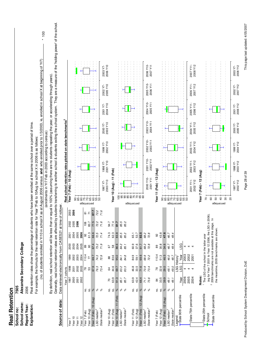| School no:                                      | 7505       |                                            |                         |              |                         |                                                     |                                                                |                             |                                                                                                                                                                                              |                       |                       |                       |                       |                                   |        |
|-------------------------------------------------|------------|--------------------------------------------|-------------------------|--------------|-------------------------|-----------------------------------------------------|----------------------------------------------------------------|-----------------------------|----------------------------------------------------------------------------------------------------------------------------------------------------------------------------------------------|-----------------------|-----------------------|-----------------------|-----------------------|-----------------------------------|--------|
| School name:                                    |            | Alexandra Secondary College                |                         |              |                         |                                                     |                                                                |                             |                                                                                                                                                                                              |                       |                       |                       |                       |                                   |        |
| Report Year:                                    | 2006       |                                            |                         |              |                         |                                                     |                                                                |                             |                                                                                                                                                                                              |                       |                       |                       |                       |                                   |        |
| Explanation:                                    |            |                                            |                         |              |                         |                                                     |                                                                |                             | Real retention rates show the percentage of students who have been enrolled at the same school over a period of time.                                                                        |                       |                       |                       |                       |                                   |        |
|                                                 |            |                                            |                         |              |                         |                                                     |                                                                |                             | For example, the formula for the real retention rate for Year 7Feb to 10Aug for school X in 2006 is as follows:                                                                              |                       |                       |                       |                       |                                   |        |
|                                                 |            |                                            |                         |              |                         |                                                     |                                                                |                             | (no. of students enrolled in Yr10 in school X as at August 2006 census and who enrolled prior to 1/3/2003, ie, enrolled in school X at beginning of Yr7)                                     |                       |                       |                       |                       |                                   | $*100$ |
|                                                 |            |                                            |                         |              |                         |                                                     | By definition, real school retention will be less than or eq   |                             | ual to 100% (assuming there are no students repeating the year, or accelerating through years)<br>(enrolments in Yr7 Feb in 2003 according to census)                                        |                       |                       |                       |                       |                                   |        |
|                                                 |            |                                            |                         |              |                         |                                                     |                                                                |                             | Generally, real school retention rates are affected by students transferring to another school & students exting the school system. They are a measure of the 'holding power' of the school. |                       |                       |                       |                       |                                   |        |
| Source of data:                                 |            |                                            |                         |              |                         |                                                     | Data retrieved electronically from CASES21 at time of rollover |                             |                                                                                                                                                                                              |                       |                       |                       |                       |                                   |        |
|                                                 |            | Year 7 cohorts                             |                         |              |                         |                                                     |                                                                |                             | Real school retention rates plotted on state benchmarks <sup>2</sup>                                                                                                                         |                       |                       |                       |                       |                                   |        |
| Year 7                                          |            | 1997                                       | 1998                    | 1999         | 2000                    | 2001                                                | 2002                                                           | ខ្លួ<br><b>ខ្លួ</b>         | Year 7 (Feb) - 10 (Aug)                                                                                                                                                                      |                       |                       |                       |                       |                                   |        |
| Year <sub>10</sub>                              |            | 2000                                       | 2001                    | 2002         | 2003                    | 2004                                                | 2005                                                           |                             |                                                                                                                                                                                              |                       |                       |                       |                       |                                   |        |
| Year <sub>12</sub><br>Year <sub>11</sub>        |            | 2001<br>2002                               | 2002<br>2003            | 2003<br>2004 | 2004<br>2005            | 2005<br>2006                                        | 2006                                                           |                             | 888528888                                                                                                                                                                                    |                       |                       |                       |                       |                                   |        |
| Year 7 (Feb)                                    | ġ          |                                            | 78                      | 110.4        | 89                      | 92                                                  | 108                                                            | bercentage                  |                                                                                                                                                                                              |                       |                       |                       |                       |                                   |        |
| Year 10 (Aug)                                   | ρġ.        |                                            | 53                      | 77           | 60                      | 61.3                                                | 83.7                                                           | $\sim$ $\sim$               |                                                                                                                                                                                              |                       |                       |                       |                       |                                   |        |
| Year 7 (Feb) - 10 (Aug)                         | $\%$       |                                            | 67.9                    | 69.7         | 67.4                    | 66.6                                                | 77.5                                                           | 87.                         |                                                                                                                                                                                              |                       |                       |                       |                       |                                   |        |
| LSG median <sup>2</sup>                         | ್ನೆ        |                                            | 76.3                    | 74.3         | 73.2                    | 72.5                                                | 72.2                                                           | N<br>72                     |                                                                                                                                                                                              |                       |                       |                       |                       |                                   |        |
| State median <sup>2</sup>                       | ಸಿ         |                                            | 73.4                    | 72.9         | 71.9                    | 71.4                                                | 71.6                                                           | $\pmb{\omega}$<br>$\vec{r}$ |                                                                                                                                                                                              |                       |                       |                       |                       |                                   |        |
|                                                 |            |                                            |                         |              |                         |                                                     |                                                                |                             | 1998 Y7-<br>2001 Y10<br>1997 Y7-<br>2000 Y10                                                                                                                                                 | 1999 Y7-<br>2002 Y10  | 2000 Y7-<br>2003 Y10  | 2001 Y7-<br>2004 Y10  | 2002 Y7-<br>2005 Y10  | 2003 Y7-<br>2006 Y10              |        |
| Year 10 (Aug)<br>Year 11 (Feb)                  | g g        | 63.9<br>70                                 | 44.6<br>\$              | 83.6<br>88   | 58<br>67                | 74.3<br>62.3                                        | 77.4<br>94.7                                                   |                             | (Feb)<br>Year 10 (Aug) - 11                                                                                                                                                                  |                       |                       |                       |                       |                                   |        |
| Year 10 (Aug) - 11 (Feb)                        | $\%$       | 91.3                                       | 69.7                    | 95.0         | 86.6                    | 83.8                                                | 81.7                                                           |                             |                                                                                                                                                                                              |                       |                       |                       |                       |                                   |        |
| LSG median <sup>2</sup>                         | $\%$       | 85.1                                       | 83.2                    | 84.1         | 84.2                    | 85.5                                                | 85.5                                                           |                             |                                                                                                                                                                                              |                       |                       |                       |                       |                                   |        |
| State median <sup>2</sup>                       | $\%$       | 85.7                                       | 83.3                    | 84.8         | 85.1                    | 85.2                                                | 85.2                                                           |                             |                                                                                                                                                                                              |                       |                       |                       |                       |                                   |        |
|                                                 |            |                                            |                         |              |                         |                                                     |                                                                | bercentage                  | <u>ទំ</u> ឌខ្លួននិង៩និ                                                                                                                                                                       |                       |                       |                       |                       |                                   |        |
| Year 11 (Feb)                                   | é.         | 63.9                                       | 46.8                    | 84.9         | 60.9                    | 65.1                                                |                                                                |                             |                                                                                                                                                                                              |                       |                       |                       |                       |                                   |        |
| Year 12 (Aug)                                   | ρġ.        | 42.4                                       | 33.5                    | 59.1         | 37.6                    | 53.7                                                |                                                                |                             |                                                                                                                                                                                              |                       |                       |                       |                       |                                   |        |
| $-12$ (Aug)<br>Year 11 (Feb)                    | $\delta_0$ | 66.4                                       | 71.6                    | 69.6         | 61.7                    | 82.5                                                |                                                                |                             |                                                                                                                                                                                              |                       |                       |                       |                       |                                   |        |
| LSG median <sup>2</sup>                         | $\aleph$   | 71.1                                       | 70.9                    | 68.9         | 68.2                    | 68.2                                                |                                                                |                             |                                                                                                                                                                                              | 2002 Y10-             |                       |                       |                       |                                   |        |
| State median <sup>2</sup>                       | ್ಲ         | 73.6                                       | 73.4                    | 72.2         | 72.8                    | 72.8                                                |                                                                |                             | 2001 Y10-<br>2002 Y11<br>2000 Y10-<br>2001 Y11                                                                                                                                               | 2003 Y11              | 2003 Y10-<br>2004 Y11 | 2004 Y10-<br>2005 Y11 | 2005 Y10-<br>2006 Y11 | 2006 Y10-<br>2007 Y11             |        |
| Year 7 (Feb)                                    | ġ.         | $\frac{4}{3}$                              | œ                       | 110.4        | 89                      | 8                                                   |                                                                |                             | Year 11 (Feb) - 12 (Aug)                                                                                                                                                                     |                       |                       |                       |                       |                                   |        |
| Year 12 (Aug)                                   | ġ.         | 33.5                                       | 22.6                    | 51.3         | 30.8                    | 43.8                                                |                                                                |                             |                                                                                                                                                                                              |                       |                       |                       |                       |                                   |        |
| Year 7 (Feb) - 12 (Aug)                         | $\delta$   | 39.9                                       | 29.0                    | 46.5         | 34.6                    | 47.6                                                |                                                                |                             |                                                                                                                                                                                              |                       |                       |                       |                       |                                   |        |
| LSG median <sup>2</sup>                         | $\%$<br>్  | 49.1                                       | 48.1                    | 46.0         | 46.7                    | 46.7                                                |                                                                | bercentage                  | 888528888                                                                                                                                                                                    |                       |                       |                       |                       |                                   |        |
| State median <sup>2</sup><br>Legend:            |            | 49.1                                       | 49.0                    | 48.7         | 49.4                    | 49.4                                                |                                                                |                             |                                                                                                                                                                                              |                       |                       |                       |                       |                                   |        |
| -State 90th percentile                          |            | Year                                       | LSG History<br>LSG      | Year         | LSG                     |                                                     |                                                                |                             |                                                                                                                                                                                              |                       |                       |                       |                       |                                   |        |
|                                                 |            | 2006                                       | 4                       | 2003         | 4                       |                                                     |                                                                |                             |                                                                                                                                                                                              |                       |                       |                       |                       |                                   |        |
| State 75th percentile                           |            | 2005                                       | 4                       | 2002         | 4                       |                                                     |                                                                |                             | 2002 Y11-<br>2001 Y11-                                                                                                                                                                       |                       | 2004 Y11-             |                       | 2006 Y11-             | 2007 Y11-                         |        |
|                                                 |            | 2004                                       | $\overline{\mathbf{r}}$ | 2001         | $\overline{\mathbf{r}}$ |                                                     |                                                                |                             | 2003 Y12<br>2002 Y12                                                                                                                                                                         | 2003 Y11-<br>2004 Y12 | 2005 Y12              | 2005 Y11-<br>2006 Y12 | 2007 Y12              | 2008 Y12                          |        |
|                                                 |            | Notes:                                     |                         |              |                         |                                                     |                                                                |                             | Year 7 (Feb) - 12 (Aug)                                                                                                                                                                      |                       |                       |                       |                       |                                   |        |
| State 25th percentile                           |            | 1 The LSG of the school in the latter year |                         |              |                         |                                                     |                                                                |                             | $\mathcal{L}$                                                                                                                                                                                |                       |                       |                       |                       |                                   |        |
| School                                          |            | $\sim$                                     |                         |              |                         | 2006 benchmarks are not available at this stage. In | (eg for Year 7 2001 to Year 12 2006, the LSG in 2006).         |                             | 60                                                                                                                                                                                           |                       |                       |                       |                       |                                   |        |
| State 10th percentile                           |            |                                            |                         |              |                         | the meantime, 2005 benchmarks are shown.            |                                                                |                             | 50                                                                                                                                                                                           |                       |                       |                       |                       |                                   |        |
|                                                 |            |                                            |                         |              |                         |                                                     |                                                                | bercentage                  | $\overline{4}$                                                                                                                                                                               |                       |                       |                       |                       |                                   |        |
|                                                 |            |                                            |                         |              |                         |                                                     |                                                                |                             | $\rm ^{\rm o}$<br>$\overline{c}$                                                                                                                                                             |                       |                       |                       |                       |                                   |        |
|                                                 |            |                                            |                         |              |                         |                                                     |                                                                |                             | 2003 Y12<br>1998Y7-<br>2002 Y12<br>1997 Y7-                                                                                                                                                  | 2004 Y12<br>1999 Y7-  | 2000 Y7-<br>2005 Y12  | 2006 Y12<br>2001 Y7-  | 2007 Y12<br>2002 Y7-  | 2008 Y12<br>2003 Y7-              |        |
|                                                 |            |                                            |                         |              |                         |                                                     |                                                                |                             |                                                                                                                                                                                              |                       |                       |                       |                       |                                   |        |
| uced by School System Development Division, DoE |            |                                            |                         |              |                         |                                                     |                                                                |                             | Page 28 of 39                                                                                                                                                                                |                       |                       |                       |                       | This page last updated: 4/05/2007 |        |

**Real Retention**

Produced by School System Development Division, DoE Page 28 of 39 Page 28 of 39<br>Produced by School System Development Division, DoE Produced by School System Development Division, DoE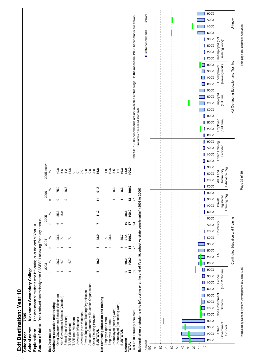# Exit Destination: Year 10 **Exit Destination: Year 10**

| Source of data: Data retrieved electronically from CASES21 following February census.              |              |       |               |                 |            |       |                   |       |                                  |                                                                                                       |
|----------------------------------------------------------------------------------------------------|--------------|-------|---------------|-----------------|------------|-------|-------------------|-------|----------------------------------|-------------------------------------------------------------------------------------------------------|
|                                                                                                    |              | 2003  | 2004          |                 | 2005       |       | 2006              |       | 2005 state^                      |                                                                                                       |
| <b>Exit Destination</b>                                                                            | $\mathbf{a}$ | ್ನೇ   | $\mathbf{r}$  | $\aleph$        | Ξ          | %     | Ξ                 | ಸಿ    | ಸಿ                               |                                                                                                       |
| Continuing education and training                                                                  |              |       |               |                 |            |       |                   |       |                                  |                                                                                                       |
| Other Government Schools (Victorian)                                                               |              | 26.7  |               | 28.6            | ဖ          | 35.3  | თ                 | 75.0  | 40.8                             |                                                                                                       |
| Non-Government Schools (Victorian)                                                                 |              | 6.7   |               |                 |            | 5.9   |                   |       | 5.6                              |                                                                                                       |
| School (non Victorian)                                                                             |              |       |               |                 |            |       | $\mathbf{\Omega}$ | 16.7  |                                  |                                                                                                       |
| TAFE (Victorian)                                                                                   |              | 6.7   |               | $\overline{2}$  |            |       |                   |       | $4.6$<br>$1.6$<br>$0.7$<br>$0.7$ |                                                                                                       |
| <b>TAFE</b> (non Victorian)                                                                        |              |       |               |                 |            |       |                   |       |                                  |                                                                                                       |
| University (Victorian)                                                                             |              |       |               |                 |            |       |                   |       |                                  |                                                                                                       |
| University (non Victorian)                                                                         |              |       |               |                 |            |       |                   |       |                                  |                                                                                                       |
| Private Registered Training Organisation                                                           |              |       |               |                 |            |       |                   |       |                                  |                                                                                                       |
| Adult and Community Education Organisation                                                         |              |       |               |                 |            |       |                   |       |                                  |                                                                                                       |
| Other Training Provider                                                                            |              |       |               |                 |            |       |                   |       |                                  |                                                                                                       |
| <b>SUBTOTAL</b>                                                                                    | ဖ            | 40.0  | ဖ             | 42.9            |            | 41.2  | ᠮ                 | 91.7  | 66.8                             |                                                                                                       |
| Not continuing education and training                                                              |              |       |               |                 |            |       |                   |       |                                  |                                                                                                       |
| Employed (part time)                                                                               |              |       |               | $\overline{21}$ |            |       |                   |       |                                  |                                                                                                       |
| Employed (full time)                                                                               |              |       |               | 28.6            |            |       |                   |       | 10.6                             |                                                                                                       |
| Unemployed (seeking work)                                                                          |              |       |               |                 |            |       |                   | 8.3   | 5.5                              |                                                                                                       |
| Unemployed (not seeking work)*                                                                     |              |       |               |                 |            |       |                   |       | $\overline{4}$                   |                                                                                                       |
| <b>SUBTOTAL</b>                                                                                    |              |       | ю             | 35.7            |            |       |                   | 8.3   | 19.3                             |                                                                                                       |
| Unknown                                                                                            |              | 60.0  |               | 21.4            | <u>ី</u>   | 58.8  |                   |       | 13.9                             |                                                                                                       |
| TOTAL                                                                                              | 15           | 100.0 | $\frac{4}{5}$ | 100.0           | $\ddot{ }$ | 100.0 | 12                | 100.0 | 100.0                            |                                                                                                       |
| Total Yr 10 February enrolment                                                                     | ගි           |       | 77            |                 | 34         |       |                   |       |                                  | Notes: ^ 2006 benchmarks are not available at this stage. In the meantime, 2005 benchmarks are shown. |
| Exit destination of students who left during or at the end of Year 10, school vs state benchmarks^ |              |       |               |                 |            |       | 2003 to 2006)     |       | includes deceased students.      |                                                                                                       |





This page last updated: 4/05/2007

Page 29 of 39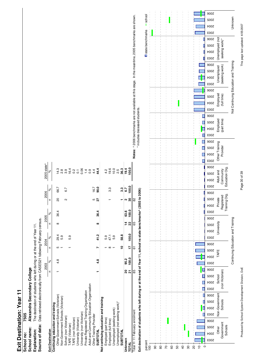# Exit Destination: Year 11 **Exit Destination: Year 11**

|                                            | 2003                          |              | 2004     | 2005          |       | 2006                 | 2005 state^         |                                                                                                       |
|--------------------------------------------|-------------------------------|--------------|----------|---------------|-------|----------------------|---------------------|-------------------------------------------------------------------------------------------------------|
| Exit Destination                           | $\frac{6}{3}$<br>$\mathbf{r}$ | $\mathbf{r}$ | %        | Ξ             | %     | $\frac{6}{3}$<br>Ξ   | se                  |                                                                                                       |
| Continuing education and training          |                               |              |          |               |       |                      |                     |                                                                                                       |
| Other Government Schools (Victorian)       | 4.8                           | ٢Ω           | 29.4     | $\infty$      | 36.4  | 66.7<br>8            | $\frac{3}{4}$       |                                                                                                       |
| Non-Government Schools (Victorian)         |                               |              | 5.9      |               |       |                      |                     |                                                                                                       |
| School (non Victorian)                     |                               |              |          |               |       | 6.7<br>2             | ထိုက္ပါ             |                                                                                                       |
| "AFE (Victorian)                           |                               |              | 5.9      |               |       |                      |                     |                                                                                                       |
| 'AFE (non Victorian)                       |                               |              |          |               |       |                      | $64$<br>0.2         |                                                                                                       |
| Jniversity (Victorian)                     |                               |              |          |               |       |                      | $\overline{c}$      |                                                                                                       |
| University (non Victorian)                 |                               |              |          |               |       |                      | 0.06                |                                                                                                       |
| Private Registered Training Organisation   |                               |              |          |               |       |                      |                     |                                                                                                       |
| Adult and Community Education Organisation |                               |              |          |               |       |                      | $\frac{4}{9}$ o     |                                                                                                       |
| Other Training Provider                    |                               |              |          |               |       | ю                    | 4.4                 |                                                                                                       |
| <b>SUBTOTAL</b>                            | 4.8                           |              | 41.2     | ∞             | 36.4  | $16.7$<br>90.0<br>27 | 44.4                |                                                                                                       |
| Not continuing education and training      |                               |              |          |               |       |                      |                     |                                                                                                       |
| Employed (part time)                       |                               |              | 5.9      |               |       |                      | $\frac{1}{4}$       |                                                                                                       |
| Employed (full time)                       |                               |              | 47.1     |               |       | 3.3                  |                     |                                                                                                       |
| Unemployed (seeking work)                  |                               |              | 5.9      |               |       |                      | 19.0<br>10.5<br>2.5 |                                                                                                       |
| Unemployed (not seeking work)*             |                               |              |          |               |       |                      |                     |                                                                                                       |
| <b>SUBTOTAL</b>                            |                               | ۽            | 58.8     |               |       | 3.3                  | 36.3                |                                                                                                       |
| <b>Unknown</b>                             | 95.2<br>ន                     |              |          | $\frac{4}{1}$ | 63.6  | 6.7                  | 19.4                |                                                                                                       |
| TOTAL                                      | 100.0<br>ភ                    |              | 17 100.0 | 22            | 100.0 | <b>00.0</b>          | $\frac{0.001}{1}$   |                                                                                                       |
| Total Yr 11 February enrolment             | 85                            | 5            |          | 65            |       | 82                   |                     | Notes: ^ 2006 benchmarks are not available at this stage. In the meantime, 2005 benchmarks are shown. |
|                                            |                               |              |          |               |       |                      |                     | includes decessed students                                                                            |





This page last updated: 4/05/2007

Page 30 of 39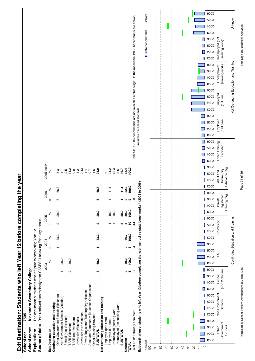# **Exit Destination: Students who left Year 12 before completing the year**

|            | Exit Destination: Students who left Year 12 before completing the year                |
|------------|---------------------------------------------------------------------------------------|
| School no: | 7505                                                                                  |
|            | School name: Alexandra Secondary College                                              |
|            | Explanation: The destination of students who left prior to completing Year 12.        |
|            | Source of data: Data retrieved electronically from CASES21 following February census. |

|                                                                                                                    | 2003 |            | 2004     | 2005          |             | 2006               | 2005 state^                 |                                                                                                       |
|--------------------------------------------------------------------------------------------------------------------|------|------------|----------|---------------|-------------|--------------------|-----------------------------|-------------------------------------------------------------------------------------------------------|
| <b>Exit Destination</b>                                                                                            | Ξ    | Ξ<br>৵৽    | $\aleph$ | c             | ×           | Ξ                  | ৡ<br>$\aleph$               |                                                                                                       |
| Continuing education and training                                                                                  |      |            |          |               |             |                    |                             |                                                                                                       |
| Other Government Schools (Victorian)                                                                               |      |            | 33.3     | Ν             | 20.0        | ဖ                  | 8.3<br>66.7                 |                                                                                                       |
| Non-Government Schools (Victorian)                                                                                 |      | 20.0       |          |               |             |                    |                             |                                                                                                       |
| School (non Victorian)                                                                                             |      |            |          |               |             |                    | 2.5                         |                                                                                                       |
| TAFE (Victorian)                                                                                                   | Ν    | 40.0       |          |               |             |                    |                             |                                                                                                       |
| <b>TAFE</b> (non Victorian)                                                                                        |      |            |          |               |             |                    | $\frac{4.2}{1.0}$           |                                                                                                       |
| University (Victorian)                                                                                             |      |            |          |               |             |                    | $\frac{N}{l}$               |                                                                                                       |
| University (non Victorian)                                                                                         |      |            |          |               |             |                    | 0.43                        |                                                                                                       |
| Private Registered Training Organisation                                                                           |      |            |          |               |             |                    |                             |                                                                                                       |
| Adult and Community Education Organisation                                                                         |      |            |          |               |             |                    | $\frac{4}{4}$ $\frac{7}{7}$ |                                                                                                       |
| Other Training Provider                                                                                            |      |            |          |               |             |                    | 4.5                         |                                                                                                       |
| <b>SUBTOTAL</b>                                                                                                    | ო    | 60.0       | 33.3     | ີ             | <b>20.0</b> | ဖ                  | 34.9<br>66.7                |                                                                                                       |
| Not continuing education and training                                                                              |      |            |          |               |             |                    |                             |                                                                                                       |
| Employed (part time)                                                                                               |      |            |          |               |             |                    | 6.7                         |                                                                                                       |
| Employed (full time)                                                                                               |      |            |          |               | 40.0        |                    | 24.3<br>12.5<br>3.5         |                                                                                                       |
| Unemployed (seeking work)                                                                                          |      |            |          |               | 10.0        |                    |                             |                                                                                                       |
| Unemployed (not seeking work)*                                                                                     |      |            |          |               |             |                    |                             |                                                                                                       |
| <b>SUBTOTAL</b>                                                                                                    |      |            |          | မာ            | 50.0        |                    | 46.7                        |                                                                                                       |
| Unknown                                                                                                            |      | 40.0       | 66.7     | ო             | 30.0        | 2                  | 18.4<br>$\frac{111}{222}$   |                                                                                                       |
| TOTAL                                                                                                              | မာ   | m<br>100.0 | 100.0    | <u>۽</u>      | 100.0       | ග                  | 100.0                       |                                                                                                       |
| Total Yr 12 February enrolment                                                                                     | 37   | 64         |          | $\frac{4}{4}$ |             | 58                 |                             | Notes: ^ 2006 benchmarks are not available at this stage. In the meantime, 2005 benchmarks are shown. |
| Evit dentication of children una lotta Voar 19 before ocupulation the vision color con luc chate homore experiment |      |            |          |               |             | יהת והתחף לה התחבו |                             | includes deceased students.                                                                           |







Page 31 of 39